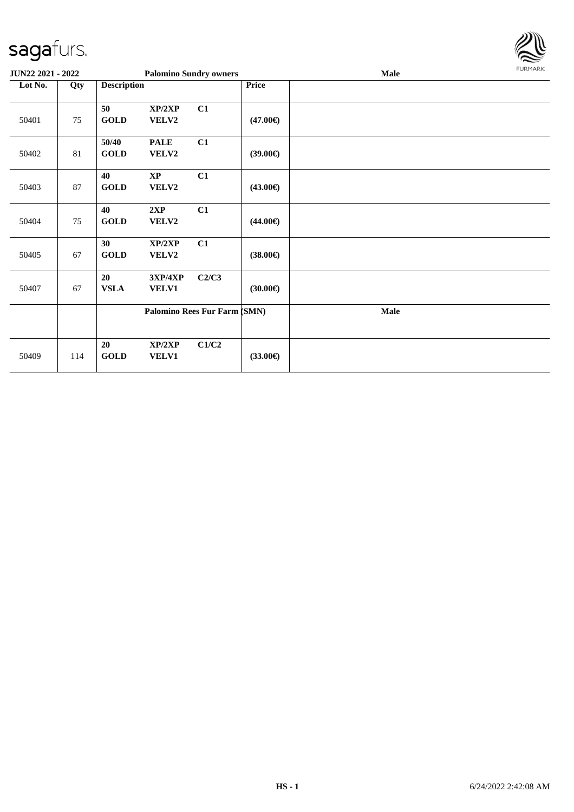

| JUN22 2021 - 2022 |     |                      |                                 | <b>Palomino Sundry owners</b> |                   | Male | FURMARK |
|-------------------|-----|----------------------|---------------------------------|-------------------------------|-------------------|------|---------|
| Lot No.           | Qty | <b>Description</b>   |                                 |                               | Price             |      |         |
| 50401             | 75  | 50<br><b>GOLD</b>    | XP/2XP<br>VELV2                 | C1                            | $(47.00\epsilon)$ |      |         |
| 50402             | 81  | 50/40<br><b>GOLD</b> | <b>PALE</b><br>VELV2            | C1                            | $(39.00\epsilon)$ |      |         |
| 50403             | 87  | 40<br><b>GOLD</b>    | $\mathbf{X}\mathbf{P}$<br>VELV2 | C1                            | $(43.00\epsilon)$ |      |         |
| 50404             | 75  | 40<br><b>GOLD</b>    | 2XP<br><b>VELV2</b>             | C1                            | $(44.00\epsilon)$ |      |         |
| 50405             | 67  | 30<br><b>GOLD</b>    | XP/2XP<br>VELV2                 | C1                            | $(38.00\epsilon)$ |      |         |
| 50407             | 67  | 20<br><b>VSLA</b>    | 3XP/4XP<br>VELV1                | C2/C3                         | $(30.00\epsilon)$ |      |         |
|                   |     |                      |                                 | Palomino Rees Fur Farm (SMN)  |                   | Male |         |
| 50409             | 114 | 20<br><b>GOLD</b>    | XP/2XP<br><b>VELV1</b>          | C1/C2                         | $(33.00\epsilon)$ |      |         |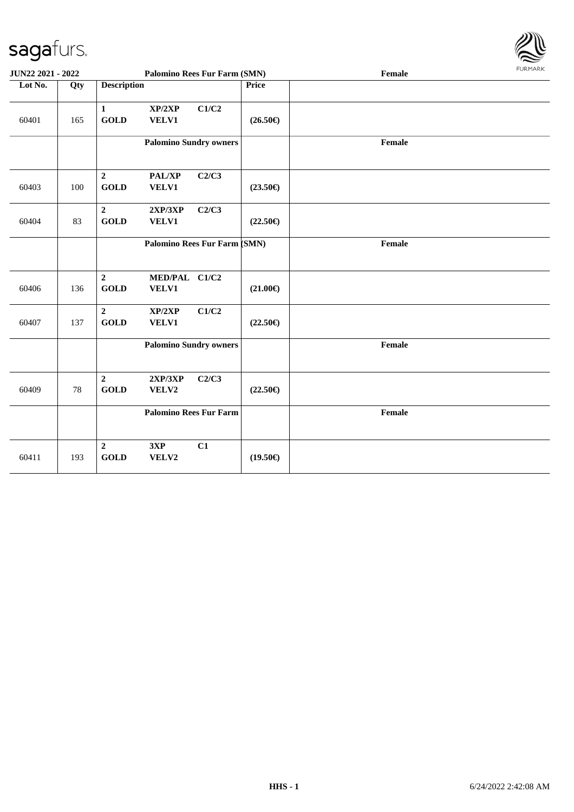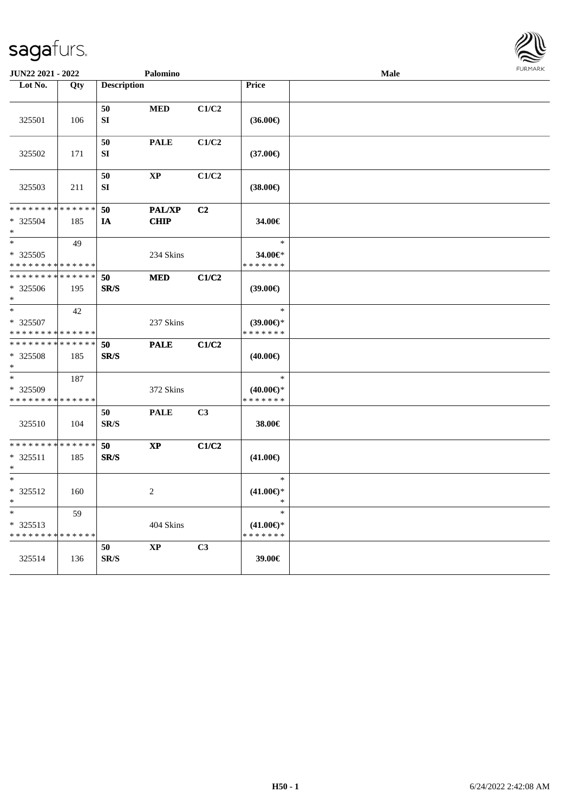

| JUN22 2021 - 2022                       |                    |                                | Palomino              |       |                                                | <b>Male</b> | <b>FUNITANY</b> |
|-----------------------------------------|--------------------|--------------------------------|-----------------------|-------|------------------------------------------------|-------------|-----------------|
| Lot No.                                 | Qty                | <b>Description</b>             |                       |       | <b>Price</b>                                   |             |                 |
| 325501                                  | 106                | 50<br>SI                       | $\bf MED$             | C1/C2 | $(36.00\epsilon)$                              |             |                 |
| 325502                                  | 171                | 50<br>SI                       | <b>PALE</b>           | C1/C2 | $(37.00\epsilon)$                              |             |                 |
| 325503                                  | 211                | $50\,$<br>${\bf SI}$           | $\bold{XP}$           | C1/C2 | $(38.00\in)$                                   |             |                 |
| * * * * * * * *<br>* 325504<br>$\ast$   | * * * * * *<br>185 | 50<br>IA                       | PAL/XP<br><b>CHIP</b> | C2    | 34.00€                                         |             |                 |
| $\ast$<br>$* 325505$<br>* * * * * * * * | 49<br>* * * * * *  |                                | 234 Skins             |       | $\ast$<br>34.00€*<br>* * * * * * *             |             |                 |
| * * * * * * * *<br>* 325506<br>$*$      | * * * * * *<br>195 | 50<br>SR/S                     | $\bf MED$             | C1/C2 | (39.00)                                        |             |                 |
| $*$<br>* 325507<br>* * * * * * * *      | 42<br>* * * * * *  |                                | 237 Skins             |       | $\ast$<br>$(39.00\epsilon)$ *<br>* * * * * * * |             |                 |
| * * * * * * * *<br>* 325508<br>$\ast$   | * * * * * *<br>185 | 50<br>SR/S                     | <b>PALE</b>           | C1/C2 | $(40.00\epsilon)$                              |             |                 |
| $\ast$<br>* 325509<br>* * * * * * * *   | 187<br>* * * * * * |                                | 372 Skins             |       | $\ast$<br>$(40.00\epsilon)$ *<br>* * * * * * * |             |                 |
| 325510                                  | 104                | 50<br>SR/S                     | <b>PALE</b>           | C3    | 38.00€                                         |             |                 |
| * * * * * * * *<br>* 325511<br>$\ast$   | * * * * * *<br>185 | 50<br>$\mathbf{SR}/\mathbf{S}$ | $\bold{XP}$           | C1/C2 | $(41.00\epsilon)$                              |             |                 |
| $\ast$<br>* 325512<br>$\ast$            | 160                |                                | $\overline{c}$        |       | $\ast$<br>$(41.00\epsilon)$ *<br>$\ast$        |             |                 |
| $*$<br>* 325513<br>* * * * * * * *      | 59<br>******       |                                | 404 Skins             |       | $\ast$<br>$(41.00\epsilon)$ *<br>* * * * * * * |             |                 |
| 325514                                  | 136                | 50<br>$\mathbf{SR}/\mathbf{S}$ | <b>XP</b>             | C3    | 39.00€                                         |             |                 |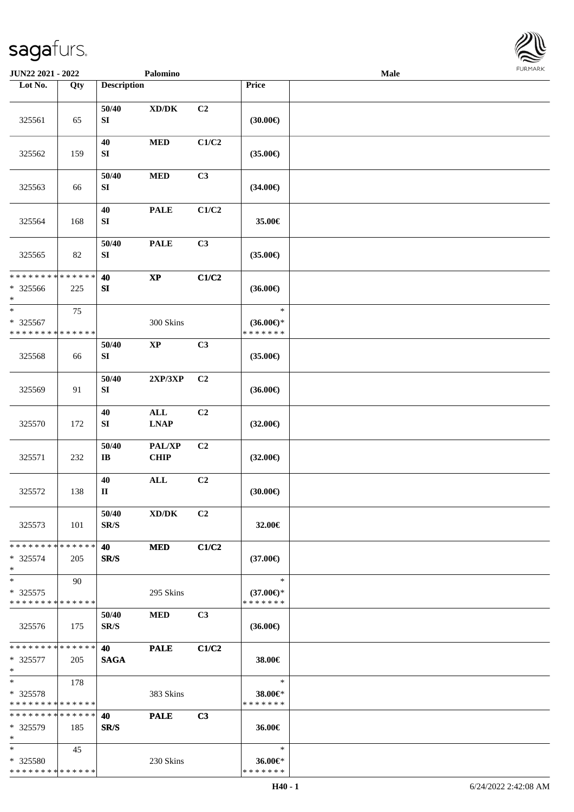

| JUN22 2021 - 2022                                     |     |                                 | Palomino                                                     |                |                                                | Male |  |
|-------------------------------------------------------|-----|---------------------------------|--------------------------------------------------------------|----------------|------------------------------------------------|------|--|
| Lot No.                                               | Qty | <b>Description</b>              |                                                              |                | Price                                          |      |  |
| 325561                                                | 65  | 50/40<br>SI                     | $\bold{X}\bold{D}/\bold{D}\bold{K}$                          | C2             | (30.00)                                        |      |  |
| 325562                                                | 159 | 40<br>SI                        | $\bf MED$                                                    | C1/C2          | $(35.00\epsilon)$                              |      |  |
| 325563                                                | 66  | 50/40<br>${\bf S}{\bf I}$       | $\bf MED$                                                    | C3             | $(34.00\epsilon)$                              |      |  |
| 325564                                                | 168 | 40<br>${\bf S}{\bf I}$          | <b>PALE</b>                                                  | C1/C2          | 35.00€                                         |      |  |
| 325565                                                | 82  | 50/40<br>SI                     | <b>PALE</b>                                                  | C3             | $(35.00\epsilon)$                              |      |  |
| * * * * * * * * * * * * * *<br>* 325566<br>$\ast$     | 225 | 40<br>SI                        | $\bold{XP}$                                                  | C1/C2          | $(36.00\epsilon)$                              |      |  |
| $\ast$<br>* 325567<br>* * * * * * * * * * * * * *     | 75  |                                 | 300 Skins                                                    |                | $\ast$<br>$(36.00\epsilon)$ *<br>* * * * * * * |      |  |
| 325568                                                | 66  | 50/40<br>SI                     | $\mathbf{X}\mathbf{P}$                                       | C3             | $(35.00\epsilon)$                              |      |  |
| 325569                                                | 91  | 50/40<br>SI                     | 2XP/3XP                                                      | C2             | $(36.00\epsilon)$                              |      |  |
| 325570                                                | 172 | 40<br>SI                        | $\mathbf{ALL}$<br>$\mathbf{L}\mathbf{N}\mathbf{A}\mathbf{P}$ | C2             | $(32.00\epsilon)$                              |      |  |
| 325571                                                | 232 | 50/40<br>$\mathbf{I}\mathbf{B}$ | PAL/XP<br><b>CHIP</b>                                        | C2             | $(32.00\epsilon)$                              |      |  |
| 325572                                                | 138 | 40<br>$\mathbf{I}$              | $\mathbf{ALL}$                                               | C2             | (30.00)                                        |      |  |
| 325573                                                | 101 | 50/40<br>SR/S                   | XD/DK                                                        | C <sub>2</sub> | 32.00€                                         |      |  |
| * * * * * * * * * * * * * *<br>$* 325574$<br>$\ast$   | 205 | 40<br>SR/S                      | <b>MED</b>                                                   | C1/C2          | $(37.00\epsilon)$                              |      |  |
| $\ast$<br>$* 325575$<br>* * * * * * * * * * * * * *   | 90  |                                 | 295 Skins                                                    |                | $\ast$<br>$(37.00\epsilon)$ *<br>* * * * * * * |      |  |
| 325576                                                | 175 | 50/40<br>SR/S                   | <b>MED</b>                                                   | C <sub>3</sub> | $(36.00\epsilon)$                              |      |  |
| * * * * * * * * * * * * * * *<br>$* 325577$<br>$\ast$ | 205 | 40<br><b>SAGA</b>               | <b>PALE</b>                                                  | C1/C2          | 38.00€                                         |      |  |
| $\ast$<br>* 325578<br>* * * * * * * * * * * * * *     | 178 |                                 | 383 Skins                                                    |                | $\ast$<br>38.00€*<br>* * * * * * *             |      |  |
| * * * * * * * * * * * * * *<br>* 325579<br>$\ast$     | 185 | 40<br>SR/S                      | <b>PALE</b>                                                  | C <sub>3</sub> | 36.00€                                         |      |  |
| $*$<br>* 325580<br>**************                     | 45  |                                 | 230 Skins                                                    |                | $\ast$<br>36.00€*<br>* * * * * * *             |      |  |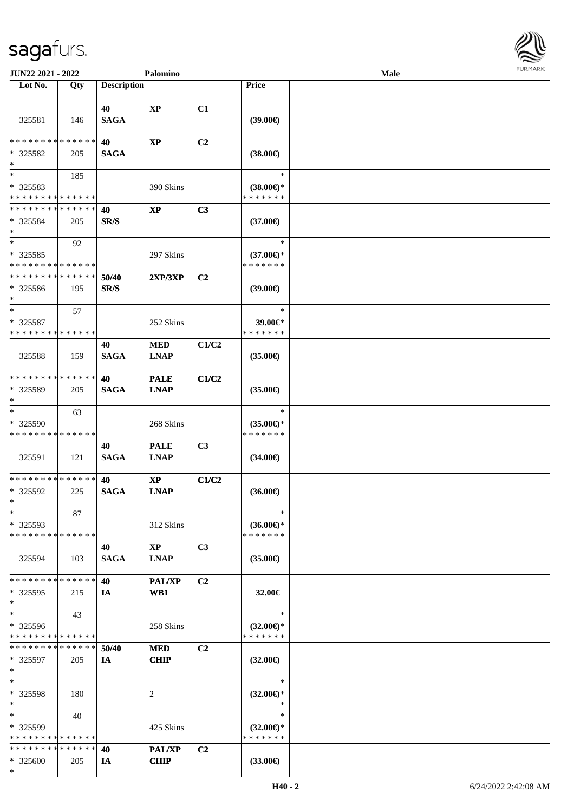

| JUN22 2021 - 2022             |     |                    | Palomino               |                |                     | Male |  |
|-------------------------------|-----|--------------------|------------------------|----------------|---------------------|------|--|
| Lot No.                       | Qty | <b>Description</b> |                        |                | Price               |      |  |
|                               |     |                    |                        |                |                     |      |  |
|                               |     | 40                 | XP                     | C1             |                     |      |  |
| 325581                        | 146 | <b>SAGA</b>        |                        |                | (39.00)             |      |  |
|                               |     |                    |                        |                |                     |      |  |
| * * * * * * * * * * * * * *   |     | 40                 | $\bold{XP}$            | C2             |                     |      |  |
| $*325582$                     | 205 | <b>SAGA</b>        |                        |                | $(38.00\epsilon)$   |      |  |
| $\ast$                        |     |                    |                        |                |                     |      |  |
| $*$                           | 185 |                    |                        |                | $\ast$              |      |  |
| * 325583                      |     |                    | 390 Skins              |                | $(38.00 \in )$ *    |      |  |
| * * * * * * * * * * * * * *   |     |                    |                        |                | * * * * * * *       |      |  |
| **************                |     | 40                 | $\bold{XP}$            | C3             |                     |      |  |
| $* 325584$                    | 205 | SR/S               |                        |                | $(37.00\epsilon)$   |      |  |
| $\ast$                        |     |                    |                        |                |                     |      |  |
| $\ast$                        | 92  |                    |                        |                | $\ast$              |      |  |
| $* 325585$                    |     |                    | 297 Skins              |                | $(37.00\epsilon)$ * |      |  |
| * * * * * * * * * * * * * *   |     |                    |                        |                | * * * * * * *       |      |  |
| * * * * * * * * * * * * * *   |     | 50/40              | 2XP/3XP                | C2             |                     |      |  |
| $* 325586$                    | 195 | SR/S               |                        |                | (39.00)             |      |  |
| $\ast$                        |     |                    |                        |                |                     |      |  |
| $\ast$                        | 57  |                    |                        |                | $\ast$              |      |  |
| $*325587$                     |     |                    | 252 Skins              |                | 39.00€*             |      |  |
| * * * * * * * * * * * * * *   |     |                    |                        |                | * * * * * * *       |      |  |
|                               |     | 40                 | <b>MED</b>             | C1/C2          |                     |      |  |
| 325588                        | 159 | <b>SAGA</b>        | <b>LNAP</b>            |                | $(35.00\epsilon)$   |      |  |
|                               |     |                    |                        |                |                     |      |  |
| * * * * * * * * * * * * * *   |     | 40                 | <b>PALE</b>            | C1/C2          |                     |      |  |
| * 325589                      | 205 | <b>SAGA</b>        | <b>LNAP</b>            |                | $(35.00\epsilon)$   |      |  |
| $\ast$                        |     |                    |                        |                |                     |      |  |
| $\ast$                        | 63  |                    |                        |                | $\ast$              |      |  |
| * 325590                      |     |                    | 268 Skins              |                | $(35.00\epsilon)$ * |      |  |
| * * * * * * * * * * * * * *   |     |                    |                        |                | * * * * * * *       |      |  |
|                               |     | 40                 | <b>PALE</b>            | C <sub>3</sub> |                     |      |  |
| 325591                        | 121 | <b>SAGA</b>        | <b>LNAP</b>            |                | $(34.00\epsilon)$   |      |  |
|                               |     |                    |                        |                |                     |      |  |
| * * * * * * * * * * * * * *   |     | 40                 | $\mathbf{X}\mathbf{P}$ | C1/C2          |                     |      |  |
| * 325592                      | 225 | <b>SAGA</b>        | <b>LNAP</b>            |                | $(36.00\epsilon)$   |      |  |
| $*$                           |     |                    |                        |                |                     |      |  |
| $\ast$                        | 87  |                    |                        |                | $\ast$              |      |  |
| * 325593                      |     |                    | 312 Skins              |                | $(36.00\epsilon)$ * |      |  |
| * * * * * * * * * * * * * *   |     |                    |                        |                | * * * * * * *       |      |  |
|                               |     | 40                 | $\mathbf{X}\mathbf{P}$ | C3             |                     |      |  |
| 325594                        | 103 | <b>SAGA</b>        | <b>LNAP</b>            |                | $(35.00\epsilon)$   |      |  |
|                               |     |                    |                        |                |                     |      |  |
| * * * * * * * * * * * * * *   |     | 40                 | <b>PAL/XP</b>          | C <sub>2</sub> |                     |      |  |
| * 325595                      | 215 | IA                 | WB1                    |                | 32.00€              |      |  |
| $\ast$                        |     |                    |                        |                |                     |      |  |
| $\ast$                        | 43  |                    |                        |                | $\ast$              |      |  |
| * 325596                      |     |                    | 258 Skins              |                | $(32.00€)$ *        |      |  |
| * * * * * * * * * * * * * *   |     |                    |                        |                | * * * * * * *       |      |  |
| * * * * * * * * * * * * * * * |     | 50/40              | <b>MED</b>             | C <sub>2</sub> |                     |      |  |
| * 325597                      | 205 | IA                 | <b>CHIP</b>            |                | $(32.00\epsilon)$   |      |  |
| $\ast$                        |     |                    |                        |                |                     |      |  |
| $\ast$                        |     |                    |                        |                | $\ast$              |      |  |
| * 325598                      | 180 |                    | 2                      |                | $(32.00\epsilon)$ * |      |  |
| $*$                           |     |                    |                        |                | $\ast$              |      |  |
| $*$                           | 40  |                    |                        |                | $\ast$              |      |  |
| * 325599                      |     |                    | 425 Skins              |                | $(32.00\epsilon)$ * |      |  |
| * * * * * * * * * * * * * *   |     |                    |                        |                | * * * * * * *       |      |  |
| * * * * * * * * * * * * * *   |     | 40                 | PAL/XP                 | C <sub>2</sub> |                     |      |  |
| * 325600                      | 205 | IA                 | <b>CHIP</b>            |                | $(33.00\epsilon)$   |      |  |
| $*$                           |     |                    |                        |                |                     |      |  |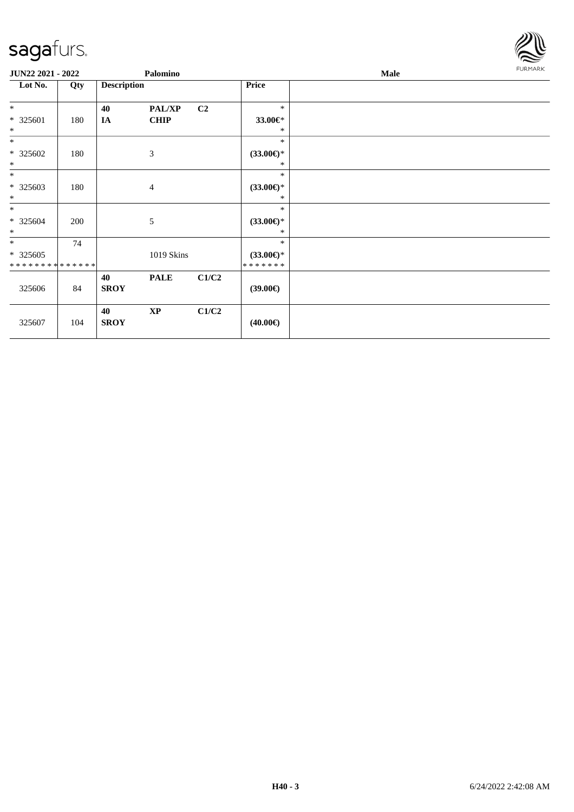

| <b>JUN22 2021 - 2022</b>           |     |                    | Palomino               |                |                                          | Male |  |  |  |
|------------------------------------|-----|--------------------|------------------------|----------------|------------------------------------------|------|--|--|--|
| Lot No.                            | Qty | <b>Description</b> |                        |                | Price                                    |      |  |  |  |
| $\ast$                             |     | 40                 | PAL/XP                 | C <sub>2</sub> | $\ast$                                   |      |  |  |  |
| $* 325601$<br>$\ast$               | 180 | IA                 | <b>CHIP</b>            |                | 33.00€*<br>$\ast$                        |      |  |  |  |
| $\ast$                             |     |                    |                        |                | $\ast$                                   |      |  |  |  |
| $*325602$<br>$\ast$                | 180 |                    | 3                      |                | $(33.00\epsilon)$ *<br>*                 |      |  |  |  |
| $\ast$                             |     |                    |                        |                | $\ast$                                   |      |  |  |  |
| * 325603<br>$\ast$                 | 180 |                    | $\overline{4}$         |                | $(33.00\epsilon)$ *<br>*                 |      |  |  |  |
| $*$<br>$*325604$<br>$\ast$         | 200 |                    | 5                      |                | $\ast$<br>$(33.00\epsilon)$ *<br>$*$     |      |  |  |  |
| $*$<br>$*325605$<br>************** | 74  |                    | 1019 Skins             |                | $\ast$<br>$(33.00\epsilon)$ *<br>******* |      |  |  |  |
| 325606                             | 84  | 40<br><b>SROY</b>  | <b>PALE</b>            | C1/C2          | $(39.00\epsilon)$                        |      |  |  |  |
| 325607                             | 104 | 40<br><b>SROY</b>  | $\mathbf{X}\mathbf{P}$ | C1/C2          | $(40.00\epsilon)$                        |      |  |  |  |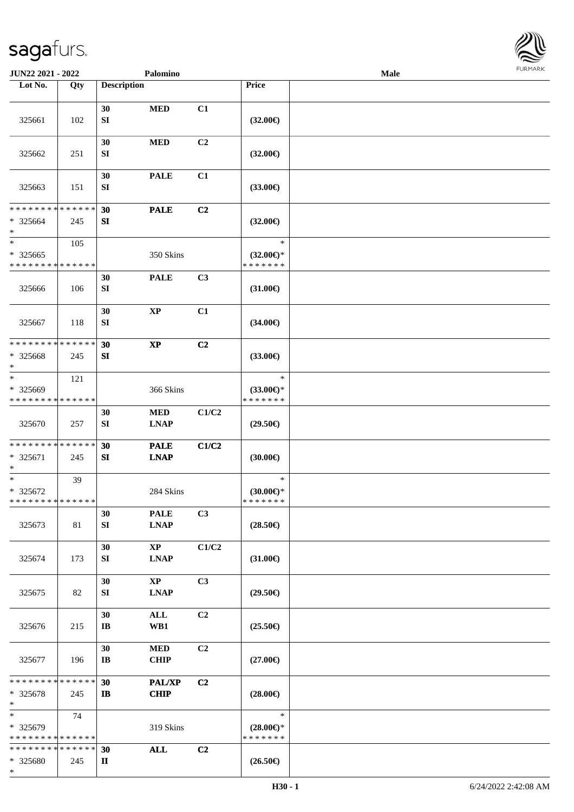

| JUN22 2021 - 2022                                                |     |                              | Palomino                              |                |                                                | <b>Male</b> |  |
|------------------------------------------------------------------|-----|------------------------------|---------------------------------------|----------------|------------------------------------------------|-------------|--|
| Lot No.                                                          | Qty | <b>Description</b>           |                                       |                | Price                                          |             |  |
| 325661                                                           | 102 | 30<br>SI                     | <b>MED</b>                            | C1             | $(32.00\epsilon)$                              |             |  |
| 325662                                                           | 251 | 30<br>SI                     | $\bf MED$                             | C2             | $(32.00\epsilon)$                              |             |  |
| 325663                                                           | 151 | 30<br>${\bf S}{\bf I}$       | <b>PALE</b>                           | C1             | $(33.00\epsilon)$                              |             |  |
| * * * * * * * * * * * * * *<br>$* 325664$<br>$\ast$              | 245 | 30<br>${\bf SI}$             | <b>PALE</b>                           | C2             | $(32.00\epsilon)$                              |             |  |
| $\ast$<br>$* 325665$<br>* * * * * * * * * * * * * *              | 105 |                              | 350 Skins                             |                | $\ast$<br>$(32.00\epsilon)$ *<br>* * * * * * * |             |  |
| 325666                                                           | 106 | 30<br>SI                     | <b>PALE</b>                           | C3             | $(31.00\epsilon)$                              |             |  |
| 325667                                                           | 118 | 30<br>${\bf S}{\bf I}$       | $\bold{XP}$                           | C1             | $(34.00\epsilon)$                              |             |  |
| * * * * * * * * * * * * * *<br>* 325668<br>$\ast$                | 245 | 30<br>SI                     | $\bold{XP}$                           | C2             | $(33.00\epsilon)$                              |             |  |
| $\ast$<br>* 325669<br>* * * * * * * * * * * * * *                | 121 |                              | 366 Skins                             |                | $\ast$<br>$(33.00\epsilon)$ *<br>* * * * * * * |             |  |
| 325670                                                           | 257 | 30<br>SI                     | <b>MED</b><br><b>LNAP</b>             | C1/C2          | $(29.50\epsilon)$                              |             |  |
| * * * * * * * * * * * * * *<br>* 325671<br>$\ast$                | 245 | 30<br>SI                     | <b>PALE</b><br><b>LNAP</b>            | C1/C2          | (30.00)                                        |             |  |
| $\ast$<br>$* 325672$<br>* * * * * * * * * * * * * *              | 39  |                              | 284 Skins                             |                | $\ast$<br>$(30.00\epsilon)$ *<br>* * * * * * * |             |  |
| 325673                                                           | 81  | 30<br>SI                     | <b>PALE</b><br><b>LNAP</b>            | C3             | $(28.50\epsilon)$                              |             |  |
| 325674                                                           | 173 | 30<br>SI                     | $\mathbf{X}\mathbf{P}$<br><b>LNAP</b> | C1/C2          | $(31.00\epsilon)$                              |             |  |
| 325675                                                           | 82  | 30<br>SI                     | XP<br><b>LNAP</b>                     | C <sub>3</sub> | $(29.50\epsilon)$                              |             |  |
| 325676                                                           | 215 | 30<br>$\mathbf{I}\mathbf{B}$ | $\mathbf{ALL}$<br>WB1                 | C2             | $(25.50\epsilon)$                              |             |  |
| 325677                                                           | 196 | 30<br>$\mathbf{I}\mathbf{B}$ | <b>MED</b><br><b>CHIP</b>             | C2             | $(27.00\epsilon)$                              |             |  |
| * * * * * * * * * * * * * *<br>* 325678<br>$\ast$                | 245 | 30<br>$\mathbf{I}$           | <b>PAL/XP</b><br><b>CHIP</b>          | C2             | $(28.00\epsilon)$                              |             |  |
| $\ast$<br>* 325679<br>* * * * * * * * * * * * * *                | 74  |                              | 319 Skins                             |                | $\ast$<br>$(28.00\epsilon)$ *<br>* * * * * * * |             |  |
| * * * * * * * * <mark>* * * * * * *</mark><br>* 325680<br>$\ast$ | 245 | 30<br>П                      | <b>ALL</b>                            | C <sub>2</sub> | $(26.50\epsilon)$                              |             |  |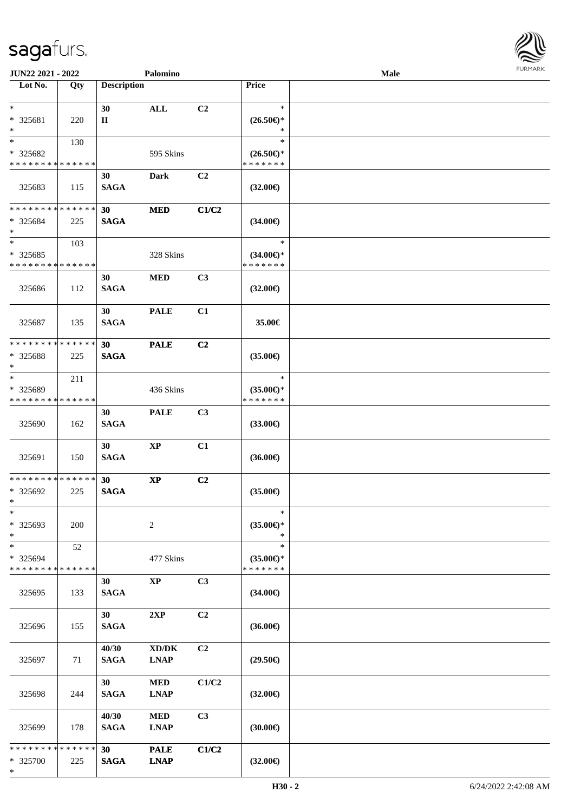

| JUN22 2021 - 2022           |     |                                | Palomino                            |       |                                      | <b>Male</b> |  |
|-----------------------------|-----|--------------------------------|-------------------------------------|-------|--------------------------------------|-------------|--|
| Lot No.                     | Qty | <b>Description</b>             |                                     |       | Price                                |             |  |
| $\ast$                      |     |                                |                                     |       | $\ast$                               |             |  |
| * 325681                    |     | 30<br>$\mathbf{I}$             | $\mathbf{ALL}$                      | C2    |                                      |             |  |
| $\ast$                      | 220 |                                |                                     |       | $(26.50\epsilon)$ *<br>$\ast$        |             |  |
| $\ast$                      | 130 |                                |                                     |       | $\ast$                               |             |  |
| * 325682                    |     |                                | 595 Skins                           |       | $(26.50\epsilon)$ *                  |             |  |
| * * * * * * * * * * * * * * |     |                                |                                     |       | * * * * * * *                        |             |  |
|                             |     | 30                             | <b>Dark</b>                         | C2    |                                      |             |  |
| 325683                      | 115 | <b>SAGA</b>                    |                                     |       | $(32.00\epsilon)$                    |             |  |
|                             |     |                                |                                     |       |                                      |             |  |
| * * * * * * * * * * * * * * |     | 30                             | <b>MED</b>                          | C1/C2 |                                      |             |  |
| * 325684                    | 225 | <b>SAGA</b>                    |                                     |       | $(34.00\epsilon)$                    |             |  |
| $\ast$                      |     |                                |                                     |       |                                      |             |  |
| $\ast$                      | 103 |                                |                                     |       | $\ast$                               |             |  |
| $*325685$                   |     |                                | 328 Skins                           |       | $(34.00\epsilon)$ *                  |             |  |
| * * * * * * * * * * * * * * |     |                                |                                     |       | * * * * * * *                        |             |  |
|                             |     | 30                             | $\bf MED$                           | C3    |                                      |             |  |
| 325686                      | 112 | <b>SAGA</b>                    |                                     |       | $(32.00\epsilon)$                    |             |  |
|                             |     |                                |                                     |       |                                      |             |  |
|                             |     | 30                             | <b>PALE</b>                         | C1    |                                      |             |  |
| 325687                      | 135 | <b>SAGA</b>                    |                                     |       | 35.00€                               |             |  |
|                             |     |                                |                                     |       |                                      |             |  |
| * * * * * * * * * * * * * * |     | 30                             | <b>PALE</b>                         | C2    |                                      |             |  |
| * 325688                    | 225 | <b>SAGA</b>                    |                                     |       | $(35.00\epsilon)$                    |             |  |
| $\ast$<br>$\ast$            |     |                                |                                     |       |                                      |             |  |
| * 325689                    | 211 |                                |                                     |       | $\ast$                               |             |  |
| * * * * * * * * * * * * * * |     |                                | 436 Skins                           |       | $(35.00\epsilon)$ *<br>* * * * * * * |             |  |
|                             |     | 30                             | <b>PALE</b>                         | C3    |                                      |             |  |
| 325690                      | 162 | <b>SAGA</b>                    |                                     |       | $(33.00\epsilon)$                    |             |  |
|                             |     |                                |                                     |       |                                      |             |  |
|                             |     | 30                             | $\bold{XP}$                         | C1    |                                      |             |  |
| 325691                      | 150 | <b>SAGA</b>                    |                                     |       | $(36.00\epsilon)$                    |             |  |
|                             |     |                                |                                     |       |                                      |             |  |
| * * * * * * * * * * * * * * |     | 30                             | $\bold{XP}$                         | C2    |                                      |             |  |
| * 325692                    | 225 | <b>SAGA</b>                    |                                     |       | $(35.00\epsilon)$                    |             |  |
| $*$                         |     |                                |                                     |       |                                      |             |  |
| $\ast$                      |     |                                |                                     |       | $\ast$                               |             |  |
| * 325693                    | 200 |                                | $\overline{c}$                      |       | $(35.00\epsilon)$ *                  |             |  |
| $\ast$                      |     |                                |                                     |       | $\ast$                               |             |  |
| $\ast$                      | 52  |                                |                                     |       | $\ast$                               |             |  |
| * 325694                    |     |                                | 477 Skins                           |       | $(35.00\epsilon)$ *<br>* * * * * * * |             |  |
| * * * * * * * * * * * * * * |     |                                |                                     |       |                                      |             |  |
|                             |     | 30                             | $\mathbf{X}\mathbf{P}$              | C3    |                                      |             |  |
| 325695                      | 133 | <b>SAGA</b>                    |                                     |       | $(34.00\epsilon)$                    |             |  |
|                             |     | 30                             | 2XP                                 | C2    |                                      |             |  |
| 325696                      | 155 | <b>SAGA</b>                    |                                     |       | $(36.00\epsilon)$                    |             |  |
|                             |     |                                |                                     |       |                                      |             |  |
|                             |     | 40/30                          | $\bold{X}\bold{D}/\bold{D}\bold{K}$ | C2    |                                      |             |  |
| 325697                      | 71  | <b>SAGA</b>                    | <b>LNAP</b>                         |       | $(29.50\epsilon)$                    |             |  |
|                             |     |                                |                                     |       |                                      |             |  |
|                             |     | 30                             | $\bf MED$                           | C1/C2 |                                      |             |  |
| 325698                      | 244 | <b>SAGA</b>                    | <b>LNAP</b>                         |       | $(32.00\epsilon)$                    |             |  |
|                             |     |                                |                                     |       |                                      |             |  |
|                             |     | 40/30                          | $\bf MED$                           | C3    |                                      |             |  |
| 325699                      | 178 | <b>SAGA</b>                    | <b>LNAP</b>                         |       | (30.00)                              |             |  |
| * * * * * * * * * * * * * * |     |                                |                                     |       |                                      |             |  |
| * 325700                    |     | 30 <sup>°</sup><br><b>SAGA</b> | <b>PALE</b><br><b>LNAP</b>          | C1/C2 | $(32.00\epsilon)$                    |             |  |
| $\ast$                      | 225 |                                |                                     |       |                                      |             |  |
|                             |     |                                |                                     |       |                                      |             |  |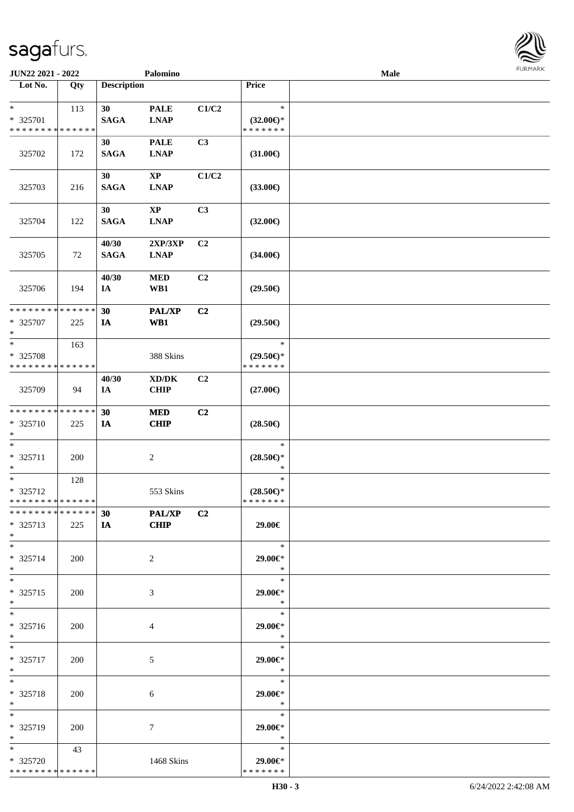| JUN22 2021 - 2022                                |     |                      | Palomino                                  |                |                                                | Male |  |
|--------------------------------------------------|-----|----------------------|-------------------------------------------|----------------|------------------------------------------------|------|--|
| Lot No.                                          | Qty | <b>Description</b>   |                                           |                | Price                                          |      |  |
| $*$<br>* 325701<br>* * * * * * * * * * * * * *   | 113 | 30<br><b>SAGA</b>    | <b>PALE</b><br><b>LNAP</b>                | C1/C2          | $\ast$<br>$(32.00\epsilon)$ *<br>* * * * * * * |      |  |
| 325702                                           | 172 | 30<br><b>SAGA</b>    | <b>PALE</b><br><b>LNAP</b>                | C3             | $(31.00\epsilon)$                              |      |  |
| 325703                                           | 216 | 30<br><b>SAGA</b>    | <b>XP</b><br>$\ensuremath{\text{L}N\!AP}$ | C1/C2          | $(33.00\epsilon)$                              |      |  |
| 325704                                           | 122 | 30<br><b>SAGA</b>    | $\bold{XP}$<br><b>LNAP</b>                | C3             | $(32.00\epsilon)$                              |      |  |
| 325705                                           | 72  | 40/30<br><b>SAGA</b> | 2XP/3XP<br><b>LNAP</b>                    | C2             | $(34.00\epsilon)$                              |      |  |
| 325706                                           | 194 | 40/30<br>IA          | <b>MED</b><br>WB1                         | C2             | $(29.50\epsilon)$                              |      |  |
| * * * * * * * * * * * * * *<br>* 325707<br>$*$   | 225 | 30<br>IA             | <b>PAL/XP</b><br>WB1                      | C2             | $(29.50\epsilon)$                              |      |  |
| $*$<br>* 325708<br>* * * * * * * * * * * * * *   | 163 |                      | 388 Skins                                 |                | $\ast$<br>$(29.50\epsilon)$ *<br>* * * * * * * |      |  |
| 325709                                           | 94  | 40/30<br>IA          | XD/DK<br><b>CHIP</b>                      | C <sub>2</sub> | $(27.00\in)$                                   |      |  |
| * * * * * * * * * * * * * *<br>* 325710<br>$*$   | 225 | 30<br>IA             | <b>MED</b><br><b>CHIP</b>                 | C2             | $(28.50\epsilon)$                              |      |  |
| $*$<br>* 325711<br>$*$                           | 200 |                      | $\sqrt{2}$                                |                | $\ast$<br>$(28.50\epsilon)$ *<br>$\ast$        |      |  |
| $*$<br>* 325712<br>* * * * * * * * * * * * * *   | 128 |                      | 553 Skins                                 |                | $\ast$<br>$(28.50\epsilon)$ *<br>* * * * * * * |      |  |
| * * * * * * * * * * * * * * *<br>* 325713<br>$*$ | 225 | 30<br>IA             | $-$ PAL/XP<br><b>CHIP</b>                 | C2             | 29.00€                                         |      |  |
| $*$<br>* 325714<br>$*$                           | 200 |                      | 2                                         |                | $\ast$<br>29.00€*<br>$\ast$                    |      |  |
| $*$<br>* 325715<br>$*$                           | 200 |                      | 3                                         |                | $\ast$<br>29.00€*<br>$\ast$                    |      |  |
| $*$<br>* 325716<br>$*$                           | 200 |                      | 4                                         |                | $\ast$<br>29.00€*<br>$\ast$                    |      |  |
| $*$<br>* 325717<br>$*$                           | 200 |                      | 5                                         |                | $\ast$<br>29.00€*<br>$\ast$                    |      |  |
| $*$<br>* 325718<br>$*$                           | 200 |                      | 6                                         |                | $\ast$<br>29.00€*<br>$\ast$                    |      |  |
| $*$<br>* 325719<br>$*$                           | 200 |                      | 7                                         |                | $\ast$<br>$29.00 \in$ *<br>$\ast$              |      |  |
| $*$<br>* 325720<br>* * * * * * * * * * * * * *   | 43  |                      | 1468 Skins                                |                | $\ast$<br>29.00€*<br>* * * * * * *             |      |  |

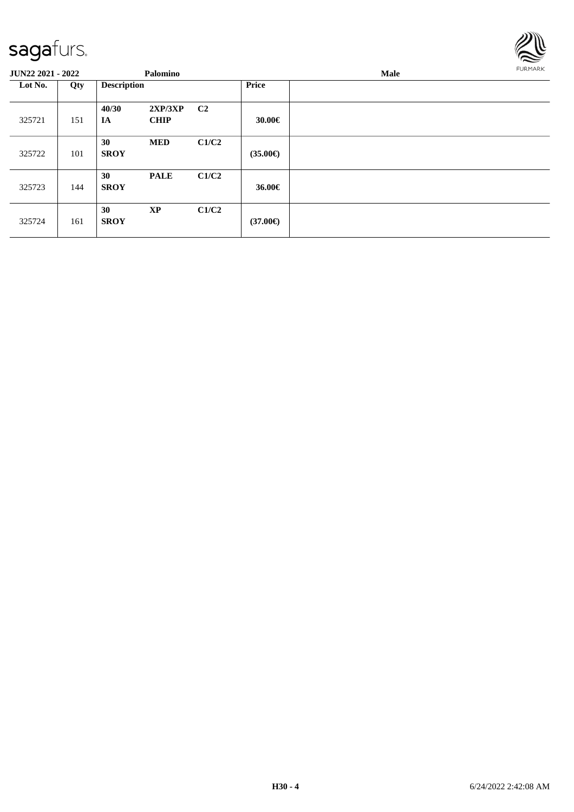

| <b>JUN22 2021 - 2022</b> |     |                    | Palomino               |                |                   | FURMARK |  |
|--------------------------|-----|--------------------|------------------------|----------------|-------------------|---------|--|
| Lot No.                  | Qty | <b>Description</b> |                        |                | <b>Price</b>      |         |  |
| 325721                   | 151 | 40/30<br>IA        | 2XP/3XP<br><b>CHIP</b> | C <sub>2</sub> | 30.00€            |         |  |
| 325722                   | 101 | 30<br><b>SROY</b>  | <b>MED</b>             | C1/C2          | $(35.00\epsilon)$ |         |  |
| 325723                   | 144 | 30<br><b>SROY</b>  | <b>PALE</b>            | C1/C2          | 36.00€            |         |  |
| 325724                   | 161 | 30<br><b>SROY</b>  | <b>XP</b>              | C1/C2          | $(37.00\epsilon)$ |         |  |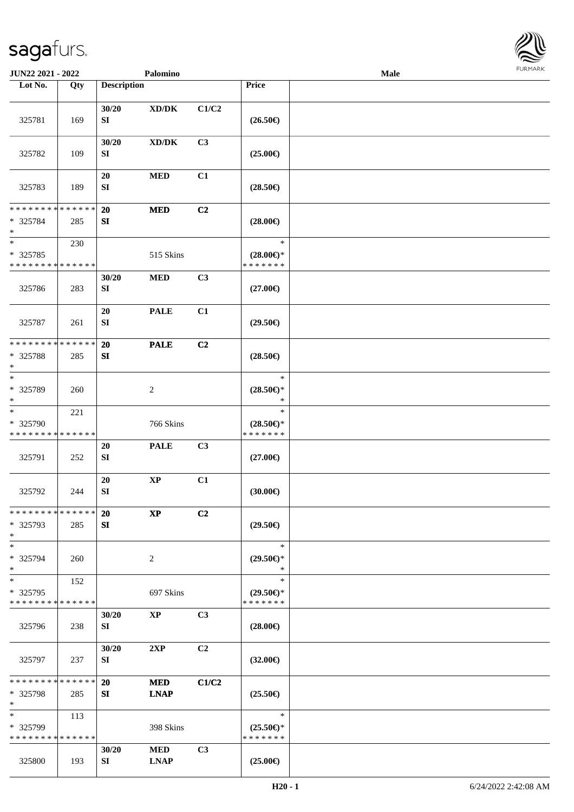

| JUN22 2021 - 2022                                                   |                    |                           | Palomino                                                         |                |                                                | Male |  |
|---------------------------------------------------------------------|--------------------|---------------------------|------------------------------------------------------------------|----------------|------------------------------------------------|------|--|
| Lot No.                                                             | Qty                | <b>Description</b>        |                                                                  |                | Price                                          |      |  |
| 325781                                                              | 169                | 30/20<br>${\bf S}{\bf I}$ | $\boldsymbol{\mathrm{XD}}\boldsymbol{/}\boldsymbol{\mathrm{DK}}$ | C1/C2          | $(26.50\epsilon)$                              |      |  |
| 325782                                                              | 109                | 30/20<br>SI               | $\bold{X}\bold{D}/\bold{D}\bold{K}$                              | C3             | $(25.00\epsilon)$                              |      |  |
| 325783                                                              | 189                | 20<br>${\bf SI}$          | <b>MED</b>                                                       | C1             | $(28.50\epsilon)$                              |      |  |
| * * * * * * * * * * * * * *<br>* 325784<br>$\ast$                   | 285                | 20<br>${\bf S}{\bf I}$    | <b>MED</b>                                                       | C2             | $(28.00\epsilon)$                              |      |  |
| $\ast$<br>* 325785<br>* * * * * * * * * * * * * *                   | 230                |                           | 515 Skins                                                        |                | $\ast$<br>$(28.00\epsilon)$ *<br>* * * * * * * |      |  |
| 325786                                                              | 283                | 30/20<br>SI               | $\bf MED$                                                        | C3             | $(27.00\epsilon)$                              |      |  |
| 325787                                                              | 261                | 20<br>${\bf SI}$          | <b>PALE</b>                                                      | C1             | $(29.50\epsilon)$                              |      |  |
| ********<br>* 325788<br>$\ast$                                      | * * * * * *<br>285 | 20<br>SI                  | <b>PALE</b>                                                      | C2             | $(28.50\epsilon)$                              |      |  |
| $\ast$<br>* 325789<br>$\ast$                                        | 260                |                           | $\sqrt{2}$                                                       |                | $\ast$<br>$(28.50\epsilon)$ *<br>$\ast$        |      |  |
| $\overline{\phantom{1}}$<br>* 325790<br>* * * * * * * * * * * * * * | 221                |                           | 766 Skins                                                        |                | $\ast$<br>$(28.50\epsilon)$ *<br>* * * * * * * |      |  |
| 325791                                                              | 252                | 20<br>${\bf SI}$          | <b>PALE</b>                                                      | C <sub>3</sub> | $(27.00\epsilon)$                              |      |  |
| 325792                                                              | 244                | 20<br>${\bf SI}$          | $\bold{XP}$                                                      | C1             | (30.00)                                        |      |  |
| * * * * * * * * * * * * * *<br>* 325793<br>$\ast$                   | 285                | <b>20</b><br>SI           | $\bold{XP}$                                                      | C2             | $(29.50\epsilon)$                              |      |  |
| $\ast$<br>* 325794<br>$\ast$                                        | 260                |                           | $\sqrt{2}$                                                       |                | $\ast$<br>$(29.50\epsilon)$ *<br>$\ast$        |      |  |
| $\ast$<br>* 325795<br>* * * * * * * *                               | 152<br>* * * * * * |                           | 697 Skins                                                        |                | $\ast$<br>$(29.50\epsilon)$ *<br>* * * * * * * |      |  |
| 325796                                                              | 238                | 30/20<br>SI               | <b>XP</b>                                                        | C <sub>3</sub> | $(28.00\epsilon)$                              |      |  |
| 325797                                                              | 237                | 30/20<br>SI               | 2XP                                                              | C <sub>2</sub> | $(32.00\epsilon)$                              |      |  |
| * * * * * * * *<br>* 325798<br>$\ast$                               | * * * * * *<br>285 | <b>20</b><br>SI           | <b>MED</b><br><b>LNAP</b>                                        | C1/C2          | $(25.50\epsilon)$                              |      |  |
| $\ast$<br>* 325799<br>* * * * * * * * * * * * * *                   | 113                |                           | 398 Skins                                                        |                | $\ast$<br>$(25.50\epsilon)$ *<br>* * * * * * * |      |  |
| 325800                                                              | 193                | 30/20<br>SI               | <b>MED</b><br><b>LNAP</b>                                        | C3             | $(25.00\epsilon)$                              |      |  |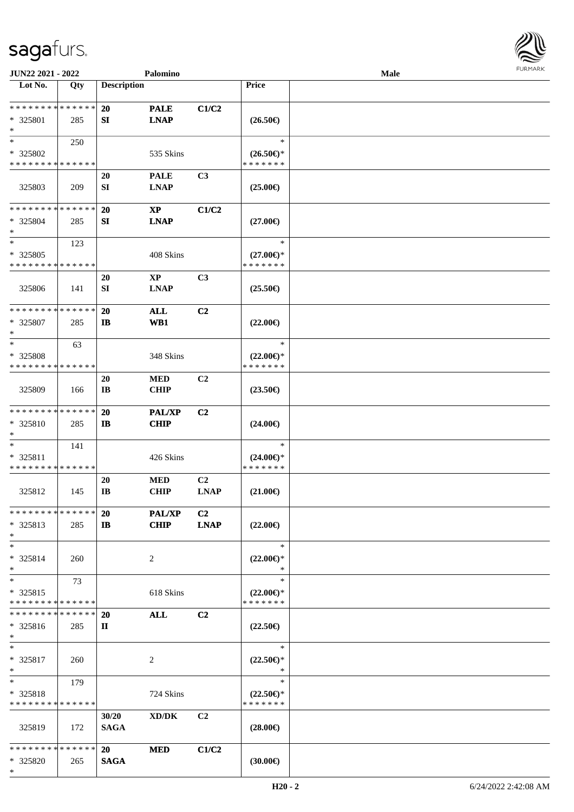

| JUN22 2021 - 2022           |             |                    | Palomino                            |                |                     | <b>Male</b> |  |
|-----------------------------|-------------|--------------------|-------------------------------------|----------------|---------------------|-------------|--|
| Lot No.                     | Qty         | <b>Description</b> |                                     |                | <b>Price</b>        |             |  |
|                             |             |                    |                                     |                |                     |             |  |
| **************              |             | <b>20</b>          | <b>PALE</b>                         | C1/C2          |                     |             |  |
| * 325801                    | 285         | SI                 | <b>LNAP</b>                         |                | $(26.50\epsilon)$   |             |  |
| $\ast$                      |             |                    |                                     |                |                     |             |  |
| $\ast$                      | 250         |                    |                                     |                | $\ast$              |             |  |
| * 325802                    |             |                    | 535 Skins                           |                | $(26.50\epsilon)$ * |             |  |
| * * * * * * * * * * * * * * |             |                    |                                     |                | * * * * * * *       |             |  |
|                             |             | 20                 | <b>PALE</b>                         | C3             |                     |             |  |
| 325803                      | 209         | SI                 | <b>LNAP</b>                         |                | $(25.00\epsilon)$   |             |  |
|                             |             |                    |                                     |                |                     |             |  |
| * * * * * * * * * * * * * * |             | 20                 | $\mathbf{XP}$                       | C1/C2          |                     |             |  |
| * 325804                    | 285         | SI                 | <b>LNAP</b>                         |                | $(27.00\epsilon)$   |             |  |
| $\ast$                      |             |                    |                                     |                |                     |             |  |
| $\ast$                      | 123         |                    |                                     |                | $\ast$              |             |  |
| * 325805                    |             |                    | 408 Skins                           |                | $(27.00\epsilon)$ * |             |  |
| * * * * * * * * * * * * * * |             |                    |                                     |                | * * * * * * *       |             |  |
|                             |             | 20                 | $\mathbf{X}\mathbf{P}$              | C3             |                     |             |  |
|                             |             |                    |                                     |                |                     |             |  |
| 325806                      | 141         | SI                 | <b>LNAP</b>                         |                | $(25.50\epsilon)$   |             |  |
| * * * * * * * * * * * * * * |             |                    |                                     |                |                     |             |  |
|                             |             | 20                 | <b>ALL</b>                          | C2             |                     |             |  |
| * 325807                    | 285         | $\mathbf{I}$       | WB1                                 |                | $(22.00\epsilon)$   |             |  |
| $\ast$                      |             |                    |                                     |                |                     |             |  |
| $\ast$                      | 63          |                    |                                     |                | $\ast$              |             |  |
| * 325808                    |             |                    | 348 Skins                           |                | $(22.00\epsilon)$ * |             |  |
| * * * * * * * * * * * * * * |             |                    |                                     |                | * * * * * * *       |             |  |
|                             |             | 20                 | <b>MED</b>                          | C <sub>2</sub> |                     |             |  |
| 325809                      | 166         | IB                 | <b>CHIP</b>                         |                | $(23.50\epsilon)$   |             |  |
|                             |             |                    |                                     |                |                     |             |  |
| * * * * * * * * * * * * * * |             | 20                 | <b>PAL/XP</b>                       | C <sub>2</sub> |                     |             |  |
| * 325810                    | 285         | $\bf{IB}$          | <b>CHIP</b>                         |                | $(24.00\epsilon)$   |             |  |
| $\ast$                      |             |                    |                                     |                |                     |             |  |
| $\ast$                      | 141         |                    |                                     |                | $\ast$              |             |  |
| * 325811                    |             |                    | 426 Skins                           |                | $(24.00\epsilon)$ * |             |  |
| * * * * * * * * * * * * * * |             |                    |                                     |                | * * * * * * *       |             |  |
|                             |             | 20                 | <b>MED</b>                          | C <sub>2</sub> |                     |             |  |
| 325812                      | 145         | <b>IB</b>          | <b>CHIP</b>                         | <b>LNAP</b>    | $(21.00\epsilon)$   |             |  |
|                             |             |                    |                                     |                |                     |             |  |
| * * * * * * * * * * * * * * |             | <b>20</b>          | PAL/XP                              | C <sub>2</sub> |                     |             |  |
| * 325813                    | 285         | $\mathbf{I}$       | <b>CHIP</b>                         | <b>LNAP</b>    | $(22.00\epsilon)$   |             |  |
| $\ast$                      |             |                    |                                     |                |                     |             |  |
| $\ast$                      |             |                    |                                     |                | $\ast$              |             |  |
|                             |             |                    |                                     |                |                     |             |  |
| * 325814                    | 260         |                    | 2                                   |                | $(22.00\epsilon)$ * |             |  |
| $\ast$                      |             |                    |                                     |                | ∗                   |             |  |
| $\ast$                      | 73          |                    |                                     |                | $\ast$              |             |  |
| * 325815                    |             |                    | 618 Skins                           |                | $(22.00\epsilon)$ * |             |  |
| * * * * * * * *             | * * * * * * |                    |                                     |                | * * * * * * *       |             |  |
| * * * * * * * *             | * * * * * * | <b>20</b>          | <b>ALL</b>                          | C <sub>2</sub> |                     |             |  |
| * 325816                    | 285         | П                  |                                     |                | $(22.50\epsilon)$   |             |  |
| $*$                         |             |                    |                                     |                |                     |             |  |
| $\ast$                      |             |                    |                                     |                | $\ast$              |             |  |
| * 325817                    | 260         |                    | $\overline{c}$                      |                | $(22.50\epsilon)$ * |             |  |
| $\ast$                      |             |                    |                                     |                | $\ast$              |             |  |
| $\ast$                      | 179         |                    |                                     |                | $\ast$              |             |  |
| * 325818                    |             |                    | 724 Skins                           |                | $(22.50\epsilon)$ * |             |  |
| * * * * * * * * * * * * * * |             |                    |                                     |                | * * * * * * *       |             |  |
|                             |             | 30/20              | $\bold{X}\bold{D}/\bold{D}\bold{K}$ | C2             |                     |             |  |
| 325819                      | 172         | <b>SAGA</b>        |                                     |                | $(28.00\epsilon)$   |             |  |
|                             |             |                    |                                     |                |                     |             |  |
| * * * * * * * * * * * * * * |             | 20                 | <b>MED</b>                          | C1/C2          |                     |             |  |
| * 325820                    | 265         | <b>SAGA</b>        |                                     |                | (30.00)             |             |  |
| $*$                         |             |                    |                                     |                |                     |             |  |
|                             |             |                    |                                     |                |                     |             |  |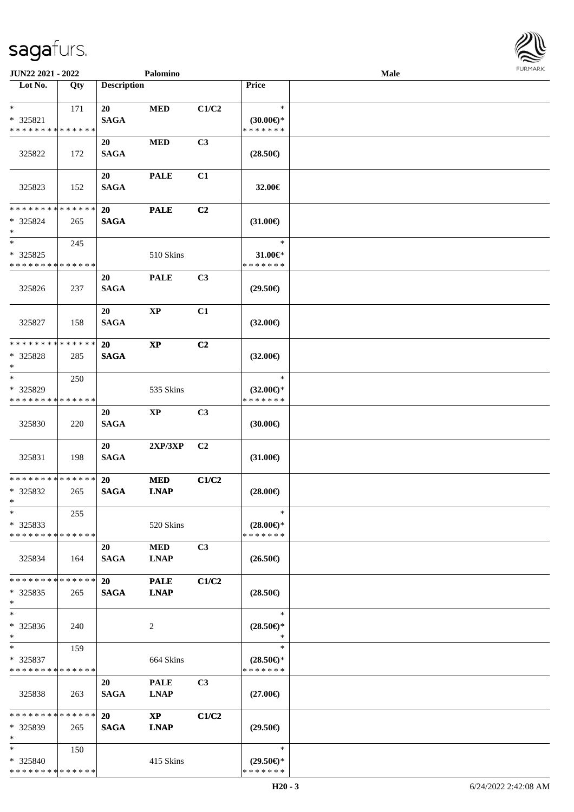

| JUN22 2021 - 2022                                  |                    |                          | Palomino                              |                |                                                | <b>Male</b> |  |
|----------------------------------------------------|--------------------|--------------------------|---------------------------------------|----------------|------------------------------------------------|-------------|--|
| Lot No.                                            | Qty                | <b>Description</b>       |                                       |                | Price                                          |             |  |
| $\ast$<br>* 325821<br>* * * * * * * * * * * * * *  | 171                | 20<br><b>SAGA</b>        | <b>MED</b>                            | C1/C2          | $\ast$<br>$(30.00€)$ *<br>* * * * * * *        |             |  |
| 325822                                             | 172                | 20<br><b>SAGA</b>        | $\bf MED$                             | C3             | $(28.50\epsilon)$                              |             |  |
| 325823                                             | 152                | 20<br><b>SAGA</b>        | <b>PALE</b>                           | C1             | 32.00€                                         |             |  |
| * * * * * * * * * * * * * *<br>* 325824<br>$\ast$  | 265                | 20<br><b>SAGA</b>        | <b>PALE</b>                           | C2             | $(31.00\epsilon)$                              |             |  |
| $\ast$<br>* 325825<br>* * * * * * * * * * * * * *  | 245                |                          | 510 Skins                             |                | $\ast$<br>$31.00 \in$<br>* * * * * * *         |             |  |
| 325826                                             | 237                | 20<br><b>SAGA</b>        | <b>PALE</b>                           | C3             | $(29.50\epsilon)$                              |             |  |
| 325827                                             | 158                | 20<br><b>SAGA</b>        | $\bold{XP}$                           | C1             | $(32.00\epsilon)$                              |             |  |
| * * * * * * * *<br>* 325828<br>$\ast$              | * * * * * *<br>285 | 20<br><b>SAGA</b>        | $\boldsymbol{\mathrm{XP}}$            | C <sub>2</sub> | $(32.00\epsilon)$                              |             |  |
| $\ast$<br>* 325829<br>* * * * * * * *              | 250<br>* * * * * * |                          | 535 Skins                             |                | $\ast$<br>$(32.00\epsilon)$ *<br>* * * * * * * |             |  |
| 325830                                             | 220                | 20<br><b>SAGA</b>        | $\bold{XP}$                           | C3             | (30.00)                                        |             |  |
| 325831                                             | 198                | 20<br><b>SAGA</b>        | 2XP/3XP                               | C2             | $(31.00\epsilon)$                              |             |  |
| ******** <mark>******</mark><br>* 325832<br>$*$    | 265                | 20<br><b>SAGA</b>        | <b>MED</b><br><b>LNAP</b>             | C1/C2          | $(28.00\epsilon)$                              |             |  |
| $\ast$<br>$*325833$<br>* * * * * * * * * * * * * * | 255                |                          | 520 Skins                             |                | $\ast$<br>$(28.00\epsilon)$ *<br>* * * * * * * |             |  |
| 325834                                             | 164                | 20<br><b>SAGA</b>        | <b>MED</b><br><b>LNAP</b>             | C3             | $(26.50\epsilon)$                              |             |  |
| * * * * * * * *<br>$*325835$<br>$*$                | * * * * * *<br>265 | <b>20</b><br><b>SAGA</b> | <b>PALE</b><br><b>LNAP</b>            | C1/C2          | $(28.50\epsilon)$                              |             |  |
| $\ast$<br>* 325836<br>$\ast$                       | 240                |                          | 2                                     |                | $\ast$<br>$(28.50\epsilon)$ *<br>$\ast$        |             |  |
| $*$<br>* 325837<br>* * * * * * * * * * * * * *     | 159                |                          | 664 Skins                             |                | $\ast$<br>$(28.50\epsilon)$ *<br>* * * * * * * |             |  |
| 325838                                             | 263                | 20<br><b>SAGA</b>        | <b>PALE</b><br><b>LNAP</b>            | C <sub>3</sub> | $(27.00\epsilon)$                              |             |  |
| * * * * * * * * * * * * * *<br>* 325839<br>$\ast$  | 265                | <b>20</b><br><b>SAGA</b> | $\mathbf{X}\mathbf{P}$<br><b>LNAP</b> | C1/C2          | $(29.50\epsilon)$                              |             |  |
| $*$<br>* 325840<br>* * * * * * * * * * * * * *     | 150                |                          | 415 Skins                             |                | $\ast$<br>$(29.50\epsilon)$ *<br>* * * * * * * |             |  |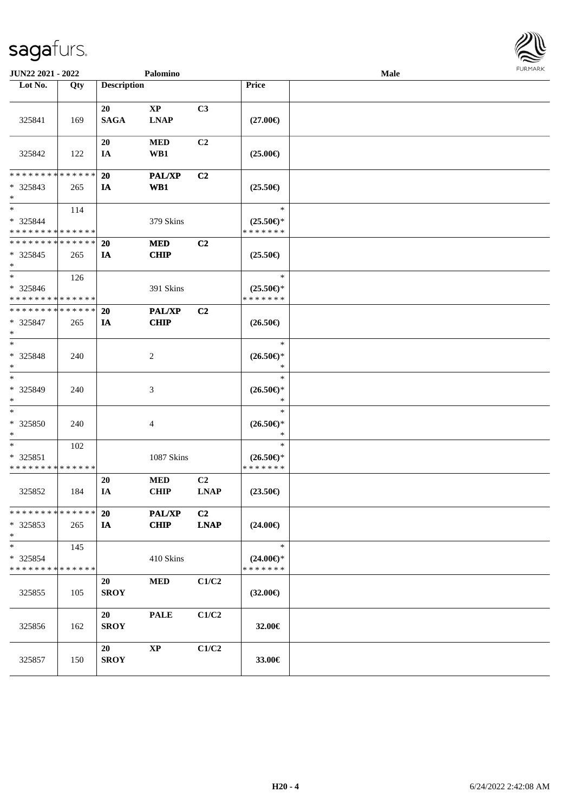| JUN22 2021 - 2022                       |     |                    | Palomino               |                |                                      | Male | <b>FURMA</b> |
|-----------------------------------------|-----|--------------------|------------------------|----------------|--------------------------------------|------|--------------|
| Lot No.                                 | Qty | <b>Description</b> |                        |                | Price                                |      |              |
|                                         |     |                    |                        |                |                                      |      |              |
|                                         |     | 20                 | $\mathbf{X}\mathbf{P}$ | C3             |                                      |      |              |
| 325841                                  | 169 | <b>SAGA</b>        | <b>LNAP</b>            |                | $(27.00\epsilon)$                    |      |              |
|                                         |     | 20                 | $\bf MED$              | C2             |                                      |      |              |
| 325842                                  | 122 | IA                 | WB1                    |                | $(25.00\epsilon)$                    |      |              |
|                                         |     |                    |                        |                |                                      |      |              |
| * * * * * * * * * * * * * *             |     | 20                 | PAL/XP                 | C2             |                                      |      |              |
| * 325843                                | 265 | IA                 | WB1                    |                | $(25.50\epsilon)$                    |      |              |
| $\ast$                                  |     |                    |                        |                |                                      |      |              |
| $\ast$                                  | 114 |                    |                        |                | $\ast$                               |      |              |
| * 325844                                |     |                    | 379 Skins              |                | $(25.50\epsilon)$ *                  |      |              |
| **************                          |     |                    |                        |                | * * * * * * *                        |      |              |
| * * * * * * * * * * * * * *             |     | 20                 | <b>MED</b>             | C <sub>2</sub> |                                      |      |              |
| $* 325845$                              | 265 | IA                 | <b>CHIP</b>            |                | $(25.50\epsilon)$                    |      |              |
| $\ast$<br>$\overline{\phantom{a}^*}$    |     |                    |                        |                | $\ast$                               |      |              |
| * 325846                                | 126 |                    |                        |                | $(25.50\epsilon)$ *                  |      |              |
| * * * * * * * * * * * * * *             |     |                    | 391 Skins              |                | * * * * * * *                        |      |              |
| **************                          |     | <b>20</b>          | <b>PAL/XP</b>          | C <sub>2</sub> |                                      |      |              |
| * 325847                                | 265 | IA                 | <b>CHIP</b>            |                | $(26.50\epsilon)$                    |      |              |
| $\ast$                                  |     |                    |                        |                |                                      |      |              |
| $\ast$                                  |     |                    |                        |                | $\ast$                               |      |              |
| * 325848                                | 240 |                    | $\sqrt{2}$             |                | $(26.50\epsilon)$ *                  |      |              |
| $\ast$                                  |     |                    |                        |                | $\ast$                               |      |              |
| $\ast$                                  |     |                    |                        |                | $\ast$                               |      |              |
| * 325849                                | 240 |                    | 3                      |                | $(26.50\epsilon)$ *                  |      |              |
| $\ast$                                  |     |                    |                        |                | $\ast$                               |      |              |
| $\ast$                                  |     |                    |                        |                | $\ast$                               |      |              |
| * 325850                                | 240 |                    | 4                      |                | $(26.50\epsilon)$ *                  |      |              |
| $\ast$<br>$\overline{\phantom{a}}$      |     |                    |                        |                | $\ast$<br>$\ast$                     |      |              |
|                                         | 102 |                    |                        |                |                                      |      |              |
| * 325851<br>* * * * * * * * * * * * * * |     |                    | 1087 Skins             |                | $(26.50\epsilon)$ *<br>* * * * * * * |      |              |
|                                         |     | 20                 | <b>MED</b>             | C <sub>2</sub> |                                      |      |              |
| 325852                                  | 184 | IA                 | <b>CHIP</b>            | <b>LNAP</b>    | $(23.50\epsilon)$                    |      |              |
|                                         |     |                    |                        |                |                                      |      |              |
| * * * * * * * * * * * * * *             |     | 20                 | <b>PAL/XP</b>          | C2             |                                      |      |              |
| * 325853                                | 265 | IA                 | <b>CHIP</b>            | <b>LNAP</b>    | $(24.00\epsilon)$                    |      |              |
| $\ast$                                  |     |                    |                        |                |                                      |      |              |
| $\overline{\phantom{a}^*}$              | 145 |                    |                        |                | $\ast$                               |      |              |
| * 325854                                |     |                    | 410 Skins              |                | $(24.00\epsilon)$ *                  |      |              |
| * * * * * * * * * * * * * *             |     |                    |                        |                | * * * * * * *                        |      |              |
|                                         |     | 20                 | <b>MED</b>             | C1/C2          |                                      |      |              |
| 325855                                  | 105 | <b>SROY</b>        |                        |                | $(32.00\epsilon)$                    |      |              |
|                                         |     |                    |                        |                |                                      |      |              |
|                                         |     | 20                 | <b>PALE</b>            | C1/C2          |                                      |      |              |
| 325856                                  | 162 | <b>SROY</b>        |                        |                | 32.00€                               |      |              |
|                                         |     | 20                 | $\bold{XP}$            | C1/C2          |                                      |      |              |
| 325857                                  | 150 | <b>SROY</b>        |                        |                | 33.00€                               |      |              |
|                                         |     |                    |                        |                |                                      |      |              |

**FURMARK**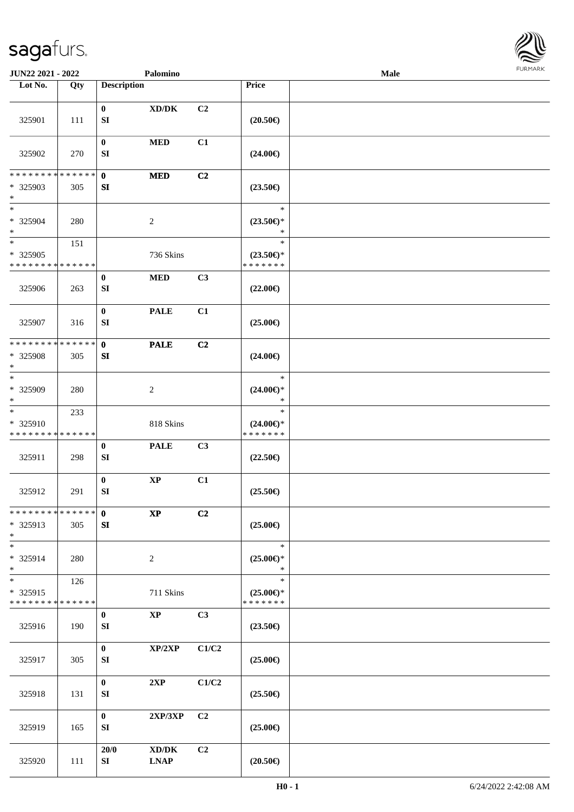

| JUN22 2021 - 2022                                                   |     |                    | Palomino                                                                        |                |                                                | Male |  |
|---------------------------------------------------------------------|-----|--------------------|---------------------------------------------------------------------------------|----------------|------------------------------------------------|------|--|
| Lot No.                                                             | Qty | <b>Description</b> |                                                                                 |                | Price                                          |      |  |
| 325901                                                              | 111 | $\bf{0}$<br>SI     | $\bold{X}\bold{D}/\bold{D}\bold{K}$                                             | C <sub>2</sub> | $(20.50\epsilon)$                              |      |  |
| 325902                                                              | 270 | $\bf{0}$<br>SI     | $\bf MED$                                                                       | C1             | $(24.00\epsilon)$                              |      |  |
| * * * * * * * * * * * * * *                                         |     | $\mathbf 0$        | <b>MED</b>                                                                      | C2             |                                                |      |  |
| * 325903<br>$\ast$                                                  | 305 | SI                 |                                                                                 |                | $(23.50\epsilon)$                              |      |  |
| $\ast$<br>* 325904<br>$\ast$                                        | 280 |                    | $\sqrt{2}$                                                                      |                | $\ast$<br>$(23.50\epsilon)$ *<br>$\ast$        |      |  |
| $\ast$<br>$* 325905$<br>* * * * * * * * * * * * * *                 | 151 |                    | 736 Skins                                                                       |                | $\ast$<br>$(23.50\epsilon)$ *<br>* * * * * * * |      |  |
| 325906                                                              | 263 | $\bf{0}$<br>SI     | $\bf MED$                                                                       | C3             | $(22.00\epsilon)$                              |      |  |
| 325907                                                              | 316 | $\bf{0}$<br>SI     | <b>PALE</b>                                                                     | C1             | $(25.00\epsilon)$                              |      |  |
| * * * * * * * * * * * * * *<br>* 325908<br>$\ast$                   | 305 | $\mathbf{0}$<br>SI | <b>PALE</b>                                                                     | C2             | $(24.00\epsilon)$                              |      |  |
| $\overline{\phantom{a}^*}$<br>* 325909<br>$\ast$                    | 280 |                    | $\overline{c}$                                                                  |                | $\ast$<br>$(24.00\epsilon)$ *<br>$\ast$        |      |  |
| $\ast$<br>* 325910<br>* * * * * * * * * * * * * *                   | 233 |                    | 818 Skins                                                                       |                | $\ast$<br>$(24.00\epsilon)$ *<br>* * * * * * * |      |  |
| 325911                                                              | 298 | $\bf{0}$<br>SI     | <b>PALE</b>                                                                     | C3             | $(22.50\epsilon)$                              |      |  |
| 325912                                                              | 291 | $\bf{0}$<br>SI     | $\bold{XP}$                                                                     | C1             | $(25.50\epsilon)$                              |      |  |
| * * * * * * * * * * * * * * *<br>* 325913<br>$*$                    | 305 | $\mathbf{0}$<br>SI | $\mathbf{X}\mathbf{P}$                                                          | C2             | $(25.00\epsilon)$                              |      |  |
| $\ast$<br>* 325914<br>$*$                                           | 280 |                    | $\overline{2}$                                                                  |                | $\ast$<br>$(25.00\epsilon)$ *<br>$\ast$        |      |  |
| $\overline{\phantom{1}}$<br>* 325915<br>* * * * * * * * * * * * * * | 126 |                    | 711 Skins                                                                       |                | $\ast$<br>$(25.00\epsilon)$ *<br>* * * * * * * |      |  |
| 325916                                                              | 190 | $\bf{0}$<br>SI     | $\mathbf{XP}$                                                                   | C3             | $(23.50\epsilon)$                              |      |  |
| 325917                                                              | 305 | $\bf{0}$<br>SI     | XP/2XP                                                                          | C1/C2          | $(25.00\epsilon)$                              |      |  |
| 325918                                                              | 131 | $\bf{0}$<br>SI     | 2XP                                                                             | C1/C2          | $(25.50\epsilon)$                              |      |  |
| 325919                                                              | 165 | $\mathbf{0}$<br>SI | 2XP/3XP                                                                         | C2             | $(25.00\epsilon)$                              |      |  |
| 325920                                                              | 111 | 20/0<br>SI         | $\boldsymbol{\mathrm{XD}}\boldsymbol{/}\boldsymbol{\mathrm{DK}}$<br><b>LNAP</b> | C2             | $(20.50\epsilon)$                              |      |  |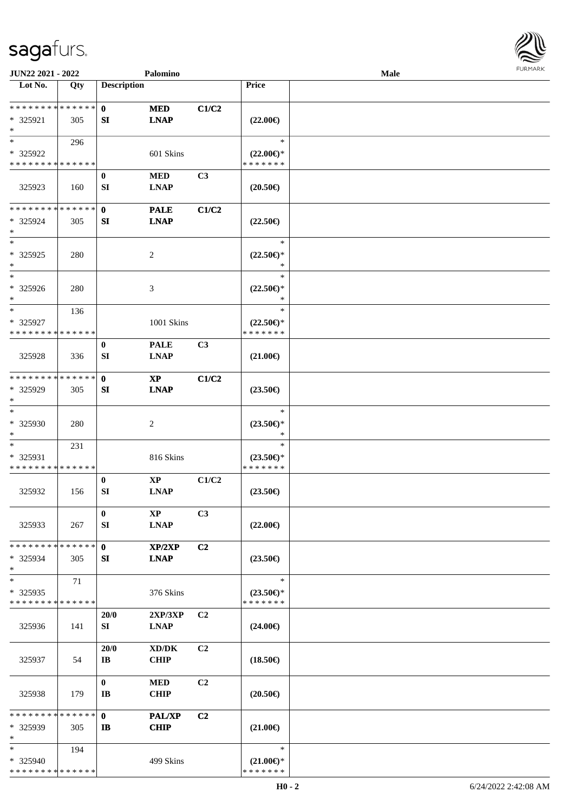

| JUN22 2021 - 2022                        |     |                        | Palomino                             |                |                                      | Male |  |
|------------------------------------------|-----|------------------------|--------------------------------------|----------------|--------------------------------------|------|--|
| Lot No.                                  | Qty | <b>Description</b>     |                                      |                | <b>Price</b>                         |      |  |
|                                          |     |                        |                                      |                |                                      |      |  |
| **************                           |     | $\mathbf{0}$           | <b>MED</b>                           | C1/C2          |                                      |      |  |
| * 325921                                 | 305 | SI                     | <b>LNAP</b>                          |                | $(22.00\epsilon)$                    |      |  |
| $\ast$                                   |     |                        |                                      |                |                                      |      |  |
| $*$                                      | 296 |                        |                                      |                | $\ast$                               |      |  |
| * 325922                                 |     |                        | 601 Skins                            |                | $(22.00\epsilon)$ *                  |      |  |
| * * * * * * * * * * * * * *              |     |                        |                                      |                | * * * * * * *                        |      |  |
|                                          |     | $\bf{0}$               | <b>MED</b>                           | C3             |                                      |      |  |
| 325923                                   | 160 | SI                     | <b>LNAP</b>                          |                | $(20.50\epsilon)$                    |      |  |
|                                          |     |                        |                                      |                |                                      |      |  |
| * * * * * * * * * * * * * *              |     | $\mathbf{0}$           | <b>PALE</b>                          | C1/C2          |                                      |      |  |
| * 325924                                 | 305 | SI                     | <b>LNAP</b>                          |                | $(22.50\epsilon)$                    |      |  |
| $\ast$                                   |     |                        |                                      |                |                                      |      |  |
| $\overline{\phantom{a}^*}$               |     |                        |                                      |                | $\ast$                               |      |  |
| * 325925                                 | 280 |                        | $\sqrt{2}$                           |                | $(22.50\epsilon)$ *                  |      |  |
| $\ast$                                   |     |                        |                                      |                | $\ast$                               |      |  |
| $\overline{\phantom{1}}$                 |     |                        |                                      |                | $\ast$                               |      |  |
| $* 325926$                               | 280 |                        | 3                                    |                | $(22.50\epsilon)$ *                  |      |  |
| $\ast$                                   |     |                        |                                      |                | $\ast$                               |      |  |
| $\ast$                                   | 136 |                        |                                      |                | $\ast$                               |      |  |
| * 325927                                 |     |                        | 1001 Skins                           |                | $(22.50\epsilon)$ *                  |      |  |
| * * * * * * * * * * * * * *              |     |                        |                                      |                | * * * * * * *                        |      |  |
|                                          |     | $\bf{0}$               | <b>PALE</b>                          | C3             |                                      |      |  |
| 325928                                   | 336 | SI                     | <b>LNAP</b>                          |                | $(21.00\epsilon)$                    |      |  |
|                                          |     |                        |                                      |                |                                      |      |  |
| **************                           |     | $\mathbf 0$            | $\mathbf{X}\mathbf{P}$               | C1/C2          |                                      |      |  |
| * 325929                                 | 305 | SI                     | <b>LNAP</b>                          |                | $(23.50\epsilon)$                    |      |  |
| $\ast$<br>$\ast$                         |     |                        |                                      |                |                                      |      |  |
|                                          |     |                        |                                      |                | $\ast$                               |      |  |
| * 325930                                 | 280 |                        | $\boldsymbol{2}$                     |                | $(23.50\epsilon)$ *<br>$\ast$        |      |  |
| $\ast$<br>$\ast$                         |     |                        |                                      |                | $\ast$                               |      |  |
|                                          | 231 |                        |                                      |                |                                      |      |  |
| * 325931<br>******** <mark>******</mark> |     |                        | 816 Skins                            |                | $(23.50\epsilon)$ *<br>* * * * * * * |      |  |
|                                          |     |                        | $\bold{XP}$                          |                |                                      |      |  |
| 325932                                   | 156 | $\bf{0}$<br>${\bf SI}$ | <b>LNAP</b>                          | C1/C2          | $(23.50\epsilon)$                    |      |  |
|                                          |     |                        |                                      |                |                                      |      |  |
|                                          |     | $\bf{0}$               | $\mathbf{X}\mathbf{P}$               | C3             |                                      |      |  |
| 325933                                   | 267 | SI                     | <b>LNAP</b>                          |                | $(22.00\epsilon)$                    |      |  |
|                                          |     |                        |                                      |                |                                      |      |  |
| * * * * * * * * * * * * * *              |     | $\mathbf{0}$           | XP/2XP                               | C <sub>2</sub> |                                      |      |  |
| * 325934                                 | 305 | SI                     | <b>LNAP</b>                          |                | $(23.50\epsilon)$                    |      |  |
| $\ast$                                   |     |                        |                                      |                |                                      |      |  |
| $\ast$                                   | 71  |                        |                                      |                | $\ast$                               |      |  |
| * 325935                                 |     |                        | 376 Skins                            |                | $(23.50\epsilon)$ *                  |      |  |
| * * * * * * * * * * * * * *              |     |                        |                                      |                | * * * * * * *                        |      |  |
|                                          |     | 20/0                   | 2XP/3XP                              | C2             |                                      |      |  |
| 325936                                   | 141 | SI                     | <b>LNAP</b>                          |                | $(24.00\epsilon)$                    |      |  |
|                                          |     |                        |                                      |                |                                      |      |  |
|                                          |     | 20/0                   | $\boldsymbol{\text{XD} / \text{DK}}$ | C2             |                                      |      |  |
| 325937                                   | 54  | IB                     | <b>CHIP</b>                          |                | $(18.50\in)$                         |      |  |
|                                          |     |                        |                                      |                |                                      |      |  |
|                                          |     | $\bf{0}$               | <b>MED</b>                           | C2             |                                      |      |  |
| 325938                                   | 179 | IB                     | <b>CHIP</b>                          |                | $(20.50\epsilon)$                    |      |  |
|                                          |     |                        |                                      |                |                                      |      |  |
| * * * * * * * * * * * * * *              |     | $\mathbf{0}$           | PAL/XP                               | C2             |                                      |      |  |
| * 325939                                 | 305 | IB                     | <b>CHIP</b>                          |                | $(21.00\epsilon)$                    |      |  |
| $\ast$                                   |     |                        |                                      |                |                                      |      |  |
| $\ast$                                   | 194 |                        |                                      |                | $\ast$                               |      |  |
| * 325940                                 |     |                        | 499 Skins                            |                | $(21.00\epsilon)$ *                  |      |  |
| * * * * * * * * * * * * * *              |     |                        |                                      |                | * * * * * * *                        |      |  |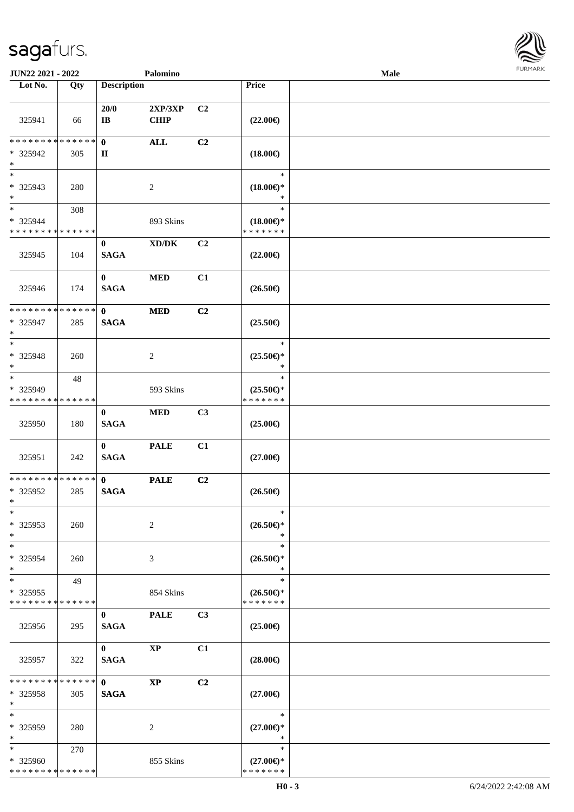

| JUN22 2021 - 2022                                                     |     |                               | Palomino                            |                |                                                | <b>Male</b> |  |
|-----------------------------------------------------------------------|-----|-------------------------------|-------------------------------------|----------------|------------------------------------------------|-------------|--|
| Lot No.                                                               | Qty | <b>Description</b>            |                                     |                | Price                                          |             |  |
| 325941                                                                | 66  | 20/0<br>$\mathbf{I}$ <b>B</b> | 2XP/3XP<br><b>CHIP</b>              | C <sub>2</sub> | $(22.00\epsilon)$                              |             |  |
| ******** <mark>******</mark><br>* 325942<br>$\ast$                    | 305 | $\mathbf{0}$<br>$\mathbf{I}$  | <b>ALL</b>                          | C2             | $(18.00\epsilon)$                              |             |  |
| $\overline{\phantom{a}^*}$<br>$*325943$<br>$\ast$                     | 280 |                               | $\sqrt{2}$                          |                | $\ast$<br>$(18.00\epsilon)$ *<br>*             |             |  |
| $\overline{\phantom{a}^*}$<br>* 325944<br>* * * * * * * * * * * * * * | 308 |                               | 893 Skins                           |                | $\ast$<br>$(18.00\epsilon)$ *<br>* * * * * * * |             |  |
| 325945                                                                | 104 | $\bf{0}$<br><b>SAGA</b>       | $\bold{X}\bold{D}/\bold{D}\bold{K}$ | C2             | $(22.00\epsilon)$                              |             |  |
| 325946                                                                | 174 | $\bf{0}$<br><b>SAGA</b>       | <b>MED</b>                          | C1             | $(26.50\epsilon)$                              |             |  |
| * * * * * * * * * * * * * *<br>$* 325947$<br>$\ast$                   | 285 | $\mathbf{0}$<br><b>SAGA</b>   | <b>MED</b>                          | C2             | $(25.50\epsilon)$                              |             |  |
| $\ast$<br>* 325948<br>$\ast$                                          | 260 |                               | $\overline{c}$                      |                | $\ast$<br>$(25.50\epsilon)$ *<br>$\ast$        |             |  |
| $\ast$<br>* 325949<br>* * * * * * * * * * * * * *                     | 48  |                               | 593 Skins                           |                | $\ast$<br>$(25.50\epsilon)$ *<br>* * * * * * * |             |  |
| 325950                                                                | 180 | $\bf{0}$<br><b>SAGA</b>       | $\bf MED$                           | C3             | $(25.00\epsilon)$                              |             |  |
| 325951                                                                | 242 | $\bf{0}$<br><b>SAGA</b>       | <b>PALE</b>                         | C1             | $(27.00\epsilon)$                              |             |  |
| **************<br>* 325952<br>$*$                                     | 285 | $\mathbf{0}$<br><b>SAGA</b>   | <b>PALE</b>                         | C2             | $(26.50\epsilon)$                              |             |  |
| $*$<br>$*325953$<br>$\ast$                                            | 260 |                               | $\overline{c}$                      |                | $\ast$<br>$(26.50\epsilon)$ *<br>$\ast$        |             |  |
| $\ast$<br>* 325954<br>$\ast$                                          | 260 |                               | 3                                   |                | $\ast$<br>$(26.50\epsilon)$ *<br>$\ast$        |             |  |
| $\ast$<br>$*325955$<br>* * * * * * * * * * * * * *                    | 49  |                               | 854 Skins                           |                | $\ast$<br>$(26.50\epsilon)$ *<br>* * * * * * * |             |  |
| 325956                                                                | 295 | $\mathbf{0}$<br><b>SAGA</b>   | <b>PALE</b>                         | C3             | $(25.00\epsilon)$                              |             |  |
| 325957                                                                | 322 | $\mathbf{0}$<br><b>SAGA</b>   | $\mathbf{X}\mathbf{P}$              | C1             | $(28.00\in)$                                   |             |  |
| **************<br>$* 325958$<br>$\ast$                                | 305 | $\mathbf{0}$<br><b>SAGA</b>   | $\mathbf{X}\mathbf{P}$              | C2             | $(27.00\epsilon)$                              |             |  |
| $\ast$<br>$*325959$<br>$\ast$                                         | 280 |                               | 2                                   |                | $\ast$<br>$(27.00\epsilon)$ *<br>$\ast$        |             |  |
| $\ast$<br>* 325960<br>* * * * * * * * * * * * * *                     | 270 |                               | 855 Skins                           |                | $\ast$<br>$(27.00\epsilon)$ *<br>* * * * * * * |             |  |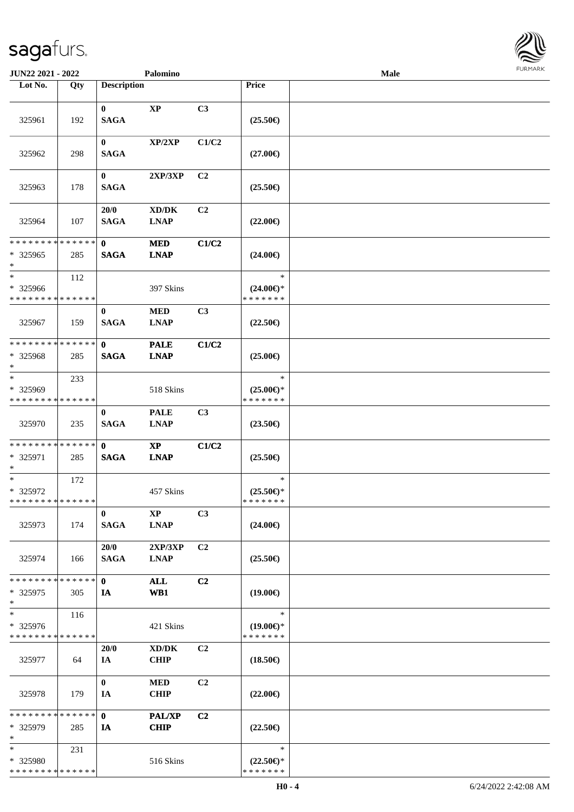

| JUN22 2021 - 2022                                   |     |                             | Palomino                     |                |                                                | <b>Male</b> |  |
|-----------------------------------------------------|-----|-----------------------------|------------------------------|----------------|------------------------------------------------|-------------|--|
| Lot No.                                             | Qty | <b>Description</b>          |                              |                | Price                                          |             |  |
| 325961                                              | 192 | $\bf{0}$<br><b>SAGA</b>     | $\bold{XP}$                  | C3             | $(25.50\epsilon)$                              |             |  |
| 325962                                              | 298 | $\bf{0}$<br><b>SAGA</b>     | XP/2XP                       | C1/C2          | $(27.00\epsilon)$                              |             |  |
| 325963                                              | 178 | $\mathbf{0}$<br><b>SAGA</b> | 2XP/3XP                      | C2             | $(25.50\epsilon)$                              |             |  |
| 325964                                              | 107 | 20/0<br><b>SAGA</b>         | XD/DK<br><b>LNAP</b>         | C2             | $(22.00\epsilon)$                              |             |  |
| * * * * * * * * * * * * * *<br>* 325965<br>$\ast$   | 285 | $\mathbf{0}$<br><b>SAGA</b> | <b>MED</b><br><b>LNAP</b>    | C1/C2          | $(24.00\epsilon)$                              |             |  |
| $\ast$<br>* 325966<br>* * * * * * * * * * * * * *   | 112 |                             | 397 Skins                    |                | $\ast$<br>$(24.00\epsilon)$ *<br>* * * * * * * |             |  |
| 325967                                              | 159 | $\bf{0}$<br><b>SAGA</b>     | $\bf MED$<br><b>LNAP</b>     | C3             | $(22.50\epsilon)$                              |             |  |
| * * * * * * * * * * * * * *<br>* 325968<br>$*$      | 285 | $\mathbf{0}$<br><b>SAGA</b> | <b>PALE</b><br><b>LNAP</b>   | C1/C2          | $(25.00\epsilon)$                              |             |  |
| $\ast$<br>* 325969<br>* * * * * * * * * * * * * *   | 233 |                             | 518 Skins                    |                | $\ast$<br>$(25.00\epsilon)$ *<br>* * * * * * * |             |  |
| 325970                                              | 235 | $\bf{0}$<br><b>SAGA</b>     | <b>PALE</b><br><b>LNAP</b>   | C3             | $(23.50\epsilon)$                              |             |  |
| **************<br>* 325971<br>$*$                   | 285 | $\mathbf{0}$<br><b>SAGA</b> | $\bold{XP}$<br><b>LNAP</b>   | C1/C2          | $(25.50\epsilon)$                              |             |  |
| $\ast$<br>* 325972<br>* * * * * * * * * * * * * *   | 172 |                             | 457 Skins                    |                | $\ast$<br>$(25.50\epsilon)$ *<br>* * * * * * * |             |  |
| 325973                                              | 174 | $\bf{0}$<br><b>SAGA</b>     | <b>XP</b><br><b>LNAP</b>     | C3             | $(24.00\epsilon)$                              |             |  |
| 325974                                              | 166 | 20/0<br><b>SAGA</b>         | 2XP/3XP<br><b>LNAP</b>       | C2             | $(25.50\epsilon)$                              |             |  |
| * * * * * * * * * * * * * *<br>$*325975$<br>$\ast$  | 305 | $\mathbf{0}$<br>IA          | <b>ALL</b><br>WB1            | C2             | $(19.00\epsilon)$                              |             |  |
| $\ast$<br>$* 325976$<br>* * * * * * * * * * * * * * | 116 |                             | 421 Skins                    |                | $\ast$<br>$(19.00\epsilon)$ *<br>* * * * * * * |             |  |
| 325977                                              | 64  | 20/0<br>IA                  | XD/DK<br><b>CHIP</b>         | C2             | $(18.50\epsilon)$                              |             |  |
| 325978                                              | 179 | $\mathbf{0}$<br>IA          | <b>MED</b><br><b>CHIP</b>    | C <sub>2</sub> | $(22.00\epsilon)$                              |             |  |
| * * * * * * * * * * * * * *<br>* 325979<br>$\ast$   | 285 | $\mathbf{0}$<br>IA          | <b>PAL/XP</b><br><b>CHIP</b> | C <sub>2</sub> | $(22.50\epsilon)$                              |             |  |
| $\ast$<br>* 325980<br>* * * * * * * * * * * * * *   | 231 |                             | 516 Skins                    |                | $\ast$<br>$(22.50\epsilon)$ *<br>* * * * * * * |             |  |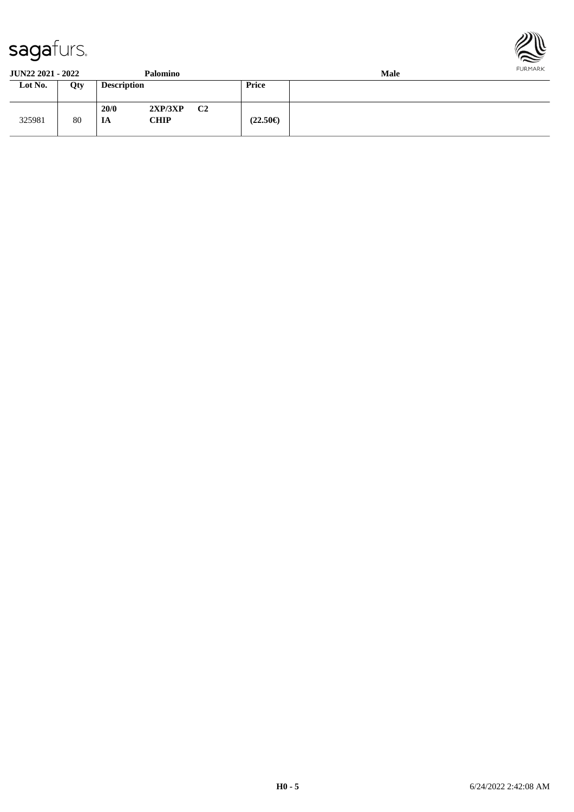



**JUN22 2021 - 2022 Palomino Male Lot No. Qty Description Price** 325981 80 **20/0 2XP/3XP C2 IA CHIP (22.50€)**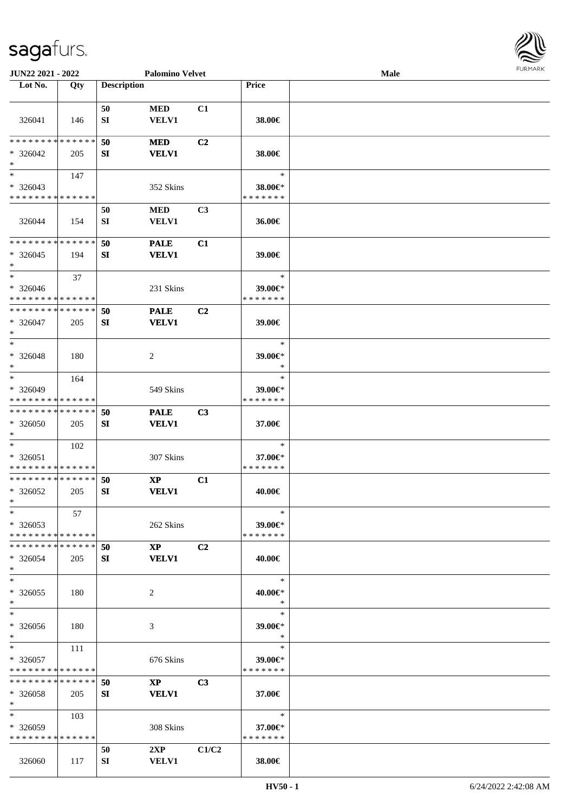

| JUN22 2021 - 2022            |     |                    | <b>Palomino Velvet</b> |                |                   | Male |  |
|------------------------------|-----|--------------------|------------------------|----------------|-------------------|------|--|
| Lot No.                      | Qty | <b>Description</b> |                        |                | Price             |      |  |
|                              |     |                    |                        |                |                   |      |  |
|                              |     | 50                 | <b>MED</b>             | C1             |                   |      |  |
| 326041                       | 146 | SI                 | VELV1                  |                | 38.00€            |      |  |
|                              |     |                    |                        |                |                   |      |  |
| * * * * * * * * * * * * * *  |     | 50                 | <b>MED</b>             | C2             |                   |      |  |
| $* 326042$                   | 205 | SI                 | <b>VELV1</b>           |                | 38.00€            |      |  |
| $\ast$                       |     |                    |                        |                |                   |      |  |
| $\ast$                       | 147 |                    |                        |                | $\ast$            |      |  |
| $* 326043$                   |     |                    | 352 Skins              |                | 38.00€*           |      |  |
| * * * * * * * * * * * * * *  |     |                    |                        |                | * * * * * * *     |      |  |
|                              |     | 50                 | <b>MED</b>             | C <sub>3</sub> |                   |      |  |
| 326044                       | 154 | ${\bf SI}$         | VELV1                  |                | 36.00€            |      |  |
| * * * * * * * * * * * * * *  |     |                    |                        |                |                   |      |  |
|                              |     | 50                 | <b>PALE</b>            | C1             |                   |      |  |
| $*326045$<br>$\ast$          | 194 | SI                 | <b>VELV1</b>           |                | 39.00€            |      |  |
| $\ast$                       | 37  |                    |                        |                | $\ast$            |      |  |
| $* 326046$                   |     |                    | 231 Skins              |                | 39.00€*           |      |  |
| * * * * * * * * * * * * * *  |     |                    |                        |                | * * * * * * *     |      |  |
| * * * * * * * * * * * * * *  |     | 50                 | <b>PALE</b>            | C <sub>2</sub> |                   |      |  |
| $* 326047$                   | 205 | SI                 | <b>VELV1</b>           |                | 39.00€            |      |  |
| $\ast$                       |     |                    |                        |                |                   |      |  |
| $\ast$                       |     |                    |                        |                | $\ast$            |      |  |
| * 326048                     | 180 |                    | $\overline{c}$         |                | 39.00€*           |      |  |
| $\ast$                       |     |                    |                        |                | $\ast$            |      |  |
| $\ast$                       | 164 |                    |                        |                | $\ast$            |      |  |
| * 326049                     |     |                    | 549 Skins              |                | 39.00€*           |      |  |
| * * * * * * * * * * * * * *  |     |                    |                        |                | * * * * * * *     |      |  |
| ******** <mark>******</mark> |     | 50                 | <b>PALE</b>            | C3             |                   |      |  |
| * 326050                     | 205 | SI                 | <b>VELV1</b>           |                | 37.00€            |      |  |
| $\ast$<br>$\ast$             |     |                    |                        |                | $\ast$            |      |  |
| $* 326051$                   | 102 |                    | 307 Skins              |                | 37.00€*           |      |  |
| * * * * * * * * * * * * * *  |     |                    |                        |                | * * * * * * *     |      |  |
| **************               |     | 50                 | $\mathbf{X}\mathbf{P}$ | C1             |                   |      |  |
| $*326052$                    | 205 | SI                 | <b>VELV1</b>           |                | 40.00€            |      |  |
| $*$                          |     |                    |                        |                |                   |      |  |
| $*$                          | 57  |                    |                        |                | $\ast$            |      |  |
| $*326053$                    |     |                    | 262 Skins              |                | 39.00€*           |      |  |
| * * * * * * * * * * * * * *  |     |                    |                        |                | * * * * * * *     |      |  |
| * * * * * * * * * * * * * *  |     | 50                 | $\mathbf{XP}$          | C <sub>2</sub> |                   |      |  |
| $* 326054$                   | 205 | SI                 | <b>VELV1</b>           |                | 40.00€            |      |  |
| $\ast$                       |     |                    |                        |                |                   |      |  |
| $\ast$                       |     |                    |                        |                | $\ast$            |      |  |
| $*326055$                    | 180 |                    | 2                      |                | 40.00€*           |      |  |
| $*$<br>$\ast$                |     |                    |                        |                | $\ast$<br>$\ast$  |      |  |
|                              |     |                    |                        |                |                   |      |  |
| * 326056<br>$*$              | 180 |                    | 3                      |                | 39.00€*<br>$\ast$ |      |  |
| $*$                          | 111 |                    |                        |                | $\ast$            |      |  |
| $* 326057$                   |     |                    | 676 Skins              |                | 39.00€*           |      |  |
| * * * * * * * * * * * * * *  |     |                    |                        |                | * * * * * * *     |      |  |
| * * * * * * * * * * * * * *  |     | 50                 | $\mathbf{X}\mathbf{P}$ | C <sub>3</sub> |                   |      |  |
| $*326058$                    | 205 | SI                 | <b>VELV1</b>           |                | 37.00€            |      |  |
| $*$                          |     |                    |                        |                |                   |      |  |
| $*$                          | 103 |                    |                        |                | $\ast$            |      |  |
| $*326059$                    |     |                    | 308 Skins              |                | 37.00€*           |      |  |
| * * * * * * * * * * * * * *  |     |                    |                        |                | * * * * * * *     |      |  |
|                              |     | 50                 | 2XP                    | C1/C2          |                   |      |  |
| 326060                       | 117 | SI                 | <b>VELV1</b>           |                | 38.00€            |      |  |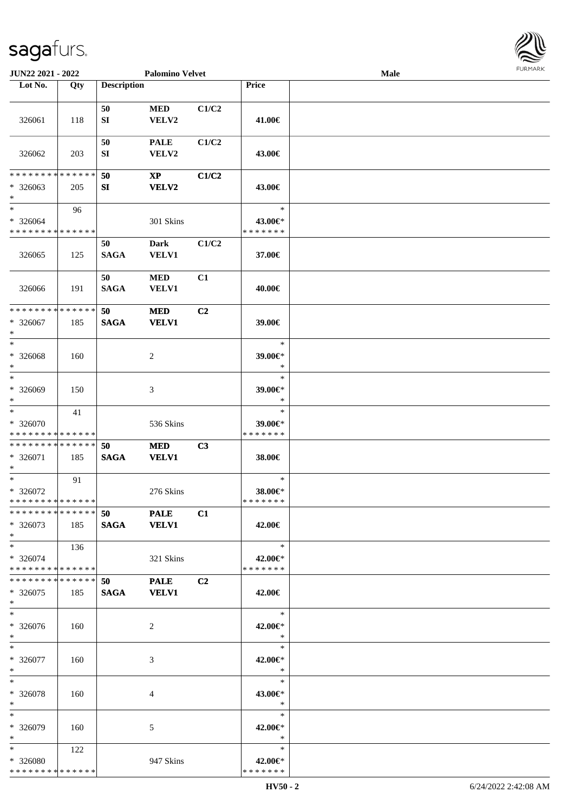

| JUN22 2021 - 2022                                   |     |                        | <b>Palomino Velvet</b>      |       |                                                         | Male |  |
|-----------------------------------------------------|-----|------------------------|-----------------------------|-------|---------------------------------------------------------|------|--|
| Lot No.                                             | Qty | <b>Description</b>     |                             |       | Price                                                   |      |  |
| 326061                                              | 118 | 50<br>SI               | <b>MED</b><br>VELV2         | C1/C2 | 41.00€                                                  |      |  |
| 326062                                              | 203 | 50<br>SI               | <b>PALE</b><br>VELV2        | C1/C2 | 43.00€                                                  |      |  |
| **************<br>$*326063$                         |     | 50<br>SI               | $\mathbf{XP}$<br>VELV2      | C1/C2 | 43.00€                                                  |      |  |
| $\ast$                                              | 205 |                        |                             |       |                                                         |      |  |
| $*$<br>$* 326064$<br>* * * * * * * * * * * * * *    | 96  |                        | 301 Skins                   |       | $\ast$<br>43.00€*<br>* * * * * * *                      |      |  |
| 326065                                              | 125 | 50<br><b>SAGA</b>      | <b>Dark</b><br><b>VELV1</b> | C1/C2 | 37.00€                                                  |      |  |
| 326066                                              | 191 | 50<br><b>SAGA</b>      | <b>MED</b><br><b>VELV1</b>  | C1    | 40.00€                                                  |      |  |
| **************<br>$* 326067$<br>$\ast$              | 185 | 50<br><b>SAGA</b>      | <b>MED</b><br><b>VELV1</b>  | C2    | 39.00€                                                  |      |  |
| $\ast$<br>* 326068<br>$\ast$                        | 160 |                        | $\sqrt{2}$                  |       | $\ast$<br>39.00€*<br>$\ast$                             |      |  |
| $\ast$<br>* 326069<br>$\ast$<br>$\frac{1}{1}$       | 150 |                        | 3                           |       | $\ast$<br>39.00€*<br>$\ast$                             |      |  |
| * 326070<br>**************                          | 41  |                        | 536 Skins                   |       | $\ast$<br>39.00€*<br>* * * * * * *                      |      |  |
| **************<br>$* 326071$<br>∗                   | 185 | 50<br><b>SAGA</b>      | <b>MED</b><br><b>VELV1</b>  | C3    | 38.00€                                                  |      |  |
| $\ast$<br>$*326072$<br>**************               | 91  |                        | 276 Skins                   |       | $\ast$<br>38.00€*<br>*******                            |      |  |
| ******** <mark>******</mark><br>$*326073$<br>$\ast$ | 185 | 50 PALE<br><b>SAGA</b> | <b>VELV1</b>                | C1    | 42.00€                                                  |      |  |
| $\ast$<br>* 326074<br>**************                | 136 |                        | 321 Skins                   |       | $\ast$<br>42.00€*<br>* * * * * * *                      |      |  |
| **************<br>$*326075$<br>$*$                  | 185 | 50<br><b>SAGA</b>      | <b>PALE</b><br><b>VELV1</b> | C2    | 42.00€                                                  |      |  |
| $\ast$<br>* 326076<br>$*$                           | 160 |                        | 2                           |       | $\rightarrow$<br>42.00€*<br>$\ast$                      |      |  |
| $\ast$<br>* 326077<br>$*$                           | 160 |                        | 3                           |       | $\overline{\phantom{a}}$<br>$\ast$<br>42.00€*<br>$\ast$ |      |  |
| $\ast$<br>* 326078<br>$\ast$                        | 160 |                        | $\overline{4}$              |       | $\ast$<br>43.00€*<br>$\ast$                             |      |  |
| $\ast$<br>* 326079<br>$\ast$                        | 160 |                        | 5                           |       | $\ast$<br>42.00€*<br>$\ast$                             |      |  |
| $*$<br>* 326080<br>**************                   | 122 |                        | 947 Skins                   |       | $\ast$<br>42.00€*<br>* * * * * * *                      |      |  |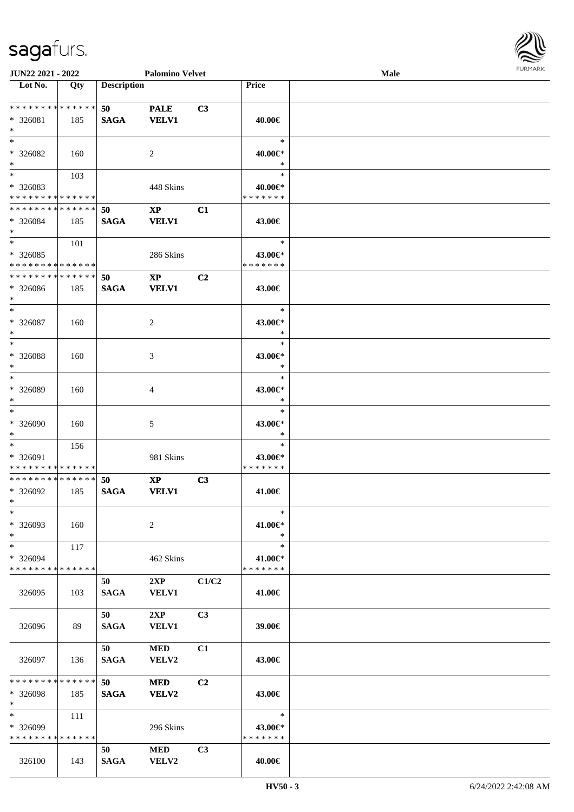

| JUN22 2021 - 2022            |     |                    | <b>Palomino Velvet</b> |       |               | <b>Male</b> |  |
|------------------------------|-----|--------------------|------------------------|-------|---------------|-------------|--|
| Lot No.                      | Qty | <b>Description</b> |                        |       | Price         |             |  |
|                              |     |                    |                        |       |               |             |  |
| ******** <mark>******</mark> |     | 50                 | <b>PALE</b>            | C3    |               |             |  |
| * 326081                     | 185 | <b>SAGA</b>        | <b>VELV1</b>           |       | 40.00€        |             |  |
| $*$                          |     |                    |                        |       |               |             |  |
| $*$                          |     |                    |                        |       | $\ast$        |             |  |
| * 326082                     | 160 |                    | 2                      |       | 40.00€*       |             |  |
| $*$                          |     |                    |                        |       | $\ast$        |             |  |
| $\overline{\phantom{0}}$     | 103 |                    |                        |       | $\ast$        |             |  |
| * 326083                     |     |                    | 448 Skins              |       | 40.00€*       |             |  |
| * * * * * * * * * * * * * *  |     |                    |                        |       | * * * * * * * |             |  |
| * * * * * * * * * * * * * *  |     | 50                 | $\mathbf{X}\mathbf{P}$ | C1    |               |             |  |
| * 326084                     | 185 | <b>SAGA</b>        | <b>VELV1</b>           |       | 43.00€        |             |  |
| $*$                          |     |                    |                        |       |               |             |  |
| $*$                          | 101 |                    |                        |       | $\ast$        |             |  |
| $*326085$                    |     |                    | 286 Skins              |       | 43.00€*       |             |  |
| * * * * * * * * * * * * * *  |     |                    |                        |       | * * * * * * * |             |  |
| * * * * * * * * * * * * * *  |     | 50                 | $\mathbf{X}\mathbf{P}$ | C2    |               |             |  |
| $* 326086$                   | 185 | <b>SAGA</b>        | <b>VELV1</b>           |       | 43.00€        |             |  |
| $*$                          |     |                    |                        |       |               |             |  |
| $\ast$                       |     |                    |                        |       | $\ast$        |             |  |
| $*326087$                    | 160 |                    | $\overline{2}$         |       | 43.00€*       |             |  |
| $\ast$                       |     |                    |                        |       | $\ast$        |             |  |
| $*$                          |     |                    |                        |       | $\ast$        |             |  |
| * 326088                     | 160 |                    | 3                      |       | 43.00€*       |             |  |
| $\ast$                       |     |                    |                        |       | $\ast$        |             |  |
| $\ast$                       |     |                    |                        |       | $\ast$        |             |  |
| * 326089                     | 160 |                    | 4                      |       | 43.00€*       |             |  |
| $*$                          |     |                    |                        |       | $\ast$        |             |  |
| $\ast$                       |     |                    |                        |       | $\ast$        |             |  |
| $* 326090$                   | 160 |                    | 5                      |       | 43.00€*       |             |  |
| $*$                          |     |                    |                        |       | $\ast$        |             |  |
| $*$                          | 156 |                    |                        |       | $\ast$        |             |  |
| * 326091                     |     |                    | 981 Skins              |       | 43.00€*       |             |  |
| * * * * * * * * * * * * * *  |     |                    |                        |       | * * * * * * * |             |  |
| * * * * * * * * * * * * * *  |     | 50                 | $\mathbf{X}\mathbf{P}$ | C3    |               |             |  |
| * 326092                     | 185 | <b>SAGA</b>        | <b>VELV1</b>           |       | 41.00€        |             |  |
| $*$                          |     |                    |                        |       |               |             |  |
| $\ast$                       |     |                    |                        |       | $\ast$        |             |  |
| * 326093                     | 160 |                    | 2                      |       | 41.00€*       |             |  |
| $*$                          |     |                    |                        |       | $\ast$        |             |  |
| $*$                          | 117 |                    |                        |       | $\ast$        |             |  |
| * 326094                     |     |                    | 462 Skins              |       | 41.00€*       |             |  |
| * * * * * * * * * * * * * *  |     |                    |                        |       | * * * * * * * |             |  |
|                              |     | 50                 | 2XP                    | C1/C2 |               |             |  |
| 326095                       | 103 | <b>SAGA</b>        | <b>VELV1</b>           |       | 41.00€        |             |  |
|                              |     |                    |                        |       |               |             |  |
|                              |     | 50                 | 2XP                    | C3    |               |             |  |
| 326096                       | 89  | <b>SAGA</b>        | <b>VELV1</b>           |       | 39.00€        |             |  |
|                              |     |                    |                        |       |               |             |  |
|                              |     | 50                 | $\bf MED$              | C1    |               |             |  |
| 326097                       | 136 | <b>SAGA</b>        | VELV2                  |       | 43.00€        |             |  |
|                              |     |                    |                        |       |               |             |  |
| * * * * * * * * * * * * * *  |     | 50                 | <b>MED</b>             | C2    |               |             |  |
| * 326098                     | 185 | <b>SAGA</b>        | VELV2                  |       | 43.00€        |             |  |
| $*$                          |     |                    |                        |       |               |             |  |
| $*$                          | 111 |                    |                        |       | $\ast$        |             |  |
| $*326099$                    |     |                    | 296 Skins              |       | 43.00€*       |             |  |
| * * * * * * * * * * * * * *  |     |                    |                        |       | * * * * * * * |             |  |
|                              |     | 50                 | <b>MED</b>             | C3    |               |             |  |
| 326100                       | 143 | <b>SAGA</b>        | VELV2                  |       | 40.00€        |             |  |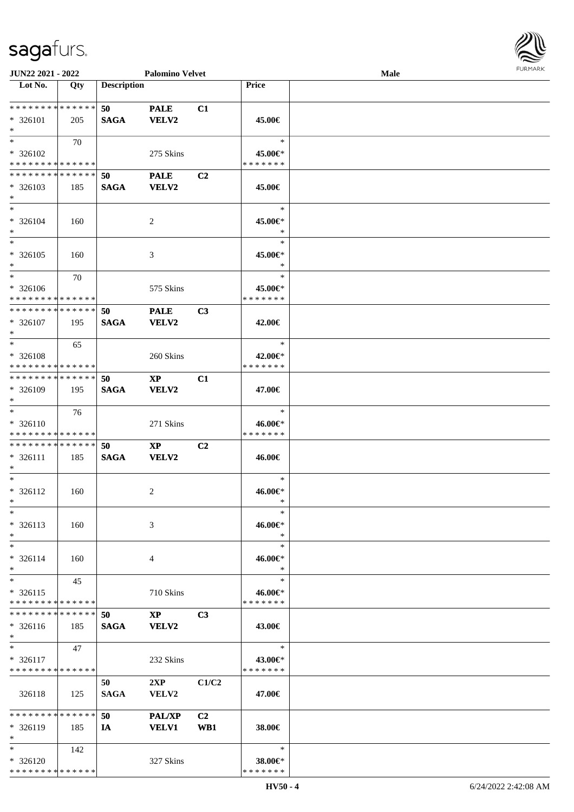

| JUN22 2021 - 2022                                          |     |                    | <b>Palomino Velvet</b> |                |               | Male |  |
|------------------------------------------------------------|-----|--------------------|------------------------|----------------|---------------|------|--|
| Lot No.                                                    | Qty | <b>Description</b> |                        |                | Price         |      |  |
|                                                            |     |                    |                        |                |               |      |  |
| **************                                             |     | 50                 | <b>PALE</b>            | C1             |               |      |  |
| $* 326101$                                                 | 205 | <b>SAGA</b>        | <b>VELV2</b>           |                | 45.00€        |      |  |
| $\ast$                                                     |     |                    |                        |                |               |      |  |
| $*$                                                        | 70  |                    |                        |                | $\ast$        |      |  |
| * 326102                                                   |     |                    | 275 Skins              |                | 45.00€*       |      |  |
| * * * * * * * * * * * * * *<br>* * * * * * * * * * * * * * |     |                    |                        |                | * * * * * * * |      |  |
|                                                            |     | 50                 | <b>PALE</b>            | C <sub>2</sub> |               |      |  |
| $* 326103$<br>$\ast$                                       | 185 | <b>SAGA</b>        | <b>VELV2</b>           |                | 45.00€        |      |  |
| $\ast$                                                     |     |                    |                        |                | $\ast$        |      |  |
| $* 326104$                                                 | 160 |                    | 2                      |                | 45.00€*       |      |  |
| $\ast$                                                     |     |                    |                        |                | $\ast$        |      |  |
| $\ast$                                                     |     |                    |                        |                | $\ast$        |      |  |
| $* 326105$                                                 | 160 |                    | 3                      |                | 45.00€*       |      |  |
| $\ast$                                                     |     |                    |                        |                | $\ast$        |      |  |
| $\ast$                                                     | 70  |                    |                        |                | $\ast$        |      |  |
| $* 326106$                                                 |     |                    | 575 Skins              |                | 45.00€*       |      |  |
| * * * * * * * * * * * * * *                                |     |                    |                        |                | * * * * * * * |      |  |
| **************                                             |     | 50                 | <b>PALE</b>            | C3             |               |      |  |
| $* 326107$                                                 | 195 | <b>SAGA</b>        | <b>VELV2</b>           |                | 42.00€        |      |  |
| $\ast$                                                     |     |                    |                        |                |               |      |  |
| $*$                                                        | 65  |                    |                        |                | $\ast$        |      |  |
| * 326108                                                   |     |                    | 260 Skins              |                | 42.00€*       |      |  |
| * * * * * * * * * * * * * *                                |     |                    |                        |                | * * * * * * * |      |  |
| **************                                             |     | 50                 | $\bold{XP}$            | C1             |               |      |  |
| * 326109                                                   | 195 | <b>SAGA</b>        | VELV2                  |                | 47.00€        |      |  |
| $*$                                                        |     |                    |                        |                |               |      |  |
| $\ast$                                                     | 76  |                    |                        |                | $\ast$        |      |  |
| $* 326110$                                                 |     |                    | 271 Skins              |                | 46.00€*       |      |  |
| * * * * * * * * * * * * * *                                |     |                    |                        |                | * * * * * * * |      |  |
| **************                                             |     | 50                 | $\mathbf{X}\mathbf{P}$ | C <sub>2</sub> |               |      |  |
| $* 326111$<br>$\ast$                                       | 185 | <b>SAGA</b>        | <b>VELV2</b>           |                | 46.00€        |      |  |
| $\ast$                                                     |     |                    |                        |                | $\ast$        |      |  |
| $* 326112$                                                 | 160 |                    | 2                      |                | 46.00€*       |      |  |
| $*$                                                        |     |                    |                        |                | $\ast$        |      |  |
| $\ast$                                                     |     |                    |                        |                | $\ast$        |      |  |
| $* 326113$                                                 | 160 |                    | 3                      |                | 46.00€*       |      |  |
| $\ast$                                                     |     |                    |                        |                | ∗             |      |  |
| $\ast$                                                     |     |                    |                        |                | $\ast$        |      |  |
| $* 326114$                                                 | 160 |                    | 4                      |                | 46.00€*       |      |  |
| $*$                                                        |     |                    |                        |                | $\ast$        |      |  |
| $\ast$                                                     | 45  |                    |                        |                | $\ast$        |      |  |
| $* 326115$                                                 |     |                    | 710 Skins              |                | 46.00€*       |      |  |
| * * * * * * * * * * * * * *                                |     |                    |                        |                | * * * * * * * |      |  |
| **************                                             |     | 50                 | $\mathbf{XP}$          | C <sub>3</sub> |               |      |  |
| $* 326116$                                                 | 185 | <b>SAGA</b>        | <b>VELV2</b>           |                | 43.00€        |      |  |
| $*$                                                        |     |                    |                        |                |               |      |  |
| $*$                                                        | 47  |                    |                        |                | $\ast$        |      |  |
| $* 326117$                                                 |     |                    | 232 Skins              |                | 43.00€*       |      |  |
| * * * * * * * * * * * * * *                                |     |                    |                        |                | * * * * * * * |      |  |
|                                                            |     | 50                 | 2XP                    | C1/C2          |               |      |  |
| 326118                                                     | 125 | <b>SAGA</b>        | VELV2                  |                | 47.00€        |      |  |
| * * * * * * * * * * * * * *                                |     | 50                 | <b>PAL/XP</b>          | C2             |               |      |  |
| $* 326119$                                                 | 185 | IA                 | <b>VELV1</b>           | WB1            | 38.00€        |      |  |
| $*$                                                        |     |                    |                        |                |               |      |  |
| $*$                                                        | 142 |                    |                        |                | $\ast$        |      |  |
| * 326120                                                   |     |                    | 327 Skins              |                | 38.00€*       |      |  |
| * * * * * * * * * * * * * *                                |     |                    |                        |                | * * * * * * * |      |  |
|                                                            |     |                    |                        |                |               |      |  |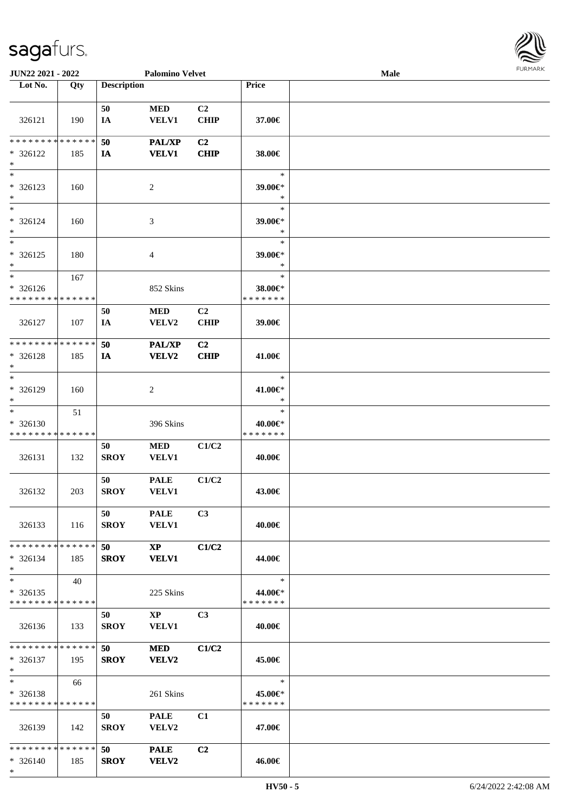

| JUN22 2021 - 2022                                  |     |                    | <b>Palomino Velvet</b>                 |                               |                                    | <b>Male</b> | <b>FURMARK</b> |
|----------------------------------------------------|-----|--------------------|----------------------------------------|-------------------------------|------------------------------------|-------------|----------------|
| Lot No.                                            | Qty | <b>Description</b> |                                        |                               | <b>Price</b>                       |             |                |
| 326121                                             | 190 | 50<br>IA           | $\bf MED$<br><b>VELV1</b>              | C <sub>2</sub><br><b>CHIP</b> | 37.00€                             |             |                |
| * * * * * * * * * * * * * *<br>* 326122<br>$*$     | 185 | 50<br><b>IA</b>    | <b>PAL/XP</b><br><b>VELV1</b>          | C <sub>2</sub><br><b>CHIP</b> | 38.00€                             |             |                |
| $*$<br>* 326123<br>$*$                             | 160 |                    | 2                                      |                               | $\ast$<br>39.00€*<br>$\ast$        |             |                |
| $*$<br>* 326124<br>$*$<br>$\overline{\phantom{0}}$ | 160 |                    | 3                                      |                               | $\ast$<br>39.00€*<br>$\ast$        |             |                |
| $* 326125$<br>$*$                                  | 180 |                    | 4                                      |                               | $\ast$<br>39.00€*<br>$\ast$        |             |                |
| $*$<br>* 326126<br>* * * * * * * * * * * * * *     | 167 |                    | 852 Skins                              |                               | $\ast$<br>38.00€*<br>* * * * * * * |             |                |
| 326127                                             | 107 | 50<br>IA           | <b>MED</b><br>VELV2                    | C2<br><b>CHIP</b>             | 39.00€                             |             |                |
| * * * * * * * * * * * * * *<br>* 326128<br>$*$     | 185 | 50<br>IA           | PAL/XP<br>VELV2                        | C2<br><b>CHIP</b>             | 41.00€                             |             |                |
| $*$<br>* 326129<br>$*$                             | 160 |                    | 2                                      |                               | $\ast$<br>41.00€*<br>$\ast$        |             |                |
| $*$<br>* 326130<br>* * * * * * * * * * * * * *     | 51  |                    | 396 Skins                              |                               | $\ast$<br>40.00€*<br>* * * * * * * |             |                |
| 326131                                             | 132 | 50<br><b>SROY</b>  | <b>MED</b><br><b>VELV1</b>             | C1/C2                         | 40.00€                             |             |                |
| 326132                                             | 203 | 50<br><b>SROY</b>  | <b>PALE</b><br>VELV1                   | C1/C2                         | 43.00€                             |             |                |
| 326133                                             | 116 | 50<br><b>SROY</b>  | <b>PALE</b><br><b>VELV1</b>            | C <sub>3</sub>                | 40.00€                             |             |                |
| * * * * * * * * * * * * * * *<br>* 326134<br>$*$   | 185 | 50<br><b>SROY</b>  | $\mathbf{XP}$<br><b>VELV1</b>          | C1/C2                         | 44.00€                             |             |                |
| $*$<br>$*326135$<br>* * * * * * * * * * * * * * *  | 40  |                    | 225 Skins                              |                               | $\ast$<br>44.00€*<br>* * * * * * * |             |                |
| 326136                                             | 133 | 50<br>SROY         | $\mathbf{X}\mathbf{P}$<br><b>VELV1</b> | C <sub>3</sub>                | 40.00€                             |             |                |
| * * * * * * * * * * * * * * *<br>* 326137<br>$*$   | 195 | 50<br><b>SROY</b>  | <b>MED</b><br><b>VELV2</b>             | C1/C2                         | 45.00€                             |             |                |
| $*$<br>* 326138<br>* * * * * * * * * * * * * *     | 66  |                    | 261 Skins                              |                               | $\ast$<br>45.00€*<br>*******       |             |                |
| 326139                                             | 142 | 50<br><b>SROY</b>  | <b>PALE</b><br><b>VELV2</b>            | C1                            | 47.00€                             |             |                |
| * * * * * * * * * * * * * * *<br>* 326140<br>$*$   | 185 | 50<br><b>SROY</b>  | <b>PALE</b><br><b>VELV2</b>            | C2                            | 46.00€                             |             |                |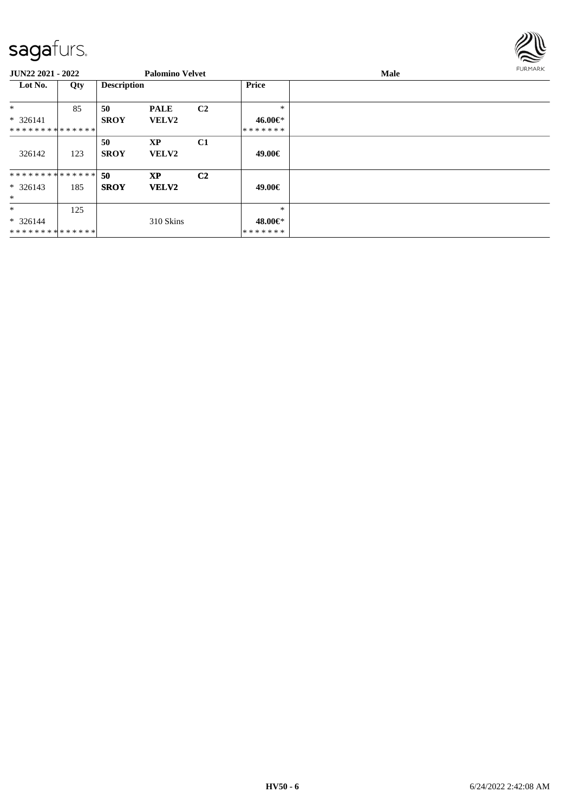

| <b>JUN22 2021 - 2022</b>      |     |                    | <b>Palomino Velvet</b> |                |              | Male | <b>FURMARK</b> |
|-------------------------------|-----|--------------------|------------------------|----------------|--------------|------|----------------|
| Lot No.                       | Qty | <b>Description</b> |                        |                | <b>Price</b> |      |                |
| $\ast$                        | 85  | 50                 | <b>PALE</b>            | C <sub>2</sub> | $\ast$       |      |                |
| $* 326141$                    |     | <b>SROY</b>        | <b>VELV2</b>           |                | 46.00€*      |      |                |
| * * * * * * * * * * * * * * * |     |                    |                        |                | *******      |      |                |
|                               |     | 50                 | <b>XP</b>              | C1             |              |      |                |
| 326142                        | 123 | <b>SROY</b>        | <b>VELV2</b>           |                | 49.00€       |      |                |
| * * * * * * * * * * * * * * * |     | -50                | <b>XP</b>              | C <sub>2</sub> |              |      |                |
| $* 326143$                    | 185 | <b>SROY</b>        | <b>VELV2</b>           |                | 49.00€       |      |                |
| $\ast$                        |     |                    |                        |                |              |      |                |
| $\ast$                        | 125 |                    |                        |                | $\ast$       |      |                |
| $* 326144$                    |     |                    | 310 Skins              |                | 48.00€*      |      |                |
| * * * * * * * * * * * * * *   |     |                    |                        |                | *******      |      |                |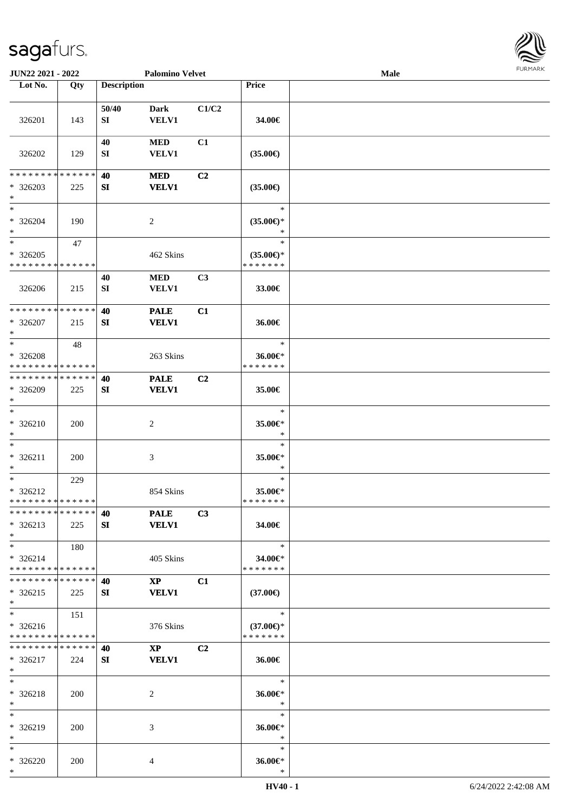

| JUN22 2021 - 2022                                                    |            |                    | <b>Palomino Velvet</b>                 |                |                                                | Male | 1.91111111 |
|----------------------------------------------------------------------|------------|--------------------|----------------------------------------|----------------|------------------------------------------------|------|------------|
| Lot No.                                                              | Qty        | <b>Description</b> |                                        |                | Price                                          |      |            |
| 326201                                                               | 143        | 50/40<br>SI        | <b>Dark</b><br><b>VELV1</b>            | C1/C2          | 34.00€                                         |      |            |
| 326202                                                               | 129        | 40<br>SI           | $\bf MED$<br><b>VELV1</b>              | C1             | $(35.00\epsilon)$                              |      |            |
| * * * * * * * * * * * * * *<br>* 326203<br>$\ast$                    | 225        | 40<br>SI           | <b>MED</b><br><b>VELV1</b>             | C <sub>2</sub> | $(35.00\epsilon)$                              |      |            |
| $\overline{\phantom{a}}$<br>$* 326204$<br>$\ast$                     | 190        |                    | 2                                      |                | $\ast$<br>$(35.00\epsilon)$ *                  |      |            |
| $\overline{\phantom{1}}$<br>$*326205$<br>* * * * * * * * * * * * * * | 47         |                    | 462 Skins                              |                | $\ast$<br>$(35.00\epsilon)$ *<br>* * * * * * * |      |            |
| 326206                                                               | 215        | 40<br>${\bf SI}$   | <b>MED</b><br>VELV1                    | C3             | 33.00€                                         |      |            |
| * * * * * * * * * * * * * *<br>* 326207<br>$\ast$                    | 215        | 40<br>SI           | <b>PALE</b><br><b>VELV1</b>            | C1             | 36.00€                                         |      |            |
| $\ast$<br>* 326208<br>* * * * * * * * * * * * * * *                  | 48         |                    | 263 Skins                              |                | $\ast$<br>36.00€*<br>* * * * * * *             |      |            |
| * * * * * * * * * * * * * *<br>* 326209<br>$\ast$                    | 225        | 40<br>SI           | <b>PALE</b><br><b>VELV1</b>            | C <sub>2</sub> | 35.00€                                         |      |            |
| $\ast$<br>* 326210<br>$\ast$<br>$\overline{\phantom{1}}$             | 200        |                    | $\overline{c}$                         |                | $\ast$<br>35.00€*<br>$\ast$                    |      |            |
| $* 326211$<br>$\ast$                                                 | 200        |                    | 3                                      |                | $\ast$<br>35.00€*<br>$\ast$                    |      |            |
| $\ast$<br>$* 326212$<br>* * * * * * * * * * * * * *                  | 229        |                    | 854 Skins                              |                | $\ast$<br>35.00€*<br>* * * * * * *             |      |            |
| * * * * * * * * * * * * * * *<br>$* 326213$<br>$\ast$                | 225        | 40<br>SI           | <b>PALE</b><br><b>VELV1</b>            | C3             | 34.00€                                         |      |            |
| $\ast$<br>$* 326214$<br>* * * * * * * * * * * * * *                  | 180        |                    | 405 Skins                              |                | $\ast$<br>34.00€*<br>* * * * * * *             |      |            |
| * * * * * * * * * * * * * * *<br>$* 326215$<br>$*$                   | 225        | 40<br>SI           | $\mathbf{X}\mathbf{P}$<br><b>VELV1</b> | C1             | $(37.00\epsilon)$                              |      |            |
| $*$<br>$* 326216$<br>* * * * * * * * * * * * * *                     | 151        |                    | 376 Skins                              |                | $\ast$<br>$(37.00\epsilon)$ *<br>* * * * * * * |      |            |
| * * * * * * * * * * * * * *<br>$* 326217$<br>$*$                     | 224        | 40<br>SI           | $\mathbf{X}\mathbf{P}$<br><b>VELV1</b> | C <sub>2</sub> | 36.00€                                         |      |            |
| $*$<br>* 326218<br>$*$                                               | 200        |                    | 2                                      |                | $\ast$<br>36.00€*<br>$\ast$                    |      |            |
| $\ast$<br>* 326219<br>$\ast$                                         | <b>200</b> |                    | 3                                      |                | $\ast$<br>36.00€*<br>$\ast$                    |      |            |
| $\ast$<br>* 326220<br>$*$                                            | 200        |                    | 4                                      |                | $\ast$<br>36.00€*<br>$\ast$                    |      |            |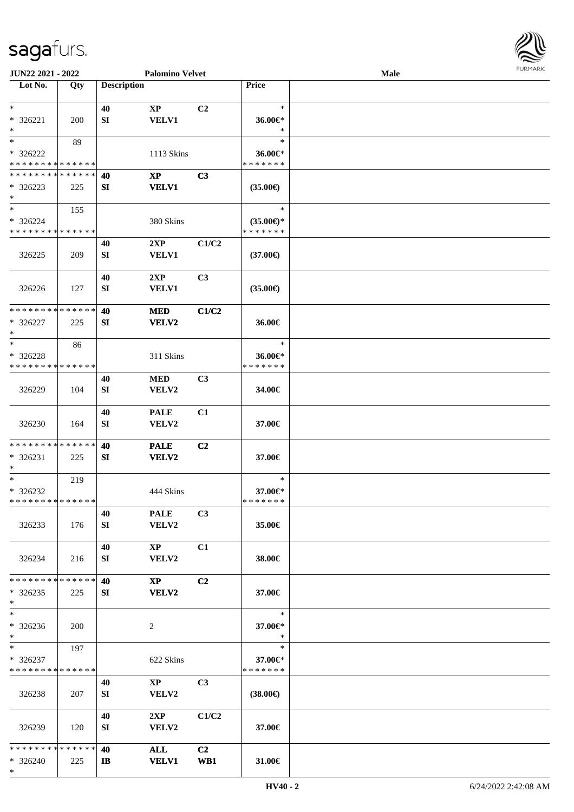

| JUN22 2021 - 2022               |     |                    | <b>Palomino Velvet</b> |                |                                      | <b>Male</b> |  |
|---------------------------------|-----|--------------------|------------------------|----------------|--------------------------------------|-------------|--|
| Lot No.                         | Qty | <b>Description</b> |                        |                | Price                                |             |  |
|                                 |     |                    |                        |                |                                      |             |  |
| $\ast$                          |     | 40                 | $\mathbf{XP}$          | C2             | $\ast$                               |             |  |
| $* 326221$                      | 200 | SI                 | <b>VELV1</b>           |                | 36.00€*                              |             |  |
| $\ast$                          |     |                    |                        |                | $\ast$                               |             |  |
| $\ast$                          | 89  |                    |                        |                | $\ast$                               |             |  |
| * 326222                        |     |                    | 1113 Skins             |                | 36.00€*                              |             |  |
| * * * * * * * * * * * * * *     |     |                    |                        |                | * * * * * * *                        |             |  |
| * * * * * * * * * * * * * *     |     | 40                 | <b>XP</b>              | C3             |                                      |             |  |
| $*326223$                       | 225 | SI                 | <b>VELV1</b>           |                | $(35.00\epsilon)$                    |             |  |
| $\ast$                          |     |                    |                        |                |                                      |             |  |
| $\ast$                          | 155 |                    |                        |                | $\ast$                               |             |  |
| $* 326224$                      |     |                    |                        |                |                                      |             |  |
| * * * * * * * * * * * * * *     |     |                    | 380 Skins              |                | $(35.00\epsilon)$ *<br>* * * * * * * |             |  |
|                                 |     |                    |                        |                |                                      |             |  |
|                                 |     | 40                 | 2XP                    | C1/C2          |                                      |             |  |
| 326225                          | 209 | SI                 | <b>VELV1</b>           |                | $(37.00\epsilon)$                    |             |  |
|                                 |     |                    |                        |                |                                      |             |  |
|                                 |     | 40                 | 2XP                    | C <sub>3</sub> |                                      |             |  |
| 326226                          | 127 | SI                 | <b>VELV1</b>           |                | $(35.00\epsilon)$                    |             |  |
|                                 |     |                    |                        |                |                                      |             |  |
| **************                  |     | 40                 | <b>MED</b>             | C1/C2          |                                      |             |  |
| * 326227                        | 225 | SI                 | <b>VELV2</b>           |                | 36.00€                               |             |  |
| $\ast$                          |     |                    |                        |                |                                      |             |  |
| $\ast$                          | 86  |                    |                        |                | $\ast$                               |             |  |
| * 326228                        |     |                    | 311 Skins              |                | 36.00€*                              |             |  |
| * * * * * * * * * * * * * *     |     |                    |                        |                | * * * * * * *                        |             |  |
|                                 |     | 40                 | <b>MED</b>             | C3             |                                      |             |  |
| 326229                          | 104 | SI                 | VELV2                  |                | 34.00€                               |             |  |
|                                 |     |                    |                        |                |                                      |             |  |
|                                 |     | 40                 | <b>PALE</b>            | C1             |                                      |             |  |
| 326230                          | 164 | SI                 | VELV2                  |                | 37.00€                               |             |  |
|                                 |     |                    |                        |                |                                      |             |  |
| **************                  |     | 40                 | <b>PALE</b>            | C2             |                                      |             |  |
| $* 326231$                      | 225 | SI                 | VELV2                  |                | 37.00€                               |             |  |
| $\ast$                          |     |                    |                        |                |                                      |             |  |
| $\ast$                          | 219 |                    |                        |                | $\ast$                               |             |  |
| * 326232                        |     |                    | 444 Skins              |                | 37.00€*                              |             |  |
| **************                  |     |                    |                        |                | * * * * * * *                        |             |  |
|                                 |     | 40                 | <b>PALE</b>            | C3             |                                      |             |  |
|                                 |     |                    | VELV2                  |                | 35.00€                               |             |  |
| 326233                          | 176 | SI                 |                        |                |                                      |             |  |
|                                 |     |                    |                        |                |                                      |             |  |
|                                 |     | 40                 | $\mathbf{X}\mathbf{P}$ | C1             |                                      |             |  |
| 326234                          | 216 | SI                 | VELV2                  |                | 38.00€                               |             |  |
|                                 |     |                    |                        |                |                                      |             |  |
| * * * * * * * * * * * * * * *   |     | 40                 | $\mathbf{X}\mathbf{P}$ | C <sub>2</sub> |                                      |             |  |
| $*326235$                       | 225 | SI                 | <b>VELV2</b>           |                | 37.00€                               |             |  |
| $*$<br>$\overline{\phantom{1}}$ |     |                    |                        |                |                                      |             |  |
|                                 |     |                    |                        |                | $\ast$                               |             |  |
| * 326236                        | 200 |                    | 2                      |                | 37.00€*                              |             |  |
| $*$                             |     |                    |                        |                | $\ast$                               |             |  |
| $*$                             | 197 |                    |                        |                | $\ast$                               |             |  |
| $* 326237$                      |     |                    | 622 Skins              |                | 37.00€*                              |             |  |
| * * * * * * * * * * * * * *     |     |                    |                        |                | * * * * * * *                        |             |  |
|                                 |     | 40                 | $\mathbf{XP}$          | C <sub>3</sub> |                                      |             |  |
| 326238                          | 207 | SI                 | VELV2                  |                | $(38.00\epsilon)$                    |             |  |
|                                 |     |                    |                        |                |                                      |             |  |
|                                 |     | 40                 | 2XP                    | C1/C2          |                                      |             |  |
| 326239                          | 120 | SI                 | <b>VELV2</b>           |                | 37.00€                               |             |  |
|                                 |     |                    |                        |                |                                      |             |  |
| * * * * * * * * * * * * * * *   |     | 40                 | <b>ALL</b>             | C <sub>2</sub> |                                      |             |  |
| $* 326240$                      | 225 | IB                 | <b>VELV1</b>           | WB1            | 31.00€                               |             |  |
| $*$                             |     |                    |                        |                |                                      |             |  |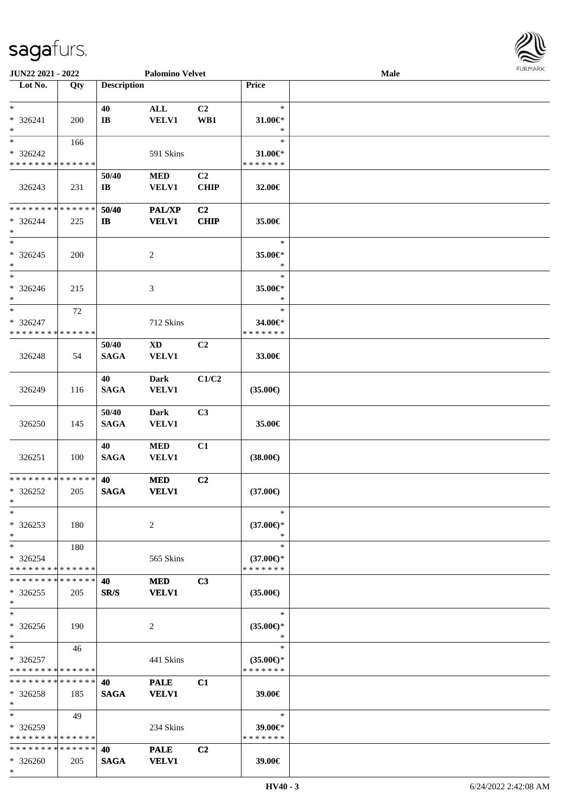

| JUN22 2021 - 2022             |     |                        | <b>Palomino Velvet</b> |                |                     | Male |  |
|-------------------------------|-----|------------------------|------------------------|----------------|---------------------|------|--|
| Lot No.                       | Qty | <b>Description</b>     |                        |                | Price               |      |  |
|                               |     |                        |                        |                |                     |      |  |
| $*$                           |     | 40                     | $\mathbf{ALL}$         | C <sub>2</sub> | $\ast$              |      |  |
|                               |     |                        |                        |                |                     |      |  |
| * 326241                      | 200 | $\mathbf{I}\mathbf{B}$ | <b>VELV1</b>           | WB1            | $31.00 \in$ *       |      |  |
| $\ast$                        |     |                        |                        |                | $\ast$              |      |  |
| $\ast$                        | 166 |                        |                        |                | $\ast$              |      |  |
| * 326242                      |     |                        | 591 Skins              |                | 31.00€*             |      |  |
| * * * * * * * * * * * * * *   |     |                        |                        |                | * * * * * * *       |      |  |
|                               |     |                        |                        |                |                     |      |  |
|                               |     | 50/40                  | <b>MED</b>             | C <sub>2</sub> |                     |      |  |
| 326243                        | 231 | $\mathbf{I}\mathbf{B}$ | <b>VELV1</b>           | <b>CHIP</b>    | 32.00€              |      |  |
|                               |     |                        |                        |                |                     |      |  |
| * * * * * * * * * * * * * *   |     | 50/40                  | <b>PAL/XP</b>          | C2             |                     |      |  |
| $* 326244$                    | 225 | $\mathbf{I}$           | <b>VELV1</b>           | <b>CHIP</b>    | 35.00€              |      |  |
| $*$                           |     |                        |                        |                |                     |      |  |
|                               |     |                        |                        |                |                     |      |  |
| $*$                           |     |                        |                        |                | $\ast$              |      |  |
| $* 326245$                    | 200 |                        | $\overline{c}$         |                | 35.00€*             |      |  |
| $\ast$                        |     |                        |                        |                | $\ast$              |      |  |
| $\ast$                        |     |                        |                        |                | $\ast$              |      |  |
|                               |     |                        |                        |                |                     |      |  |
| $* 326246$                    | 215 |                        | 3                      |                | 35.00€*             |      |  |
| $\ast$                        |     |                        |                        |                | $\ast$              |      |  |
| $\ast$                        | 72  |                        |                        |                | $\ast$              |      |  |
| $* 326247$                    |     |                        | 712 Skins              |                | 34.00€*             |      |  |
| * * * * * * * * * * * * * *   |     |                        |                        |                | * * * * * * *       |      |  |
|                               |     | 50/40                  | XD                     | C2             |                     |      |  |
|                               |     |                        |                        |                |                     |      |  |
| 326248                        | 54  | <b>SAGA</b>            | <b>VELV1</b>           |                | 33.00€              |      |  |
|                               |     |                        |                        |                |                     |      |  |
|                               |     | 40                     | <b>Dark</b>            | C1/C2          |                     |      |  |
| 326249                        | 116 | <b>SAGA</b>            | <b>VELV1</b>           |                | $(35.00\epsilon)$   |      |  |
|                               |     |                        |                        |                |                     |      |  |
|                               |     |                        |                        |                |                     |      |  |
|                               |     | 50/40                  | <b>Dark</b>            | C3             |                     |      |  |
| 326250                        | 145 | <b>SAGA</b>            | <b>VELV1</b>           |                | 35.00€              |      |  |
|                               |     |                        |                        |                |                     |      |  |
|                               |     | 40                     | $\bf MED$              | C1             |                     |      |  |
|                               |     |                        |                        |                |                     |      |  |
| 326251                        | 100 | <b>SAGA</b>            | VELV1                  |                | $(38.00\epsilon)$   |      |  |
|                               |     |                        |                        |                |                     |      |  |
| * * * * * * * * * * * * * *   |     | 40                     | <b>MED</b>             | C2             |                     |      |  |
| * 326252                      | 205 | <b>SAGA</b>            | <b>VELV1</b>           |                | $(37.00\epsilon)$   |      |  |
| $*$                           |     |                        |                        |                |                     |      |  |
| $*$                           |     |                        |                        |                | $\ast$              |      |  |
|                               |     |                        |                        |                |                     |      |  |
| $*326253$                     | 180 |                        | 2                      |                | $(37.00\epsilon)$ * |      |  |
| $\ast$                        |     |                        |                        |                | ∗                   |      |  |
| $*$                           | 180 |                        |                        |                | $\ast$              |      |  |
| * 326254                      |     |                        | 565 Skins              |                | $(37.00 \in )$ *    |      |  |
| * * * * * * * * * * * * * *   |     |                        |                        |                | * * * * * * *       |      |  |
|                               |     |                        |                        |                |                     |      |  |
| * * * * * * * * * * * * * * * |     | 40                     | <b>MED</b>             | C <sub>3</sub> |                     |      |  |
| $*326255$                     | 205 | SR/S                   | <b>VELV1</b>           |                | $(35.00\epsilon)$   |      |  |
| $*$                           |     |                        |                        |                |                     |      |  |
| $\ast$                        |     |                        |                        |                | $\ast$              |      |  |
| * 326256                      |     |                        |                        |                |                     |      |  |
|                               | 190 |                        | 2                      |                | $(35.00\epsilon)$ * |      |  |
| $*$                           |     |                        |                        |                | $\ast$              |      |  |
| $*$                           | 46  |                        |                        |                | $\ast$              |      |  |
| $*326257$                     |     |                        | 441 Skins              |                | $(35.00\epsilon)$ * |      |  |
| * * * * * * * * * * * * * *   |     |                        |                        |                | * * * * * * *       |      |  |
| * * * * * * * * * * * * * *   |     | 40                     | <b>PALE</b>            | C1             |                     |      |  |
|                               |     |                        |                        |                |                     |      |  |
| $*326258$                     | 185 | <b>SAGA</b>            | <b>VELV1</b>           |                | 39.00€              |      |  |
| $*$                           |     |                        |                        |                |                     |      |  |
| $*$                           | 49  |                        |                        |                | $\ast$              |      |  |
| * 326259                      |     |                        | 234 Skins              |                | 39.00€*             |      |  |
| * * * * * * * * * * * * * *   |     |                        |                        |                | * * * * * * *       |      |  |
|                               |     |                        |                        |                |                     |      |  |
| * * * * * * * * * * * * * *   |     | 40                     | <b>PALE</b>            | C2             |                     |      |  |
| $* 326260$                    | 205 | <b>SAGA</b>            | <b>VELV1</b>           |                | 39.00€              |      |  |
| $*$                           |     |                        |                        |                |                     |      |  |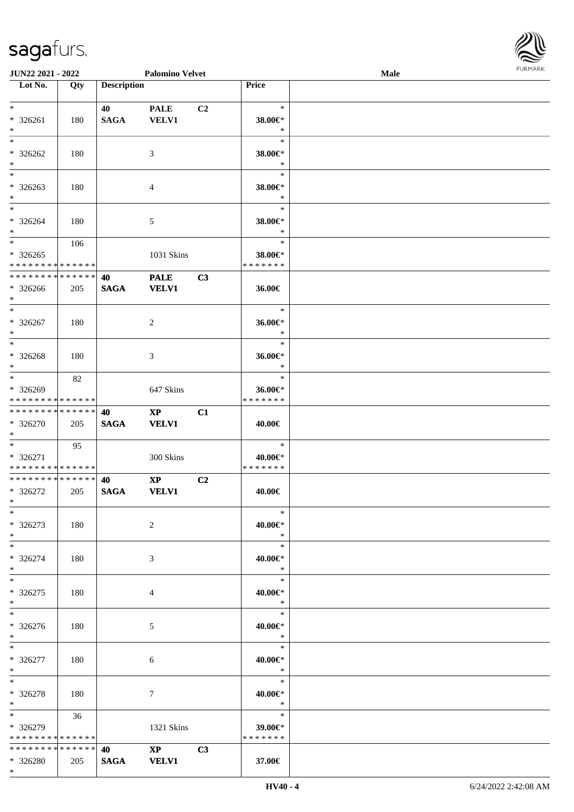\*

| Lot No.                       | Qty | <b>Description</b> |                        |                | Price          |  |
|-------------------------------|-----|--------------------|------------------------|----------------|----------------|--|
| $\ast$                        |     |                    |                        |                | $\ast$         |  |
|                               |     | 40                 | <b>PALE</b>            | C <sub>2</sub> |                |  |
| * 326261                      | 180 | <b>SAGA</b>        | <b>VELV1</b>           |                | 38.00€*        |  |
| $\ast$                        |     |                    |                        |                | $\ast$         |  |
| $*$                           |     |                    |                        |                | $\ast$         |  |
| $* 326262$                    | 180 |                    | 3                      |                | 38.00€*        |  |
| $*$                           |     |                    |                        |                | $\ast$         |  |
| $\ast$                        |     |                    |                        |                | $\ast$         |  |
| $* 326263$                    | 180 |                    | $\overline{4}$         |                | 38.00€*        |  |
| $*$                           |     |                    |                        |                | $\ast$         |  |
| $*$                           |     |                    |                        |                | $\ast$         |  |
| * 326264                      | 180 |                    | 5                      |                | 38.00€*        |  |
| $*$                           |     |                    |                        |                | $\ast$         |  |
| $*$                           | 106 |                    |                        |                | $\ast$         |  |
| $*326265$                     |     |                    | 1031 Skins             |                | 38.00€*        |  |
| * * * * * * * * * * * * * *   |     |                    |                        |                | * * * * * * *  |  |
| * * * * * * * * * * * * * * * |     | 40                 | <b>PALE</b>            | C3             |                |  |
| $* 326266$                    | 205 | <b>SAGA</b>        | <b>VELV1</b>           |                | 36.00€         |  |
| $*$                           |     |                    |                        |                |                |  |
| $*$                           |     |                    |                        |                | $\ast$         |  |
| $* 326267$                    | 180 |                    | $\overline{2}$         |                | 36.00€*        |  |
| $*$                           |     |                    |                        |                | $\ast$         |  |
| $*$                           |     |                    |                        |                | $\ast$         |  |
|                               |     |                    |                        |                | 36.00€*        |  |
| $* 326268$<br>$*$             | 180 |                    | 3                      |                | $\ast$         |  |
| $\ast$                        |     |                    |                        |                | $\ast$         |  |
|                               | 82  |                    |                        |                |                |  |
| * 326269                      |     |                    | 647 Skins              |                | 36.00€*        |  |
| * * * * * * * * * * * * * *   |     |                    |                        |                | * * * * * * *  |  |
| ******** <mark>******</mark>  |     | 40                 | $\mathbf{X}\mathbf{P}$ | C1             |                |  |
| * 326270                      | 205 | <b>SAGA</b>        | <b>VELV1</b>           |                | 40.00€         |  |
| $*$                           |     |                    |                        |                |                |  |
| $*$                           | 95  |                    |                        |                | $\ast$         |  |
| $* 326271$                    |     |                    | 300 Skins              |                | 40.00€*        |  |
| * * * * * * * * * * * * * *   |     |                    |                        |                | * * * * * * *  |  |
| **************                |     | 40                 | $\mathbf{XP}$          | C2             |                |  |
| $*326272$                     | 205 | <b>SAGA</b>        | <b>VELV1</b>           |                | 40.00€         |  |
| $*$                           |     |                    |                        |                |                |  |
| $*$                           |     |                    |                        |                | $\ast$         |  |
| $*326273$                     | 180 |                    | 2                      |                | 40.00€*        |  |
| $*$                           |     |                    |                        |                | $*$            |  |
| $*$                           |     |                    |                        |                | $\ast$         |  |
| * 326274                      | 180 |                    | 3                      |                | 40.00€*        |  |
| $*$                           |     |                    |                        |                | $\ast$         |  |
| $*$                           |     |                    |                        |                | $\ast$         |  |
| $*326275$                     | 180 |                    | 4                      |                | 40.00€*        |  |
| $*$ $-$                       |     |                    |                        |                | $\ast$         |  |
| $\ast$                        |     |                    |                        |                | $\ast$         |  |
|                               |     |                    |                        |                |                |  |
| * 326276                      | 180 |                    | 5                      |                | 40.00€*        |  |
| $*$ $-$                       |     |                    |                        |                | $\ast$         |  |
| $*$                           |     |                    |                        |                | $\ast$         |  |
| * 326277                      | 180 |                    | 6                      |                | 40.00€*        |  |
| $*$                           |     |                    |                        |                | $\ast$         |  |
| $*$                           |     |                    |                        |                | $*$            |  |
| $* 326278$                    | 180 |                    | 7                      |                | 40.00€*        |  |
| $*$                           |     |                    |                        |                | $\mathbb{R}^2$ |  |
| $*$                           | 36  |                    |                        |                | $\ast$         |  |
| * 326279                      |     |                    | 1321 Skins             |                | 39.00€*        |  |
| * * * * * * * * * * * * * * * |     |                    |                        |                | * * * * * * *  |  |
|                               |     |                    | $XP$ $C3$              |                |                |  |
| * 326280                      | 205 | <b>SAGA</b>        | <b>VELV1</b>           |                | 37.00€         |  |

**JUN22 2021 - 2022 Palomino Velvet Male**

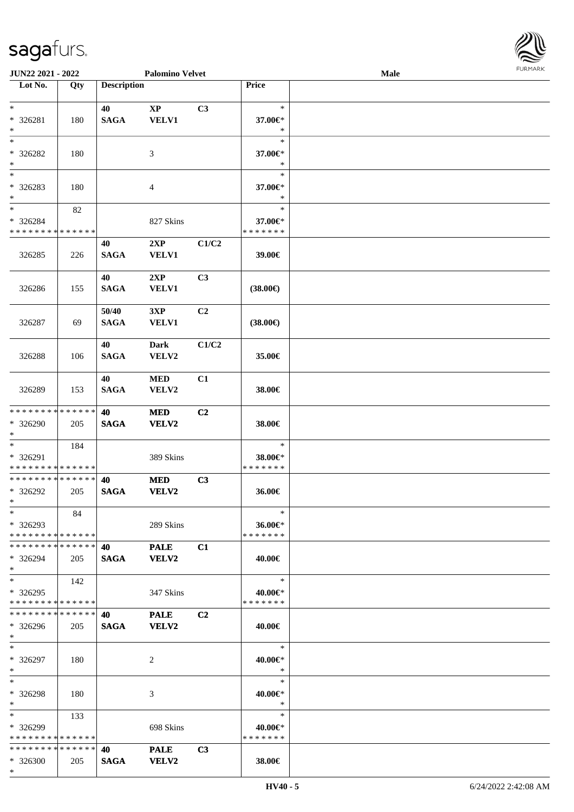\*

| JUN22 2021 - 2022                                    |     |                      | <b>Palomino Velvet</b>        |                |                                    | Male | <b>FURMARK</b> |
|------------------------------------------------------|-----|----------------------|-------------------------------|----------------|------------------------------------|------|----------------|
| Lot No.                                              | Qty | <b>Description</b>   |                               |                | Price                              |      |                |
| $*$<br>* 326281<br>$*$                               | 180 | 40<br><b>SAGA</b>    | $\mathbf{XP}$<br><b>VELV1</b> | C3             | $\ast$<br>37.00€*<br>$\ast$        |      |                |
| $*$<br>$* 326282$<br>$*$                             | 180 |                      | 3                             |                | $\ast$<br>37.00€*<br>$\ast$        |      |                |
| $*$<br>* 326283<br>$*$                               | 180 |                      | $\overline{4}$                |                | $\ast$<br>37.00€*<br>$\ast$        |      |                |
| $*$<br>* 326284<br>* * * * * * * * * * * * * *       | 82  |                      | 827 Skins                     |                | $\ast$<br>37.00€*<br>* * * * * * * |      |                |
| 326285                                               | 226 | 40<br><b>SAGA</b>    | 2XP<br><b>VELV1</b>           | C1/C2          | 39.00€                             |      |                |
| 326286                                               | 155 | 40<br><b>SAGA</b>    | 2XP<br><b>VELV1</b>           | C3             | $(38.00\epsilon)$                  |      |                |
| 326287                                               | 69  | 50/40<br><b>SAGA</b> | 3XP<br><b>VELV1</b>           | C <sub>2</sub> | $(38.00\epsilon)$                  |      |                |
| 326288                                               | 106 | 40<br><b>SAGA</b>    | Dark<br>VELV2                 | C1/C2          | 35.00€                             |      |                |
| 326289                                               | 153 | 40<br><b>SAGA</b>    | <b>MED</b><br>VELV2           | C1             | 38.00€                             |      |                |
| * * * * * * * * * * * * * *<br>* 326290<br>$*$       | 205 | 40<br><b>SAGA</b>    | <b>MED</b><br><b>VELV2</b>    | C2             | 38.00€                             |      |                |
| $*$<br>* 326291<br>* * * * * * * * * * * * * *       | 184 |                      | 389 Skins                     |                | $\ast$<br>38.00€*<br>* * * * * * * |      |                |
| * * * * * * * * * * * * * * *<br>* 326292<br>$*$     | 205 | 40<br><b>SAGA</b>    | <b>MED</b><br><b>VELV2</b>    | C3             | 36.00€                             |      |                |
| $*$<br>* 326293<br>* * * * * * * * * * * * * *       | 84  |                      | 289 Skins                     |                | $\ast$<br>36.00€*<br>* * * * * * * |      |                |
| * * * * * * * * * * * * * * *<br>* 326294<br>$*$     | 205 | 40<br><b>SAGA</b>    | <b>PALE</b><br><b>VELV2</b>   | C1             | 40.00€                             |      |                |
| $*$ $-$<br>* 326295<br>* * * * * * * * * * * * * * * | 142 |                      | 347 Skins                     |                | $\ast$<br>40.00€*<br>* * * * * * * |      |                |
| * * * * * * * * * * * * * * *<br>* 326296<br>$*$     | 205 | 40<br><b>SAGA</b>    | <b>PALE</b><br><b>VELV2</b>   | C2             | 40.00€                             |      |                |
| $*$<br>* 326297<br>$*$                               | 180 |                      | 2                             |                | $\ast$<br>40.00€*<br>$\ast$        |      |                |
| $*$<br>* 326298<br>$*$                               | 180 |                      | 3                             |                | $\ast$<br>40.00€*<br>$\ast$        |      |                |
| $*$<br>$*326299$<br>* * * * * * * * * * * * * *      | 133 |                      | 698 Skins                     |                | $\ast$<br>40.00€*<br>* * * * * * * |      |                |
| * * * * * * * * * * * * * * *<br>* 326300            | 205 | 40<br><b>SAGA</b>    | <b>PALE</b><br>VELV2          | C3             | 38.00€                             |      |                |

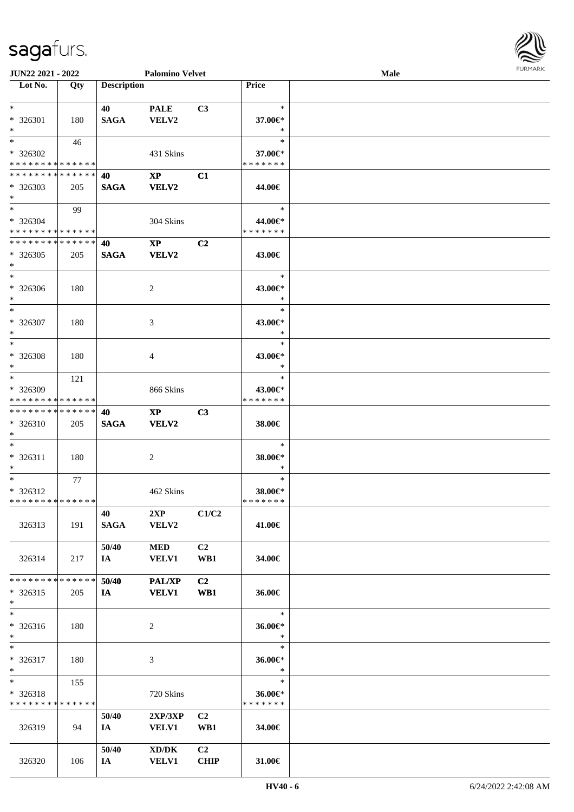| Lot No.                                                                | Qty  | <b>Description</b> |                                                     |                        | Price                              |  |
|------------------------------------------------------------------------|------|--------------------|-----------------------------------------------------|------------------------|------------------------------------|--|
| $*$<br>* 326301<br>$\ast$                                              | 180  | 40<br><b>SAGA</b>  | <b>PALE</b><br>VELV2                                | C3                     | $\ast$<br>37.00€*<br>$\ast$        |  |
| $\overline{\phantom{a}^*}$<br>$*326302$<br>* * * * * * * * * * * * * * | 46   |                    | 431 Skins                                           |                        | $\ast$<br>37.00€*<br>* * * * * * * |  |
| * * * * * * * * * * * * * *<br>$*326303$<br>$*$                        | 205  | 40<br><b>SAGA</b>  | $\mathbf{X}\mathbf{P}$<br><b>VELV2</b>              | C1                     | 44.00€                             |  |
| $\overline{\ast}$<br>$* 326304$<br>* * * * * * * * * * * * * *         | - 99 |                    | 304 Skins                                           |                        | $\ast$<br>44.00€*<br>* * * * * * * |  |
| * * * * * * * * * * * * * *<br>$*326305$<br>$\ast$                     | 205  | 40<br><b>SAGA</b>  | $\mathbf{XP}$<br><b>VELV2</b>                       | C2                     | 43.00€                             |  |
| $\overline{\phantom{a}^*}$<br>* 326306<br>$\ast$                       | 180  |                    | $\overline{c}$                                      |                        | $\ast$<br>43.00€*<br>$\ast$        |  |
| $\overline{\phantom{a}^*}$<br>* 326307<br>$\ast$                       | 180  |                    | 3                                                   |                        | $\ast$<br>43.00€*<br>$\ast$        |  |
| $\overline{\phantom{1}}$<br>* 326308<br>$\ast$                         | 180  |                    | 4                                                   |                        | $\ast$<br>43.00€*<br>$\ast$        |  |
| $\ast$<br>* 326309<br>* * * * * * * * * * * * * *                      | 121  |                    | 866 Skins                                           |                        | $\ast$<br>43.00€*<br>* * * * * * * |  |
| **************<br>* 326310<br>$\ast$                                   | 205  | 40<br><b>SAGA</b>  | $\mathbf{XP}$<br><b>VELV2</b>                       | C <sub>3</sub>         | 38.00€                             |  |
| $\ast$<br>* 326311<br>$*$                                              | 180  |                    | $\overline{2}$                                      |                        | $\ast$<br>38.00€*<br>$\ast$        |  |
| $*$<br>$* 326312$<br>**************                                    | 77   |                    | 462 Skins                                           |                        | $\ast$<br>38.00€*<br>* * * * * * * |  |
| 326313                                                                 | 191  | 40<br><b>SAGA</b>  | $2XP$ $C1/C2$<br><b>VELV2</b>                       |                        | 41.00€                             |  |
| 326314                                                                 | 217  | 50/40<br>IA        | <b>MED</b><br><b>VELV1</b>                          | C2<br>WB1              | 34.00€                             |  |
| * * * * * * * * * * * * * *<br>$*326315$<br>$\ast$                     | 205  | 50/40<br><b>IA</b> | <b>PAL/XP</b><br><b>VELV1</b>                       | C2<br>WB1              | 36.00€                             |  |
| $\ast$<br>$* 326316$<br>$\ast$                                         | 180  |                    | 2                                                   |                        | $\ast$<br>36.00€*<br>$\ast$        |  |
| $\overline{\phantom{a}}$<br>$* 326317$<br>$*$                          | 180  |                    | 3                                                   |                        | $\ast$<br>36.00€*<br>$\ast$        |  |
| $\ast$<br>* 326318<br>* * * * * * * * * * * * * *                      | 155  |                    | 720 Skins                                           |                        | $\ast$<br>36.00€*<br>* * * * * * * |  |
| 326319                                                                 | 94   | 50/40<br>IA        | 2XP/3XP<br><b>VELV1</b>                             | C <sub>2</sub><br>WB1  | 34.00€                             |  |
| 326320                                                                 | 106  | 50/40<br>IA        | $\bold{X}\bold{D}/\bold{D}\bold{K}$<br><b>VELV1</b> | C <sub>2</sub><br>CHIP | $31.00 \in$                        |  |

**JUN22 2021 - 2022 Palomino Velvet Male**

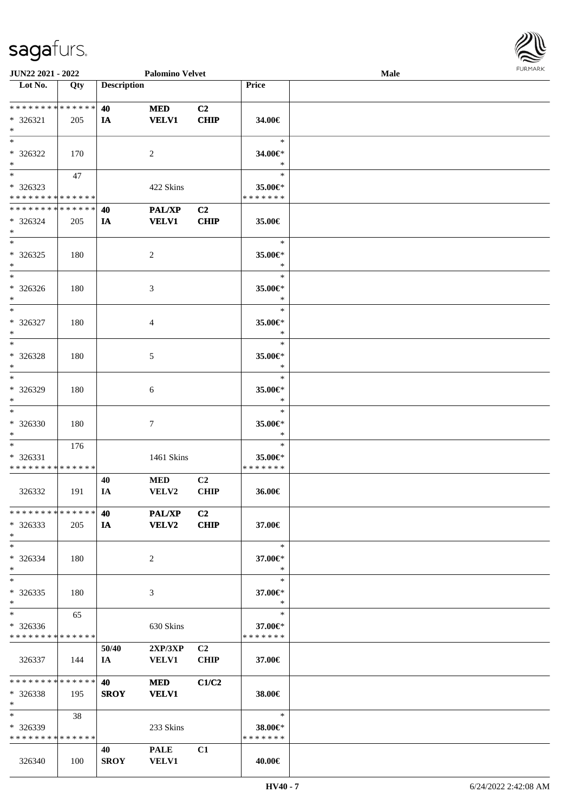| JUN22 2021 - 2022                       |       |                    | <b>Palomino Velvet</b> |                |                          | <b>Male</b> | $1 \times 1 \times 1 \times 1 \times 1$ |
|-----------------------------------------|-------|--------------------|------------------------|----------------|--------------------------|-------------|-----------------------------------------|
| Lot No.                                 | Qty   | <b>Description</b> |                        |                | Price                    |             |                                         |
|                                         |       |                    |                        |                |                          |             |                                         |
| * * * * * * * * * * * * * *             |       | 40                 | <b>MED</b>             | C2             |                          |             |                                         |
| * 326321                                | 205   | IA                 | <b>VELV1</b>           | <b>CHIP</b>    | 34.00€                   |             |                                         |
| $*$                                     |       |                    |                        |                |                          |             |                                         |
| $*$                                     |       |                    |                        |                | $\ast$                   |             |                                         |
| * 326322                                | 170   |                    | $\overline{c}$         |                | 34.00€*                  |             |                                         |
| $*$                                     |       |                    |                        |                | $\ast$                   |             |                                         |
|                                         | 47    |                    |                        |                | $\ast$                   |             |                                         |
|                                         |       |                    |                        |                |                          |             |                                         |
| * 326323<br>* * * * * * * * * * * * * * |       |                    | 422 Skins              |                | 35.00€*<br>* * * * * * * |             |                                         |
|                                         |       |                    |                        |                |                          |             |                                         |
| * * * * * * * * * * * * * *             |       | 40                 | PAL/XP                 | C <sub>2</sub> |                          |             |                                         |
| * 326324                                | 205   | IA                 | <b>VELV1</b>           | <b>CHIP</b>    | 35.00€                   |             |                                         |
| $*$                                     |       |                    |                        |                |                          |             |                                         |
|                                         |       |                    |                        |                | $\ast$                   |             |                                         |
| $* 326325$                              | 180   |                    | $\overline{c}$         |                | 35.00€*                  |             |                                         |
| $*$                                     |       |                    |                        |                | $\ast$                   |             |                                         |
| $*$                                     |       |                    |                        |                | $\ast$                   |             |                                         |
| * 326326                                | 180   |                    | 3                      |                | 35.00€*                  |             |                                         |
| $*$                                     |       |                    |                        |                | $\ast$                   |             |                                         |
| $*$                                     |       |                    |                        |                | $\ast$                   |             |                                         |
| * 326327                                | 180   |                    | 4                      |                | 35.00€*                  |             |                                         |
| $*$                                     |       |                    |                        |                | $\ast$                   |             |                                         |
| $*$                                     |       |                    |                        |                | $\ast$                   |             |                                         |
| * 326328                                | 180   |                    |                        |                | 35.00€*                  |             |                                         |
| $\ast$                                  |       |                    | 5                      |                | $\ast$                   |             |                                         |
|                                         |       |                    |                        |                | $\ast$                   |             |                                         |
|                                         |       |                    |                        |                |                          |             |                                         |
| * 326329                                | 180   |                    | 6                      |                | 35.00€*                  |             |                                         |
| $*$                                     |       |                    |                        |                | $\ast$                   |             |                                         |
| $*$                                     |       |                    |                        |                | $\ast$                   |             |                                         |
| * 326330                                | 180   |                    | 7                      |                | 35.00€*                  |             |                                         |
| $*$                                     |       |                    |                        |                | $\ast$                   |             |                                         |
| $*$                                     | 176   |                    |                        |                | $\ast$                   |             |                                         |
| * 326331                                |       |                    | 1461 Skins             |                | 35.00€*                  |             |                                         |
| * * * * * * * * * * * * * *             |       |                    |                        |                | * * * * * * *            |             |                                         |
|                                         |       | 40                 | <b>MED</b>             | C2             |                          |             |                                         |
| 326332                                  | 191   | IA                 | VELV2                  | <b>CHIP</b>    | 36.00€                   |             |                                         |
|                                         |       |                    |                        |                |                          |             |                                         |
| * * * * * * * * * * * * * *             |       | 40                 | <b>PAL/XP</b>          | C2             |                          |             |                                         |
| $*326333$                               | 205   | <b>IA</b>          | VELV2                  | <b>CHIP</b>    | 37.00€                   |             |                                         |
| $*$                                     |       |                    |                        |                |                          |             |                                         |
| $*$                                     |       |                    |                        |                | $\ast$                   |             |                                         |
| * 326334                                | 180   |                    | 2                      |                | 37.00€*                  |             |                                         |
| $*$                                     |       |                    |                        |                | ∗                        |             |                                         |
| $*$                                     |       |                    |                        |                | $\ast$                   |             |                                         |
|                                         |       |                    |                        |                |                          |             |                                         |
| $*326335$<br>$*$                        | 180   |                    | 3                      |                | 37.00€*<br>$\ast$        |             |                                         |
| $*$                                     |       |                    |                        |                | $\ast$                   |             |                                         |
|                                         | 65    |                    |                        |                |                          |             |                                         |
| $* 326336$                              |       |                    | 630 Skins              |                | 37.00€*                  |             |                                         |
| * * * * * * * * * * * * * *             |       |                    |                        |                | * * * * * * *            |             |                                         |
|                                         |       | 50/40              | 2XP/3XP                | C2             |                          |             |                                         |
| 326337                                  | - 144 | IA –               | <b>VELV1</b>           | <b>CHIP</b>    | 37.00€                   |             |                                         |
|                                         |       |                    |                        |                |                          |             |                                         |
| * * * * * * * * * * * * * * *           |       | 40                 | <b>MED</b>             | C1/C2          |                          |             |                                         |
| $* 326338$                              | 195   | <b>SROY</b>        | <b>VELV1</b>           |                | 38.00€                   |             |                                         |
| $*$                                     |       |                    |                        |                |                          |             |                                         |
| $*$ and $*$                             | 38    |                    |                        |                | $\ast$                   |             |                                         |
| * 326339                                |       |                    | 233 Skins              |                | 38.00€*                  |             |                                         |
| * * * * * * * * * * * * * *             |       |                    |                        |                | * * * * * * *            |             |                                         |
|                                         |       | 40                 | <b>PALE</b>            | C1             |                          |             |                                         |
| 326340                                  | 100   | <b>SROY</b>        | <b>VELV1</b>           |                | 40.00€                   |             |                                         |
|                                         |       |                    |                        |                |                          |             |                                         |

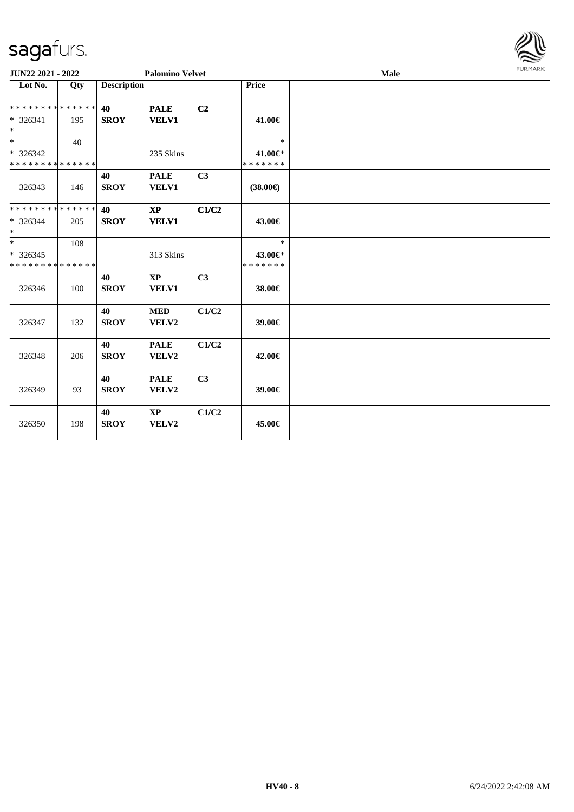

| JUN22 2021 - 2022                                                       |     |                    | <b>Palomino Velvet</b>                 |                |                                    | <b>Male</b> | <b>FURMARK</b> |
|-------------------------------------------------------------------------|-----|--------------------|----------------------------------------|----------------|------------------------------------|-------------|----------------|
| Lot No.                                                                 | Qty | <b>Description</b> |                                        |                | Price                              |             |                |
| * * * * * * * * * * * * * *<br>* 326341<br>$\ast$                       | 195 | 40<br><b>SROY</b>  | <b>PALE</b><br><b>VELV1</b>            | C <sub>2</sub> | 41.00€                             |             |                |
| $\overline{\phantom{a}^*}$<br>$* 326342$<br>* * * * * * * * * * * * * * | 40  |                    | 235 Skins                              |                | $\ast$<br>41.00€*<br>* * * * * * * |             |                |
| 326343                                                                  | 146 | 40<br><b>SROY</b>  | <b>PALE</b><br><b>VELV1</b>            | C3             | $(38.00\epsilon)$                  |             |                |
| * * * * * * * * * * * * * *<br>* 326344<br>$\ast$                       | 205 | 40<br><b>SROY</b>  | $\mathbf{X}\mathbf{P}$<br><b>VELV1</b> | C1/C2          | 43.00€                             |             |                |
| $_{\ast}^{-}$<br>$* 326345$<br>* * * * * * * * * * * * * *              | 108 |                    | 313 Skins                              |                | $\ast$<br>43.00€*<br>* * * * * * * |             |                |
| 326346                                                                  | 100 | 40<br><b>SROY</b>  | $\mathbf{X}\mathbf{P}$<br>VELV1        | C3             | 38.00€                             |             |                |
| 326347                                                                  | 132 | 40<br><b>SROY</b>  | $\bf MED$<br>VELV2                     | C1/C2          | 39.00€                             |             |                |
| 326348                                                                  | 206 | 40<br><b>SROY</b>  | <b>PALE</b><br>VELV2                   | C1/C2          | 42.00€                             |             |                |
| 326349                                                                  | 93  | 40<br><b>SROY</b>  | <b>PALE</b><br>VELV2                   | C3             | 39.00€                             |             |                |
| 326350                                                                  | 198 | 40<br><b>SROY</b>  | $\mathbf{X}\mathbf{P}$<br>VELV2        | C1/C2          | 45.00€                             |             |                |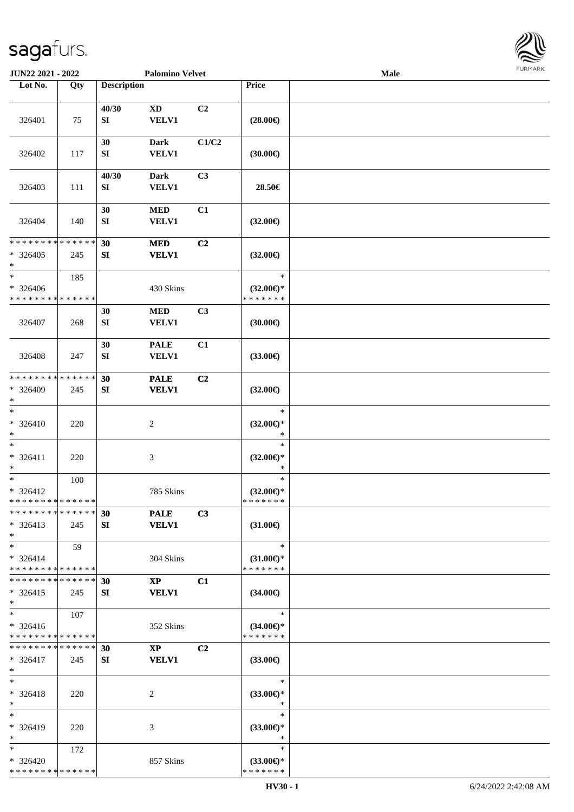

| Lot No.<br><b>Description</b><br>Price<br>Qty<br>C2<br>40/30<br><b>XD</b><br>326401<br>SI<br><b>VELV1</b><br>75<br>$(28.00\epsilon)$<br>C1/C2<br>30<br><b>Dark</b><br><b>VELV1</b><br>326402<br>117<br>SI<br>(30.00)<br>40/30<br>C <sub>3</sub><br><b>Dark</b><br><b>VELV1</b><br>28.50€<br>326403<br>111<br>SI<br>30<br>$\bf MED$<br>C1<br>${\bf SI}$<br><b>VELV1</b><br>326404<br>140<br>$(32.00\epsilon)$<br>* * * * * * * * * * * * * *<br>C2<br>30<br><b>MED</b><br>$* 326405$<br><b>VELV1</b><br>$(32.00\epsilon)$<br>245<br>SI<br>$\ast$<br>$\ast$<br>$\ast$<br>185<br>$* 326406$<br>430 Skins<br>$(32.00\epsilon)$ *<br>* * * * * * *<br>* * * * * * * * * * * * * *<br>$\bf MED$<br>C3<br>30<br>SI<br><b>VELV1</b><br>326407<br>268<br>(30.00)<br>30<br><b>PALE</b><br>C1<br>326408<br><b>VELV1</b><br>$(33.00\epsilon)$<br>247<br>SI<br>* * * * * * * * * * * * * *<br>C <sub>2</sub><br>30<br><b>PALE</b><br>* 326409<br>SI<br><b>VELV1</b><br>$(32.00\epsilon)$<br>245<br>$\ast$<br>$\ast$<br>$\ast$<br>$* 326410$<br>$\boldsymbol{2}$<br>$(32.00\epsilon)$ *<br>220<br>$\ast$<br>$\ast$<br>$\ast$<br>$\ast$<br>$* 326411$<br>$\ensuremath{\mathfrak{Z}}$<br>$(32.00\epsilon)$ *<br>220<br>$\ast$<br>$\ast$<br>$\ast$<br>$\ast$<br>100<br>$* 326412$<br>785 Skins<br>$(32.00\epsilon)$ *<br>* * * * * * * * * * * * * *<br>* * * * * * *<br>* * * * * * * * * * * * * * *<br><b>PALE</b><br>C3<br>30<br>$* 326413$<br><b>VELV1</b><br>SI<br>$(31.00\epsilon)$<br>245<br>$*$<br>$*$<br>$\ast$<br>59<br>$* 326414$<br>304 Skins<br>$(31.00\epsilon)$ *<br>* * * * * * * * * * * * * *<br>* * * * * * *<br>* * * * * * * * * * * * * *<br>C1<br>30<br>$\mathbf{X}\mathbf{P}$<br><b>VELV1</b><br>$* 326415$<br>SI<br>$(34.00\epsilon)$<br>245<br>$*$<br>$\ast$<br>$\ast$<br>107<br>$* 326416$<br>$(34.00€)$ *<br>352 Skins<br>* * * * * * * * * * * * * *<br>* * * * * * *<br>* * * * * * * * * * * * * *<br>30<br>$\mathbf{XP}$<br>C2<br>$* 326417$<br><b>VELV1</b><br>SI<br>$(33.00\epsilon)$<br>245<br>$*$<br>$\ast$<br>$\ast$<br>$* 326418$<br>$(33.00\epsilon)$ *<br>2<br>220<br>$*$<br>$\ast$<br>$\ast$<br>$\ast$<br>* 326419<br>220<br>3<br>$(33.00\epsilon)$ *<br>$*$<br>$\ast$ |  |
|-------------------------------------------------------------------------------------------------------------------------------------------------------------------------------------------------------------------------------------------------------------------------------------------------------------------------------------------------------------------------------------------------------------------------------------------------------------------------------------------------------------------------------------------------------------------------------------------------------------------------------------------------------------------------------------------------------------------------------------------------------------------------------------------------------------------------------------------------------------------------------------------------------------------------------------------------------------------------------------------------------------------------------------------------------------------------------------------------------------------------------------------------------------------------------------------------------------------------------------------------------------------------------------------------------------------------------------------------------------------------------------------------------------------------------------------------------------------------------------------------------------------------------------------------------------------------------------------------------------------------------------------------------------------------------------------------------------------------------------------------------------------------------------------------------------------------------------------------------------------------------------------------------------------------------------------------------------------------------------------------------------------------------------------------------------------------------------------------------------------------------------------------------------------------------------------------|--|
|                                                                                                                                                                                                                                                                                                                                                                                                                                                                                                                                                                                                                                                                                                                                                                                                                                                                                                                                                                                                                                                                                                                                                                                                                                                                                                                                                                                                                                                                                                                                                                                                                                                                                                                                                                                                                                                                                                                                                                                                                                                                                                                                                                                                 |  |
|                                                                                                                                                                                                                                                                                                                                                                                                                                                                                                                                                                                                                                                                                                                                                                                                                                                                                                                                                                                                                                                                                                                                                                                                                                                                                                                                                                                                                                                                                                                                                                                                                                                                                                                                                                                                                                                                                                                                                                                                                                                                                                                                                                                                 |  |
|                                                                                                                                                                                                                                                                                                                                                                                                                                                                                                                                                                                                                                                                                                                                                                                                                                                                                                                                                                                                                                                                                                                                                                                                                                                                                                                                                                                                                                                                                                                                                                                                                                                                                                                                                                                                                                                                                                                                                                                                                                                                                                                                                                                                 |  |
|                                                                                                                                                                                                                                                                                                                                                                                                                                                                                                                                                                                                                                                                                                                                                                                                                                                                                                                                                                                                                                                                                                                                                                                                                                                                                                                                                                                                                                                                                                                                                                                                                                                                                                                                                                                                                                                                                                                                                                                                                                                                                                                                                                                                 |  |
|                                                                                                                                                                                                                                                                                                                                                                                                                                                                                                                                                                                                                                                                                                                                                                                                                                                                                                                                                                                                                                                                                                                                                                                                                                                                                                                                                                                                                                                                                                                                                                                                                                                                                                                                                                                                                                                                                                                                                                                                                                                                                                                                                                                                 |  |
|                                                                                                                                                                                                                                                                                                                                                                                                                                                                                                                                                                                                                                                                                                                                                                                                                                                                                                                                                                                                                                                                                                                                                                                                                                                                                                                                                                                                                                                                                                                                                                                                                                                                                                                                                                                                                                                                                                                                                                                                                                                                                                                                                                                                 |  |
|                                                                                                                                                                                                                                                                                                                                                                                                                                                                                                                                                                                                                                                                                                                                                                                                                                                                                                                                                                                                                                                                                                                                                                                                                                                                                                                                                                                                                                                                                                                                                                                                                                                                                                                                                                                                                                                                                                                                                                                                                                                                                                                                                                                                 |  |
|                                                                                                                                                                                                                                                                                                                                                                                                                                                                                                                                                                                                                                                                                                                                                                                                                                                                                                                                                                                                                                                                                                                                                                                                                                                                                                                                                                                                                                                                                                                                                                                                                                                                                                                                                                                                                                                                                                                                                                                                                                                                                                                                                                                                 |  |
|                                                                                                                                                                                                                                                                                                                                                                                                                                                                                                                                                                                                                                                                                                                                                                                                                                                                                                                                                                                                                                                                                                                                                                                                                                                                                                                                                                                                                                                                                                                                                                                                                                                                                                                                                                                                                                                                                                                                                                                                                                                                                                                                                                                                 |  |
|                                                                                                                                                                                                                                                                                                                                                                                                                                                                                                                                                                                                                                                                                                                                                                                                                                                                                                                                                                                                                                                                                                                                                                                                                                                                                                                                                                                                                                                                                                                                                                                                                                                                                                                                                                                                                                                                                                                                                                                                                                                                                                                                                                                                 |  |
|                                                                                                                                                                                                                                                                                                                                                                                                                                                                                                                                                                                                                                                                                                                                                                                                                                                                                                                                                                                                                                                                                                                                                                                                                                                                                                                                                                                                                                                                                                                                                                                                                                                                                                                                                                                                                                                                                                                                                                                                                                                                                                                                                                                                 |  |
|                                                                                                                                                                                                                                                                                                                                                                                                                                                                                                                                                                                                                                                                                                                                                                                                                                                                                                                                                                                                                                                                                                                                                                                                                                                                                                                                                                                                                                                                                                                                                                                                                                                                                                                                                                                                                                                                                                                                                                                                                                                                                                                                                                                                 |  |
|                                                                                                                                                                                                                                                                                                                                                                                                                                                                                                                                                                                                                                                                                                                                                                                                                                                                                                                                                                                                                                                                                                                                                                                                                                                                                                                                                                                                                                                                                                                                                                                                                                                                                                                                                                                                                                                                                                                                                                                                                                                                                                                                                                                                 |  |
|                                                                                                                                                                                                                                                                                                                                                                                                                                                                                                                                                                                                                                                                                                                                                                                                                                                                                                                                                                                                                                                                                                                                                                                                                                                                                                                                                                                                                                                                                                                                                                                                                                                                                                                                                                                                                                                                                                                                                                                                                                                                                                                                                                                                 |  |
|                                                                                                                                                                                                                                                                                                                                                                                                                                                                                                                                                                                                                                                                                                                                                                                                                                                                                                                                                                                                                                                                                                                                                                                                                                                                                                                                                                                                                                                                                                                                                                                                                                                                                                                                                                                                                                                                                                                                                                                                                                                                                                                                                                                                 |  |
|                                                                                                                                                                                                                                                                                                                                                                                                                                                                                                                                                                                                                                                                                                                                                                                                                                                                                                                                                                                                                                                                                                                                                                                                                                                                                                                                                                                                                                                                                                                                                                                                                                                                                                                                                                                                                                                                                                                                                                                                                                                                                                                                                                                                 |  |
|                                                                                                                                                                                                                                                                                                                                                                                                                                                                                                                                                                                                                                                                                                                                                                                                                                                                                                                                                                                                                                                                                                                                                                                                                                                                                                                                                                                                                                                                                                                                                                                                                                                                                                                                                                                                                                                                                                                                                                                                                                                                                                                                                                                                 |  |
|                                                                                                                                                                                                                                                                                                                                                                                                                                                                                                                                                                                                                                                                                                                                                                                                                                                                                                                                                                                                                                                                                                                                                                                                                                                                                                                                                                                                                                                                                                                                                                                                                                                                                                                                                                                                                                                                                                                                                                                                                                                                                                                                                                                                 |  |
|                                                                                                                                                                                                                                                                                                                                                                                                                                                                                                                                                                                                                                                                                                                                                                                                                                                                                                                                                                                                                                                                                                                                                                                                                                                                                                                                                                                                                                                                                                                                                                                                                                                                                                                                                                                                                                                                                                                                                                                                                                                                                                                                                                                                 |  |
|                                                                                                                                                                                                                                                                                                                                                                                                                                                                                                                                                                                                                                                                                                                                                                                                                                                                                                                                                                                                                                                                                                                                                                                                                                                                                                                                                                                                                                                                                                                                                                                                                                                                                                                                                                                                                                                                                                                                                                                                                                                                                                                                                                                                 |  |
|                                                                                                                                                                                                                                                                                                                                                                                                                                                                                                                                                                                                                                                                                                                                                                                                                                                                                                                                                                                                                                                                                                                                                                                                                                                                                                                                                                                                                                                                                                                                                                                                                                                                                                                                                                                                                                                                                                                                                                                                                                                                                                                                                                                                 |  |
|                                                                                                                                                                                                                                                                                                                                                                                                                                                                                                                                                                                                                                                                                                                                                                                                                                                                                                                                                                                                                                                                                                                                                                                                                                                                                                                                                                                                                                                                                                                                                                                                                                                                                                                                                                                                                                                                                                                                                                                                                                                                                                                                                                                                 |  |
|                                                                                                                                                                                                                                                                                                                                                                                                                                                                                                                                                                                                                                                                                                                                                                                                                                                                                                                                                                                                                                                                                                                                                                                                                                                                                                                                                                                                                                                                                                                                                                                                                                                                                                                                                                                                                                                                                                                                                                                                                                                                                                                                                                                                 |  |
|                                                                                                                                                                                                                                                                                                                                                                                                                                                                                                                                                                                                                                                                                                                                                                                                                                                                                                                                                                                                                                                                                                                                                                                                                                                                                                                                                                                                                                                                                                                                                                                                                                                                                                                                                                                                                                                                                                                                                                                                                                                                                                                                                                                                 |  |
|                                                                                                                                                                                                                                                                                                                                                                                                                                                                                                                                                                                                                                                                                                                                                                                                                                                                                                                                                                                                                                                                                                                                                                                                                                                                                                                                                                                                                                                                                                                                                                                                                                                                                                                                                                                                                                                                                                                                                                                                                                                                                                                                                                                                 |  |
|                                                                                                                                                                                                                                                                                                                                                                                                                                                                                                                                                                                                                                                                                                                                                                                                                                                                                                                                                                                                                                                                                                                                                                                                                                                                                                                                                                                                                                                                                                                                                                                                                                                                                                                                                                                                                                                                                                                                                                                                                                                                                                                                                                                                 |  |
|                                                                                                                                                                                                                                                                                                                                                                                                                                                                                                                                                                                                                                                                                                                                                                                                                                                                                                                                                                                                                                                                                                                                                                                                                                                                                                                                                                                                                                                                                                                                                                                                                                                                                                                                                                                                                                                                                                                                                                                                                                                                                                                                                                                                 |  |
|                                                                                                                                                                                                                                                                                                                                                                                                                                                                                                                                                                                                                                                                                                                                                                                                                                                                                                                                                                                                                                                                                                                                                                                                                                                                                                                                                                                                                                                                                                                                                                                                                                                                                                                                                                                                                                                                                                                                                                                                                                                                                                                                                                                                 |  |
|                                                                                                                                                                                                                                                                                                                                                                                                                                                                                                                                                                                                                                                                                                                                                                                                                                                                                                                                                                                                                                                                                                                                                                                                                                                                                                                                                                                                                                                                                                                                                                                                                                                                                                                                                                                                                                                                                                                                                                                                                                                                                                                                                                                                 |  |
|                                                                                                                                                                                                                                                                                                                                                                                                                                                                                                                                                                                                                                                                                                                                                                                                                                                                                                                                                                                                                                                                                                                                                                                                                                                                                                                                                                                                                                                                                                                                                                                                                                                                                                                                                                                                                                                                                                                                                                                                                                                                                                                                                                                                 |  |
|                                                                                                                                                                                                                                                                                                                                                                                                                                                                                                                                                                                                                                                                                                                                                                                                                                                                                                                                                                                                                                                                                                                                                                                                                                                                                                                                                                                                                                                                                                                                                                                                                                                                                                                                                                                                                                                                                                                                                                                                                                                                                                                                                                                                 |  |
|                                                                                                                                                                                                                                                                                                                                                                                                                                                                                                                                                                                                                                                                                                                                                                                                                                                                                                                                                                                                                                                                                                                                                                                                                                                                                                                                                                                                                                                                                                                                                                                                                                                                                                                                                                                                                                                                                                                                                                                                                                                                                                                                                                                                 |  |
|                                                                                                                                                                                                                                                                                                                                                                                                                                                                                                                                                                                                                                                                                                                                                                                                                                                                                                                                                                                                                                                                                                                                                                                                                                                                                                                                                                                                                                                                                                                                                                                                                                                                                                                                                                                                                                                                                                                                                                                                                                                                                                                                                                                                 |  |
|                                                                                                                                                                                                                                                                                                                                                                                                                                                                                                                                                                                                                                                                                                                                                                                                                                                                                                                                                                                                                                                                                                                                                                                                                                                                                                                                                                                                                                                                                                                                                                                                                                                                                                                                                                                                                                                                                                                                                                                                                                                                                                                                                                                                 |  |
|                                                                                                                                                                                                                                                                                                                                                                                                                                                                                                                                                                                                                                                                                                                                                                                                                                                                                                                                                                                                                                                                                                                                                                                                                                                                                                                                                                                                                                                                                                                                                                                                                                                                                                                                                                                                                                                                                                                                                                                                                                                                                                                                                                                                 |  |
|                                                                                                                                                                                                                                                                                                                                                                                                                                                                                                                                                                                                                                                                                                                                                                                                                                                                                                                                                                                                                                                                                                                                                                                                                                                                                                                                                                                                                                                                                                                                                                                                                                                                                                                                                                                                                                                                                                                                                                                                                                                                                                                                                                                                 |  |
|                                                                                                                                                                                                                                                                                                                                                                                                                                                                                                                                                                                                                                                                                                                                                                                                                                                                                                                                                                                                                                                                                                                                                                                                                                                                                                                                                                                                                                                                                                                                                                                                                                                                                                                                                                                                                                                                                                                                                                                                                                                                                                                                                                                                 |  |
|                                                                                                                                                                                                                                                                                                                                                                                                                                                                                                                                                                                                                                                                                                                                                                                                                                                                                                                                                                                                                                                                                                                                                                                                                                                                                                                                                                                                                                                                                                                                                                                                                                                                                                                                                                                                                                                                                                                                                                                                                                                                                                                                                                                                 |  |
|                                                                                                                                                                                                                                                                                                                                                                                                                                                                                                                                                                                                                                                                                                                                                                                                                                                                                                                                                                                                                                                                                                                                                                                                                                                                                                                                                                                                                                                                                                                                                                                                                                                                                                                                                                                                                                                                                                                                                                                                                                                                                                                                                                                                 |  |
|                                                                                                                                                                                                                                                                                                                                                                                                                                                                                                                                                                                                                                                                                                                                                                                                                                                                                                                                                                                                                                                                                                                                                                                                                                                                                                                                                                                                                                                                                                                                                                                                                                                                                                                                                                                                                                                                                                                                                                                                                                                                                                                                                                                                 |  |
|                                                                                                                                                                                                                                                                                                                                                                                                                                                                                                                                                                                                                                                                                                                                                                                                                                                                                                                                                                                                                                                                                                                                                                                                                                                                                                                                                                                                                                                                                                                                                                                                                                                                                                                                                                                                                                                                                                                                                                                                                                                                                                                                                                                                 |  |
|                                                                                                                                                                                                                                                                                                                                                                                                                                                                                                                                                                                                                                                                                                                                                                                                                                                                                                                                                                                                                                                                                                                                                                                                                                                                                                                                                                                                                                                                                                                                                                                                                                                                                                                                                                                                                                                                                                                                                                                                                                                                                                                                                                                                 |  |
|                                                                                                                                                                                                                                                                                                                                                                                                                                                                                                                                                                                                                                                                                                                                                                                                                                                                                                                                                                                                                                                                                                                                                                                                                                                                                                                                                                                                                                                                                                                                                                                                                                                                                                                                                                                                                                                                                                                                                                                                                                                                                                                                                                                                 |  |
|                                                                                                                                                                                                                                                                                                                                                                                                                                                                                                                                                                                                                                                                                                                                                                                                                                                                                                                                                                                                                                                                                                                                                                                                                                                                                                                                                                                                                                                                                                                                                                                                                                                                                                                                                                                                                                                                                                                                                                                                                                                                                                                                                                                                 |  |
|                                                                                                                                                                                                                                                                                                                                                                                                                                                                                                                                                                                                                                                                                                                                                                                                                                                                                                                                                                                                                                                                                                                                                                                                                                                                                                                                                                                                                                                                                                                                                                                                                                                                                                                                                                                                                                                                                                                                                                                                                                                                                                                                                                                                 |  |
|                                                                                                                                                                                                                                                                                                                                                                                                                                                                                                                                                                                                                                                                                                                                                                                                                                                                                                                                                                                                                                                                                                                                                                                                                                                                                                                                                                                                                                                                                                                                                                                                                                                                                                                                                                                                                                                                                                                                                                                                                                                                                                                                                                                                 |  |
|                                                                                                                                                                                                                                                                                                                                                                                                                                                                                                                                                                                                                                                                                                                                                                                                                                                                                                                                                                                                                                                                                                                                                                                                                                                                                                                                                                                                                                                                                                                                                                                                                                                                                                                                                                                                                                                                                                                                                                                                                                                                                                                                                                                                 |  |
|                                                                                                                                                                                                                                                                                                                                                                                                                                                                                                                                                                                                                                                                                                                                                                                                                                                                                                                                                                                                                                                                                                                                                                                                                                                                                                                                                                                                                                                                                                                                                                                                                                                                                                                                                                                                                                                                                                                                                                                                                                                                                                                                                                                                 |  |
|                                                                                                                                                                                                                                                                                                                                                                                                                                                                                                                                                                                                                                                                                                                                                                                                                                                                                                                                                                                                                                                                                                                                                                                                                                                                                                                                                                                                                                                                                                                                                                                                                                                                                                                                                                                                                                                                                                                                                                                                                                                                                                                                                                                                 |  |
|                                                                                                                                                                                                                                                                                                                                                                                                                                                                                                                                                                                                                                                                                                                                                                                                                                                                                                                                                                                                                                                                                                                                                                                                                                                                                                                                                                                                                                                                                                                                                                                                                                                                                                                                                                                                                                                                                                                                                                                                                                                                                                                                                                                                 |  |
|                                                                                                                                                                                                                                                                                                                                                                                                                                                                                                                                                                                                                                                                                                                                                                                                                                                                                                                                                                                                                                                                                                                                                                                                                                                                                                                                                                                                                                                                                                                                                                                                                                                                                                                                                                                                                                                                                                                                                                                                                                                                                                                                                                                                 |  |
|                                                                                                                                                                                                                                                                                                                                                                                                                                                                                                                                                                                                                                                                                                                                                                                                                                                                                                                                                                                                                                                                                                                                                                                                                                                                                                                                                                                                                                                                                                                                                                                                                                                                                                                                                                                                                                                                                                                                                                                                                                                                                                                                                                                                 |  |
|                                                                                                                                                                                                                                                                                                                                                                                                                                                                                                                                                                                                                                                                                                                                                                                                                                                                                                                                                                                                                                                                                                                                                                                                                                                                                                                                                                                                                                                                                                                                                                                                                                                                                                                                                                                                                                                                                                                                                                                                                                                                                                                                                                                                 |  |
|                                                                                                                                                                                                                                                                                                                                                                                                                                                                                                                                                                                                                                                                                                                                                                                                                                                                                                                                                                                                                                                                                                                                                                                                                                                                                                                                                                                                                                                                                                                                                                                                                                                                                                                                                                                                                                                                                                                                                                                                                                                                                                                                                                                                 |  |
| $*$<br>$\ast$                                                                                                                                                                                                                                                                                                                                                                                                                                                                                                                                                                                                                                                                                                                                                                                                                                                                                                                                                                                                                                                                                                                                                                                                                                                                                                                                                                                                                                                                                                                                                                                                                                                                                                                                                                                                                                                                                                                                                                                                                                                                                                                                                                                   |  |
| 172<br>* 326420<br>857 Skins<br>$(33.00\epsilon)$ *                                                                                                                                                                                                                                                                                                                                                                                                                                                                                                                                                                                                                                                                                                                                                                                                                                                                                                                                                                                                                                                                                                                                                                                                                                                                                                                                                                                                                                                                                                                                                                                                                                                                                                                                                                                                                                                                                                                                                                                                                                                                                                                                             |  |
| * * * * * * * * * * * * * *<br>* * * * * * *                                                                                                                                                                                                                                                                                                                                                                                                                                                                                                                                                                                                                                                                                                                                                                                                                                                                                                                                                                                                                                                                                                                                                                                                                                                                                                                                                                                                                                                                                                                                                                                                                                                                                                                                                                                                                                                                                                                                                                                                                                                                                                                                                    |  |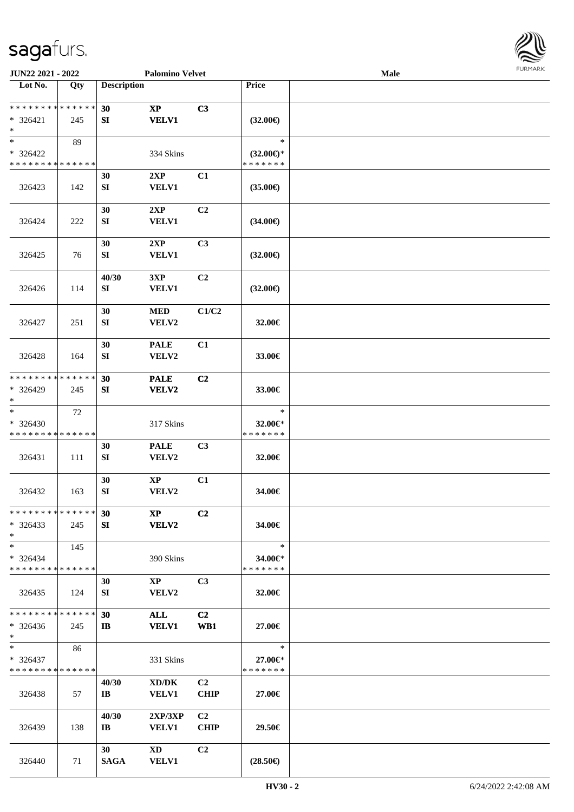

| JUN22 2021 - 2022                       |     |                         | <b>Palomino Velvet</b> |                |                          | <b>Male</b> |  |
|-----------------------------------------|-----|-------------------------|------------------------|----------------|--------------------------|-------------|--|
| Lot No.                                 | Qty | <b>Description</b>      |                        |                | Price                    |             |  |
|                                         |     |                         |                        |                |                          |             |  |
| ******** <mark>******</mark>            |     | 30                      | $\mathbf{X}\mathbf{P}$ | C3             |                          |             |  |
| $* 326421$                              | 245 | SI                      | <b>VELV1</b>           |                | $(32.00\epsilon)$        |             |  |
| $*$                                     |     |                         |                        |                |                          |             |  |
| $*$                                     | 89  |                         |                        |                | $\ast$                   |             |  |
| * 326422                                |     |                         | 334 Skins              |                | $(32.00\epsilon)$ *      |             |  |
| * * * * * * * * * * * * * *             |     |                         |                        |                | * * * * * * *            |             |  |
|                                         |     | 30                      | 2XP                    | C1             |                          |             |  |
| 326423                                  | 142 | SI                      | <b>VELV1</b>           |                | $(35.00\epsilon)$        |             |  |
|                                         |     |                         |                        |                |                          |             |  |
|                                         |     | 30                      | 2XP                    | C2             |                          |             |  |
| 326424                                  | 222 | SI                      | <b>VELV1</b>           |                | $(34.00\epsilon)$        |             |  |
|                                         |     |                         |                        |                |                          |             |  |
|                                         |     | 30                      | 2XP                    | C3             |                          |             |  |
| 326425                                  | 76  | SI                      | <b>VELV1</b>           |                | $(32.00\epsilon)$        |             |  |
|                                         |     | 40/30                   | 3XP                    | C2             |                          |             |  |
| 326426                                  | 114 | SI                      | <b>VELV1</b>           |                | $(32.00\epsilon)$        |             |  |
|                                         |     |                         |                        |                |                          |             |  |
|                                         |     | 30                      | <b>MED</b>             | C1/C2          |                          |             |  |
| 326427                                  | 251 | SI                      | VELV2                  |                | 32.00€                   |             |  |
|                                         |     |                         |                        |                |                          |             |  |
|                                         |     | 30                      | <b>PALE</b>            | C1             |                          |             |  |
| 326428                                  | 164 | SI                      | VELV2                  |                | 33.00€                   |             |  |
|                                         |     |                         |                        |                |                          |             |  |
| * * * * * * * * * * * * * *             |     | 30                      | <b>PALE</b>            | C2             |                          |             |  |
| * 326429                                | 245 | SI                      | VELV2                  |                | 33.00€                   |             |  |
| $*$                                     |     |                         |                        |                |                          |             |  |
| $\ast$                                  | 72  |                         |                        |                | $\ast$                   |             |  |
| * 326430                                |     |                         | 317 Skins              |                | 32.00€*                  |             |  |
| * * * * * * * * * * * * * *             |     |                         |                        |                | * * * * * * *            |             |  |
|                                         |     | 30                      | <b>PALE</b>            | C3             |                          |             |  |
| 326431                                  | 111 | SI                      | VELV2                  |                | 32.00€                   |             |  |
|                                         |     |                         |                        |                |                          |             |  |
|                                         |     | 30                      | $\bold{XP}$            | C1             |                          |             |  |
| 326432                                  | 163 | SI                      | VELV2                  |                | 34.00€                   |             |  |
|                                         |     |                         |                        |                |                          |             |  |
| * * * * * * * * * * * * * * *           |     | 30                      | $\mathbf{X}\mathbf{P}$ | C2             |                          |             |  |
| $*326433$                               | 245 | SI                      | <b>VELV2</b>           |                | 34.00€                   |             |  |
| $*$                                     |     |                         |                        |                |                          |             |  |
| $*$                                     | 145 |                         |                        |                | $\ast$                   |             |  |
| * 326434                                |     |                         | 390 Skins              |                | 34.00€*                  |             |  |
| * * * * * * * * * * * * * * *           |     |                         |                        |                | * * * * * * *            |             |  |
|                                         |     | 30                      | $\mathbf{X}\mathbf{P}$ | C <sub>3</sub> |                          |             |  |
| 326435                                  | 124 | SI                      | VELV2                  |                | 32.00€                   |             |  |
| * * * * * * * * * * * * * *             |     |                         |                        |                |                          |             |  |
|                                         |     | 30                      | ALL                    | C2             |                          |             |  |
| $*326436$<br>$*$                        | 245 | $\mathbf{I}$            | <b>VELV1</b>           | WB1            | 27.00€                   |             |  |
| $*$ $*$                                 | 86  |                         |                        |                | $\ast$                   |             |  |
|                                         |     |                         |                        |                |                          |             |  |
| * 326437<br>* * * * * * * * * * * * * * |     |                         | 331 Skins              |                | 27.00€*<br>* * * * * * * |             |  |
|                                         |     | 40/30                   | XD/DK                  | C2             |                          |             |  |
| 326438                                  | 57  | $\mathbf{I} \mathbf{B}$ | <b>VELV1</b>           | <b>CHIP</b>    | 27.00€                   |             |  |
|                                         |     |                         |                        |                |                          |             |  |
|                                         |     | 40/30                   | 2XP/3XP                | C2             |                          |             |  |
| 326439                                  | 138 | $\mathbf{I} \mathbf{B}$ | <b>VELV1</b>           | <b>CHIP</b>    | 29.50€                   |             |  |
|                                         |     |                         |                        |                |                          |             |  |
|                                         |     | 30 <sup>1</sup>         | $\mathbf{X}\mathbf{D}$ | C2             |                          |             |  |
| 326440                                  | 71  | <b>SAGA</b>             | <b>VELV1</b>           |                | $(28.50\epsilon)$        |             |  |
|                                         |     |                         |                        |                |                          |             |  |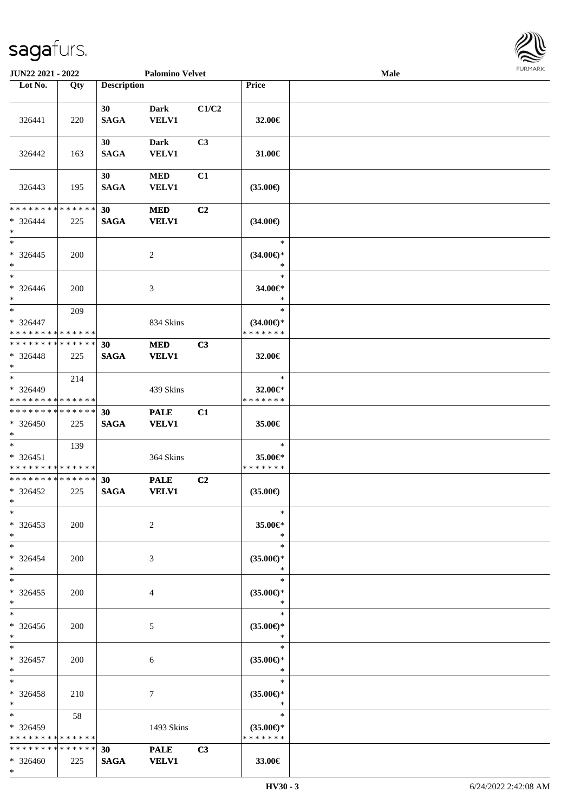

| JUN22 2021 - 2022                                         |     |                    | <b>Palomino Velvet</b>      |                |                                                | Male | <b>LOKINKY</b> |
|-----------------------------------------------------------|-----|--------------------|-----------------------------|----------------|------------------------------------------------|------|----------------|
| Lot No.                                                   | Qty | <b>Description</b> |                             |                | Price                                          |      |                |
| 326441                                                    | 220 | 30<br><b>SAGA</b>  | Dark<br>VELV1               | C1/C2          | 32.00€                                         |      |                |
| 326442                                                    | 163 | 30<br><b>SAGA</b>  | <b>Dark</b><br>VELV1        | C3             | 31.00€                                         |      |                |
| 326443                                                    | 195 | 30<br><b>SAGA</b>  | $\bf MED$<br><b>VELV1</b>   | C1             | $(35.00\epsilon)$                              |      |                |
| * * * * * * * * * * * * * *<br>$* 326444$<br>$\ast$       | 225 | 30<br><b>SAGA</b>  | <b>MED</b><br><b>VELV1</b>  | C <sub>2</sub> | $(34.00\epsilon)$                              |      |                |
| $\overline{\phantom{0}}$<br>$* 326445$<br>$*$             | 200 |                    | $\overline{c}$              |                | $\ast$<br>$(34.00\epsilon)$ *<br>$\ast$        |      |                |
| $\overline{\phantom{0}}$<br>$* 326446$<br>$\ast$          | 200 |                    | 3                           |                | $\ast$<br>34.00€*<br>$\ast$                    |      |                |
| $*$<br>$* 326447$<br>* * * * * * * * * * * * * *          | 209 |                    | 834 Skins                   |                | $\ast$<br>$(34.00\epsilon)$ *<br>* * * * * * * |      |                |
| * * * * * * * * * * * * * *<br>$* 326448$<br>$*$          | 225 | 30<br><b>SAGA</b>  | <b>MED</b><br><b>VELV1</b>  | C3             | 32.00€                                         |      |                |
| $\ast$<br>* 326449<br>* * * * * * * * * * * * * *         | 214 |                    | 439 Skins                   |                | $\ast$<br>32.00€*<br>* * * * * * *             |      |                |
| * * * * * * * * * * * * * *<br>$* 326450$<br>$*$          | 225 | 30<br><b>SAGA</b>  | <b>PALE</b><br><b>VELV1</b> | C1             | 35.00€                                         |      |                |
| $*$<br>* 326451<br>* * * * * * * * * * * * * *            | 139 |                    | 364 Skins                   |                | $\ast$<br>35.00€*<br>* * * * * * *             |      |                |
| * * * * * * * * * * * * * *<br>$* 326452$<br>$\mathbf{x}$ | 225 | 30<br><b>SAGA</b>  | <b>PALE</b><br><b>VELV1</b> | C <sub>2</sub> | $(35.00\in)$                                   |      |                |
| $\ast$<br>$*326453$<br>$*$                                | 200 |                    | $\overline{2}$              |                | $\ast$<br>35.00€*<br>$\ast$                    |      |                |
| $\ast$<br>$* 326454$<br>$*$                               | 200 |                    | 3                           |                | $\ast$<br>$(35.00\epsilon)$ *<br>$\ast$        |      |                |
| $*$<br>$*326455$<br>$*$                                   | 200 |                    | 4                           |                | $\ast$<br>$(35.00\epsilon)$ *<br>$\ast$        |      |                |
| $*$<br>* 326456<br>$*$                                    | 200 |                    | 5                           |                | $\ast$<br>$(35.00\epsilon)$ *<br>$\ast$        |      |                |
| $*$<br>$* 326457$<br>$*$                                  | 200 |                    | 6                           |                | $\ast$<br>$(35.00\epsilon)$ *<br>$\ast$        |      |                |
| $*$<br>$* 326458$<br>$*$                                  | 210 |                    | 7                           |                | $\ast$<br>$(35.00\epsilon)$ *<br>$\ast$        |      |                |
| $*$ and $*$<br>* 326459<br>* * * * * * * * * * * * * *    | 58  |                    | 1493 Skins                  |                | $\ast$<br>$(35.00\epsilon)$ *<br>* * * * * * * |      |                |
| * * * * * * * * * * * * * *<br>* 326460<br>$*$            | 225 | 30<br><b>SAGA</b>  | <b>PALE</b><br><b>VELV1</b> | C3             | 33.00€                                         |      |                |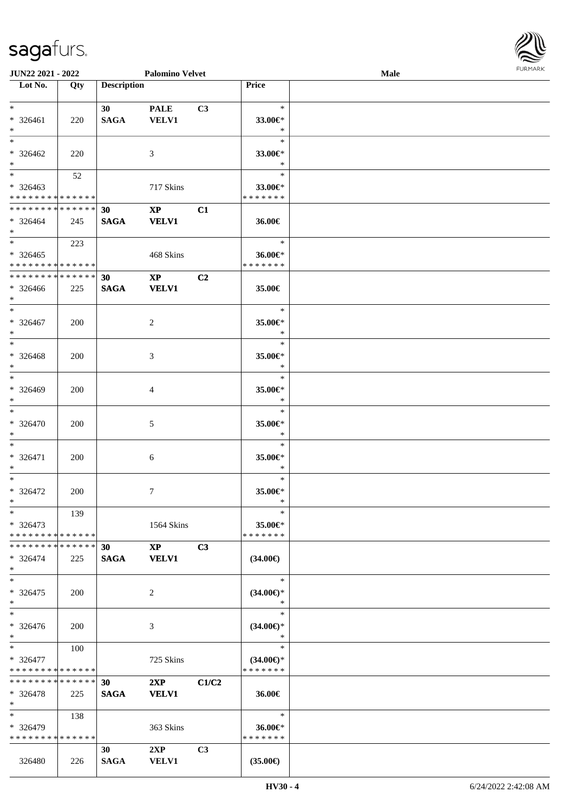| JUN22 2021 - 2022                                            |            |                    | <b>Palomino Velvet</b> |       |                       | Male | <b>FURPIARR</b> |
|--------------------------------------------------------------|------------|--------------------|------------------------|-------|-----------------------|------|-----------------|
| Lot No.                                                      | Qty        | <b>Description</b> |                        |       | <b>Price</b>          |      |                 |
|                                                              |            |                    |                        |       |                       |      |                 |
| $*$                                                          |            | 30                 | <b>PALE</b>            | C3    | $\ast$                |      |                 |
| * 326461                                                     | 220        | <b>SAGA</b>        | <b>VELV1</b>           |       | 33.00€*               |      |                 |
| $*$                                                          |            |                    |                        |       | $\ast$                |      |                 |
| $*$                                                          |            |                    |                        |       | $\ast$                |      |                 |
| $* 326462$                                                   | 220        |                    | 3                      |       | 33.00€*               |      |                 |
| $*$                                                          |            |                    |                        |       | $\ast$                |      |                 |
| $*$                                                          | 52         |                    |                        |       | $\ast$                |      |                 |
| $* 326463$                                                   |            |                    | 717 Skins              |       | 33.00€*               |      |                 |
| * * * * * * * * * * * * * *                                  |            |                    |                        |       | * * * * * * *         |      |                 |
| * * * * * * * * * * * * * * *                                |            | 30                 | $\mathbf{X}\mathbf{P}$ | C1    |                       |      |                 |
| $* 326464$                                                   | 245        | <b>SAGA</b>        | <b>VELV1</b>           |       | 36.00€                |      |                 |
| $*$                                                          |            |                    |                        |       |                       |      |                 |
| $*$ $*$                                                      | 223        |                    |                        |       | $\ast$                |      |                 |
| $* 326465$                                                   |            |                    | 468 Skins              |       | 36.00€*               |      |                 |
| * * * * * * * * * * * * * * *<br>* * * * * * * * * * * * * * |            |                    |                        |       | * * * * * * *         |      |                 |
|                                                              |            | 30                 | $\mathbf{XP}$          | C2    |                       |      |                 |
| $* 326466$                                                   | 225        | <b>SAGA</b>        | <b>VELV1</b>           |       | 35.00€                |      |                 |
| $*$<br>$*$                                                   |            |                    |                        |       | $\ast$                |      |                 |
|                                                              |            |                    |                        |       |                       |      |                 |
| $* 326467$<br>$*$                                            | 200        |                    | $\overline{c}$         |       | 35.00€*<br>$\ast$     |      |                 |
| $*$                                                          |            |                    |                        |       | $\ast$                |      |                 |
|                                                              |            |                    |                        |       |                       |      |                 |
| $* 326468$<br>$*$                                            | 200        |                    | $\mathfrak{Z}$         |       | 35.00€*<br>$\ast$     |      |                 |
| $\overline{\ast}$                                            |            |                    |                        |       | $\ast$                |      |                 |
| $* 326469$                                                   | 200        |                    | $\overline{4}$         |       | 35.00€*               |      |                 |
| $*$                                                          |            |                    |                        |       | $\ast$                |      |                 |
| $*$                                                          |            |                    |                        |       | $\ast$                |      |                 |
| * 326470                                                     | 200        |                    | 5                      |       | 35.00€*               |      |                 |
| $*$                                                          |            |                    |                        |       | $\ast$                |      |                 |
| $*$                                                          |            |                    |                        |       | $\ast$                |      |                 |
| $* 326471$                                                   | 200        |                    | 6                      |       | 35.00€*               |      |                 |
| $*$                                                          |            |                    |                        |       | $\ast$                |      |                 |
| $*$                                                          |            |                    |                        |       | $\ast$                |      |                 |
| $* 326472$                                                   | 200        |                    | $\tau$                 |       | 35.00€*               |      |                 |
| $*$                                                          |            |                    |                        |       | <b>Contract State</b> |      |                 |
| $\ast$                                                       | 139        |                    |                        |       | $\ast$                |      |                 |
| $* 326473$                                                   |            |                    | 1564 Skins             |       | 35.00€*               |      |                 |
| * * * * * * * * * * * * * *                                  |            |                    |                        |       | * * * * * * *         |      |                 |
| * * * * * * * * * * * * * *                                  |            | 30                 | $\mathbf{X}\mathbf{P}$ | C3    |                       |      |                 |
| $* 326474$                                                   | 225        | <b>SAGA</b>        | <b>VELV1</b>           |       | $(34.00\epsilon)$     |      |                 |
| $*$                                                          |            |                    |                        |       |                       |      |                 |
| $*$                                                          |            |                    |                        |       | $\ast$                |      |                 |
| $*326475$                                                    | 200        |                    | 2                      |       | $(34.00€)$ *          |      |                 |
| $*$                                                          |            |                    |                        |       | $\ast$                |      |                 |
| $*$                                                          |            |                    |                        |       | $\ast$                |      |                 |
| * 326476                                                     | <b>200</b> |                    | 3                      |       | $(34.00€)$ *          |      |                 |
| $*$                                                          |            |                    |                        |       | $\ast$                |      |                 |
| $*$                                                          | 100        |                    |                        |       | $\ast$                |      |                 |
| * 326477                                                     |            |                    | 725 Skins              |       | $(34.00€)$ *          |      |                 |
| * * * * * * * * * * * * * *                                  |            |                    |                        |       | * * * * * * *         |      |                 |
| * * * * * * * * * * * * * * *                                |            | 30                 | 2XP                    | C1/C2 |                       |      |                 |
| $* 326478$                                                   | 225        | <b>SAGA</b>        | <b>VELV1</b>           |       | 36.00€                |      |                 |
| $*$                                                          |            |                    |                        |       |                       |      |                 |
| $*$                                                          | 138        |                    |                        |       | $\ast$                |      |                 |
| * 326479                                                     |            |                    | 363 Skins              |       | 36.00€*               |      |                 |
| * * * * * * * * * * * * * *                                  |            |                    |                        |       | * * * * * * *         |      |                 |
|                                                              |            | 30                 | 2XP                    | C3    |                       |      |                 |
| 326480                                                       | 226        | <b>SAGA</b>        | <b>VELV1</b>           |       | $(35.00\epsilon)$     |      |                 |

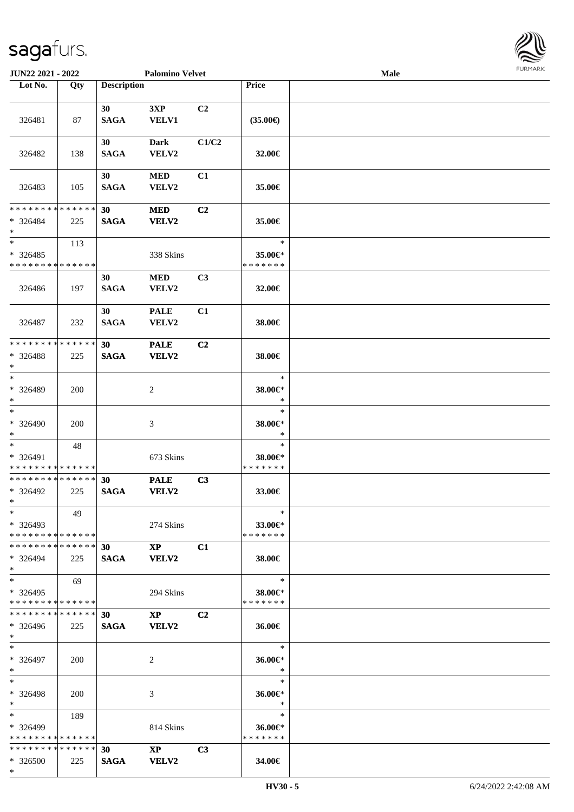\*

\*

| Lot No.                                                         | Qty        | <b>Description</b> |                                        |                | <b>Price</b>                       |  |
|-----------------------------------------------------------------|------------|--------------------|----------------------------------------|----------------|------------------------------------|--|
| 326481                                                          | 87         | 30<br><b>SAGA</b>  | 3XP<br>VELV1                           | C <sub>2</sub> | $(35.00\epsilon)$                  |  |
| 326482                                                          | 138        | 30<br><b>SAGA</b>  | <b>Dark</b><br>VELV2                   | C1/C2          | 32.00€                             |  |
| 326483                                                          | 105        | 30<br><b>SAGA</b>  | <b>MED</b><br>VELV2                    | C1             | 35.00€                             |  |
| ******** <mark>******</mark><br>$* 326484$<br>$\ast$            | 225        | 30<br><b>SAGA</b>  | <b>MED</b><br>VELV2                    | C <sub>2</sub> | 35.00€                             |  |
| $\ast$<br>$*326485$<br>* * * * * * * * * * * * * *              | 113        |                    | 338 Skins                              |                | $\ast$<br>35.00€*<br>* * * * * * * |  |
| 326486                                                          | 197        | 30<br><b>SAGA</b>  | <b>MED</b><br>VELV2                    | C3             | 32.00€                             |  |
| 326487                                                          | 232        | 30<br><b>SAGA</b>  | <b>PALE</b><br>VELV2                   | C1             | 38.00€                             |  |
| * * * * * * * * * * * * * *<br>$* 326488$<br>$\ast$             | 225        | 30<br><b>SAGA</b>  | <b>PALE</b><br>VELV2                   | C2             | 38.00€                             |  |
| $*$<br>* 326489<br>$\ast$                                       | 200        |                    | 2                                      |                | $\ast$<br>38.00€*<br>$\ast$        |  |
| $\overline{\phantom{0}}$<br>* 326490<br>$\ast$                  | 200        |                    | 3                                      |                | $\ast$<br>38.00€*<br>$\ast$        |  |
| $\ast$<br>* 326491<br>* * * * * * * * * * * * * *               | 48         |                    | 673 Skins                              |                | $\ast$<br>38.00€*<br>* * * * * * * |  |
| **************<br>* 326492<br>$*$                               | 225        | 30<br><b>SAGA</b>  | <b>PALE</b><br>VELV2                   | C3             | 33.00€                             |  |
| $*$<br>* 326493<br>* * * * * * * * * * * * * * *                | 49         |                    | 274 Skins                              |                | $\ast$<br>33.00€*<br>* * * * * * * |  |
| * * * * * * * * * * * * * *<br>$* 326494$<br>$\ast$             | 225        | 30<br><b>SAGA</b>  | $\mathbf{X}\mathbf{P}$<br><b>VELV2</b> | C1             | 38.00€                             |  |
| $*$<br>* 326495<br>* * * * * * * * * * * * * *                  | 69         |                    | 294 Skins                              |                | $\ast$<br>38.00€*<br>* * * * * * * |  |
| * * * * * * * * * * * * * *<br>$* 326496$<br>$*$                | 225        | 30<br><b>SAGA</b>  | $\mathbf{X}\mathbf{P}$<br>VELV2        | C <sub>2</sub> | 36.00€                             |  |
| $\ast$<br>* 326497<br>$*$                                       | <b>200</b> |                    | 2                                      |                | $\ast$<br>36.00€*<br>$\ast$        |  |
| $*$<br>* 326498<br>$*$                                          | <b>200</b> |                    | 3                                      |                | $\ast$<br>36.00€*<br>$\ast$        |  |
| $*$<br>* 326499<br>* * * * * * * * * * * * * *                  | 189        |                    | 814 Skins                              |                | $\ast$<br>36.00€*<br>* * * * * * * |  |
| * * * * * * * * <mark>* * * * * * *</mark><br>$* 326500$<br>$*$ | 225        | 30<br><b>SAGA</b>  | $\boldsymbol{\mathrm{XP}}$<br>VELV2    | C3             | 34.00€                             |  |

**JUN22 2021 - 2022 Palomino Velvet Male**

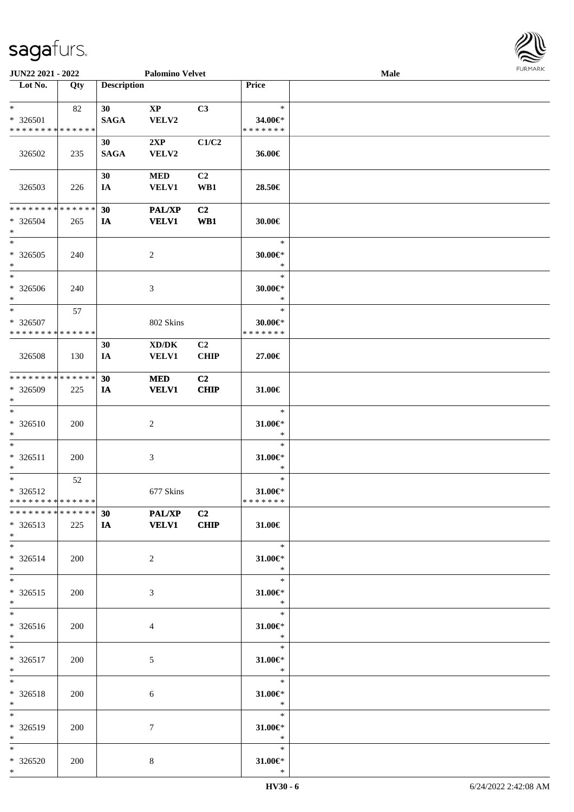| JUN22 2021 - 2022                                  |     | <b>Palomino Velvet</b>         |                                 |                       |                                          | Male | <b>FURMARK</b> |
|----------------------------------------------------|-----|--------------------------------|---------------------------------|-----------------------|------------------------------------------|------|----------------|
| Lot No.                                            | Qty | <b>Description</b>             |                                 |                       | Price                                    |      |                |
| $*$<br>* 326501<br>* * * * * * * * * * * * * *     | 82  | 30 <sup>°</sup><br><b>SAGA</b> | $\mathbf{X}\mathbf{P}$<br>VELV2 | C3                    | $\ast$<br>34.00€*<br>* * * * * * *       |      |                |
| 326502                                             | 235 | 30<br><b>SAGA</b>              | 2XP<br>VELV2                    | C1/C2                 | 36.00€                                   |      |                |
| 326503                                             | 226 | 30<br>IA                       | <b>MED</b><br><b>VELV1</b>      | C2<br>WB1             | 28.50€                                   |      |                |
| * * * * * * * * * * * * * * *<br>$* 326504$<br>$*$ | 265 | 30<br>IA                       | <b>PAL/XP</b><br><b>VELV1</b>   | C <sub>2</sub><br>WB1 | 30.00€                                   |      |                |
| $*$<br>$* 326505$<br>$\ast$                        | 240 |                                | 2                               |                       | $\ast$<br>$30.00 \in$ *<br>$\ast$        |      |                |
| $*$<br>* 326506<br>$*$                             | 240 |                                | 3                               |                       | $\ast$<br>$30.00 \in$ *<br>$\ast$        |      |                |
| $*$<br>$* 326507$<br>* * * * * * * * * * * * * *   | 57  |                                | 802 Skins                       |                       | $\ast$<br>$30.00 \in$ *<br>* * * * * * * |      |                |
| 326508                                             | 130 | 30<br>IA                       | XD/DK<br><b>VELV1</b>           | C2<br><b>CHIP</b>     | 27.00€                                   |      |                |
| * * * * * * * * * * * * * *<br>* 326509<br>$*$     | 225 | 30<br>IA                       | <b>MED</b><br><b>VELV1</b>      | C2<br>CHIP            | 31.00€                                   |      |                |
| $\ast$<br>$* 326510$<br>$*$                        | 200 |                                | $\overline{c}$                  |                       | $\ast$<br>$31.00 \in$ *<br>$\ast$        |      |                |
| $*$<br>* 326511<br>$\ast$                          | 200 |                                | $\mathfrak{Z}$                  |                       | $\ast$<br>$31.00 \in$ *<br>$\ast$        |      |                |
| $*$<br>* 326512<br>* * * * * * * * * * * * * *     | 52  |                                | 677 Skins                       |                       | $\ast$<br>$31.00 \in$ *<br>* * * * * * * |      |                |
| ******** <mark>******</mark><br>* 326513<br>$*$    | 225 | 30<br>IA                       | <b>PAL/XP</b><br><b>VELV1</b>   | C2<br>CHIP            | 31.00€                                   |      |                |
| $*$<br>* 326514<br>$*$                             | 200 |                                | $\sqrt{2}$                      |                       | $\ast$<br>$31.00 \in$ *<br>$\ast$        |      |                |
| $*$<br>$* 326515$<br>$*$                           | 200 |                                | $\mathfrak{Z}$                  |                       | $\ast$<br>31.00€*<br>$\ast$              |      |                |
| $*$<br>* 326516<br>$*$                             | 200 |                                | $\overline{4}$                  |                       | $\ast$<br>31.00€*<br>$\ast$              |      |                |
| $*$<br>* 326517<br>$*$                             | 200 |                                | 5                               |                       | $\ast$<br>$31.00 \in$ *<br>$\ast$        |      |                |
| $*$<br>* 326518<br>$*$                             | 200 |                                | 6                               |                       | $\ast$<br>$31.00 \in$ *<br>$\ast$        |      |                |
| $*$<br>* 326519<br>$*$                             | 200 |                                | $\boldsymbol{7}$                |                       | $\ast$<br>$31.00 \in$ *<br>$\ast$        |      |                |
| $*$<br>$* 326520$<br>$*$                           | 200 |                                | $8\,$                           |                       | $\ast$<br>$31.00 \in$ *<br>$\ast$        |      |                |

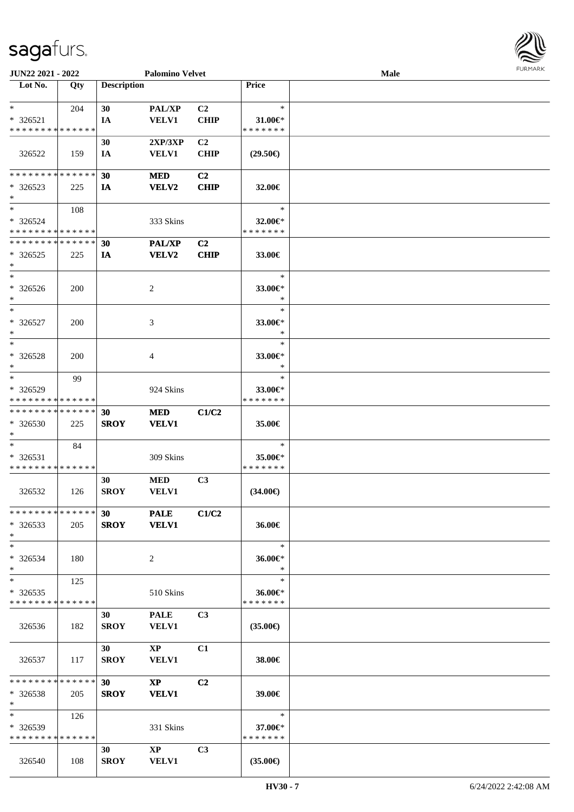| JUN22 2021 - 2022                                          |     | <b>Palomino Velvet</b> |                        |                |                          | Male | FURMA |
|------------------------------------------------------------|-----|------------------------|------------------------|----------------|--------------------------|------|-------|
| Lot No.                                                    | Qty | <b>Description</b>     |                        |                | <b>Price</b>             |      |       |
| $\ast$                                                     | 204 | 30                     | PAL/XP                 | C2             | $\ast$                   |      |       |
| $* 326521$                                                 |     | IA                     | <b>VELV1</b>           | <b>CHIP</b>    | 31.00 $\in$ *            |      |       |
| * * * * * * * * * * * * * *                                |     |                        |                        |                | * * * * * * *            |      |       |
|                                                            |     | 30                     | 2XP/3XP                | C <sub>2</sub> |                          |      |       |
| 326522                                                     | 159 | IA                     | <b>VELV1</b>           | CHIP           | $(29.50\epsilon)$        |      |       |
|                                                            |     |                        |                        |                |                          |      |       |
| * * * * * * * * * * * * * *                                |     | 30                     | <b>MED</b>             | C2             |                          |      |       |
| $*326523$                                                  | 225 | IA                     | VELV2                  | <b>CHIP</b>    | $32.00 \in$              |      |       |
| $\ast$                                                     |     |                        |                        |                |                          |      |       |
| $\ast$                                                     | 108 |                        |                        |                | $\ast$                   |      |       |
| $* 326524$                                                 |     |                        | 333 Skins              |                | 32.00 $\in$ *            |      |       |
| * * * * * * * * * * * * * *<br>* * * * * * * * * * * * * * |     |                        |                        |                | * * * * * * *            |      |       |
|                                                            |     | 30                     | <b>PAL/XP</b>          | C2             |                          |      |       |
| $*326525$<br>$\ast$                                        | 225 | IA                     | <b>VELV2</b>           | <b>CHIP</b>    | 33.00€                   |      |       |
| $\ast$                                                     |     |                        |                        |                | $\ast$                   |      |       |
| $* 326526$                                                 | 200 |                        | 2                      |                | 33.00€*                  |      |       |
| $\ast$                                                     |     |                        |                        |                | $\ast$                   |      |       |
| $\overline{\phantom{a}^*}$                                 |     |                        |                        |                | $\ast$                   |      |       |
| $*326527$                                                  | 200 |                        | $\mathfrak{Z}$         |                | 33.00€*                  |      |       |
| $\ast$                                                     |     |                        |                        |                | $\ast$                   |      |       |
| $\ast$                                                     |     |                        |                        |                | $\ast$                   |      |       |
| * 326528                                                   | 200 |                        | $\overline{4}$         |                | 33.00€*                  |      |       |
| $\ast$                                                     |     |                        |                        |                | $\ast$                   |      |       |
| $\ast$                                                     | 99  |                        |                        |                | $\ast$                   |      |       |
| * 326529                                                   |     |                        | 924 Skins              |                | 33.00 $\in$ *            |      |       |
| * * * * * * * * * * * * * *                                |     |                        |                        |                | * * * * * * *            |      |       |
| * * * * * * * * * * * * * *                                |     | 30                     | <b>MED</b>             | C1/C2          |                          |      |       |
| $* 326530$<br>$\ast$                                       | 225 | <b>SROY</b>            | <b>VELV1</b>           |                | 35.00€                   |      |       |
| $\ast$                                                     | 84  |                        |                        |                | $\ast$                   |      |       |
| $* 326531$                                                 |     |                        | 309 Skins              |                | 35.00€*                  |      |       |
| * * * * * * * * * * * * * *                                |     |                        |                        |                | * * * * * * *            |      |       |
|                                                            |     | 30                     | <b>MED</b>             | C <sub>3</sub> |                          |      |       |
| 326532                                                     | 126 | <b>SROY</b>            | VELV1                  |                | $(34.00\epsilon)$        |      |       |
|                                                            |     |                        |                        |                |                          |      |       |
| * * * * * * * * * * * * * *                                |     | 30                     | <b>PALE</b>            | C1/C2          |                          |      |       |
| $*326533$                                                  | 205 | <b>SROY</b>            | <b>VELV1</b>           |                | 36.00€                   |      |       |
| $\ast$                                                     |     |                        |                        |                |                          |      |       |
| $\ast$                                                     |     |                        |                        |                | $\ast$                   |      |       |
| $*326534$                                                  | 180 |                        | 2                      |                | 36.00€*                  |      |       |
| $\ast$                                                     |     |                        |                        |                | $\ast$                   |      |       |
| $\ast$                                                     | 125 |                        |                        |                | $\ast$                   |      |       |
| $*326535$<br>* * * * * * * * * * * * * *                   |     |                        | 510 Skins              |                | 36.00€*<br>* * * * * * * |      |       |
|                                                            |     | 30 <sup>1</sup>        | <b>PALE</b>            | C3             |                          |      |       |
| 326536                                                     | 182 | <b>SROY</b>            | <b>VELV1</b>           |                | $(35.00\epsilon)$        |      |       |
|                                                            |     |                        |                        |                |                          |      |       |
|                                                            |     | 30 <sup>1</sup>        | $\mathbf{XP}$          | C1             |                          |      |       |
| 326537                                                     | 117 | <b>SROY</b>            | <b>VELV1</b>           |                | 38.00€                   |      |       |
|                                                            |     |                        |                        |                |                          |      |       |
| * * * * * * * * * * * * * *                                |     | 30                     | $\mathbf{X}\mathbf{P}$ | C <sub>2</sub> |                          |      |       |
| $* 326538$                                                 | 205 | <b>SROY</b>            | <b>VELV1</b>           |                | 39.00€                   |      |       |
| $\ast$                                                     |     |                        |                        |                |                          |      |       |
| $\ast$                                                     | 126 |                        |                        |                | $\ast$                   |      |       |
| $*326539$                                                  |     |                        | 331 Skins              |                | 37.00€*                  |      |       |
| * * * * * * * * * * * * * *                                |     |                        |                        |                | * * * * * * *            |      |       |
|                                                            |     | 30                     | $\mathbf{X}\mathbf{P}$ | C <sub>3</sub> |                          |      |       |
| 326540                                                     | 108 | <b>SROY</b>            | <b>VELV1</b>           |                | $(35.00\epsilon)$        |      |       |
|                                                            |     |                        |                        |                |                          |      |       |

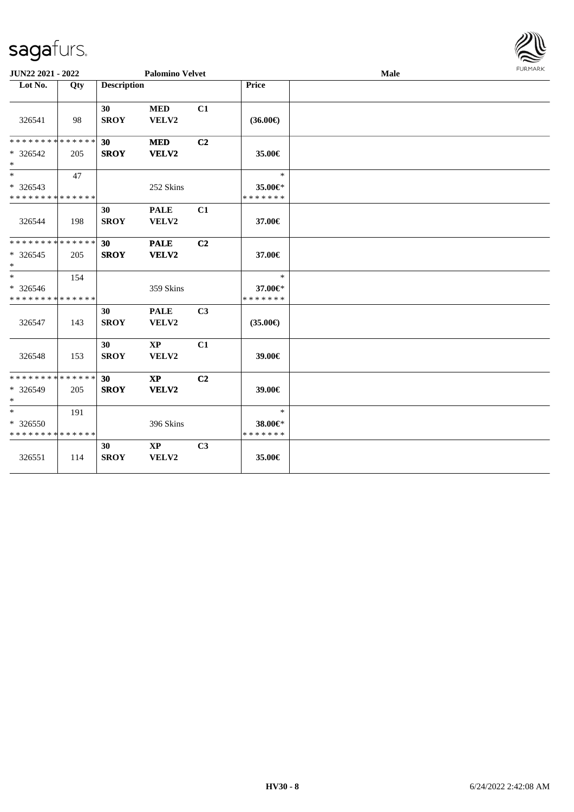

| <b>Palomino Velvet</b><br>JUN22 2021 - 2022 |     |                    |                                 |                | Male                     |  |  |  |  |
|---------------------------------------------|-----|--------------------|---------------------------------|----------------|--------------------------|--|--|--|--|
| Lot No.                                     | Qty | <b>Description</b> |                                 |                | <b>Price</b>             |  |  |  |  |
| 326541                                      | 98  | 30<br><b>SROY</b>  | $\bf MED$<br>VELV2              | C1             | $(36.00\epsilon)$        |  |  |  |  |
| * * * * * * * * * * * * * *                 |     | 30                 | $\bf MED$                       | C <sub>2</sub> |                          |  |  |  |  |
| * 326542<br>$\ast$                          | 205 | <b>SROY</b>        | VELV2                           |                | 35.00€                   |  |  |  |  |
| $\overline{\phantom{1}}$                    | 47  |                    |                                 |                | $\ast$                   |  |  |  |  |
| * 326543<br>* * * * * * * * * * * * * *     |     |                    | 252 Skins                       |                | 35.00€*<br>* * * * * * * |  |  |  |  |
| 326544                                      | 198 | 30<br><b>SROY</b>  | <b>PALE</b><br>VELV2            | C1             | 37.00€                   |  |  |  |  |
| * * * * * * * * * * * * * *                 |     | 30                 | <b>PALE</b>                     | C2             |                          |  |  |  |  |
| $* 326545$<br>$\ast$                        | 205 | <b>SROY</b>        | VELV2                           |                | 37.00€                   |  |  |  |  |
| $\ast$                                      | 154 |                    |                                 |                | $\ast$                   |  |  |  |  |
| * 326546<br>* * * * * * * * * * * * * *     |     |                    | 359 Skins                       |                | 37.00€*<br>* * * * * * * |  |  |  |  |
| 326547                                      | 143 | 30<br><b>SROY</b>  | <b>PALE</b><br>VELV2            | C <sub>3</sub> | $(35.00\epsilon)$        |  |  |  |  |
| 326548                                      | 153 | 30<br><b>SROY</b>  | $\mathbf{X}\mathbf{P}$<br>VELV2 | C1             | 39.00€                   |  |  |  |  |
| * * * * * * * * * * * * * *                 |     | 30                 | $\mathbf{X}\mathbf{P}$          | C2             |                          |  |  |  |  |
| * 326549<br>$\ast$                          | 205 | <b>SROY</b>        | VELV2                           |                | 39.00€                   |  |  |  |  |
| $\ast$                                      | 191 |                    |                                 |                | $\ast$                   |  |  |  |  |
| * 326550<br>* * * * * * * * * * * * * *     |     |                    | 396 Skins                       |                | 38.00€*<br>* * * * * * * |  |  |  |  |
| 326551                                      | 114 | 30<br><b>SROY</b>  | $\mathbf{X}\mathbf{P}$<br>VELV2 | C3             | 35.00€                   |  |  |  |  |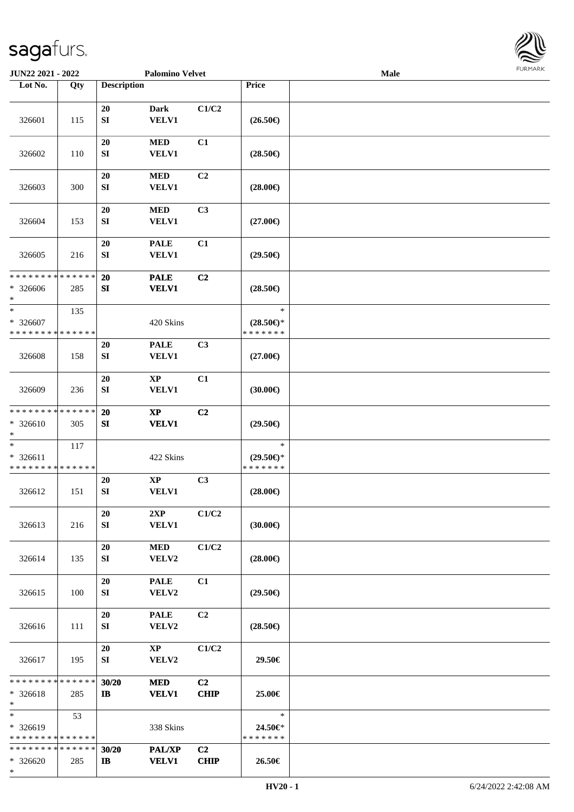

| JUN22 2021 - 2022                                   |     |                            | <b>Palomino Velvet</b>          |                               |                                                | Male |  |
|-----------------------------------------------------|-----|----------------------------|---------------------------------|-------------------------------|------------------------------------------------|------|--|
| Lot No.                                             | Qty | <b>Description</b>         |                                 |                               | Price                                          |      |  |
|                                                     |     |                            |                                 |                               |                                                |      |  |
| 326601                                              | 115 | 20<br>${\bf S}{\bf I}$     | <b>Dark</b><br><b>VELV1</b>     | C1/C2                         | $(26.50\epsilon)$                              |      |  |
| 326602                                              | 110 | 20<br>SI                   | $\bf MED$<br><b>VELV1</b>       | C1                            | $(28.50\epsilon)$                              |      |  |
| 326603                                              | 300 | $20\,$<br>${\bf S}{\bf I}$ | <b>MED</b><br><b>VELV1</b>      | C2                            | $(28.00\epsilon)$                              |      |  |
| 326604                                              | 153 | 20<br>${\bf S}{\bf I}$     | $\bf MED$<br><b>VELV1</b>       | C3                            | $(27.00\epsilon)$                              |      |  |
| 326605                                              | 216 | 20<br>SI                   | <b>PALE</b><br><b>VELV1</b>     | C1                            | $(29.50\epsilon)$                              |      |  |
| * * * * * * * * * * * * * *<br>$* 326606$<br>$\ast$ | 285 | 20<br>SI                   | <b>PALE</b><br><b>VELV1</b>     | C2                            | $(28.50\epsilon)$                              |      |  |
| $\ast$<br>* 326607<br>* * * * * * * * * * * * * *   | 135 |                            | 420 Skins                       |                               | $\ast$<br>$(28.50\epsilon)$ *<br>* * * * * * * |      |  |
| 326608                                              | 158 | 20<br>SI                   | <b>PALE</b><br><b>VELV1</b>     | C3                            | $(27.00\epsilon)$                              |      |  |
| 326609                                              | 236 | $20\,$<br>SI               | <b>XP</b><br>VELV1              | C1                            | (30.00)                                        |      |  |
| * * * * * * * * * * * * * *<br>* 326610<br>$\ast$   | 305 | 20<br>SI                   | $\bold{XP}$<br><b>VELV1</b>     | C2                            | $(29.50\epsilon)$                              |      |  |
| $\ast$<br>* 326611<br>* * * * * * * * * * * * * *   | 117 |                            | 422 Skins                       |                               | $\ast$<br>$(29.50\epsilon)$ *<br>* * * * * * * |      |  |
| 326612                                              | 151 | 20<br>${\bf SI}$           | $\bold{XP}$<br><b>VELV1</b>     | C3                            | $(28.00\epsilon)$                              |      |  |
| 326613                                              | 216 | 20<br>SI                   | 2XP<br><b>VELV1</b>             | C1/C2                         | $(30.00\epsilon)$                              |      |  |
| 326614                                              | 135 | 20<br>SI                   | <b>MED</b><br>VELV2             | C1/C2                         | $(28.00\epsilon)$                              |      |  |
| 326615                                              | 100 | 20<br>SI                   | <b>PALE</b><br>VELV2            | C1                            | $(29.50\epsilon)$                              |      |  |
| 326616                                              | 111 | 20<br>SI                   | <b>PALE</b><br>VELV2            | C2                            | $(28.50\epsilon)$                              |      |  |
| 326617                                              | 195 | 20<br>SI                   | $\mathbf{X}\mathbf{P}$<br>VELV2 | C1/C2                         | 29.50€                                         |      |  |
| * * * * * * * * * * * * * *<br>$* 326618$<br>$*$    | 285 | 30/20<br>$\mathbf{I}$      | <b>MED</b><br><b>VELV1</b>      | C <sub>2</sub><br><b>CHIP</b> | 25.00€                                         |      |  |
| $*$<br>* 326619<br>* * * * * * * * * * * * * *      | 53  |                            | 338 Skins                       |                               | $\ast$<br>24.50€*<br>* * * * * * *             |      |  |
| * * * * * * * * * * * * * *<br>$* 326620$<br>$*$    | 285 | 30/20<br>$\bf{IB}$         | PAL/XP<br><b>VELV1</b>          | C <sub>2</sub><br><b>CHIP</b> | 26.50€                                         |      |  |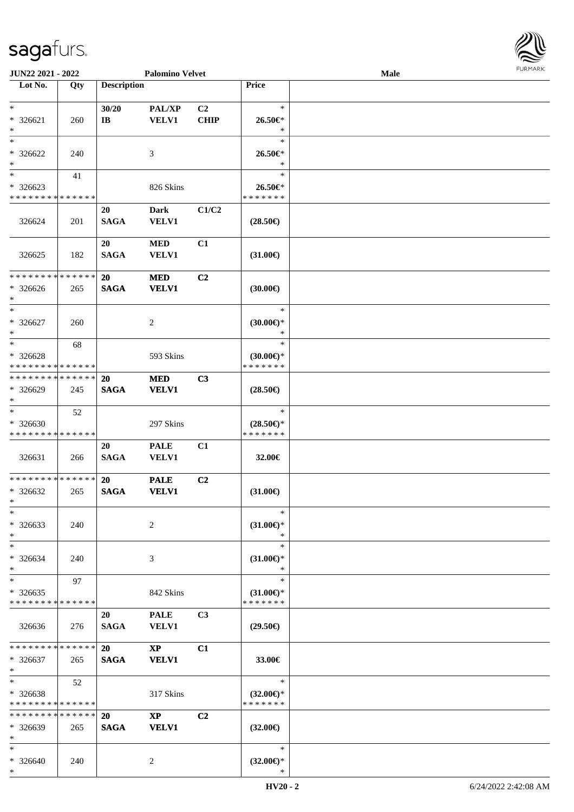\*

| JUN22 2021 - 2022                                                   |     | <b>Palomino Velvet</b>   |                                        |                   |                                                   | <b>Male</b> | <b>FURMAR</b> |
|---------------------------------------------------------------------|-----|--------------------------|----------------------------------------|-------------------|---------------------------------------------------|-------------|---------------|
| $\overline{\phantom{1}}$ Lot No.                                    | Qty | <b>Description</b>       |                                        |                   | Price                                             |             |               |
| $\ast$<br>* 326621<br>$\ast$                                        | 260 | 30/20<br>$\bf IB$        | PAL/XP<br><b>VELV1</b>                 | C2<br><b>CHIP</b> | $\ast$<br>$26.50 \text{E}^*$<br>$\ast$            |             |               |
| $\ast$<br>$*326622$<br>$\ast$                                       | 240 |                          | 3                                      |                   | $\ast$<br>26.50€*<br>$\ast$                       |             |               |
| $\ast$<br>$*326623$<br>* * * * * * * * * * * * * *                  | 41  |                          | 826 Skins                              |                   | $\ast$<br>26.50€*<br>* * * * * * *                |             |               |
| 326624                                                              | 201 | 20<br><b>SAGA</b>        | <b>Dark</b><br><b>VELV1</b>            | C1/C2             | $(28.50\epsilon)$                                 |             |               |
| 326625                                                              | 182 | 20<br><b>SAGA</b>        | $\bf MED$<br><b>VELV1</b>              | C1                | $(31.00\epsilon)$                                 |             |               |
| * * * * * * * * * * * * * *<br>$* 326626$<br>$\ast$                 | 265 | <b>20</b><br><b>SAGA</b> | <b>MED</b><br><b>VELV1</b>             | C2                | (30.00)                                           |             |               |
| $\overline{\phantom{a}^*}$<br>* 326627<br>$\ast$                    | 260 |                          | $\overline{c}$                         |                   | $\ast$<br>$(30.00\epsilon)$ *<br>$\ast$           |             |               |
| $\overline{\phantom{1}}$<br>* 326628<br>* * * * * * * * * * * * * * | 68  |                          | 593 Skins                              |                   | $\ast$<br>$(30.00\varepsilon)$ *<br>* * * * * * * |             |               |
| * * * * * * * * * * * * * *<br>* 326629<br>$\ast$                   | 245 | 20<br><b>SAGA</b>        | <b>MED</b><br><b>VELV1</b>             | C3                | $(28.50\epsilon)$                                 |             |               |
| $\ast$<br>$* 326630$<br>* * * * * * * * * * * * * *                 | 52  |                          | 297 Skins                              |                   | $\ast$<br>$(28.50\epsilon)$ *<br>* * * * * * *    |             |               |
| 326631                                                              | 266 | 20<br><b>SAGA</b>        | <b>PALE</b><br><b>VELV1</b>            | C1                | 32.00€                                            |             |               |
| **************<br>$*326632$<br>∗<br>$\overline{\phantom{a}}$        | 265 | <b>20</b><br><b>SAGA</b> | <b>PALE</b><br><b>VELV1</b>            | C2                | $(31.00\epsilon)$                                 |             |               |
| * 326633<br>$\ast$                                                  | 240 |                          | $\sqrt{2}$                             |                   | $\ast$<br>$(31.00\epsilon)$ *<br>$\ast$           |             |               |
| $\ast$<br>$* 326634$<br>$\ast$                                      | 240 |                          | 3                                      |                   | $\ast$<br>$(31.00\epsilon)$ *<br>$\ast$           |             |               |
| $\ast$<br>$*326635$<br>* * * * * * * * * * * * * *                  | 97  |                          | 842 Skins                              |                   | $\ast$<br>$(31.00\epsilon)$ *<br>* * * * * * *    |             |               |
| 326636                                                              | 276 | 20<br><b>SAGA</b>        | <b>PALE</b><br><b>VELV1</b>            | C3                | $(29.50\epsilon)$                                 |             |               |
| * * * * * * * * * * * * * *<br>$* 326637$<br>$\ast$                 | 265 | <b>20</b><br><b>SAGA</b> | $\mathbf{X}\mathbf{P}$<br><b>VELV1</b> | C1                | 33.00€                                            |             |               |
| $\ast$<br>$* 326638$<br>* * * * * * * * * * * * * *                 | 52  |                          | 317 Skins                              |                   | $\ast$<br>$(32.00\epsilon)$ *<br>* * * * * * *    |             |               |
| * * * * * * * * * * * * * *<br>* 326639<br>$\ast$                   | 265 | <b>20</b><br><b>SAGA</b> | $\mathbf{X}\mathbf{P}$<br><b>VELV1</b> | C2                | $(32.00\epsilon)$                                 |             |               |
| $\ast$<br>* 326640<br>$\ast$                                        | 240 |                          | $\overline{2}$                         |                   | $\ast$<br>$(32.00\epsilon)$ *<br>$\ast$           |             |               |

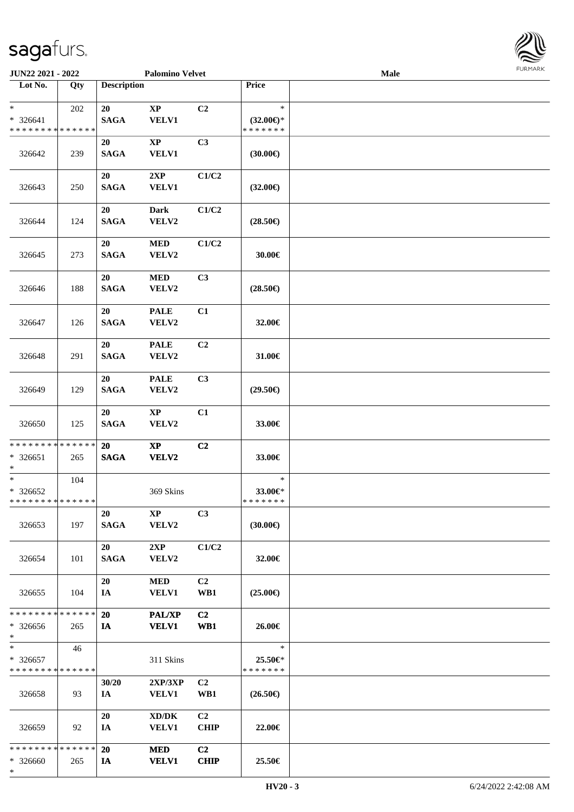

| JUN22 2021 - 2022                                   |     | <b>Palomino Velvet</b> |                                                                       |                               | <b>Male</b>                             |  |  |  |
|-----------------------------------------------------|-----|------------------------|-----------------------------------------------------------------------|-------------------------------|-----------------------------------------|--|--|--|
| Lot No.                                             | Qty | <b>Description</b>     |                                                                       |                               | Price                                   |  |  |  |
| $*$<br>$* 326641$<br>* * * * * * * * * * * * * *    | 202 | 20<br><b>SAGA</b>      | $\bold{XP}$<br><b>VELV1</b>                                           | C2                            | $\ast$<br>$(32.00€)$ *<br>* * * * * * * |  |  |  |
| 326642                                              | 239 | 20<br><b>SAGA</b>      | $\bold{XP}$<br><b>VELV1</b>                                           | C3                            | (30.00)                                 |  |  |  |
| 326643                                              | 250 | 20<br><b>SAGA</b>      | 2XP<br>VELV1                                                          | C1/C2                         | $(32.00\epsilon)$                       |  |  |  |
| 326644                                              | 124 | 20<br><b>SAGA</b>      | <b>Dark</b><br>VELV2                                                  | C1/C2                         | $(28.50\epsilon)$                       |  |  |  |
| 326645                                              | 273 | 20<br><b>SAGA</b>      | $\bf MED$<br>VELV2                                                    | C1/C2                         | 30.00€                                  |  |  |  |
| 326646                                              | 188 | 20<br><b>SAGA</b>      | $\bf MED$<br>VELV2                                                    | C3                            | $(28.50\epsilon)$                       |  |  |  |
| 326647                                              | 126 | 20<br><b>SAGA</b>      | <b>PALE</b><br>VELV2                                                  | C1                            | 32.00€                                  |  |  |  |
| 326648                                              | 291 | 20<br><b>SAGA</b>      | <b>PALE</b><br>VELV2                                                  | C2                            | 31.00€                                  |  |  |  |
| 326649                                              | 129 | 20<br><b>SAGA</b>      | <b>PALE</b><br>VELV2                                                  | C3                            | $(29.50\epsilon)$                       |  |  |  |
| 326650                                              | 125 | 20<br><b>SAGA</b>      | $\bold{XP}$<br>VELV2                                                  | C1                            | 33.00€                                  |  |  |  |
| * * * * * * * * * * * * * *<br>$* 326651$<br>$\ast$ | 265 | 20<br><b>SAGA</b>      | $\bold{XP}$<br><b>VELV2</b>                                           | C2                            | 33.00€                                  |  |  |  |
| $\ast$<br>$* 326652$<br>* * * * * * * * * * * * * * | 104 |                        | 369 Skins                                                             |                               | $\ast$<br>33.00€*<br>* * * * * * *      |  |  |  |
| 326653                                              | 197 | 20<br><b>SAGA</b>      | <b>XP</b><br>VELV2                                                    | C3                            | $(30.00\epsilon)$                       |  |  |  |
| 326654                                              | 101 | 20<br><b>SAGA</b>      | 2XP<br>VELV2                                                          | C1/C2                         | 32.00€                                  |  |  |  |
| 326655                                              | 104 | 20<br>IA               | <b>MED</b><br><b>VELV1</b>                                            | C <sub>2</sub><br>WB1         | $(25.00\epsilon)$                       |  |  |  |
| * * * * * * * * * * * * * *<br>$*326656$<br>$*$     | 265 | 20<br>IA               | <b>PAL/XP</b><br><b>VELV1</b>                                         | C <sub>2</sub><br>WB1         | 26.00€                                  |  |  |  |
| $*$<br>* 326657<br>* * * * * * * * * * * * * *      | 46  |                        | 311 Skins                                                             |                               | $\ast$<br>25.50€*<br>* * * * * * *      |  |  |  |
| 326658                                              | 93  | 30/20<br>IA            | $2{\bf XP}/3{\bf XP}$<br><b>VELV1</b>                                 | C <sub>2</sub><br>WB1         | $(26.50\epsilon)$                       |  |  |  |
| 326659                                              | 92  | 20<br>IA               | $\boldsymbol{\text{XD}}\boldsymbol{/}\boldsymbol{\text{DK}}$<br>VELV1 | C2<br><b>CHIP</b>             | 22.00€                                  |  |  |  |
| * * * * * * * * * * * * * *<br>$* 326660$<br>$*$    | 265 | 20<br>IA               | <b>MED</b><br><b>VELV1</b>                                            | C <sub>2</sub><br><b>CHIP</b> | 25.50€                                  |  |  |  |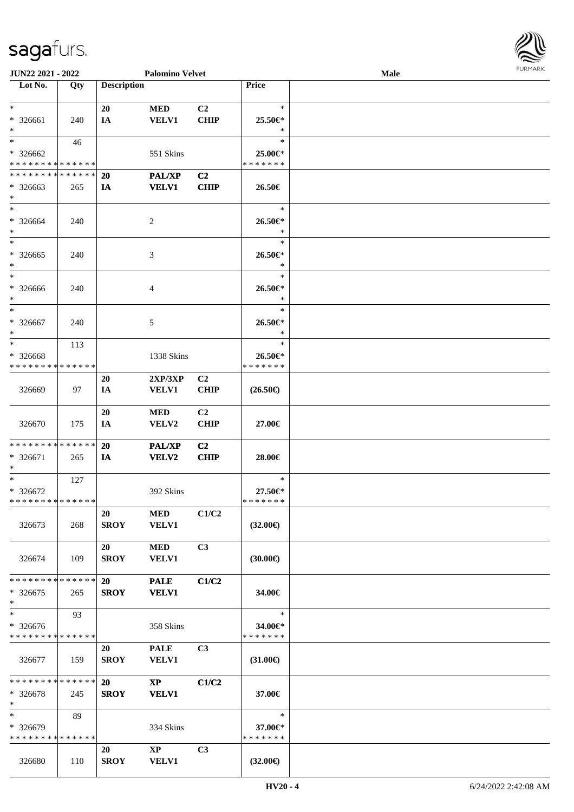

| JUN22 2021 - 2022             |     |                    | <b>Palomino Velvet</b> |                |                   | <b>Male</b> |  |
|-------------------------------|-----|--------------------|------------------------|----------------|-------------------|-------------|--|
| Lot No.                       | Qty | <b>Description</b> |                        |                | <b>Price</b>      |             |  |
|                               |     |                    |                        |                |                   |             |  |
| $*$                           |     | 20                 | <b>MED</b>             | C <sub>2</sub> | $\ast$            |             |  |
| * 326661                      | 240 | IA                 | <b>VELV1</b>           | <b>CHIP</b>    | 25.50€*           |             |  |
| $*$                           |     |                    |                        |                | $\ast$            |             |  |
| $*$                           | 46  |                    |                        |                | $\ast$            |             |  |
| * 326662                      |     |                    | 551 Skins              |                | 25.00€*           |             |  |
| * * * * * * * * * * * * * *   |     |                    |                        |                | * * * * * * *     |             |  |
|                               |     |                    |                        |                |                   |             |  |
| * * * * * * * * * * * * * *   |     | 20                 | PAL/XP                 | C <sub>2</sub> |                   |             |  |
| * 326663                      | 265 | IA                 | <b>VELV1</b>           | <b>CHIP</b>    | 26.50€            |             |  |
| $*$                           |     |                    |                        |                |                   |             |  |
| $*$                           |     |                    |                        |                | $\ast$            |             |  |
| * 326664                      | 240 |                    | 2                      |                | 26.50€*           |             |  |
| $*$                           |     |                    |                        |                | $\ast$            |             |  |
| $*$                           |     |                    |                        |                | $\ast$            |             |  |
| * 326665                      | 240 |                    | 3                      |                | 26.50€*           |             |  |
| $\ast$                        |     |                    |                        |                | $\ast$            |             |  |
| $\ast$                        |     |                    |                        |                | $\ast$            |             |  |
| $* 326666$                    | 240 |                    | 4                      |                | 26.50€*           |             |  |
| $*$                           |     |                    |                        |                | $\ast$            |             |  |
| $\ast$                        |     |                    |                        |                | $\ast$            |             |  |
|                               |     |                    |                        |                |                   |             |  |
| $* 326667$                    | 240 |                    | 5                      |                | 26.50€*           |             |  |
| $\ast$                        |     |                    |                        |                | $\ast$            |             |  |
| $*$                           | 113 |                    |                        |                | $\ast$            |             |  |
| * 326668                      |     |                    | 1338 Skins             |                | 26.50€*           |             |  |
| * * * * * * * * * * * * * *   |     |                    |                        |                | * * * * * * *     |             |  |
|                               |     | 20                 | 2XP/3XP                | C <sub>2</sub> |                   |             |  |
| 326669                        | 97  | IA                 | <b>VELV1</b>           | <b>CHIP</b>    | $(26.50\epsilon)$ |             |  |
|                               |     |                    |                        |                |                   |             |  |
|                               |     | 20                 | <b>MED</b>             | C <sub>2</sub> |                   |             |  |
| 326670                        | 175 | IA                 | VELV2                  | <b>CHIP</b>    | 27.00€            |             |  |
|                               |     |                    |                        |                |                   |             |  |
|                               |     |                    |                        |                |                   |             |  |
| * * * * * * * * * * * * * * * |     | 20                 | <b>PAL/XP</b>          | C2             |                   |             |  |
| * 326671                      | 265 | <b>IA</b>          | <b>VELV2</b>           | <b>CHIP</b>    | 28.00€            |             |  |
| $\ast$                        |     |                    |                        |                |                   |             |  |
| $*$                           | 127 |                    |                        |                | $\ast$            |             |  |
| $* 326672$                    |     |                    | 392 Skins              |                | 27.50€*           |             |  |
| * * * * * * * * * * * * * * * |     |                    |                        |                | *******           |             |  |
|                               |     | 20                 | MED                    | C1/C2          |                   |             |  |
| 326673                        | 268 | <b>SROY</b>        | <b>VELV1</b>           |                | $(32.00\epsilon)$ |             |  |
|                               |     |                    |                        |                |                   |             |  |
|                               |     | 20                 | <b>MED</b>             | C3             |                   |             |  |
|                               | 109 | <b>SROY</b>        | <b>VELV1</b>           |                |                   |             |  |
| 326674                        |     |                    |                        |                | $(30.00\epsilon)$ |             |  |
|                               |     |                    |                        |                |                   |             |  |
| * * * * * * * * * * * * * * * |     | <b>20</b>          | <b>PALE</b>            | C1/C2          |                   |             |  |
| * 326675                      | 265 | <b>SROY</b>        | <b>VELV1</b>           |                | 34.00€            |             |  |
| $*$                           |     |                    |                        |                |                   |             |  |
| $*$                           | 93  |                    |                        |                | $\ast$            |             |  |
| * 326676                      |     |                    | 358 Skins              |                | 34.00€*           |             |  |
| * * * * * * * * * * * * * *   |     |                    |                        |                | *******           |             |  |
|                               |     | 20                 | <b>PALE</b>            | C <sub>3</sub> |                   |             |  |
| 326677                        | 159 | <b>SROY</b>        | <b>VELV1</b>           |                | $(31.00\epsilon)$ |             |  |
|                               |     |                    |                        |                |                   |             |  |
| * * * * * * * * * * * * * * * |     | 20                 | $\mathbf{X}\mathbf{P}$ | C1/C2          |                   |             |  |
|                               |     |                    |                        |                |                   |             |  |
| $*326678$                     | 245 | <b>SROY</b>        | <b>VELV1</b>           |                | 37.00€            |             |  |
| $*$                           |     |                    |                        |                |                   |             |  |
| $*$                           | 89  |                    |                        |                | $\ast$            |             |  |
| * 326679                      |     |                    | 334 Skins              |                | 37.00€*           |             |  |
| * * * * * * * * * * * * * *   |     |                    |                        |                | * * * * * * *     |             |  |
|                               |     | 20                 | $\mathbf{XP}$          | C3             |                   |             |  |
| 326680                        | 110 | <b>SROY</b>        | <b>VELV1</b>           |                | $(32.00\epsilon)$ |             |  |
|                               |     |                    |                        |                |                   |             |  |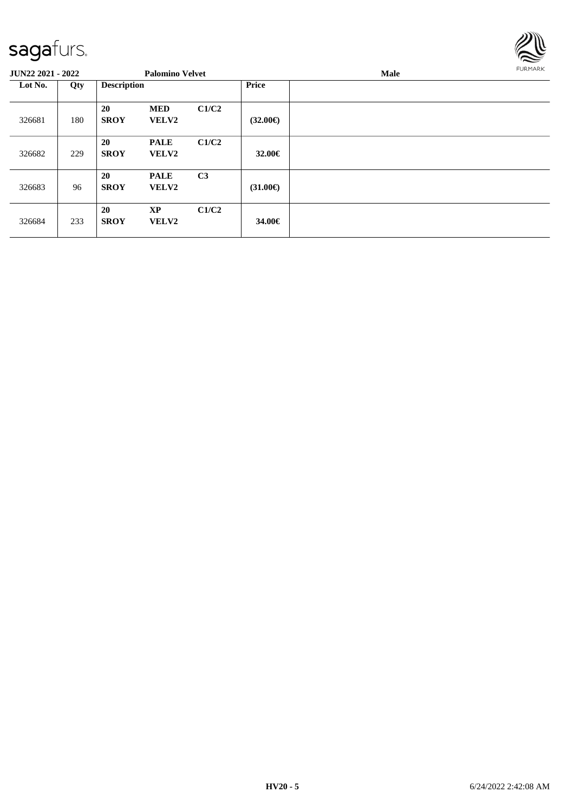

| <b>JUN22 2021 - 2022</b> |     |                          | <b>Palomino Velvet</b>      |                |                   | Male | <b>FURMARK</b> |
|--------------------------|-----|--------------------------|-----------------------------|----------------|-------------------|------|----------------|
| Lot No.                  | Qty | <b>Description</b>       |                             |                | <b>Price</b>      |      |                |
| 326681                   | 180 | 20<br><b>SROY</b>        | <b>MED</b><br><b>VELV2</b>  | C1/C2          | $(32.00\epsilon)$ |      |                |
| 326682                   | 229 | <b>20</b><br><b>SROY</b> | <b>PALE</b><br><b>VELV2</b> | C1/C2          | $32.00 \in$       |      |                |
| 326683                   | 96  | <b>20</b><br><b>SROY</b> | <b>PALE</b><br>VELV2        | C <sub>3</sub> | $(31.00\epsilon)$ |      |                |
| 326684                   | 233 | <b>20</b><br><b>SROY</b> | <b>XP</b><br><b>VELV2</b>   | C1/C2          | 34.00€            |      |                |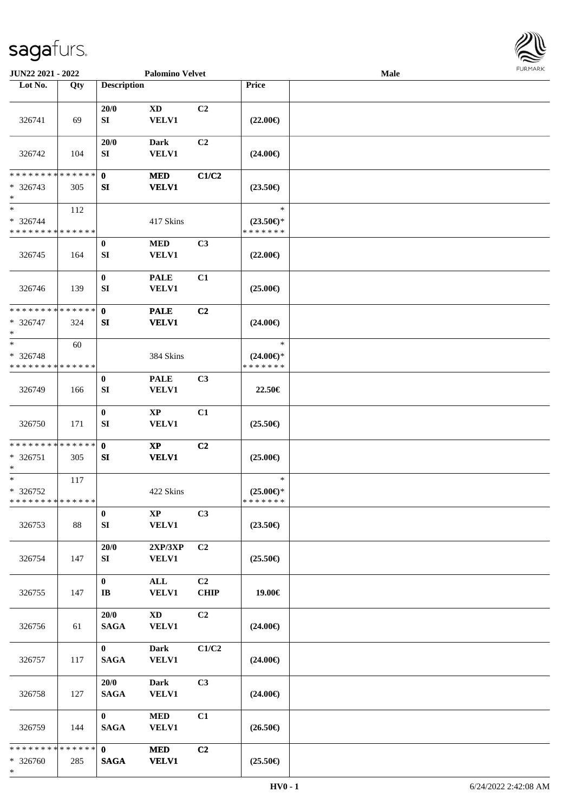

| JUN22 2021 - 2022                                                       |     |                             | <b>Palomino Velvet</b>                 |                   |                                                | <b>Male</b> |  |
|-------------------------------------------------------------------------|-----|-----------------------------|----------------------------------------|-------------------|------------------------------------------------|-------------|--|
| Lot No.                                                                 | Qty | <b>Description</b>          |                                        |                   | Price                                          |             |  |
| 326741                                                                  | 69  | 20/0<br>SI                  | XD<br><b>VELV1</b>                     | C2                | $(22.00\epsilon)$                              |             |  |
| 326742                                                                  | 104 | 20/0<br>SI                  | <b>Dark</b><br><b>VELV1</b>            | C <sub>2</sub>    | $(24.00\epsilon)$                              |             |  |
| * * * * * * * * * * * * * *<br>$* 326743$<br>$\ast$                     | 305 | $\mathbf 0$<br>SI           | <b>MED</b><br><b>VELV1</b>             | C1/C2             | $(23.50\epsilon)$                              |             |  |
| $\overline{\phantom{a}^*}$<br>$* 326744$<br>* * * * * * * * * * * * * * | 112 |                             | 417 Skins                              |                   | $\ast$<br>$(23.50\epsilon)$ *<br>* * * * * * * |             |  |
| 326745                                                                  | 164 | $\bf{0}$<br>SI              | <b>MED</b><br><b>VELV1</b>             | C3                | $(22.00\epsilon)$                              |             |  |
| 326746                                                                  | 139 | $\bf{0}$<br>${\bf SI}$      | <b>PALE</b><br><b>VELV1</b>            | C1                | $(25.00\epsilon)$                              |             |  |
| * * * * * * * * * * * * * *<br>$* 326747$<br>$\ast$                     | 324 | $\mathbf{0}$<br>SI          | <b>PALE</b><br><b>VELV1</b>            | C2                | $(24.00\epsilon)$                              |             |  |
| $\ast$<br>$* 326748$<br>* * * * * * * * * * * * * *                     | 60  |                             | 384 Skins                              |                   | $\ast$<br>$(24.00\epsilon)$ *<br>* * * * * * * |             |  |
| 326749                                                                  | 166 | $\bf{0}$<br>SI              | <b>PALE</b><br><b>VELV1</b>            | C3                | 22.50€                                         |             |  |
| 326750                                                                  | 171 | $\bf{0}$<br>${\bf SI}$      | $\mathbf{X}\mathbf{P}$<br><b>VELV1</b> | C1                | $(25.50\epsilon)$                              |             |  |
| * * * * * * * * * * * * * *<br>$* 326751$<br>$\ast$                     | 305 | $\mathbf 0$<br>SI           | $\mathbf{X}\mathbf{P}$<br><b>VELV1</b> | C2                | $(25.00\epsilon)$                              |             |  |
| $\ast$<br>* 326752<br>**************                                    | 117 |                             | 422 Skins                              |                   | $\ast$<br>$(25.00\epsilon)$ *<br>* * * * * * * |             |  |
| 326753                                                                  | 88  | $\bf{0}$<br>SI              | $\mathbf{X}\mathbf{P}$<br><b>VELV1</b> | C3                | $(23.50\epsilon)$                              |             |  |
| 326754                                                                  | 147 | 20/0<br>SI                  | 2XP/3XP<br><b>VELV1</b>                | C <sub>2</sub>    | $(25.50\epsilon)$                              |             |  |
| 326755                                                                  | 147 | $\mathbf{0}$<br>$\bf{IB}$   | ALL<br><b>VELV1</b>                    | C2<br><b>CHIP</b> | 19.00€                                         |             |  |
| 326756                                                                  | 61  | 20/0<br><b>SAGA</b>         | $\mathbf{X}\mathbf{D}$<br>VELV1        | C2                | $(24.00\epsilon)$                              |             |  |
| 326757                                                                  | 117 | $\mathbf{0}$<br><b>SAGA</b> | <b>Dark</b><br><b>VELV1</b>            | C1/C2             | $(24.00\epsilon)$                              |             |  |
| 326758                                                                  | 127 | 20/0<br><b>SAGA</b>         | <b>Dark</b><br><b>VELV1</b>            | C3                | $(24.00\epsilon)$                              |             |  |
| 326759                                                                  | 144 | $\mathbf{0}$<br><b>SAGA</b> | <b>MED</b><br><b>VELV1</b>             | C1                | $(26.50\epsilon)$                              |             |  |
| * * * * * * * * * * * * * *<br>* 326760<br>$\ast$                       | 285 | $\mathbf{0}$<br><b>SAGA</b> | <b>MED</b><br><b>VELV1</b>             | C2                | $(25.50\epsilon)$                              |             |  |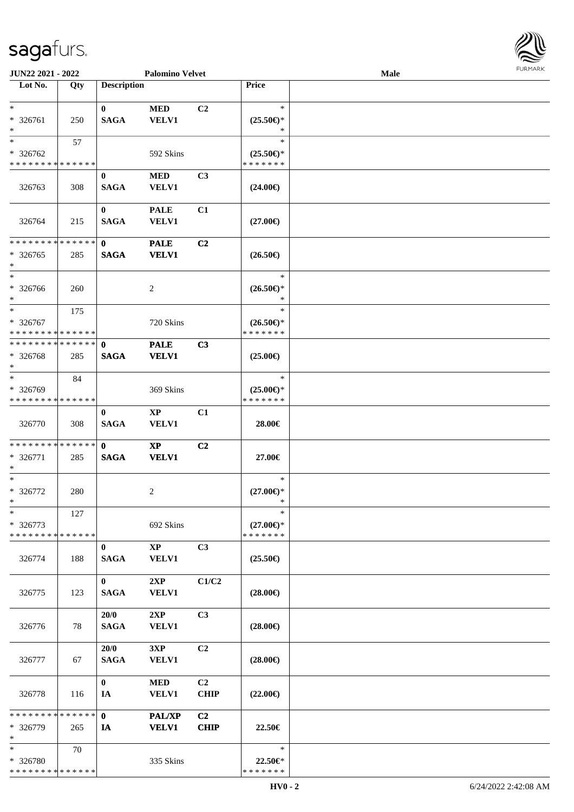| <b>FURMARK</b> |
|----------------|
|                |
|                |
|                |
|                |
|                |

| <b>JUN22 2021 - 2022</b>      |     |                    | <b>Palomino Velvet</b> |                |                          | Male |  |
|-------------------------------|-----|--------------------|------------------------|----------------|--------------------------|------|--|
| Lot No.                       | Qty | <b>Description</b> |                        |                | Price                    |      |  |
|                               |     |                    |                        |                |                          |      |  |
| $*$                           |     | $\bf{0}$           | $\bf MED$              | C <sub>2</sub> | $\ast$                   |      |  |
| * 326761<br>$\ast$            | 250 | <b>SAGA</b>        | <b>VELV1</b>           |                | $(25.50\epsilon)$ *<br>∗ |      |  |
| $\ast$                        |     |                    |                        |                | $\ast$                   |      |  |
| * 326762                      | 57  |                    | 592 Skins              |                | $(25.50\epsilon)$ *      |      |  |
| * * * * * * * * * * * * * *   |     |                    |                        |                | * * * * * * *            |      |  |
|                               |     | $\bf{0}$           | <b>MED</b>             | C3             |                          |      |  |
| 326763                        | 308 | <b>SAGA</b>        | <b>VELV1</b>           |                | $(24.00\epsilon)$        |      |  |
|                               |     |                    |                        |                |                          |      |  |
|                               |     | $\bf{0}$           | <b>PALE</b>            | C1             |                          |      |  |
| 326764                        | 215 | <b>SAGA</b>        | <b>VELV1</b>           |                | $(27.00\epsilon)$        |      |  |
|                               |     |                    |                        |                |                          |      |  |
| * * * * * * * * * * * * * *   |     | $\mathbf{0}$       | <b>PALE</b>            | C <sub>2</sub> |                          |      |  |
| $* 326765$                    | 285 | <b>SAGA</b>        | <b>VELV1</b>           |                | $(26.50\epsilon)$        |      |  |
| $*$                           |     |                    |                        |                |                          |      |  |
| $\ast$                        |     |                    |                        |                | $\ast$                   |      |  |
| $* 326766$                    | 260 |                    | 2                      |                | $(26.50\epsilon)$ *      |      |  |
| $*$                           |     |                    |                        |                | $\ast$                   |      |  |
| $*$                           | 175 |                    |                        |                | $\ast$                   |      |  |
| * 326767                      |     |                    | 720 Skins              |                | $(26.50\epsilon)$ *      |      |  |
| * * * * * * * * * * * * * *   |     |                    |                        |                | * * * * * * *            |      |  |
| * * * * * * * * * * * * * * * |     | $\mathbf{0}$       | <b>PALE</b>            | C3             |                          |      |  |
| * 326768<br>$*$               | 285 | <b>SAGA</b>        | <b>VELV1</b>           |                | $(25.00\epsilon)$        |      |  |
| $*$                           | 84  |                    |                        |                | $\ast$                   |      |  |
| * 326769                      |     |                    | 369 Skins              |                | $(25.00\epsilon)$ *      |      |  |
| * * * * * * * * * * * * * *   |     |                    |                        |                | * * * * * * *            |      |  |
|                               |     | $\bf{0}$           | $\bold{XP}$            | C1             |                          |      |  |
| 326770                        | 308 | <b>SAGA</b>        | <b>VELV1</b>           |                | 28.00€                   |      |  |
|                               |     |                    |                        |                |                          |      |  |
| * * * * * * * * * * * * * * * |     | $\mathbf{0}$       | $\mathbf{XP}$          | C <sub>2</sub> |                          |      |  |
| * 326771                      | 285 | <b>SAGA</b>        | <b>VELV1</b>           |                | 27.00€                   |      |  |
| $\ast$                        |     |                    |                        |                |                          |      |  |
| $*$                           |     |                    |                        |                | $\ast$                   |      |  |
| $* 326772$                    | 280 |                    | 2                      |                | $(27.00\epsilon)$ *      |      |  |
| $*$                           |     |                    |                        |                | *                        |      |  |
| $\ast$                        | 127 |                    |                        |                | $\ast$                   |      |  |
| * 326773                      |     |                    | 692 Skins              |                | $(27.00\epsilon)$ *      |      |  |
| * * * * * * * * * * * * * *   |     |                    |                        |                | * * * * * * *            |      |  |
|                               |     | $\mathbf{0}$       | $\mathbf{X}\mathbf{P}$ | C3             |                          |      |  |
| 326774                        | 188 | <b>SAGA</b>        | <b>VELV1</b>           |                | $(25.50\epsilon)$        |      |  |
|                               |     | $\mathbf{0}$       | 2XP                    | C1/C2          |                          |      |  |
| 326775                        | 123 | <b>SAGA</b>        | <b>VELV1</b>           |                | $(28.00\epsilon)$        |      |  |
|                               |     |                    |                        |                |                          |      |  |
|                               |     | 20/0               | 2XP                    | C3             |                          |      |  |
| 326776                        | 78  | <b>SAGA</b>        | <b>VELV1</b>           |                | $(28.00\epsilon)$        |      |  |
|                               |     |                    |                        |                |                          |      |  |
|                               |     | 20/0               | 3XP                    | C <sub>2</sub> |                          |      |  |
| 326777                        | 67  | <b>SAGA</b>        | <b>VELV1</b>           |                | $(28.00\epsilon)$        |      |  |
|                               |     |                    |                        |                |                          |      |  |
|                               |     | $\mathbf{0}$       | <b>MED</b>             | C <sub>2</sub> |                          |      |  |
| 326778                        | 116 | IA                 | <b>VELV1</b>           | <b>CHIP</b>    | $(22.00\epsilon)$        |      |  |
|                               |     |                    |                        |                |                          |      |  |
| * * * * * * * * * * * * * * * |     | $\mathbf{0}$       | PAL/XP                 | C <sub>2</sub> |                          |      |  |
| * 326779                      | 265 | IA                 | <b>VELV1</b>           | <b>CHIP</b>    | 22.50€                   |      |  |
| $*$                           |     |                    |                        |                |                          |      |  |
| $*$                           | 70  |                    |                        |                | $\ast$                   |      |  |
| * 326780                      |     |                    | 335 Skins              |                | 22.50€*<br>* * * * * * * |      |  |
| * * * * * * * * * * * * * *   |     |                    |                        |                |                          |      |  |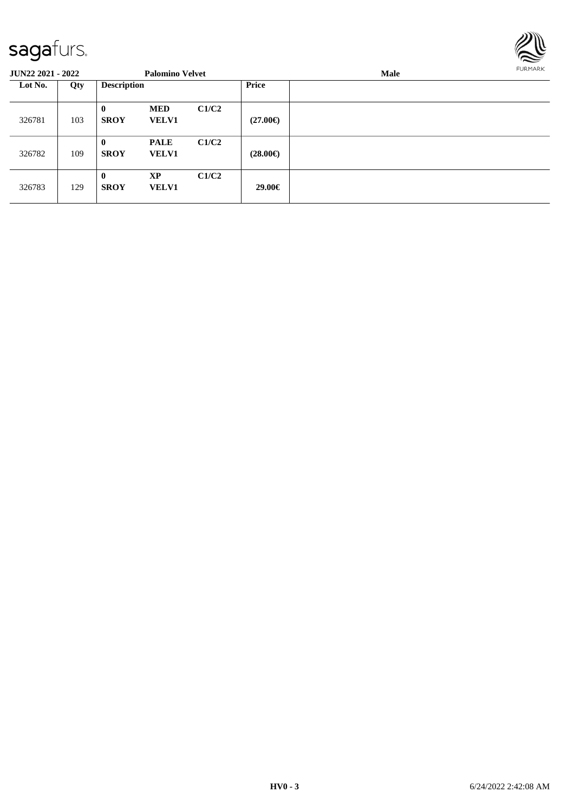

| <b>JUN22 2021 - 2022</b> |     |                             | <b>Palomino Velvet</b>      |       |                   | Male | <b>FURMARK</b> |
|--------------------------|-----|-----------------------------|-----------------------------|-------|-------------------|------|----------------|
| Lot No.                  | Qty | <b>Description</b>          |                             |       | Price             |      |                |
| 326781                   | 103 | $\mathbf{0}$<br><b>SROY</b> | <b>MED</b><br><b>VELV1</b>  | C1/C2 | $(27.00\epsilon)$ |      |                |
| 326782                   | 109 | $\bf{0}$<br><b>SROY</b>     | <b>PALE</b><br><b>VELV1</b> | C1/C2 | $(28.00\epsilon)$ |      |                |
| 326783                   | 129 | $\mathbf{0}$<br><b>SROY</b> | <b>XP</b><br><b>VELV1</b>   | C1/C2 | 29.00€            |      |                |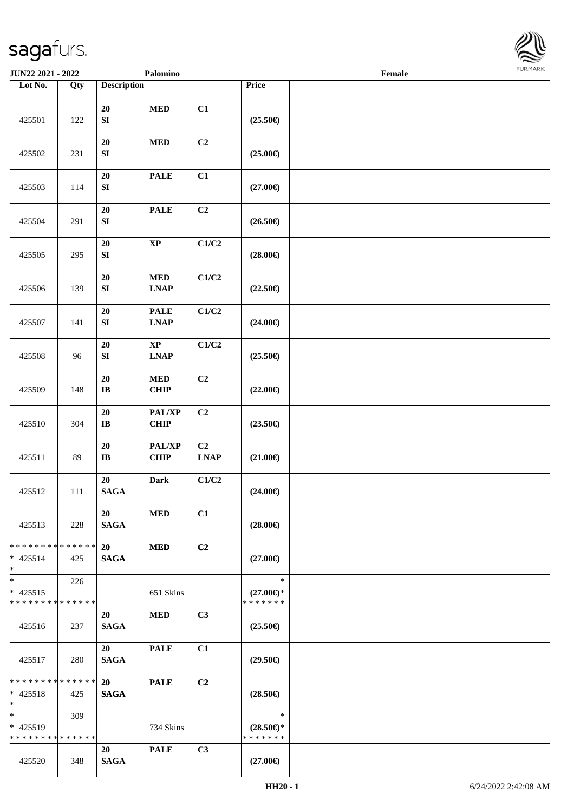

| <b>JUN22 2021 - 2022</b>                                         |                   |                          | Palomino                   |                   |                                                | Female |  |
|------------------------------------------------------------------|-------------------|--------------------------|----------------------------|-------------------|------------------------------------------------|--------|--|
| Lot No.                                                          | $\overline{Q}$ ty | <b>Description</b>       |                            |                   | Price                                          |        |  |
| 425501                                                           | 122               | 20<br>${\bf S}{\bf I}$   | $\bf MED$                  | C1                | $(25.50\epsilon)$                              |        |  |
| 425502                                                           | 231               | 20<br>${\bf S}{\bf I}$   | $\bf MED$                  | C2                | $(25.00\epsilon)$                              |        |  |
| 425503                                                           | 114               | 20<br>${\bf S}{\bf I}$   | <b>PALE</b>                | C1                | $(27.00\epsilon)$                              |        |  |
| 425504                                                           | 291               | 20<br>${\bf S}{\bf I}$   | <b>PALE</b>                | C2                | $(26.50\epsilon)$                              |        |  |
| 425505                                                           | 295               | 20<br>${\bf S}{\bf I}$   | $\bold{XP}$                | C1/C2             | $(28.00\epsilon)$                              |        |  |
| 425506                                                           | 139               | 20<br>${\bf SI}$         | $\bf MED$<br><b>LNAP</b>   | C1/C2             | $(22.50\epsilon)$                              |        |  |
| 425507                                                           | 141               | 20<br>${\bf SI}$         | <b>PALE</b><br><b>LNAP</b> | C1/C2             | $(24.00\epsilon)$                              |        |  |
| 425508                                                           | 96                | 20<br>SI                 | $\bold{XP}$<br><b>LNAP</b> | C1/C2             | $(25.50\epsilon)$                              |        |  |
| 425509                                                           | 148               | $20\,$<br>$\bf{IB}$      | $\bf MED$<br>CHIP          | C2                | $(22.00\epsilon)$                              |        |  |
| 425510                                                           | 304               | 20<br>$\bf{IB}$          | PAL/XP<br><b>CHIP</b>      | C2                | $(23.50\epsilon)$                              |        |  |
| 425511                                                           | 89                | $20\,$<br>$\bf{IB}$      | PAL/XP<br><b>CHIP</b>      | C2<br><b>LNAP</b> | $(21.00\epsilon)$                              |        |  |
| 425512                                                           | 111               | 20<br>$\mathbf{SAGA}$    | Dark                       | C1/C2             | $(24.00\epsilon)$                              |        |  |
| 425513                                                           | 228               | 20<br><b>SAGA</b>        | <b>MED</b>                 | C1                | $(28.00\epsilon)$                              |        |  |
| * * * * * * * * <mark>* * * * * *</mark><br>$* 425514$<br>$\ast$ | 425               | 20<br><b>SAGA</b>        | <b>MED</b>                 | C <sub>2</sub>    | $(27.00\epsilon)$                              |        |  |
| $*$<br>$* 425515$<br>* * * * * * * * <mark>* * * * * *</mark>    | 226               |                          | 651 Skins                  |                   | $\ast$<br>$(27.00\epsilon)$ *<br>* * * * * * * |        |  |
| 425516                                                           | 237               | 20<br><b>SAGA</b>        | <b>MED</b>                 | C3                | $(25.50\epsilon)$                              |        |  |
| 425517                                                           | 280               | 20<br><b>SAGA</b>        | <b>PALE</b>                | C1                | $(29.50\epsilon)$                              |        |  |
| * * * * * * * * * * * * * * *<br>$* 425518$<br>$*$               | 425               | <b>20</b><br><b>SAGA</b> | <b>PALE</b>                | C2                | $(28.50\epsilon)$                              |        |  |
| $*$<br>$* 425519$<br>* * * * * * * * * * * * * *                 | 309               |                          | 734 Skins                  |                   | $\ast$<br>$(28.50\epsilon)$ *<br>* * * * * * * |        |  |
| 425520                                                           | 348               | 20<br><b>SAGA</b>        | <b>PALE</b>                | C <sub>3</sub>    | $(27.00\epsilon)$                              |        |  |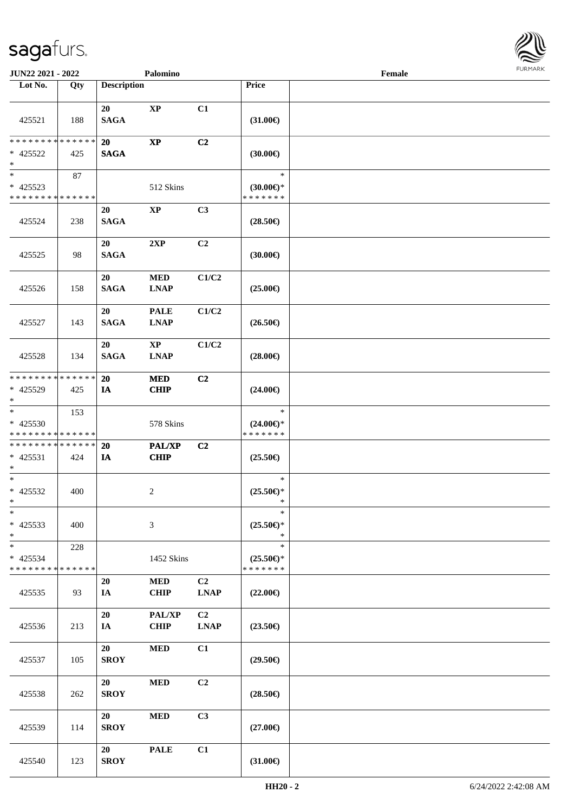

| JUN22 2021 - 2022                                   |     |                    | Palomino                              |                   |                                                | Female |  |
|-----------------------------------------------------|-----|--------------------|---------------------------------------|-------------------|------------------------------------------------|--------|--|
| Lot No.                                             | Qty | <b>Description</b> |                                       |                   | Price                                          |        |  |
| 425521                                              | 188 | 20<br><b>SAGA</b>  | $\bold{XP}$                           | C1                | $(31.00\epsilon)$                              |        |  |
| * * * * * * * * * * * * * *<br>* 425522<br>$\ast$   | 425 | 20<br><b>SAGA</b>  | $\bold{XP}$                           | C2                | (30.00)                                        |        |  |
| $\ast$<br>* 425523<br>* * * * * * * * * * * * * *   | 87  |                    | 512 Skins                             |                   | $\ast$<br>$(30.00\epsilon)$ *<br>* * * * * * * |        |  |
| 425524                                              | 238 | 20<br><b>SAGA</b>  | $\bold{XP}$                           | C3                | $(28.50\epsilon)$                              |        |  |
| 425525                                              | 98  | 20<br><b>SAGA</b>  | 2XP                                   | C2                | (30.00)                                        |        |  |
| 425526                                              | 158 | 20<br><b>SAGA</b>  | $\bf MED$<br><b>LNAP</b>              | C1/C2             | $(25.00\epsilon)$                              |        |  |
| 425527                                              | 143 | 20<br><b>SAGA</b>  | <b>PALE</b><br><b>LNAP</b>            | C1/C2             | $(26.50\epsilon)$                              |        |  |
| 425528                                              | 134 | 20<br><b>SAGA</b>  | $\mathbf{X}\mathbf{P}$<br><b>LNAP</b> | C1/C2             | $(28.00\epsilon)$                              |        |  |
| * * * * * * * * * * * * * *<br>* 425529<br>$*$      | 425 | 20<br>IA           | <b>MED</b><br>CHIP                    | C2                | $(24.00\epsilon)$                              |        |  |
| $\ast$<br>$* 425530$<br>* * * * * * * * * * * * * * | 153 |                    | 578 Skins                             |                   | $\ast$<br>$(24.00\epsilon)$ *<br>* * * * * * * |        |  |
| **************<br>$* 425531$<br>$*$                 | 424 | 20<br>IA           | PAL/XP<br><b>CHIP</b>                 | C <sub>2</sub>    | $(25.50\epsilon)$                              |        |  |
| $*$<br>$* 425532$<br>$*$                            | 400 |                    | $\overline{c}$                        |                   | $\ast$<br>$(25.50\epsilon)*$<br>$\ast$         |        |  |
| $\ast$<br>$* 425533$<br>$\ast$                      | 400 |                    | 3                                     |                   | $\ast$<br>$(25.50\epsilon)$ *<br>$\ast$        |        |  |
| $*$<br>* 425534<br>* * * * * * * * * * * * * *      | 228 |                    | 1452 Skins                            |                   | $\ast$<br>$(25.50\epsilon)$ *<br>* * * * * * * |        |  |
| 425535                                              | 93  | 20<br>IA           | <b>MED</b><br><b>CHIP</b>             | C2<br><b>LNAP</b> | $(22.00\epsilon)$                              |        |  |
| 425536                                              | 213 | 20<br>IA           | PAL/XP<br><b>CHIP</b>                 | C2<br><b>LNAP</b> | $(23.50\epsilon)$                              |        |  |
| 425537                                              | 105 | 20<br><b>SROY</b>  | $\bf MED$                             | C1                | $(29.50\epsilon)$                              |        |  |
| 425538                                              | 262 | 20<br><b>SROY</b>  | <b>MED</b>                            | C2                | $(28.50\epsilon)$                              |        |  |
| 425539                                              | 114 | 20<br><b>SROY</b>  | <b>MED</b>                            | C3                | $(27.00\epsilon)$                              |        |  |
| 425540                                              | 123 | 20<br><b>SROY</b>  | <b>PALE</b>                           | C1                | $(31.00\epsilon)$                              |        |  |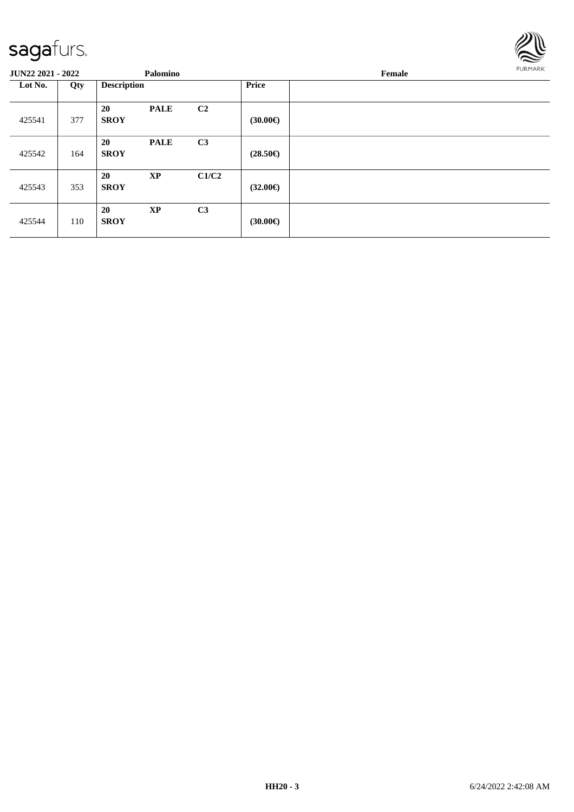

| <b>JUN22 2021 - 2022</b> |     |                    | Palomino               |                |                   | <b>FURMARK</b> |  |
|--------------------------|-----|--------------------|------------------------|----------------|-------------------|----------------|--|
| Lot No.                  | Qty | <b>Description</b> |                        |                | <b>Price</b>      |                |  |
| 425541                   | 377 | 20<br><b>SROY</b>  | <b>PALE</b>            | C2             | (30.00)           |                |  |
| 425542                   | 164 | 20<br><b>SROY</b>  | <b>PALE</b>            | C3             | $(28.50\epsilon)$ |                |  |
| 425543                   | 353 | 20<br><b>SROY</b>  | $\mathbf{X}\mathbf{P}$ | C1/C2          | $(32.00\epsilon)$ |                |  |
| 425544                   | 110 | 20<br><b>SROY</b>  | <b>XP</b>              | C <sub>3</sub> | (30.00)           |                |  |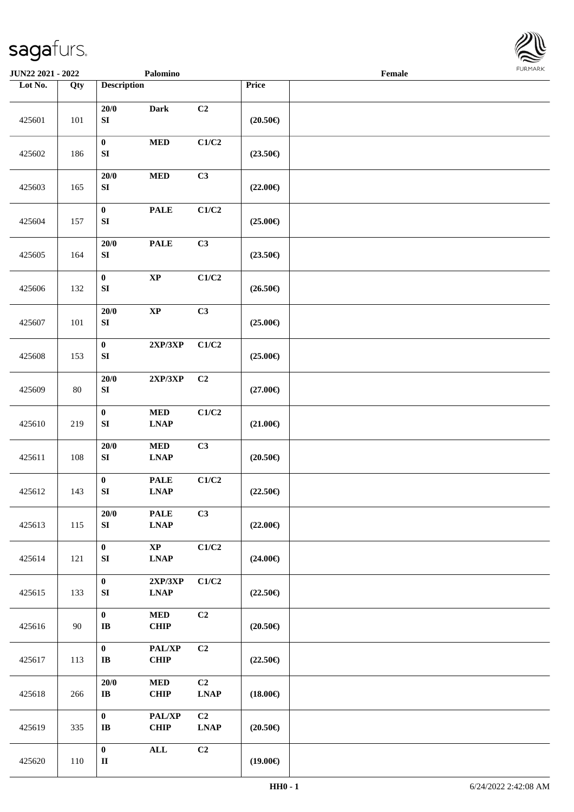

| JUN22 2021 - 2022 |        |                                     | Palomino                                          |                               |                   | Female | FURMARK |
|-------------------|--------|-------------------------------------|---------------------------------------------------|-------------------------------|-------------------|--------|---------|
| Lot No.           | Qty    | <b>Description</b>                  |                                                   |                               | Price             |        |         |
| 425601            | 101    | $20/0$<br>${\bf S}{\bf I}$          | <b>Dark</b>                                       | C2                            | $(20.50\epsilon)$ |        |         |
| 425602            | 186    | $\pmb{0}$<br>${\bf S}{\bf I}$       | $\bf MED$                                         | $\mathbf{C1}/\mathbf{C2}$     | $(23.50\epsilon)$ |        |         |
| 425603            | 165    | $20/0$<br>${\bf S}{\bf I}$          | $\bf MED$                                         | C3                            | $(22.00\epsilon)$ |        |         |
| 425604            | 157    | $\mathbf{0}$<br>${\bf S}{\bf I}$    | <b>PALE</b>                                       | $\mathbf{C1}/\mathbf{C2}$     | $(25.00\epsilon)$ |        |         |
| 425605            | 164    | $20/0$<br>${\bf S}{\bf I}$          | <b>PALE</b>                                       | C3                            | $(23.50\epsilon)$ |        |         |
| 425606            | 132    | $\mathbf{0}$<br>${\bf S}{\bf I}$    | $\mathbf{X}\mathbf{P}$                            | C1/C2                         | $(26.50\epsilon)$ |        |         |
| 425607            | 101    | $20/0$<br>${\bf S}{\bf I}$          | $\bold{XP}$                                       | C3                            | $(25.00\epsilon)$ |        |         |
| 425608            | 153    | $\pmb{0}$<br>${\bf S}{\bf I}$       | $2{\bf XP}/3{\bf XP}$                             | C1/C2                         | $(25.00\epsilon)$ |        |         |
| 425609            | $80\,$ | $20/0$<br>${\bf S}{\bf I}$          | $2{\bf XP}/3{\bf XP}$                             | C <sub>2</sub>                | $(27.00\epsilon)$ |        |         |
| 425610            | 219    | $\mathbf{0}$<br>${\bf S}{\bf I}$    | $\bf MED$<br><b>LNAP</b>                          | C1/C2                         | $(21.00\epsilon)$ |        |         |
| 425611            | 108    | $20/0$<br>${\bf S}{\bf I}$          | $\bf MED$<br><b>LNAP</b>                          | C3                            | $(20.50\epsilon)$ |        |         |
| 425612            | 143    | $\pmb{0}$<br>${\bf S}{\bf I}$       | $\ensuremath{\mathbf{PAL}}\xspace$<br><b>LNAP</b> | C1/C2                         | $(22.50\epsilon)$ |        |         |
| 425613            | 115    | 20/0<br>${\bf S}{\bf I}$            | <b>PALE</b><br><b>LNAP</b>                        | C3                            | $(22.00\epsilon)$ |        |         |
| 425614            | 121    | $\pmb{0}$<br>${\bf S}{\bf I}$       | $\bold{XP}$<br><b>LNAP</b>                        | C1/C2                         | $(24.00\epsilon)$ |        |         |
| 425615            | 133    | $\pmb{0}$<br>${\bf S}{\bf I}$       | 2XP/3XP<br><b>LNAP</b>                            | C1/C2                         | $(22.50\epsilon)$ |        |         |
| 425616            | 90     | $\pmb{0}$<br>$\mathbf{I}\mathbf{B}$ | $\bf MED$<br><b>CHIP</b>                          | C2                            | $(20.50\epsilon)$ |        |         |
| 425617            | 113    | $\boldsymbol{0}$<br>$\bf I\bf B$    | PAL/XP<br><b>CHIP</b>                             | C2                            | $(22.50\epsilon)$ |        |         |
| 425618            | 266    | 20/0<br>$\bf{IB}$                   | $\bf MED$<br>CHIP                                 | C <sub>2</sub><br><b>LNAP</b> | $(18.00\epsilon)$ |        |         |
| 425619            | 335    | $\mathbf{0}$<br>$\bf I\bf B$        | PAL/XP<br>CHIP                                    | C <sub>2</sub><br><b>LNAP</b> | $(20.50\epsilon)$ |        |         |
| 425620            | 110    | $\pmb{0}$<br>$\mathbf{I}\mathbf{I}$ | $\mathbf{ALL}$                                    | C2                            | $(19.00\epsilon)$ |        |         |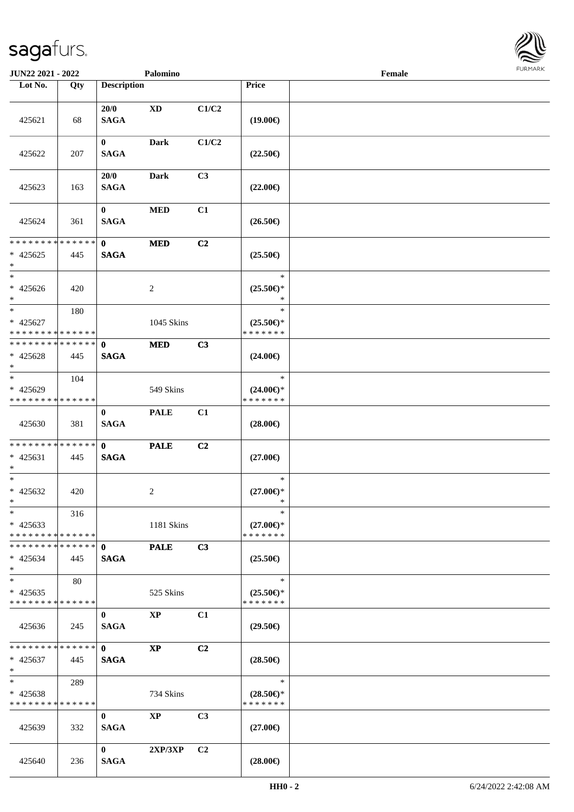

| <b>JUN22 2021 - 2022</b>                               |     |                             | Palomino               |                |                                                | Female |  |
|--------------------------------------------------------|-----|-----------------------------|------------------------|----------------|------------------------------------------------|--------|--|
| Lot No.                                                | Qty | <b>Description</b>          |                        |                | Price                                          |        |  |
| 425621                                                 | 68  | 20/0<br><b>SAGA</b>         | $\mathbf{X}\mathbf{D}$ | C1/C2          | $(19.00\epsilon)$                              |        |  |
| 425622                                                 | 207 | $\bf{0}$<br><b>SAGA</b>     | Dark                   | C1/C2          | $(22.50\epsilon)$                              |        |  |
| 425623                                                 | 163 | 20/0<br><b>SAGA</b>         | Dark                   | C <sub>3</sub> | $(22.00\epsilon)$                              |        |  |
| 425624                                                 | 361 | $\mathbf{0}$<br><b>SAGA</b> | $\bf MED$              | C1             | $(26.50\epsilon)$                              |        |  |
| * * * * * * * * * * * * * *<br>$* 425625$<br>$*$       | 445 | $\mathbf{0}$<br><b>SAGA</b> | <b>MED</b>             | C2             | $(25.50\epsilon)$                              |        |  |
| $*$<br>$* 425626$<br>$*$                               | 420 |                             | $\overline{2}$         |                | $\ast$<br>$(25.50\epsilon)$ *<br>$\ast$        |        |  |
| $*$<br>$* 425627$<br>* * * * * * * * * * * * * *       | 180 |                             | 1045 Skins             |                | $\ast$<br>$(25.50\epsilon)$ *<br>* * * * * * * |        |  |
| * * * * * * * * * * * * * * *<br>$* 425628$<br>$*$     | 445 | $\mathbf{0}$<br><b>SAGA</b> | <b>MED</b>             | C3             | $(24.00\epsilon)$                              |        |  |
| $\ast$<br>* 425629<br>* * * * * * * * * * * * * *      | 104 |                             | 549 Skins              |                | $\ast$<br>$(24.00\epsilon)$ *<br>* * * * * * * |        |  |
| 425630                                                 | 381 | $\mathbf{0}$<br><b>SAGA</b> | <b>PALE</b>            | C1             | $(28.00\epsilon)$                              |        |  |
| * * * * * * * * * * * * * * *<br>$* 425631$<br>$*$     | 445 | $\mathbf{0}$<br><b>SAGA</b> | <b>PALE</b>            | C2             | $(27.00\epsilon)$                              |        |  |
| $*$<br>$* 425632$<br>$*$                               | 420 |                             | 2                      |                | $\ast$<br>$(27.00\epsilon)$ *<br>$\ast$        |        |  |
| $*$<br>$* 425633$<br>* * * * * * * * * * * * * * *     | 316 |                             | 1181 Skins             |                | $\ast$<br>$(27.00\epsilon)$ *<br>* * * * * * * |        |  |
| * * * * * * * * * * * * * * *<br>$* 425634$<br>$*$     | 445 | $\mathbf{0}$<br><b>SAGA</b> | <b>PALE</b>            | C3             | $(25.50\epsilon)$                              |        |  |
| $*$<br>$* 425635$<br>* * * * * * * * * * * * * *       | 80  |                             | 525 Skins              |                | $\ast$<br>$(25.50\epsilon)$ *<br>* * * * * * * |        |  |
| 425636                                                 | 245 | $\bf{0}$<br><b>SAGA</b>     | $\bold{XP}$            | C1             | $(29.50\epsilon)$                              |        |  |
| * * * * * * * * * * * * * * *<br>$* 425637$<br>$*$ $*$ | 445 | $\mathbf{0}$<br><b>SAGA</b> | <b>XP</b>              | C2             | $(28.50\epsilon)$                              |        |  |
| $*$ and $*$<br>* 425638<br>* * * * * * * * * * * * * * | 289 |                             | 734 Skins              |                | $\ast$<br>$(28.50\epsilon)$ *<br>* * * * * * * |        |  |
| 425639                                                 | 332 | $\bf{0}$<br><b>SAGA</b>     | $\mathbf{X}\mathbf{P}$ | C3             | $(27.00\epsilon)$                              |        |  |
| 425640                                                 | 236 | $\mathbf{0}$<br><b>SAGA</b> | 2XP/3XP                | C <sub>2</sub> | $(28.00\epsilon)$                              |        |  |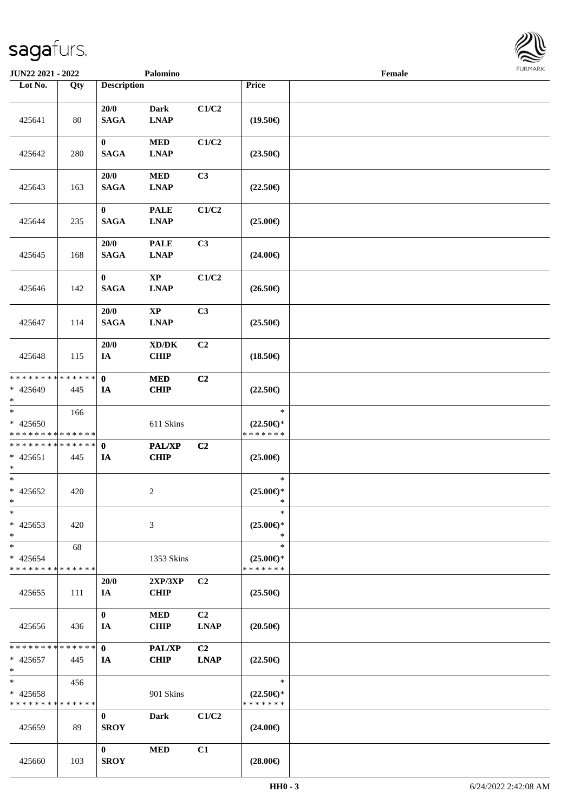

| JUN22 2021 - 2022                                              |     |                         | Palomino                                           |                   |                                                | Female |  |
|----------------------------------------------------------------|-----|-------------------------|----------------------------------------------------|-------------------|------------------------------------------------|--------|--|
| Lot No.                                                        | Qty | <b>Description</b>      |                                                    |                   | Price                                          |        |  |
| 425641                                                         | 80  | 20/0<br><b>SAGA</b>     | <b>Dark</b><br><b>LNAP</b>                         | C1/C2             | $(19.50\epsilon)$                              |        |  |
| 425642                                                         | 280 | $\bf{0}$<br><b>SAGA</b> | <b>MED</b><br><b>LNAP</b>                          | C1/C2             | $(23.50\epsilon)$                              |        |  |
| 425643                                                         | 163 | 20/0<br><b>SAGA</b>     | $\bf MED$<br><b>LNAP</b>                           | C3                | $(22.50\epsilon)$                              |        |  |
| 425644                                                         | 235 | $\bf{0}$<br><b>SAGA</b> | <b>PALE</b><br><b>LNAP</b>                         | C1/C2             | $(25.00\epsilon)$                              |        |  |
| 425645                                                         | 168 | 20/0<br><b>SAGA</b>     | <b>PALE</b><br><b>LNAP</b>                         | C3                | $(24.00\epsilon)$                              |        |  |
| 425646                                                         | 142 | $\bf{0}$<br><b>SAGA</b> | $\bold{XP}$<br><b>LNAP</b>                         | C1/C2             | $(26.50\epsilon)$                              |        |  |
| 425647                                                         | 114 | 20/0<br><b>SAGA</b>     | $\mathbf{XP}$<br><b>LNAP</b>                       | C3                | $(25.50\epsilon)$                              |        |  |
| 425648                                                         | 115 | $20/0$<br>IA            | $\bold{X}\bold{D}/\bold{D}\bold{K}$<br><b>CHIP</b> | C <sub>2</sub>    | $(18.50\epsilon)$                              |        |  |
| * * * * * * * * * * * * * *<br>* 425649<br>$*$                 | 445 | $\mathbf{0}$<br>IA      | <b>MED</b><br>CHIP                                 | C2                | $(22.50\epsilon)$                              |        |  |
| $\overline{\ast}$<br>$* 425650$<br>* * * * * * * * * * * * * * | 166 |                         | 611 Skins                                          |                   | $\ast$<br>$(22.50\epsilon)$ *<br>* * * * * * * |        |  |
| * * * * * * * * * * * * * * *<br>$* 425651$<br>$*$             | 445 | $\mathbf 0$<br>IA       | PAL/XP<br><b>CHIP</b>                              | C <sub>2</sub>    | $(25.00\epsilon)$                              |        |  |
| $*$<br>$* 425652$<br>$*$                                       | 420 |                         | $\overline{c}$                                     |                   | $\ast$<br>$(25.00\epsilon)$ *<br>*             |        |  |
| $*$<br>$* 425653$<br>$*$                                       | 420 |                         | 3                                                  |                   | $\ast$<br>$(25.00\epsilon)$ *<br>∗             |        |  |
| $*$<br>* 425654<br>* * * * * * * * * * * * * *                 | 68  |                         | 1353 Skins                                         |                   | $\ast$<br>$(25.00\epsilon)$ *<br>* * * * * * * |        |  |
| 425655                                                         | 111 | <b>20/0</b><br>IA       | 2XP/3XP<br><b>CHIP</b>                             | C <sub>2</sub>    | $(25.50\epsilon)$                              |        |  |
| 425656                                                         | 436 | $\bf{0}$<br>IA          | <b>MED</b><br><b>CHIP</b>                          | C2<br><b>LNAP</b> | $(20.50\epsilon)$                              |        |  |
| * * * * * * * * * * * * * * *<br>$* 425657$<br>$\ast$          | 445 | $\mathbf{0}$<br>IA      | <b>PAL/XP</b><br><b>CHIP</b>                       | C2<br><b>LNAP</b> | $(22.50\epsilon)$                              |        |  |
| $*$<br>* 425658<br>* * * * * * * * * * * * * *                 | 456 |                         | 901 Skins                                          |                   | $\ast$<br>$(22.50\epsilon)$ *<br>* * * * * * * |        |  |
| 425659                                                         | 89  | $\bf{0}$<br><b>SROY</b> | <b>Dark</b>                                        | C1/C2             | $(24.00\epsilon)$                              |        |  |
| 425660                                                         | 103 | $\bf{0}$<br><b>SROY</b> | <b>MED</b>                                         | C1                | $(28.00\epsilon)$                              |        |  |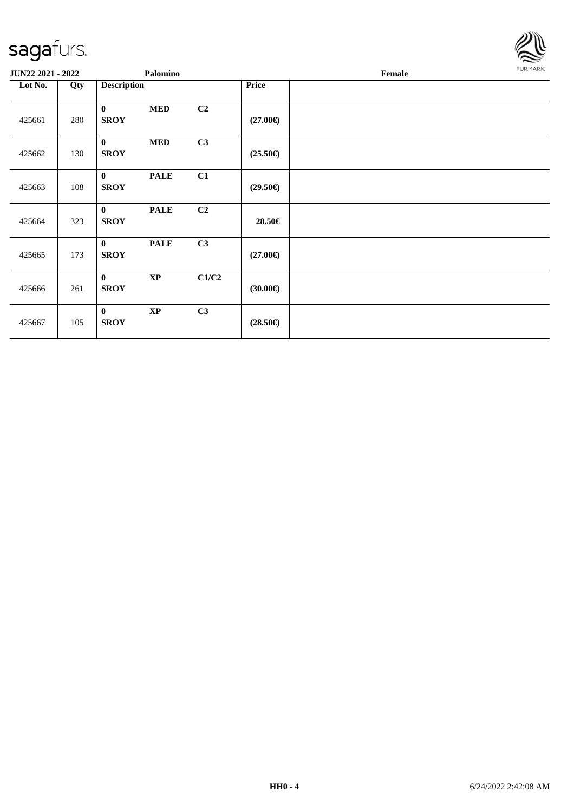

| JUN22 2021 - 2022 |     |                             | Palomino      |                |                   | Female | FURMARK |
|-------------------|-----|-----------------------------|---------------|----------------|-------------------|--------|---------|
| Lot No.           | Qty | <b>Description</b>          |               |                | Price             |        |         |
| 425661            | 280 | $\mathbf{0}$<br><b>SROY</b> | <b>MED</b>    | C <sub>2</sub> | $(27.00\epsilon)$ |        |         |
| 425662            | 130 | $\bf{0}$<br><b>SROY</b>     | $\bf MED$     | C3             | $(25.50\epsilon)$ |        |         |
| 425663            | 108 | $\mathbf{0}$<br><b>SROY</b> | <b>PALE</b>   | C1             | $(29.50\epsilon)$ |        |         |
| 425664            | 323 | $\mathbf{0}$<br><b>SROY</b> | <b>PALE</b>   | C2             | 28.50€            |        |         |
| 425665            | 173 | $\mathbf{0}$<br><b>SROY</b> | <b>PALE</b>   | C3             | $(27.00\epsilon)$ |        |         |
| 425666            | 261 | $\bf{0}$<br><b>SROY</b>     | $\mathbf{XP}$ | C1/C2          | $(30.00\epsilon)$ |        |         |
| 425667            | 105 | $\mathbf{0}$<br><b>SROY</b> | $\mathbf{XP}$ | C3             | $(28.50\epsilon)$ |        |         |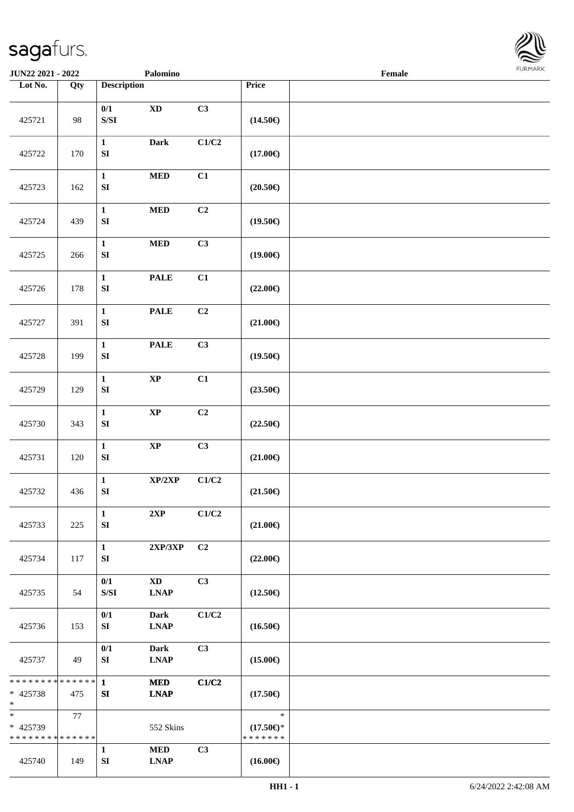

| <b>JUN22 2021 - 2022</b>                                           |     |                                                                                               | Palomino                                  |                |                                                | Female |  |
|--------------------------------------------------------------------|-----|-----------------------------------------------------------------------------------------------|-------------------------------------------|----------------|------------------------------------------------|--------|--|
| Lot No.                                                            | Qty | <b>Description</b>                                                                            |                                           |                | Price                                          |        |  |
| 425721                                                             | 98  | 0/1<br>$\ensuremath{\mathrm{S}}\xspace/\ensuremath{\mathrm{S}}\xspace\ensuremath{\mathrm{I}}$ | $\mathbf{X}\mathbf{D}$                    | C3             | $(14.50\epsilon)$                              |        |  |
| 425722                                                             | 170 | $\mathbf{1}$<br>${\bf S}{\bf I}$                                                              | <b>Dark</b>                               | C1/C2          | $(17.00\epsilon)$                              |        |  |
| 425723                                                             | 162 | $\mathbf{1}$<br>${\bf S}{\bf I}$                                                              | $\bf MED$                                 | C1             | $(20.50\epsilon)$                              |        |  |
| 425724                                                             | 439 | $\mathbf{1}$<br>${\bf SI}$                                                                    | $\bf MED$                                 | C2             | $(19.50\epsilon)$                              |        |  |
| 425725                                                             | 266 | $\mathbf{1}$<br>${\bf SI}$                                                                    | $\bf MED$                                 | C3             | $(19.00\epsilon)$                              |        |  |
| 425726                                                             | 178 | $\mathbf{1}$<br>${\bf SI}$                                                                    | <b>PALE</b>                               | C1             | $(22.00\epsilon)$                              |        |  |
| 425727                                                             | 391 | $\mathbf{1}$<br>${\bf S}{\bf I}$                                                              | $\ensuremath{\mathop{\bf PALE}\nolimits}$ | C2             | $(21.00\epsilon)$                              |        |  |
| 425728                                                             | 199 | $\mathbf{1}$<br>SI                                                                            | <b>PALE</b>                               | C3             | $(19.50\epsilon)$                              |        |  |
| 425729                                                             | 129 | $\mathbf{1}$<br>${\bf S}{\bf I}$                                                              | $\bold{XP}$                               | C1             | $(23.50\epsilon)$                              |        |  |
| 425730                                                             | 343 | $\mathbf{1}$<br>${\bf S}{\bf I}$                                                              | $\bold{XP}$                               | C2             | $(22.50\epsilon)$                              |        |  |
| 425731                                                             | 120 | $\mathbf{1}$<br>${\bf S}{\bf I}$                                                              | $\bold{XP}$                               | C3             | $(21.00\epsilon)$                              |        |  |
| 425732                                                             | 436 | $\mathbf{1}$<br>SI                                                                            | XP/2XP                                    | C1/C2          | $(21.50\epsilon)$                              |        |  |
| 425733                                                             | 225 | $\mathbf{1}$<br>${\bf S}{\bf I}$                                                              | 2XP                                       | C1/C2          | $(21.00\epsilon)$                              |        |  |
| 425734                                                             | 117 | $\mathbf{1}$<br>SI                                                                            | 2XP/3XP                                   | C2             | $(22.00\epsilon)$                              |        |  |
| 425735                                                             | 54  | 0/1<br>$\ensuremath{\mathrm{S}}\xspace/\ensuremath{\mathrm{S}}\xspace\ensuremath{\mathrm{I}}$ | <b>XD</b><br><b>LNAP</b>                  | C <sub>3</sub> | $(12.50\epsilon)$                              |        |  |
| 425736                                                             | 153 | 0/1<br>SI                                                                                     | <b>Dark</b><br><b>LNAP</b>                | C1/C2          | $(16.50\epsilon)$                              |        |  |
| 425737                                                             | 49  | 0/1<br>SI                                                                                     | <b>Dark</b><br><b>LNAP</b>                | C <sub>3</sub> | $(15.00\epsilon)$                              |        |  |
| * * * * * * * * * * * * * * <mark>*</mark><br>$* 425738$<br>$\ast$ | 475 | $\mathbf{1}$<br>SI                                                                            | <b>MED</b><br><b>LNAP</b>                 | C1/C2          | $(17.50\epsilon)$                              |        |  |
| $\ast$<br>* 425739<br>* * * * * * * * * * * * * *                  | 77  |                                                                                               | 552 Skins                                 |                | $\ast$<br>$(17.50\epsilon)$ *<br>* * * * * * * |        |  |
| 425740                                                             | 149 | $\mathbf{1}$<br>${\bf SI}$                                                                    | <b>MED</b><br><b>LNAP</b>                 | C3             | $(16.00\epsilon)$                              |        |  |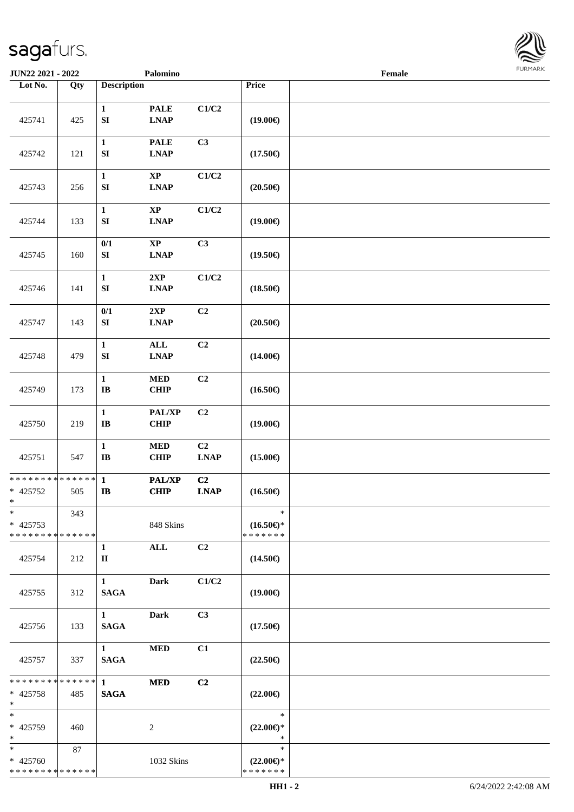

| JUN22 2021 - 2022                                   |                   |                                        | Palomino                                               |                           |                                                | Female |  |
|-----------------------------------------------------|-------------------|----------------------------------------|--------------------------------------------------------|---------------------------|------------------------------------------------|--------|--|
| Lot No.                                             | $\overline{Q}$ ty | <b>Description</b>                     |                                                        |                           | Price                                          |        |  |
| 425741                                              | 425               | $\mathbf{1}$<br>${\bf S}{\bf I}$       | <b>PALE</b><br>$\ensuremath{\text{L}N\!AP}$            | C1/C2                     | $(19.00\epsilon)$                              |        |  |
| 425742                                              | 121               | $\mathbf{1}$<br>${\bf S}{\bf I}$       | <b>PALE</b><br><b>LNAP</b>                             | C3                        | $(17.50\epsilon)$                              |        |  |
| 425743                                              | 256               | $\mathbf{1}$<br>${\bf S}{\bf I}$       | $\bold{XP}$<br><b>LNAP</b>                             | $\rm C1/C2$               | $(20.50\epsilon)$                              |        |  |
| 425744                                              | 133               | $\mathbf 1$<br>${\bf S}{\bf I}$        | $\mathbf{X}\mathbf{P}$<br>$\ensuremath{\text{L}N\!AP}$ | C1/C2                     | $(19.00\epsilon)$                              |        |  |
| 425745                                              | 160               | $0/1$<br>SI                            | $\bold{XP}$<br><b>LNAP</b>                             | C3                        | $(19.50\epsilon)$                              |        |  |
| 425746                                              | 141               | $\mathbf 1$<br>${\bf S}{\bf I}$        | 2XP<br><b>LNAP</b>                                     | $\mathbf{C1}/\mathbf{C2}$ | $(18.50\in)$                                   |        |  |
| 425747                                              | 143               | 0/1<br>${\bf S}{\bf I}$                | 2XP<br><b>LNAP</b>                                     | C2                        | $(20.50\in)$                                   |        |  |
| 425748                                              | 479               | $\mathbf{1}$<br>${\bf S}{\bf I}$       | ALL<br><b>LNAP</b>                                     | C2                        | $(14.00\epsilon)$                              |        |  |
| 425749                                              | 173               | $\mathbf{1}$<br>$\mathbf I\mathbf B$   | $\bf MED$<br>CHIP                                      | C2                        | $(16.50\epsilon)$                              |        |  |
| 425750                                              | 219               | $\mathbf 1$<br>$\mathbf I\mathbf B$    | PAL/XP<br><b>CHIP</b>                                  | C2                        | $(19.00\epsilon)$                              |        |  |
| 425751                                              | 547               | $\mathbf{1}$<br>$\bf IB$               | $\bf MED$<br><b>CHIP</b>                               | C2<br><b>LNAP</b>         | $(15.00\epsilon)$                              |        |  |
| * * * * * * * * * * * * * *<br>$* 425752$<br>$*$    | 505               | $\mathbf{1}$<br>$\mathbf{I}\mathbf{B}$ | PAL/XP<br>CHIP                                         | C <sub>2</sub><br>LNAP    | $(16.50\epsilon)$                              |        |  |
| $\ast$<br>$* 425753$<br>* * * * * * * * * * * * * * | 343               |                                        | 848 Skins                                              |                           | $\ast$<br>$(16.50\epsilon)$ *<br>* * * * * * * |        |  |
| 425754                                              | 212               | 1<br>$\mathbf{I}$                      | <b>ALL</b>                                             | C2                        | $(14.50\epsilon)$                              |        |  |
| 425755                                              | 312               | $\mathbf{1}$<br><b>SAGA</b>            | <b>Dark</b>                                            | C1/C2                     | $(19.00\epsilon)$                              |        |  |
| 425756                                              | 133               | $1 \quad \blacksquare$<br><b>SAGA</b>  | <b>Dark</b>                                            | C <sub>3</sub>            | $(17.50\epsilon)$                              |        |  |
| 425757                                              | 337               | $1 \quad \blacksquare$<br><b>SAGA</b>  | <b>MED</b>                                             | C1                        | $(22.50\epsilon)$                              |        |  |
| ******** <mark>******</mark><br>* 425758<br>$*$     | 485               | $\mathbf{1}$<br><b>SAGA</b>            | <b>MED</b>                                             | C2                        | $(22.00\epsilon)$                              |        |  |
| $\ast$<br>* 425759<br>$*$                           | 460               |                                        | 2                                                      |                           | $\ast$<br>$(22.00\epsilon)$ *<br>$\ast$        |        |  |
| $*$<br>* 425760<br>* * * * * * * * * * * * * *      | 87                |                                        | 1032 Skins                                             |                           | $\ast$<br>$(22.00\epsilon)$ *<br>* * * * * * * |        |  |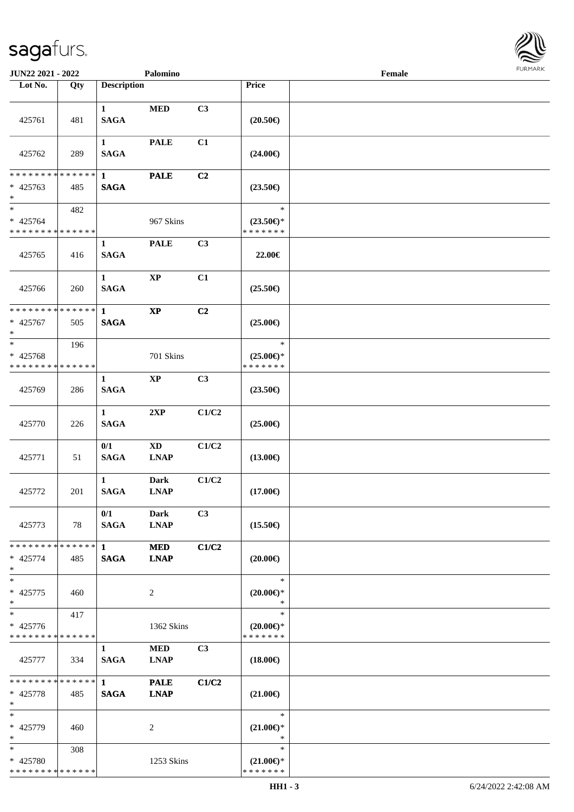

| JUN22 2021 - 2022                                  |     |                                       | Palomino                              |                |                                         | Female |  |
|----------------------------------------------------|-----|---------------------------------------|---------------------------------------|----------------|-----------------------------------------|--------|--|
| Lot No.                                            | Qty | <b>Description</b>                    |                                       |                | Price                                   |        |  |
| 425761                                             | 481 | $\mathbf{1}$<br><b>SAGA</b>           | <b>MED</b>                            | C3             | $(20.50\epsilon)$                       |        |  |
| 425762                                             | 289 | $\mathbf{1}$<br><b>SAGA</b>           | <b>PALE</b>                           | C1             | $(24.00\epsilon)$                       |        |  |
| * * * * * * * * * * * * * *                        |     | $\mathbf{1}$                          | <b>PALE</b>                           | C2             |                                         |        |  |
| $* 425763$<br>$\ast$                               | 485 | <b>SAGA</b>                           |                                       |                | $(23.50\epsilon)$                       |        |  |
| $\overline{\phantom{1}}$                           | 482 |                                       |                                       |                | $\ast$                                  |        |  |
| $* 425764$                                         |     |                                       | 967 Skins                             |                | $(23.50\epsilon)$ *                     |        |  |
| * * * * * * * * * * * * * *                        |     |                                       |                                       |                | * * * * * * *                           |        |  |
| 425765                                             | 416 | $\mathbf{1}$<br><b>SAGA</b>           | <b>PALE</b>                           | C <sub>3</sub> | 22.00€                                  |        |  |
| 425766                                             | 260 | $\mathbf{1}$<br><b>SAGA</b>           | $\bold{XP}$                           | C1             | $(25.50\epsilon)$                       |        |  |
| * * * * * * * * * * * * * *                        |     | $\mathbf{1}$                          | $\bold{XP}$                           | C2             |                                         |        |  |
| $* 425767$<br>$\ast$                               | 505 | <b>SAGA</b>                           |                                       |                | $(25.00\epsilon)$                       |        |  |
| $\ast$                                             | 196 |                                       |                                       |                | $\ast$                                  |        |  |
| * 425768                                           |     |                                       | 701 Skins                             |                | $(25.00\epsilon)$ *                     |        |  |
| * * * * * * * * * * * * * *                        |     |                                       |                                       |                | * * * * * * *                           |        |  |
| 425769                                             | 286 | $\mathbf{1}$<br><b>SAGA</b>           | $\mathbf{XP}$                         | C3             | $(23.50\epsilon)$                       |        |  |
| 425770                                             | 226 | $\mathbf{1}$<br><b>SAGA</b>           | 2XP                                   | C1/C2          | $(25.00\epsilon)$                       |        |  |
| 425771                                             | 51  | 0/1<br><b>SAGA</b>                    | $\mathbf{X}\mathbf{D}$<br><b>LNAP</b> | C1/C2          | $(13.00\epsilon)$                       |        |  |
| 425772                                             | 201 | $\mathbf{1}$<br><b>SAGA</b>           | <b>Dark</b><br><b>LNAP</b>            | C1/C2          | $(17.00\epsilon)$                       |        |  |
| 425773                                             | 78  | 0/1<br><b>SAGA</b>                    | <b>Dark</b><br><b>LNAP</b>            | C3             | $(15.50\epsilon)$                       |        |  |
| * * * * * * * * * * * * * * *<br>$* 425774$<br>$*$ | 485 | $1 \quad \blacksquare$<br><b>SAGA</b> | <b>MED</b><br><b>LNAP</b>             | C1/C2          | $(20.00\epsilon)$                       |        |  |
| $\ast$<br>* 425775<br>$*$                          | 460 |                                       | $\overline{c}$                        |                | $\ast$<br>$(20.00\epsilon)$ *<br>$\ast$ |        |  |
| $\overline{\ast}$                                  | 417 |                                       |                                       |                | $\ast$                                  |        |  |
| * 425776<br>* * * * * * * * * * * * * *            |     |                                       | 1362 Skins                            |                | $(20.00\epsilon)$ *<br>* * * * * * *    |        |  |
| 425777                                             | 334 | $\mathbf{1}$<br><b>SAGA</b>           | <b>MED</b><br><b>LNAP</b>             | C <sub>3</sub> | $(18.00\epsilon)$                       |        |  |
| ******** <mark>******</mark>                       |     | $1 \quad$                             | <b>PALE</b>                           | C1/C2          |                                         |        |  |
| $* 425778$<br>$*$                                  | 485 | <b>SAGA</b>                           | <b>LNAP</b>                           |                | $(21.00\epsilon)$                       |        |  |
| $\ast$                                             |     |                                       |                                       |                | $\ast$                                  |        |  |
| * 425779<br>$\ast$                                 | 460 |                                       | 2                                     |                | $(21.00\epsilon)$ *<br>$\ast$           |        |  |
| $*$                                                | 308 |                                       |                                       |                | $\ast$                                  |        |  |
| * 425780                                           |     |                                       | 1253 Skins                            |                | $(21.00\epsilon)$ *                     |        |  |
| * * * * * * * * * * * * * *                        |     |                                       |                                       |                | * * * * * * *                           |        |  |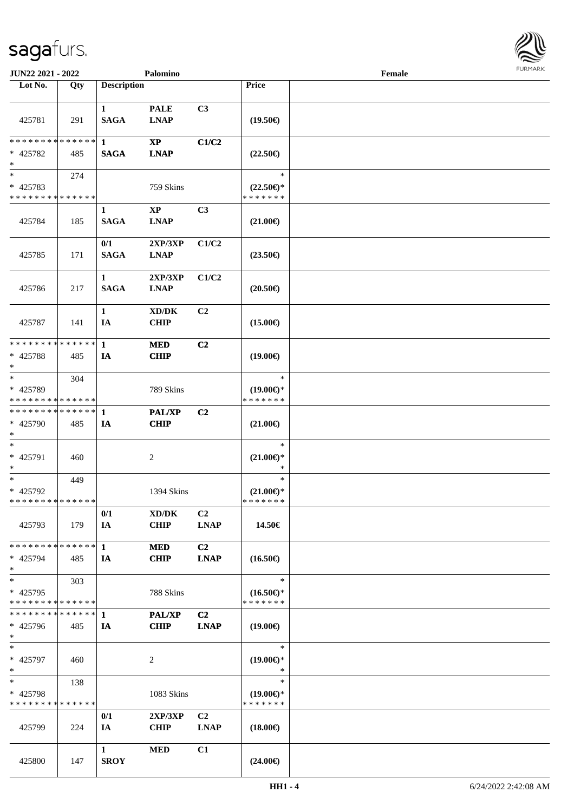

| <b>JUN22 2021 - 2022</b>                            |     |                             | Palomino                                           |                               |                                                | Female |  |
|-----------------------------------------------------|-----|-----------------------------|----------------------------------------------------|-------------------------------|------------------------------------------------|--------|--|
| Lot No.                                             | Qty | <b>Description</b>          |                                                    |                               | Price                                          |        |  |
| 425781                                              | 291 | $\mathbf{1}$<br><b>SAGA</b> | <b>PALE</b><br><b>LNAP</b>                         | C3                            | $(19.50\epsilon)$                              |        |  |
| * * * * * * * * * * * * * * *<br>* 425782<br>$\ast$ | 485 | 1<br><b>SAGA</b>            | $\mathbf{XP}$<br><b>LNAP</b>                       | C1/C2                         | $(22.50\epsilon)$                              |        |  |
| $\ast$<br>* 425783<br>* * * * * * * * * * * * * *   | 274 |                             | 759 Skins                                          |                               | $\ast$<br>$(22.50\epsilon)$ *<br>* * * * * * * |        |  |
| 425784                                              | 185 | $\mathbf{1}$<br><b>SAGA</b> | $\mathbf{XP}$<br><b>LNAP</b>                       | C <sub>3</sub>                | $(21.00\epsilon)$                              |        |  |
| 425785                                              | 171 | 0/1<br><b>SAGA</b>          | 2XP/3XP<br><b>LNAP</b>                             | C1/C2                         | $(23.50\epsilon)$                              |        |  |
| 425786                                              | 217 | $\mathbf{1}$<br><b>SAGA</b> | 2XP/3XP<br><b>LNAP</b>                             | C1/C2                         | $(20.50\epsilon)$                              |        |  |
| 425787                                              | 141 | $\mathbf{1}$<br>IA          | $\bold{X}\bold{D}/\bold{D}\bold{K}$<br><b>CHIP</b> | C2                            | $(15.00\epsilon)$                              |        |  |
| * * * * * * * * * * * * * * *<br>* 425788<br>$\ast$ | 485 | $\mathbf{1}$<br>IA          | <b>MED</b><br><b>CHIP</b>                          | C2                            | $(19.00\epsilon)$                              |        |  |
| $\ast$<br>* 425789<br>* * * * * * * * * * * * * *   | 304 |                             | 789 Skins                                          |                               | $\ast$<br>$(19.00\epsilon)$ *<br>* * * * * * * |        |  |
| **************<br>$* 425790$<br>$*$                 | 485 | 1<br>IA                     | <b>PAL/XP</b><br><b>CHIP</b>                       | C <sub>2</sub>                | $(21.00\epsilon)$                              |        |  |
| $\ast$<br>* 425791<br>$\ast$                        | 460 |                             | $\boldsymbol{2}$                                   |                               | $\ast$<br>$(21.00\epsilon)$ *<br>$\ast$        |        |  |
| $\ast$<br>* 425792<br>* * * * * * * * * * * * * *   | 449 |                             | 1394 Skins                                         |                               | $\ast$<br>$(21.00\epsilon)$ *<br>*******       |        |  |
| 425793                                              | 179 | 0/1<br>IA                   | XD/DK<br><b>CHIP</b>                               | C <sub>2</sub><br><b>LNAP</b> | 14.50€                                         |        |  |
| * * * * * * * * * * * * * * *<br>* 425794<br>$\ast$ | 485 | $\mathbf{1}$<br>IA          | <b>MED</b><br><b>CHIP</b>                          | C <sub>2</sub><br><b>LNAP</b> | $(16.50\epsilon)$                              |        |  |
| $\ast$<br>* 425795<br>* * * * * * * * * * * * * *   | 303 |                             | 788 Skins                                          |                               | $\ast$<br>$(16.50\epsilon)$ *<br>* * * * * * * |        |  |
| **************<br>* 425796<br>$*$                   | 485 | $\mathbf{1}$<br>IA          | <b>PAL/XP</b><br><b>CHIP</b>                       | C <sub>2</sub><br><b>LNAP</b> | $(19.00\epsilon)$                              |        |  |
| $*$<br>* 425797<br>$*$                              | 460 |                             | $\overline{c}$                                     |                               | $\ast$<br>$(19.00\epsilon)$ *<br>$\ast$        |        |  |
| $\ast$<br>* 425798<br>* * * * * * * * * * * * * *   | 138 |                             | 1083 Skins                                         |                               | $\ast$<br>$(19.00\epsilon)$ *<br>* * * * * * * |        |  |
| 425799                                              | 224 | 0/1<br>IA                   | 2XP/3XP<br><b>CHIP</b>                             | C <sub>2</sub><br><b>LNAP</b> | $(18.00\epsilon)$                              |        |  |
| 425800                                              | 147 | $\mathbf{1}$<br><b>SROY</b> | <b>MED</b>                                         | C1                            | $(24.00\epsilon)$                              |        |  |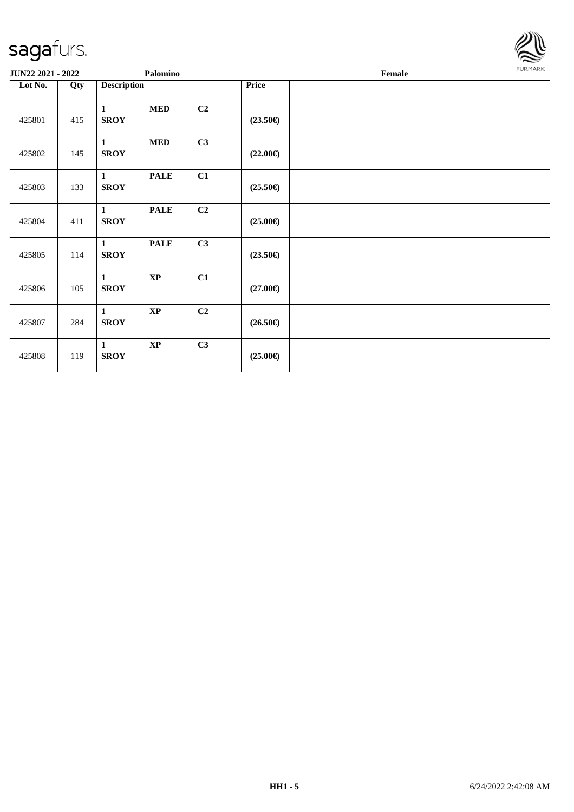

| JUN22 2021 - 2022 |     |                             | Palomino    |    |                   | Female |  |  |  |
|-------------------|-----|-----------------------------|-------------|----|-------------------|--------|--|--|--|
| Lot No.           | Qty | <b>Description</b>          |             |    | Price             |        |  |  |  |
| 425801            | 415 | $\mathbf{1}$<br><b>SROY</b> | <b>MED</b>  | C2 | $(23.50\epsilon)$ |        |  |  |  |
| 425802            | 145 | $\mathbf{1}$<br><b>SROY</b> | $\bf MED$   | C3 | $(22.00\epsilon)$ |        |  |  |  |
| 425803            | 133 | $\mathbf{1}$<br><b>SROY</b> | <b>PALE</b> | C1 | $(25.50\epsilon)$ |        |  |  |  |
| 425804            | 411 | $\mathbf{1}$<br><b>SROY</b> | <b>PALE</b> | C2 | $(25.00\epsilon)$ |        |  |  |  |
| 425805            | 114 | $\mathbf{1}$<br><b>SROY</b> | <b>PALE</b> | C3 | $(23.50\epsilon)$ |        |  |  |  |
| 425806            | 105 | $\mathbf{1}$<br><b>SROY</b> | $\bold{XP}$ | C1 | $(27.00\epsilon)$ |        |  |  |  |
| 425807            | 284 | $\mathbf{1}$<br><b>SROY</b> | $\bold{XP}$ | C2 | $(26.50\epsilon)$ |        |  |  |  |
| 425808            | 119 | $\mathbf{1}$<br><b>SROY</b> | $\bold{XP}$ | C3 | $(25.00\epsilon)$ |        |  |  |  |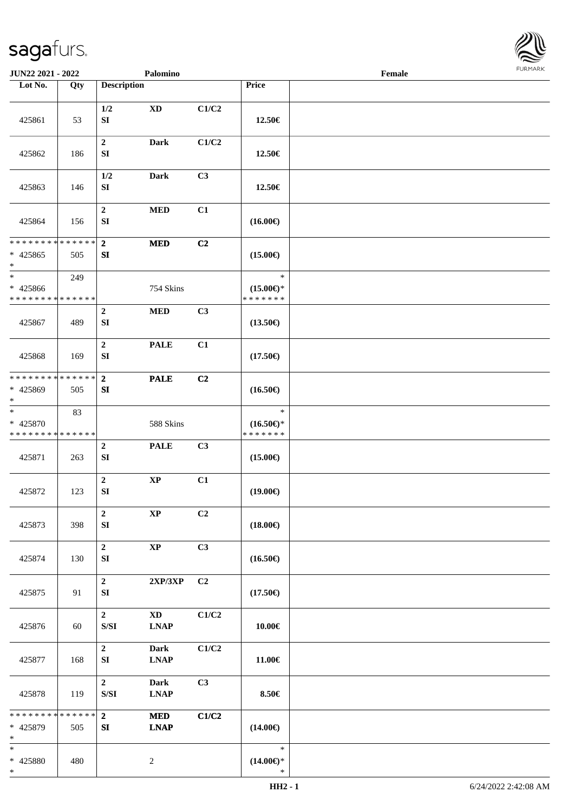

| <b>JUN22 2021 - 2022</b>                          |               |                                                                                                          | Palomino                              |                |                                                | Female |  |
|---------------------------------------------------|---------------|----------------------------------------------------------------------------------------------------------|---------------------------------------|----------------|------------------------------------------------|--------|--|
| Lot No.                                           | Qty           | <b>Description</b>                                                                                       |                                       |                | Price                                          |        |  |
| 425861                                            | 53            | 1/2<br>${\bf SI}$                                                                                        | $\mathbf{X}\mathbf{D}$                | C1/C2          | 12.50€                                         |        |  |
| 425862                                            | 186           | $\boldsymbol{2}$<br>SI                                                                                   | <b>Dark</b>                           | C1/C2          | 12.50€                                         |        |  |
| 425863                                            | 146           | 1/2<br>SI                                                                                                | Dark                                  | C3             | 12.50€                                         |        |  |
| 425864                                            | 156           | $\boldsymbol{2}$<br>${\bf S}{\bf I}$                                                                     | $\bf MED$                             | C1             | $(16.00\epsilon)$                              |        |  |
| ******** <mark>******</mark>                      |               | $\overline{\mathbf{2}}$                                                                                  | <b>MED</b>                            | C2             |                                                |        |  |
| $* 425865$<br>$\ast$                              | 505           | SI                                                                                                       |                                       |                | $(15.00\epsilon)$                              |        |  |
| $\ast$                                            | 249           |                                                                                                          |                                       |                | $\ast$                                         |        |  |
| * 425866<br>* * * * * * * * * * * * * *           |               |                                                                                                          | 754 Skins                             |                | $(15.00\epsilon)$ *<br>* * * * * * *           |        |  |
| 425867                                            | 489           | $\boldsymbol{2}$<br>SI                                                                                   | $\bf MED$                             | C3             | $(13.50\epsilon)$                              |        |  |
| 425868                                            | 169           | $\boldsymbol{2}$<br>SI                                                                                   | <b>PALE</b>                           | C1             | $(17.50\epsilon)$                              |        |  |
| * * * * * * * * * * * * * * *<br>* 425869<br>$*$  | 505           | $\mathbf{2}$<br>SI                                                                                       | <b>PALE</b>                           | C2             | $(16.50\epsilon)$                              |        |  |
| $\ast$<br>* 425870<br>* * * * * * * * * * * * * * | 83            |                                                                                                          | 588 Skins                             |                | $\ast$<br>$(16.50\epsilon)$ *<br>* * * * * * * |        |  |
| 425871                                            | 263           | $\boldsymbol{2}$<br>SI                                                                                   | <b>PALE</b>                           | C3             | $(15.00\epsilon)$                              |        |  |
| 425872                                            | 123           | $\boldsymbol{2}$<br>SI                                                                                   | $\bold{XP}$                           | C1             | $(19.00\epsilon)$                              |        |  |
| 425873                                            | 398           | $\boldsymbol{2}$<br>SI                                                                                   | $\bold{XP}$                           | C <sub>2</sub> | $(18.00\epsilon)$                              |        |  |
| 425874                                            | 130           | $\mathbf 2$<br>SI                                                                                        | $\bold{XP}$                           | C3             | $(16.50\epsilon)$                              |        |  |
| 425875                                            | 91            | $\boldsymbol{2}$<br>SI                                                                                   | $2{\bf XP}/3{\bf XP}$                 | C <sub>2</sub> | $(17.50\epsilon)$                              |        |  |
| 425876                                            | 60            | $\mathbf{2}$<br>${\bf S/SI}$                                                                             | $\mathbf{X}\mathbf{D}$<br><b>LNAP</b> | C1/C2          | 10.00€                                         |        |  |
| 425877                                            | 168           | $\mathbf{2}$<br>SI                                                                                       | Dark<br><b>LNAP</b>                   | C1/C2          | 11.00€                                         |        |  |
| 425878                                            | 119           | $\overline{2}$<br>$\ensuremath{\mathrm{S}}\xspace/\ensuremath{\mathrm{S}}\xspace\ensuremath{\mathrm{I}}$ | <b>Dark</b><br><b>LNAP</b>            | C3             | 8.50€                                          |        |  |
| * * * * * * * *<br>* 425879<br>$*$                | ******<br>505 | $\overline{2}$<br>SI                                                                                     | <b>MED</b><br><b>LNAP</b>             | C1/C2          | $(14.00\epsilon)$                              |        |  |
| $\ast$<br>* 425880<br>$\ast$                      | 480           |                                                                                                          | $\overline{c}$                        |                | $\ast$<br>$(14.00\epsilon)$ *<br>$\ast$        |        |  |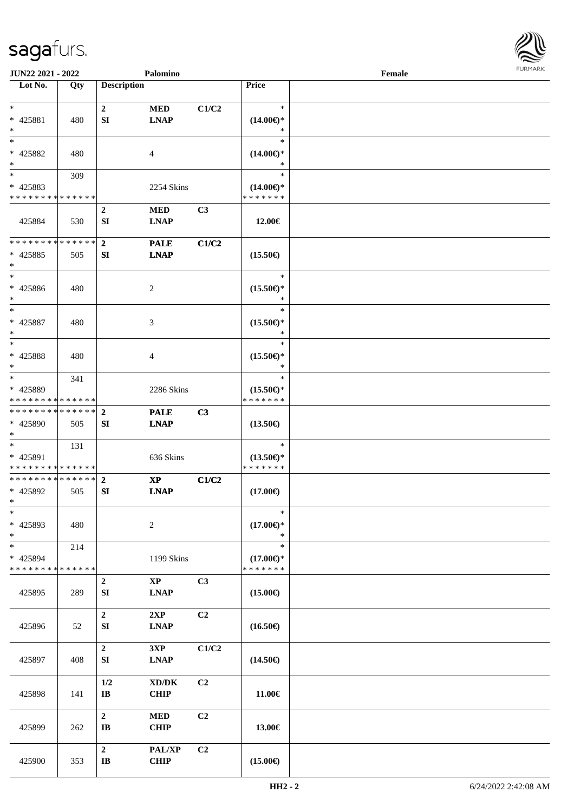

| JUN22 2021 - 2022                                                   |     |                                            | Palomino                                           |       |                                                | Female |  |
|---------------------------------------------------------------------|-----|--------------------------------------------|----------------------------------------------------|-------|------------------------------------------------|--------|--|
| Lot No.                                                             | Qty | <b>Description</b>                         |                                                    |       | Price                                          |        |  |
| $\ast$<br>* 425881<br>$\ast$                                        | 480 | $\boldsymbol{2}$<br>SI                     | $\bf MED$<br><b>LNAP</b>                           | C1/C2 | $\ast$<br>$(14.00\epsilon)$ *<br>∗             |        |  |
| $\ast$<br>* 425882<br>$\ast$                                        | 480 |                                            | 4                                                  |       | $\ast$<br>$(14.00\epsilon)$ *<br>∗             |        |  |
| $\overline{\phantom{0}}$<br>* 425883<br>* * * * * * * * * * * * * * | 309 |                                            | 2254 Skins                                         |       | $\ast$<br>$(14.00\epsilon)$ *<br>* * * * * * * |        |  |
| 425884                                                              | 530 | $\mathbf{2}$<br>SI                         | <b>MED</b><br><b>LNAP</b>                          | C3    | 12.00€                                         |        |  |
| * * * * * * * * * * * * * *<br>$* 425885$<br>$\ast$                 | 505 | $\overline{2}$<br>SI                       | <b>PALE</b><br><b>LNAP</b>                         | C1/C2 | $(15.50\epsilon)$                              |        |  |
| $\ast$<br>* 425886<br>$\ast$                                        | 480 |                                            | 2                                                  |       | $\ast$<br>$(15.50\epsilon)$ *<br>$\ast$        |        |  |
| $\ast$<br>$* 425887$<br>$\ast$                                      | 480 |                                            | 3                                                  |       | $\ast$<br>$(15.50\epsilon)$ *<br>$\ast$        |        |  |
| $\ast$<br>* 425888<br>$\ast$                                        | 480 |                                            | $\overline{4}$                                     |       | $\ast$<br>$(15.50\epsilon)$ *<br>∗             |        |  |
| $\ast$<br>* 425889<br>* * * * * * * * * * * * * *                   | 341 |                                            | 2286 Skins                                         |       | $\ast$<br>$(15.50\epsilon)$ *<br>* * * * * * * |        |  |
| * * * * * * * * * * * * * *<br>* 425890<br>$*$                      | 505 | $\mathbf{2}$<br>SI                         | <b>PALE</b><br><b>LNAP</b>                         | C3    | $(13.50\epsilon)$                              |        |  |
| $*$<br>* 425891<br>* * * * * * * * * * * * * *                      | 131 |                                            | 636 Skins                                          |       | $\ast$<br>$(13.50\epsilon)$ *<br>* * * * * * * |        |  |
| * * * * * * * * * * * * * *<br>* 425892<br>$*$                      | 505 | $\mathbf{2}$<br>SI                         | $\mathbf{X}\mathbf{P}$<br><b>LNAP</b>              | C1/C2 | $(17.00\epsilon)$                              |        |  |
| $\ast$<br>* 425893<br>$\ast$                                        | 480 |                                            | $\sqrt{2}$                                         |       | $\ast$<br>$(17.00\epsilon)$ *<br>$\ast$        |        |  |
| $\ast$<br>* 425894<br>* * * * * * * * * * * * * *                   | 214 |                                            | 1199 Skins                                         |       | $\ast$<br>$(17.00\epsilon)$ *<br>* * * * * * * |        |  |
| 425895                                                              | 289 | $\boldsymbol{2}$<br>SI                     | $\mathbf{XP}$<br><b>LNAP</b>                       | C3    | $(15.00\epsilon)$                              |        |  |
| 425896                                                              | 52  | $\boldsymbol{2}$<br>${\bf S}{\bf I}$       | 2XP<br><b>LNAP</b>                                 | C2    | $(16.50\epsilon)$                              |        |  |
| 425897                                                              | 408 | $\boldsymbol{2}$<br>SI                     | 3XP<br><b>LNAP</b>                                 | C1/C2 | $(14.50\epsilon)$                              |        |  |
| 425898                                                              | 141 | 1/2<br>$\bf I\bf B$                        | $\bold{X}\bold{D}/\bold{D}\bold{K}$<br><b>CHIP</b> | C2    | 11.00€                                         |        |  |
| 425899                                                              | 262 | $\boldsymbol{2}$<br>$\mathbf{I}\mathbf{B}$ | $\bf MED$<br><b>CHIP</b>                           | C2    | 13.00€                                         |        |  |
| 425900                                                              | 353 | $\boldsymbol{2}$<br>$\mathbf{I}\mathbf{B}$ | PAL/XP<br><b>CHIP</b>                              | C2    | $(15.00\epsilon)$                              |        |  |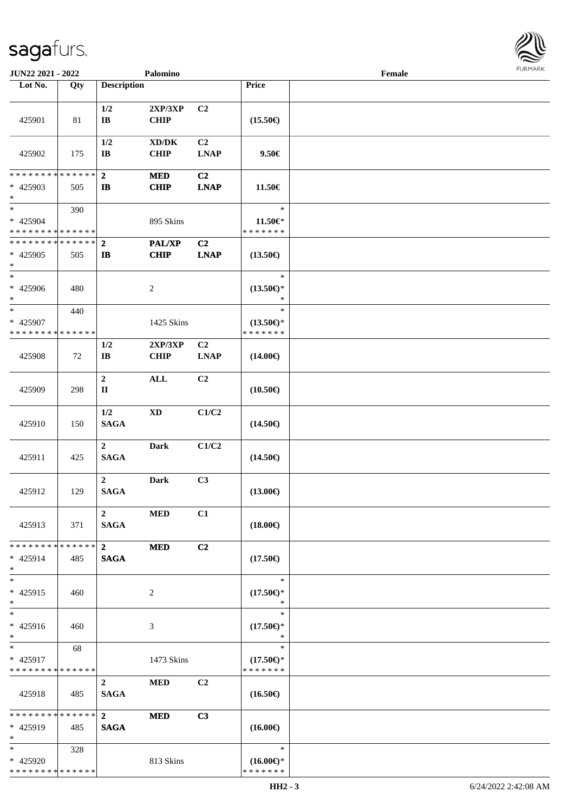| <b>JUN22 2021 - 2022</b>                                           |     |                                 | Palomino                     |                               |                                                | Female |  |
|--------------------------------------------------------------------|-----|---------------------------------|------------------------------|-------------------------------|------------------------------------------------|--------|--|
| Lot No.                                                            | Qty | <b>Description</b>              |                              |                               | Price                                          |        |  |
| 425901                                                             | 81  | 1/2<br>$\bf{IB}$                | 2XP/3XP<br><b>CHIP</b>       | C <sub>2</sub>                | $(15.50\epsilon)$                              |        |  |
| 425902                                                             | 175 | 1/2<br>$\mathbf{I}\mathbf{B}$   | XD/DK<br><b>CHIP</b>         | C <sub>2</sub><br><b>LNAP</b> | 9.50€                                          |        |  |
| * * * * * * * * * * * * * * *<br>* 425903<br>$\ast$                | 505 | $\mathbf{2}$<br>$\mathbf{I}$    | <b>MED</b><br><b>CHIP</b>    | C2<br><b>LNAP</b>             | 11.50€                                         |        |  |
| $*$<br>* 425904<br>* * * * * * * * <mark>* * * * * *</mark>        | 390 |                                 | 895 Skins                    |                               | $\ast$<br>11.50€*<br>* * * * * * *             |        |  |
| * * * * * * * * * * * * * * *<br>* 425905<br>$\ast$                | 505 | $\overline{2}$<br>$\mathbf{I}$  | <b>PAL/XP</b><br><b>CHIP</b> | C <sub>2</sub><br><b>LNAP</b> | $(13.50\epsilon)$                              |        |  |
| $\ast$<br>* 425906<br>$*$                                          | 480 |                                 | $\overline{c}$               |                               | $\ast$<br>$(13.50\epsilon)$ *<br>*             |        |  |
| $\overline{\ast}$<br>* 425907<br>* * * * * * * * * * * * * *       | 440 |                                 | 1425 Skins                   |                               | $\ast$<br>$(13.50\epsilon)$ *<br>* * * * * * * |        |  |
| 425908                                                             | 72  | 1/2<br>$\mathbf{I}\mathbf{B}$   | 2XP/3XP<br><b>CHIP</b>       | C <sub>2</sub><br><b>LNAP</b> | $(14.00\epsilon)$                              |        |  |
| 425909                                                             | 298 | $\boldsymbol{2}$<br>$\mathbf H$ | $\mathbf{ALL}$               | C <sub>2</sub>                | $(10.50\epsilon)$                              |        |  |
| 425910                                                             | 150 | 1/2<br><b>SAGA</b>              | $\mathbf{X}\mathbf{D}$       | C1/C2                         | $(14.50\epsilon)$                              |        |  |
| 425911                                                             | 425 | $\mathbf{2}$<br><b>SAGA</b>     | <b>Dark</b>                  | C1/C2                         | $(14.50\epsilon)$                              |        |  |
| 425912                                                             | 129 | $2^{\circ}$<br><b>SAGA</b>      | <b>Dark</b>                  | C3                            | $(13.00\epsilon)$                              |        |  |
| 425913                                                             | 371 | $\overline{2}$<br><b>SAGA</b>   | <b>MED</b>                   | C1                            | $(18.00\epsilon)$                              |        |  |
| * * * * * * * * <mark>* * * * * *</mark> *<br>$* 425914$<br>$\ast$ | 485 | $2^{\circ}$<br><b>SAGA</b>      | <b>MED</b>                   | C <sub>2</sub>                | $(17.50\epsilon)$                              |        |  |
| $*$<br>* 425915<br>$*$                                             | 460 |                                 | 2                            |                               | $\ast$<br>$(17.50\epsilon)$ *<br>$\ast$        |        |  |
| $*$<br>* 425916<br>$*$                                             | 460 |                                 | 3                            |                               | $\ast$<br>$(17.50\epsilon)$ *<br>$\ast$        |        |  |
| $*$ $-$<br>* 425917<br>* * * * * * * * * * * * * *                 | 68  |                                 | 1473 Skins                   |                               | $\ast$<br>$(17.50\epsilon)$ *<br>* * * * * * * |        |  |
| 425918                                                             | 485 | $\overline{2}$<br><b>SAGA</b>   | <b>MED</b>                   | C2                            | $(16.50\epsilon)$                              |        |  |
| ******** <mark>******</mark><br>$* 425919$<br>$*$                  | 485 | $2^{\circ}$<br><b>SAGA</b>      | <b>MED</b>                   | C3                            | $(16.00\epsilon)$                              |        |  |
| $*$<br>* 425920<br>* * * * * * * * * * * * * *                     | 328 |                                 | 813 Skins                    |                               | $\ast$<br>$(16.00\epsilon)$ *<br>* * * * * * * |        |  |

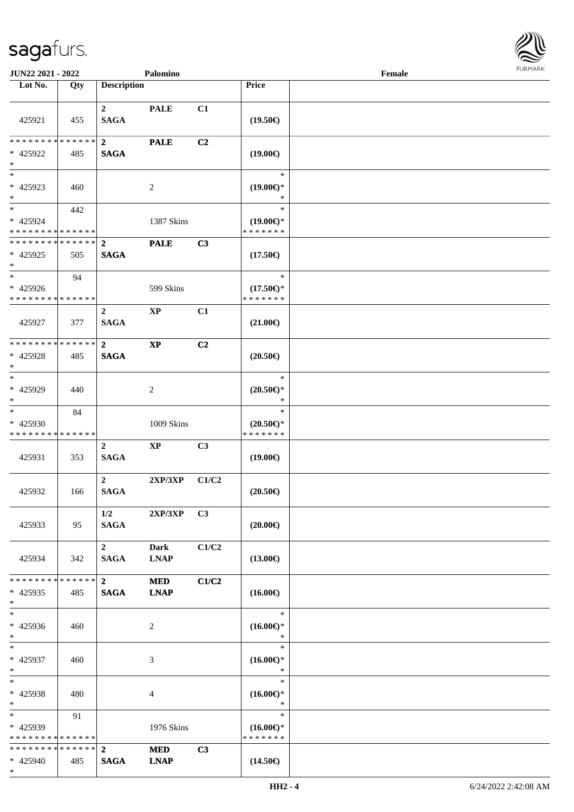\*



| <b>JUN22 2021 - 2022</b>                                         |     |                                   | Palomino                   |                |                                                                              | Female |  |
|------------------------------------------------------------------|-----|-----------------------------------|----------------------------|----------------|------------------------------------------------------------------------------|--------|--|
| Lot No.                                                          | Qty | <b>Description</b>                |                            |                | Price                                                                        |        |  |
| 425921                                                           | 455 | $\mathbf{2}$<br><b>SAGA</b>       | <b>PALE</b>                | C1             | $(19.50\epsilon)$                                                            |        |  |
| * * * * * * * * * * * * * * *<br>* 425922<br>$*$                 | 485 | $\overline{2}$<br><b>SAGA</b>     | <b>PALE</b>                | C <sub>2</sub> | $(19.00\epsilon)$                                                            |        |  |
| $\overline{\phantom{0}}$<br>* 425923<br>$*$                      | 460 |                                   | 2                          |                | $\ast$<br>$(19.00\epsilon)$ *<br>$\ast$                                      |        |  |
| $*$<br>* 425924<br>* * * * * * * * * * * * * *                   | 442 |                                   | 1387 Skins                 |                | $\ast$<br>$(19.00\epsilon)$ *<br>* * * * * * *                               |        |  |
| * * * * * * * * <mark>* * * * * * *</mark><br>* 425925<br>$\ast$ | 505 | $\mathbf{2}$<br><b>SAGA</b>       | <b>PALE</b>                | C3             | $(17.50\epsilon)$                                                            |        |  |
| $*$<br>* 425926<br>* * * * * * * * <mark>* * * * * * *</mark>    | 94  |                                   | 599 Skins                  |                | $\ast$<br>$(17.50\mathnormal{\in}\mathcal{)^{\! \! \circ}}$<br>* * * * * * * |        |  |
| 425927                                                           | 377 | $\overline{2}$<br>$\mathbf{SAGA}$ | $\mathbf{XP}$              | C1             | $(21.00\epsilon)$                                                            |        |  |
| * * * * * * * * * * * * * * *<br>* 425928<br>$*$                 | 485 | $\overline{2}$<br><b>SAGA</b>     | $\mathbf{X}\mathbf{P}$     | C <sub>2</sub> | $(20.50\epsilon)$                                                            |        |  |
| $\ast$<br>* 425929<br>$*$                                        | 440 |                                   | 2                          |                | $\ast$<br>$(20.50\epsilon)$ *<br>$\ast$                                      |        |  |
| $*$<br>* 425930<br>* * * * * * * * * * * * * *                   | 84  |                                   | 1009 Skins                 |                | $\ast$<br>$(20.50\epsilon)$ *<br>* * * * * * *                               |        |  |
| 425931                                                           | 353 | $\mathbf{2}$<br><b>SAGA</b>       | $\mathbf{X}\mathbf{P}$     | C3             | $(19.00\epsilon)$                                                            |        |  |
| 425932                                                           | 166 | $\overline{2}$<br><b>SAGA</b>     | 2XP/3XP                    | C1/C2          | $(20.50\epsilon)$                                                            |        |  |
| 425933                                                           | 95  | 1/2<br><b>SAGA</b>                | 2XP/3XP                    | C <sub>3</sub> | $(20.00\epsilon)$                                                            |        |  |
| 425934                                                           | 342 | $\mathbf{2}$<br><b>SAGA</b>       | <b>Dark</b><br><b>LNAP</b> | C1/C2          | $(13.00\epsilon)$                                                            |        |  |
| * * * * * * * * <mark>* * * * * *</mark><br>* 425935<br>$*$      | 485 | $\mathbf{2}$<br><b>SAGA</b>       | <b>MED</b><br><b>LNAP</b>  | C1/C2          | $(16.00\epsilon)$                                                            |        |  |
| $*$<br>* 425936<br>$*$                                           | 460 |                                   | 2                          |                | $\ast$<br>$(16.00\epsilon)$ *<br>$\ast$                                      |        |  |
| $*$ $-$<br>* 425937<br>$*$                                       | 460 |                                   | 3                          |                | $\ast$<br>$(16.00\epsilon)$ *<br>$\ast$                                      |        |  |
| $*$<br>* 425938<br>$*$                                           | 480 |                                   | 4                          |                | $\ast$<br>$(16.00\epsilon)$ *<br>$\ast$                                      |        |  |
| $*$<br>* 425939<br>* * * * * * * * * * * * * *                   | 91  |                                   | 1976 Skins                 |                | $\ast$<br>$(16.00\epsilon)$ *<br>* * * * * * *                               |        |  |
| * * * * * * * * <mark>* * * * * *</mark> *<br>* 425940           | 485 | $\overline{2}$<br><b>SAGA</b>     | <b>MED</b><br><b>LNAP</b>  | C3             | $(14.50\epsilon)$                                                            |        |  |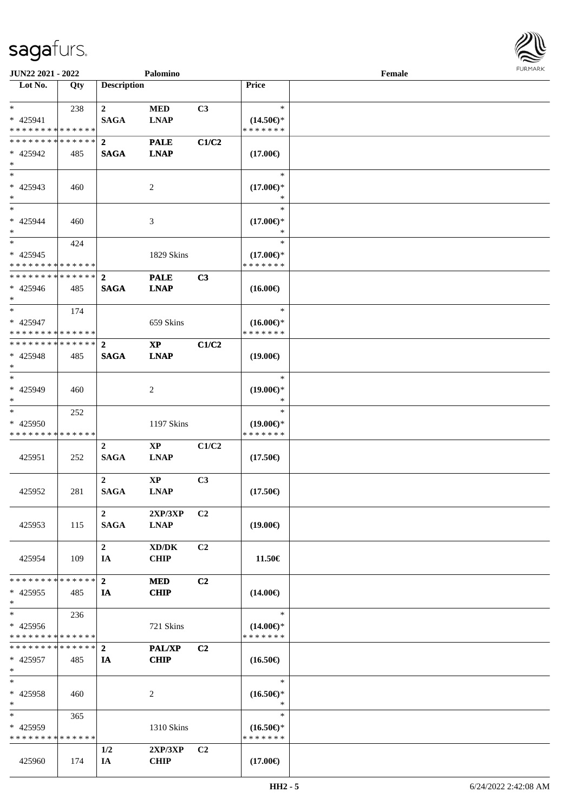

| JUN22 2021 - 2022                       |        |                    | Palomino      |                |                                      | Female |  |
|-----------------------------------------|--------|--------------------|---------------|----------------|--------------------------------------|--------|--|
| Lot No.                                 | Qty    | <b>Description</b> |               |                | Price                                |        |  |
|                                         |        |                    |               |                |                                      |        |  |
| $*$                                     | 238    | $\mathbf{2}$       | <b>MED</b>    | C3             | $\ast$                               |        |  |
| * 425941                                |        | <b>SAGA</b>        | <b>LNAP</b>   |                | $(14.50\epsilon)$ *                  |        |  |
| * * * * * * * * * * * * * *             |        |                    |               |                | * * * * * * *                        |        |  |
| * * * * * * * * * * * * * * *           |        | $\overline{2}$     | <b>PALE</b>   | C1/C2          |                                      |        |  |
| * 425942                                | 485    | <b>SAGA</b>        | <b>LNAP</b>   |                | $(17.00\epsilon)$                    |        |  |
| $\ast$                                  |        |                    |               |                |                                      |        |  |
| $\overline{\phantom{0}}$                |        |                    |               |                | $\ast$                               |        |  |
| * 425943                                | 460    |                    | 2             |                | $(17.00\epsilon)$ *                  |        |  |
| $*$                                     |        |                    |               |                | *                                    |        |  |
| $*$                                     |        |                    |               |                | $\ast$                               |        |  |
| $* 425944$                              | 460    |                    | 3             |                | $(17.00\epsilon)$ *                  |        |  |
| $*$                                     |        |                    |               |                | $\ast$                               |        |  |
| $*$                                     | 424    |                    |               |                | $\ast$                               |        |  |
| * 425945                                |        |                    | 1829 Skins    |                | $(17.00\epsilon)$ *                  |        |  |
| * * * * * * * * * * * * * *             |        |                    |               |                | * * * * * * *                        |        |  |
| * * * * * * * * * * * * * * *           |        | $\mathbf{2}$       | <b>PALE</b>   | C3             |                                      |        |  |
| * 425946                                | 485    | <b>SAGA</b>        | <b>LNAP</b>   |                |                                      |        |  |
| $*$                                     |        |                    |               |                | $(16.00\epsilon)$                    |        |  |
| $*$                                     |        |                    |               |                | $\ast$                               |        |  |
|                                         | 174    |                    |               |                |                                      |        |  |
| * 425947<br>* * * * * * * * * * * * * * |        |                    | 659 Skins     |                | $(16.00\epsilon)$ *<br>* * * * * * * |        |  |
| * * * * * * * * * * * * * * *           |        |                    |               |                |                                      |        |  |
|                                         |        | $\mathbf{2}$       | <b>XP</b>     | C1/C2          |                                      |        |  |
| * 425948                                | 485    | <b>SAGA</b>        | <b>LNAP</b>   |                | $(19.00\epsilon)$                    |        |  |
| $*$                                     |        |                    |               |                |                                      |        |  |
| $*$                                     |        |                    |               |                | $\ast$                               |        |  |
| * 425949                                | 460    |                    | 2             |                | $(19.00\epsilon)$ *                  |        |  |
| $*$                                     |        |                    |               |                | *                                    |        |  |
| $*$                                     | 252    |                    |               |                | $\ast$                               |        |  |
| * 425950                                |        |                    | 1197 Skins    |                | $(19.00\epsilon)$ *                  |        |  |
| * * * * * * * * * * * * * *             |        |                    |               |                | * * * * * * *                        |        |  |
|                                         |        | $\boldsymbol{2}$   | $\mathbf{XP}$ | C1/C2          |                                      |        |  |
| 425951                                  | 252    | <b>SAGA</b>        | <b>LNAP</b>   |                | $(17.50\epsilon)$                    |        |  |
|                                         |        |                    |               |                |                                      |        |  |
|                                         |        | $\overline{2}$     | $\bold{XP}$   | C <sub>3</sub> |                                      |        |  |
| 425952                                  | 281    | <b>SAGA</b>        | <b>LNAP</b>   |                | $(17.50\epsilon)$                    |        |  |
|                                         |        |                    |               |                |                                      |        |  |
|                                         |        | $\overline{2}$     | 2XP/3XP       | C <sub>2</sub> |                                      |        |  |
| 425953                                  | 115    | <b>SAGA</b>        | <b>LNAP</b>   |                | $(19.00\epsilon)$                    |        |  |
|                                         |        |                    |               |                |                                      |        |  |
|                                         |        | $\boldsymbol{2}$   | XD/DK         | C2             |                                      |        |  |
| 425954                                  | 109    | IA                 | <b>CHIP</b>   |                | 11.50€                               |        |  |
|                                         |        |                    |               |                |                                      |        |  |
| * * * * * * * *                         | ****** | $\mathbf{2}$       | <b>MED</b>    | C2             |                                      |        |  |
| $*$ 425955                              | 485    | IA                 | <b>CHIP</b>   |                | $(14.00\epsilon)$                    |        |  |
| $*$                                     |        |                    |               |                |                                      |        |  |
| $*$                                     | 236    |                    |               |                | $\ast$                               |        |  |
| $* 425956$                              |        |                    | 721 Skins     |                | $(14.00\epsilon)$ *                  |        |  |
| * * * * * * * * * * * * * *             |        |                    |               |                | * * * * * * *                        |        |  |
| * * * * * * * * * * * * * * *           |        | $\overline{2}$     | <b>PAL/XP</b> | C <sub>2</sub> |                                      |        |  |
| * 425957                                | 485    | IA                 | <b>CHIP</b>   |                | $(16.50\epsilon)$                    |        |  |
| $\ast$                                  |        |                    |               |                |                                      |        |  |
| $*$                                     |        |                    |               |                | $\ast$                               |        |  |
| * 425958                                | 460    |                    | 2             |                | $(16.50\epsilon)$ *                  |        |  |
| $*$                                     |        |                    |               |                | $\ast$                               |        |  |
| $*$                                     | 365    |                    |               |                | $\ast$                               |        |  |
| * 425959                                |        |                    |               |                |                                      |        |  |
| * * * * * * * * * * * * * *             |        |                    | 1310 Skins    |                | $(16.50\epsilon)$ *<br>* * * * * * * |        |  |
|                                         |        |                    |               |                |                                      |        |  |
|                                         |        | 1/2                | 2XP/3XP       | C <sub>2</sub> |                                      |        |  |
| 425960                                  | 174    | IA                 | <b>CHIP</b>   |                | $(17.00\epsilon)$                    |        |  |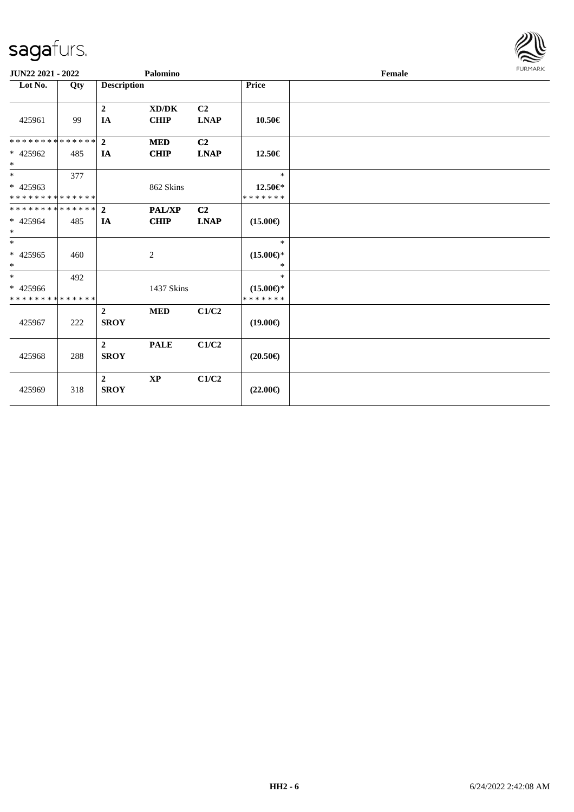

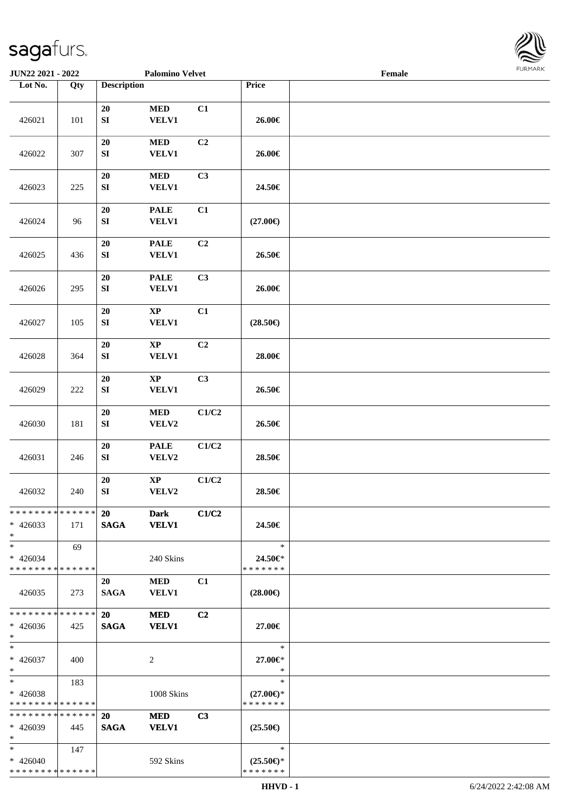

| JUN22 2021 - 2022                         |     |                    | <b>Palomino Velvet</b> |                |                                      | Female |  |
|-------------------------------------------|-----|--------------------|------------------------|----------------|--------------------------------------|--------|--|
| Lot No.                                   | Qty | <b>Description</b> |                        |                | Price                                |        |  |
|                                           |     |                    |                        |                |                                      |        |  |
|                                           |     | $20\,$             | $\bf MED$              | C1             |                                      |        |  |
| 426021                                    | 101 | ${\bf S}{\bf I}$   | <b>VELV1</b>           |                | 26.00€                               |        |  |
|                                           |     |                    |                        |                |                                      |        |  |
|                                           |     | 20                 | $\bf MED$              | C2             |                                      |        |  |
| 426022                                    | 307 | ${\bf S}{\bf I}$   | <b>VELV1</b>           |                | 26.00€                               |        |  |
|                                           |     |                    |                        |                |                                      |        |  |
|                                           |     | 20                 | $\bf MED$              | C3             |                                      |        |  |
| 426023                                    | 225 | ${\bf SI}$         | <b>VELV1</b>           |                | 24.50€                               |        |  |
|                                           |     |                    |                        |                |                                      |        |  |
|                                           |     | 20                 | <b>PALE</b>            | C1             |                                      |        |  |
| 426024                                    | 96  | ${\bf S}{\bf I}$   | VELV1                  |                | $(27.00\epsilon)$                    |        |  |
|                                           |     |                    |                        |                |                                      |        |  |
|                                           |     | 20                 | <b>PALE</b>            | C2             |                                      |        |  |
| 426025                                    | 436 | ${\bf S}{\bf I}$   | VELV1                  |                | 26.50€                               |        |  |
|                                           |     |                    |                        |                |                                      |        |  |
|                                           |     | 20                 | <b>PALE</b>            | C3             |                                      |        |  |
| 426026                                    | 295 | ${\bf SI}$         | VELV1                  |                | 26.00€                               |        |  |
|                                           |     |                    |                        |                |                                      |        |  |
|                                           |     | $20\,$             | $\bold{XP}$            | C1             |                                      |        |  |
| 426027                                    | 105 | ${\bf S}{\bf I}$   | VELV1                  |                | $(28.50\epsilon)$                    |        |  |
|                                           |     |                    |                        |                |                                      |        |  |
|                                           |     | 20                 | $\bold{XP}$            | C2             |                                      |        |  |
| 426028                                    | 364 | ${\bf SI}$         | <b>VELV1</b>           |                | 28.00€                               |        |  |
|                                           |     |                    |                        |                |                                      |        |  |
|                                           |     | 20                 | $\mathbf{X}\mathbf{P}$ | C3             |                                      |        |  |
| 426029                                    | 222 | ${\bf SI}$         | VELV1                  |                | 26.50€                               |        |  |
|                                           |     | ${\bf 20}$         | $\bf MED$              | C1/C2          |                                      |        |  |
| 426030                                    | 181 | ${\bf S}{\bf I}$   | VELV2                  |                | 26.50€                               |        |  |
|                                           |     |                    |                        |                |                                      |        |  |
|                                           |     | $20\,$             | <b>PALE</b>            | C1/C2          |                                      |        |  |
| 426031                                    | 246 | ${\bf S}{\bf I}$   | VELV2                  |                | 28.50€                               |        |  |
|                                           |     |                    |                        |                |                                      |        |  |
|                                           |     | 20                 | $\bold{XP}$            | C1/C2          |                                      |        |  |
| 426032                                    | 240 | ${\bf SI}$         | VELV2                  |                | 28.50€                               |        |  |
|                                           |     |                    |                        |                |                                      |        |  |
| * * * * * * * * * * * * * * *             |     | 20                 | Dark                   | C1/C2          |                                      |        |  |
| $* 426033$                                | 171 | <b>SAGA</b>        | <b>VELV1</b>           |                | 24.50€                               |        |  |
| $*$                                       |     |                    |                        |                |                                      |        |  |
| $*$                                       | 69  |                    |                        |                | $\ast$                               |        |  |
| $* 426034$                                |     |                    | 240 Skins              |                | 24.50€*                              |        |  |
| * * * * * * * * * * * * * * *             |     |                    |                        |                | * * * * * * *                        |        |  |
|                                           |     | 20                 | <b>MED</b>             | C1             |                                      |        |  |
| 426035                                    | 273 | <b>SAGA</b>        | <b>VELV1</b>           |                | $(28.00\epsilon)$                    |        |  |
|                                           |     |                    |                        |                |                                      |        |  |
| * * * * * * * * * * * * * *               |     | <b>20</b>          | <b>MED</b>             | C2             |                                      |        |  |
| $* 426036$                                | 425 | <b>SAGA</b>        | <b>VELV1</b>           |                | 27.00€                               |        |  |
| $*$                                       |     |                    |                        |                |                                      |        |  |
| $*$                                       |     |                    |                        |                | $\ast$                               |        |  |
| $* 426037$                                | 400 |                    | 2                      |                | 27.00€*                              |        |  |
| $*$                                       |     |                    |                        |                | $\ast$                               |        |  |
| $*$ $*$                                   | 183 |                    |                        |                | $\ast$                               |        |  |
| * 426038                                  |     |                    | 1008 Skins             |                | $(27.00\epsilon)$ *                  |        |  |
| * * * * * * * * * * * * * *               |     |                    |                        |                | * * * * * * *                        |        |  |
| * * * * * * * * * * * * * *               |     | 20                 | <b>MED</b>             | C <sub>3</sub> |                                      |        |  |
| * 426039                                  | 445 | <b>SAGA</b>        | <b>VELV1</b>           |                | $(25.50\epsilon)$                    |        |  |
| $*$                                       |     |                    |                        |                |                                      |        |  |
| $*$                                       | 147 |                    |                        |                | $\ast$                               |        |  |
| $* 426040$<br>* * * * * * * * * * * * * * |     |                    | 592 Skins              |                | $(25.50\epsilon)$ *<br>* * * * * * * |        |  |
|                                           |     |                    |                        |                |                                      |        |  |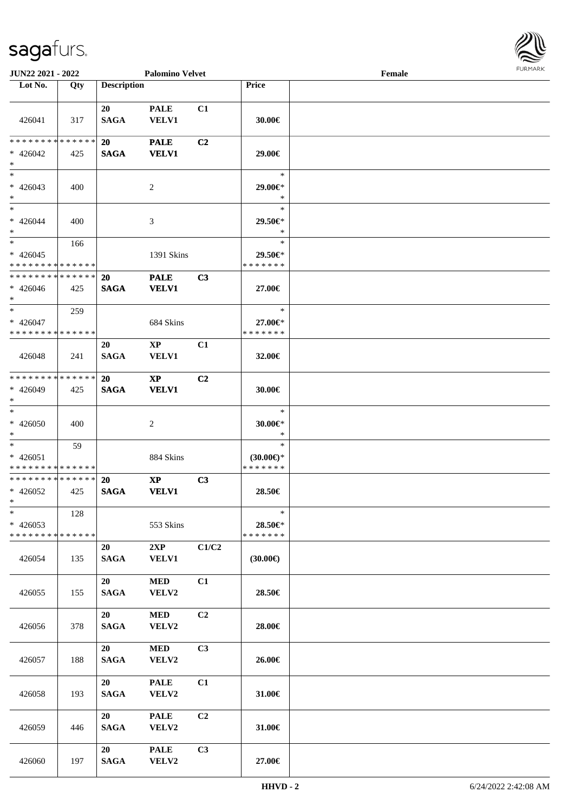

| <b>JUN22 2021 - 2022</b>                                        |     |                          | <b>Palomino Velvet</b>                 |                |                                                | Female | <b>FURPIARA</b> |
|-----------------------------------------------------------------|-----|--------------------------|----------------------------------------|----------------|------------------------------------------------|--------|-----------------|
| Lot No.                                                         | Qty | <b>Description</b>       |                                        |                | Price                                          |        |                 |
| 426041                                                          | 317 | 20<br><b>SAGA</b>        | <b>PALE</b><br><b>VELV1</b>            | C1             | 30.00€                                         |        |                 |
| * * * * * * * * * * * * * * <mark>*</mark><br>$* 426042$<br>$*$ | 425 | <b>20</b><br><b>SAGA</b> | <b>PALE</b><br><b>VELV1</b>            | C2             | 29.00€                                         |        |                 |
| $*$<br>$* 426043$<br>$*$                                        | 400 |                          | 2                                      |                | $\ast$<br>29.00€*<br>$\ast$                    |        |                 |
| $*$<br>$* 426044$<br>$*$                                        | 400 |                          | 3                                      |                | $\ast$<br>29.50€*<br>$\ast$                    |        |                 |
| $* 426045$<br>* * * * * * * * * * * * * *                       | 166 |                          | 1391 Skins                             |                | $\ast$<br>29.50€*<br>* * * * * * *             |        |                 |
| * * * * * * * * * * * * * * *<br>$* 426046$<br>$*$              | 425 | <b>20</b><br><b>SAGA</b> | <b>PALE</b><br><b>VELV1</b>            | C <sub>3</sub> | 27.00€                                         |        |                 |
| $*$<br>$* 426047$<br>* * * * * * * * * * * * * *                | 259 |                          | 684 Skins                              |                | $\ast$<br>27.00€*<br>* * * * * * *             |        |                 |
| 426048                                                          | 241 | 20<br><b>SAGA</b>        | $\mathbf{X}\mathbf{P}$<br><b>VELV1</b> | C1             | 32.00€                                         |        |                 |
| * * * * * * * * * * * * * *<br>* 426049<br>$*$                  | 425 | 20<br><b>SAGA</b>        | $\mathbf{XP}$<br><b>VELV1</b>          | C2             | 30.00€                                         |        |                 |
| $*$<br>* 426050<br>$*$                                          | 400 |                          | 2                                      |                | $\ast$<br>30.00€*<br>$\ast$                    |        |                 |
| $*$<br>$* 426051$<br>* * * * * * * * * * * * * *                | 59  |                          | 884 Skins                              |                | $\ast$<br>$(30.00\epsilon)$ *<br>* * * * * * * |        |                 |
| * * * * * * * * * * * * * * *<br>* 426052<br>$\mathbf{k}$ .     | 425 | 20<br><b>SAGA</b>        | $\mathbf{X}\mathbf{P}$<br><b>VELV1</b> | C <sub>3</sub> | 28.50€                                         |        |                 |
| $\ast$<br>$* 426053$<br>* * * * * * * * * * * * * *             | 128 |                          | 553 Skins                              |                | $\ast$<br>28.50€*<br>* * * * * * *             |        |                 |
| 426054                                                          | 135 | 20<br><b>SAGA</b>        | 2XP<br><b>VELV1</b>                    | C1/C2          | $(30.00\epsilon)$                              |        |                 |
| 426055                                                          | 155 | 20<br><b>SAGA</b>        | <b>MED</b><br>VELV2                    | C1             | 28.50€                                         |        |                 |
| 426056                                                          | 378 | 20<br><b>SAGA</b>        | <b>MED</b><br>VELV2                    | C2             | 28.00€                                         |        |                 |
| 426057                                                          | 188 | 20<br><b>SAGA</b>        | <b>MED</b><br>VELV2                    | C3             | 26.00€                                         |        |                 |
| 426058                                                          | 193 | 20<br>$\mathbf{SAGA}$    | <b>PALE</b><br>VELV2                   | C1             | 31.00€                                         |        |                 |
| 426059                                                          | 446 | 20<br><b>SAGA</b>        | <b>PALE</b><br>VELV2                   | C2             | 31.00€                                         |        |                 |
| 426060                                                          | 197 | 20<br><b>SAGA</b>        | <b>PALE</b><br>VELV2                   | C3             | 27.00€                                         |        |                 |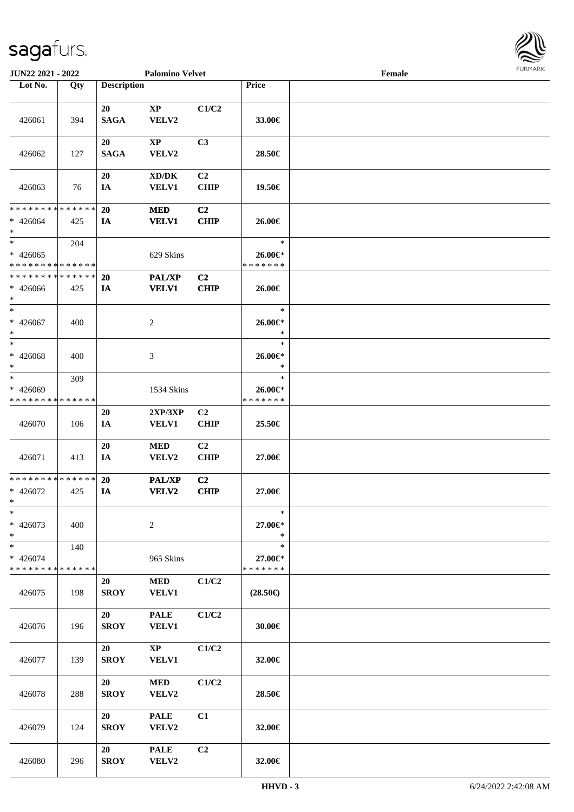

| <b>JUN22 2021 - 2022</b>                         |     |                    | <b>Palomino Velvet</b>                 |                               |                                    | Female |  |
|--------------------------------------------------|-----|--------------------|----------------------------------------|-------------------------------|------------------------------------|--------|--|
| Lot No.                                          | Qty | <b>Description</b> |                                        |                               | Price                              |        |  |
| 426061                                           | 394 | 20<br><b>SAGA</b>  | $\mathbf{XP}$<br>VELV2                 | C1/C2                         | 33.00€                             |        |  |
| 426062                                           | 127 | 20<br><b>SAGA</b>  | <b>XP</b><br>VELV2                     | C3                            | 28.50€                             |        |  |
| 426063                                           | 76  | 20<br>IA           | XD/DK<br>VELV1                         | C <sub>2</sub><br><b>CHIP</b> | 19.50€                             |        |  |
| * * * * * * * * * * * * * *<br>$* 426064$<br>$*$ | 425 | 20<br>IA           | <b>MED</b><br><b>VELV1</b>             | C <sub>2</sub><br><b>CHIP</b> | 26.00€                             |        |  |
| $*$<br>$* 426065$<br>* * * * * * * * * * * * * * | 204 |                    | 629 Skins                              |                               | $\ast$<br>26.00€*<br>* * * * * * * |        |  |
| * * * * * * * * * * * * * *<br>$* 426066$<br>$*$ | 425 | 20<br>IA           | PAL/XP<br><b>VELV1</b>                 | C2<br><b>CHIP</b>             | 26.00€                             |        |  |
| $*$<br>$* 426067$<br>$*$                         | 400 |                    | 2                                      |                               | $\ast$<br>26.00€*<br>$\ast$        |        |  |
| $\ast$<br>$* 426068$<br>$\ast$                   | 400 |                    | 3                                      |                               | $\ast$<br>26.00€*<br>$\ast$        |        |  |
| $*$<br>* 426069<br>* * * * * * * * * * * * * *   | 309 |                    | 1534 Skins                             |                               | $\ast$<br>26.00€*<br>* * * * * * * |        |  |
| 426070                                           | 106 | 20<br>IA           | 2XP/3XP<br><b>VELV1</b>                | C2<br><b>CHIP</b>             | 25.50€                             |        |  |
| 426071                                           | 413 | 20<br>IA           | $\bf MED$<br>VELV2                     | C2<br><b>CHIP</b>             | 27.00€                             |        |  |
| * * * * * * * * * * * * * *<br>$* 426072$<br>$*$ | 425 | 20<br>IA           | <b>PAL/XP</b><br>VELV2                 | C2<br><b>CHIP</b>             | 27.00€                             |        |  |
| $\ast$<br>$* 426073$<br>$*$                      | 400 |                    | $\overline{c}$                         |                               | $\ast$<br>27.00€*<br>$\ast$        |        |  |
| $*$<br>$* 426074$<br>* * * * * * * * * * * * * * | 140 |                    | 965 Skins                              |                               | $\ast$<br>27.00€*<br>* * * * * * * |        |  |
| 426075                                           | 198 | 20<br><b>SROY</b>  | <b>MED</b><br><b>VELV1</b>             | C1/C2                         | $(28.50\epsilon)$                  |        |  |
| 426076                                           | 196 | 20<br><b>SROY</b>  | <b>PALE</b><br>VELV1                   | C1/C2                         | 30.00€                             |        |  |
| 426077                                           | 139 | 20<br><b>SROY</b>  | $\mathbf{X}\mathbf{P}$<br><b>VELV1</b> | C1/C2                         | 32.00€                             |        |  |
| 426078                                           | 288 | 20<br><b>SROY</b>  | <b>MED</b><br>VELV2                    | C1/C2                         | 28.50€                             |        |  |
| 426079                                           | 124 | 20<br><b>SROY</b>  | <b>PALE</b><br>VELV2                   | C1                            | 32.00€                             |        |  |
| 426080                                           | 296 | 20<br><b>SROY</b>  | <b>PALE</b><br>VELV2                   | C <sub>2</sub>                | 32.00€                             |        |  |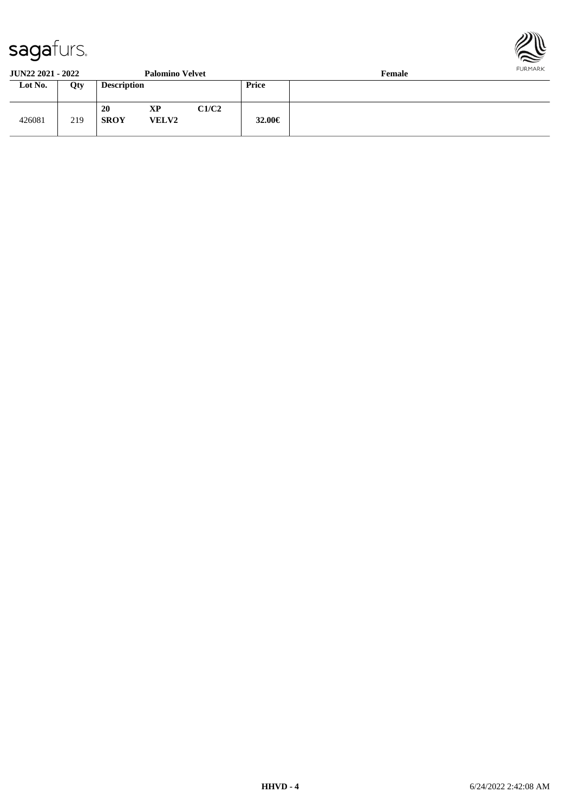

**JUN22 2021 - 2022 Palomino Velvet Female**

| JUI <i>vaa A</i> vai – <i>Avaa</i> |     |                    | я авлицо у стусе   |       |        | т спіак |
|------------------------------------|-----|--------------------|--------------------|-------|--------|---------|
| Lot No.                            | Qty | <b>Description</b> |                    |       | Price  |         |
| 426081                             | 219 | 20<br><b>SROY</b>  | XP<br><b>VELV2</b> | C1/C2 | 32.00€ |         |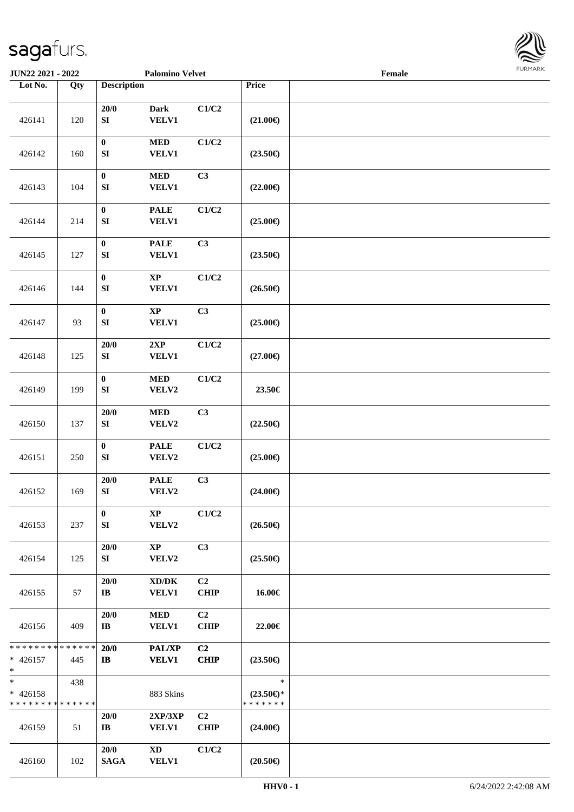

| JUN22 2021 - 2022                                |                   |                                | <b>Palomino Velvet</b>                              |                               |                                                | Female |  |
|--------------------------------------------------|-------------------|--------------------------------|-----------------------------------------------------|-------------------------------|------------------------------------------------|--------|--|
| Lot No.                                          | $\overline{Q}$ ty | <b>Description</b>             |                                                     |                               | Price                                          |        |  |
| 426141                                           | 120               | 20/0<br>${\bf S}{\bf I}$       | <b>Dark</b><br><b>VELV1</b>                         | C1/C2                         | $(21.00\epsilon)$                              |        |  |
| 426142                                           | 160               | $\pmb{0}$<br>${\bf S}{\bf I}$  | $\bf MED$<br><b>VELV1</b>                           | C1/C2                         | $(23.50\epsilon)$                              |        |  |
| 426143                                           | 104               | $\pmb{0}$<br>${\bf SI}$        | $\bf MED$<br>VELV1                                  | C3                            | $(22.00\epsilon)$                              |        |  |
| 426144                                           | 214               | $\boldsymbol{0}$<br>${\bf SI}$ | <b>PALE</b><br><b>VELV1</b>                         | C1/C2                         | $(25.00\epsilon)$                              |        |  |
| 426145                                           | 127               | $\pmb{0}$<br>${\bf SI}$        | <b>PALE</b><br><b>VELV1</b>                         | C3                            | $(23.50\epsilon)$                              |        |  |
| 426146                                           | 144               | $\pmb{0}$<br>${\bf SI}$        | $\bold{XP}$<br><b>VELV1</b>                         | C1/C2                         | $(26.50\epsilon)$                              |        |  |
| 426147                                           | 93                | $\boldsymbol{0}$<br>${\bf SI}$ | $\bold{XP}$<br>VELV1                                | C3                            | $(25.00\epsilon)$                              |        |  |
| 426148                                           | 125               | 20/0<br>${\bf SI}$             | 2XP<br><b>VELV1</b>                                 | C1/C2                         | $(27.00\in)$                                   |        |  |
| 426149                                           | 199               | $\pmb{0}$<br>${\bf SI}$        | $\bf MED$<br>VELV2                                  | C1/C2                         | 23.50€                                         |        |  |
| 426150                                           | 137               | 20/0<br>${\bf S}{\bf I}$       | $\bf MED$<br>VELV2                                  | C3                            | $(22.50\epsilon)$                              |        |  |
| 426151                                           | 250               | $\pmb{0}$<br>${\bf SI}$        | <b>PALE</b><br>VELV2                                | C1/C2                         | $(25.00\epsilon)$                              |        |  |
| 426152                                           | 169               | 20/0<br>${\bf S}{\bf I}$       | <b>PALE</b><br>VELV2                                | C3                            | $(24.00\epsilon)$                              |        |  |
| 426153                                           | 237               | $\bf{0}$<br>SI                 | $\mathbf{X}\mathbf{P}$<br>VELV2                     | C1/C2                         | $(26.50\epsilon)$                              |        |  |
| 426154                                           | 125               | 20/0<br>SI                     | $\mathbf{X}\mathbf{P}$<br>VELV2                     | C3                            | $(25.50\epsilon)$                              |        |  |
| 426155                                           | 57                | 20/0<br>$\mathbf{I}\mathbf{B}$ | $\bold{X}\bold{D}/\bold{D}\bold{K}$<br><b>VELV1</b> | C <sub>2</sub><br><b>CHIP</b> | 16.00€                                         |        |  |
| 426156                                           | 409               | 20/0<br>$\bf{IB}$              | $\bf MED$<br><b>VELV1</b>                           | C <sub>2</sub><br><b>CHIP</b> | 22.00€                                         |        |  |
| * * * * * * * * * * * * * *<br>$* 426157$<br>$*$ | 445               | 20/0<br>$\mathbf{I}$           | <b>PAL/XP</b><br><b>VELV1</b>                       | C2<br><b>CHIP</b>             | $(23.50\epsilon)$                              |        |  |
| $*$<br>$* 426158$<br>* * * * * * * * * * * * * * | 438               |                                | 883 Skins                                           |                               | $\ast$<br>$(23.50\epsilon)$ *<br>* * * * * * * |        |  |
| 426159                                           | 51                | 20/0<br>IB                     | 2XP/3XP<br><b>VELV1</b>                             | C <sub>2</sub><br><b>CHIP</b> | $(24.00\epsilon)$                              |        |  |
| 426160                                           | 102               | 20/0<br><b>SAGA</b>            | <b>XD</b><br><b>VELV1</b>                           | C1/C2                         | $(20.50\epsilon)$                              |        |  |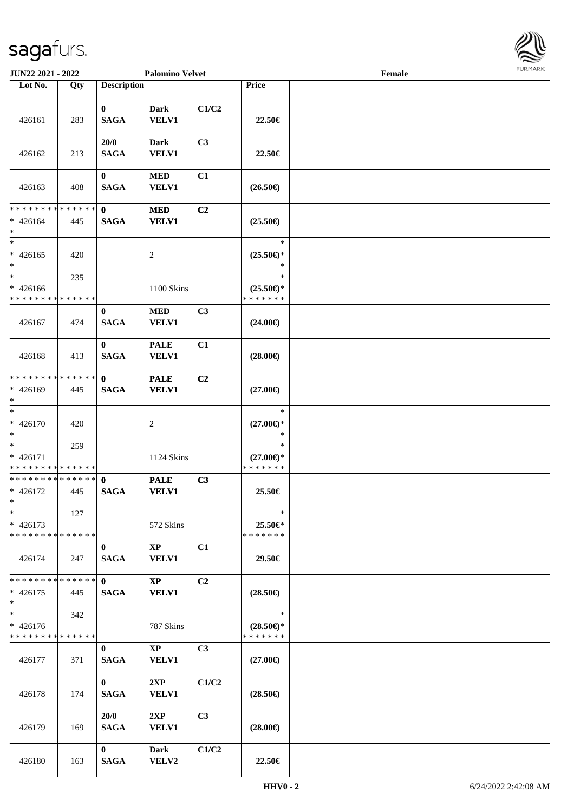

| JUN22 2021 - 2022                                   |     |                             | <b>Palomino Velvet</b>                 |                |                                                | Female |  |
|-----------------------------------------------------|-----|-----------------------------|----------------------------------------|----------------|------------------------------------------------|--------|--|
| Lot No.                                             | Qty | <b>Description</b>          |                                        |                | Price                                          |        |  |
| 426161                                              | 283 | $\mathbf{0}$<br><b>SAGA</b> | <b>Dark</b><br>VELV1                   | C1/C2          | 22.50€                                         |        |  |
| 426162                                              | 213 | 20/0<br><b>SAGA</b>         | <b>Dark</b><br><b>VELV1</b>            | C3             | 22.50€                                         |        |  |
| 426163                                              | 408 | $\bf{0}$<br><b>SAGA</b>     | <b>MED</b><br><b>VELV1</b>             | C1             | $(26.50\epsilon)$                              |        |  |
| * * * * * * * * * * * * * *<br>$* 426164$<br>$*$    | 445 | $\mathbf{0}$<br><b>SAGA</b> | <b>MED</b><br><b>VELV1</b>             | C2             | $(25.50\epsilon)$                              |        |  |
| $\ast$<br>$* 426165$<br>$*$                         | 420 |                             | $\overline{c}$                         |                | $\ast$<br>$(25.50\epsilon)$ *<br>$\ast$        |        |  |
| $\ast$<br>$* 426166$<br>* * * * * * * * * * * * * * | 235 |                             | 1100 Skins                             |                | $\ast$<br>$(25.50\epsilon)$ *<br>* * * * * * * |        |  |
| 426167                                              | 474 | $\bf{0}$<br><b>SAGA</b>     | $\bf MED$<br>VELV1                     | C3             | $(24.00\epsilon)$                              |        |  |
| 426168                                              | 413 | $\bf{0}$<br><b>SAGA</b>     | <b>PALE</b><br>VELV1                   | C1             | $(28.00\epsilon)$                              |        |  |
| * * * * * * * * * * * * * *<br>$* 426169$<br>$*$    | 445 | $\mathbf 0$<br><b>SAGA</b>  | <b>PALE</b><br><b>VELV1</b>            | C2             | $(27.00\epsilon)$                              |        |  |
| $\ast$<br>$* 426170$<br>$\ast$                      | 420 |                             | 2                                      |                | $\ast$<br>$(27.00\epsilon)$ *<br>$\ast$        |        |  |
| $\ast$<br>$* 426171$<br>* * * * * * * * * * * * * * | 259 |                             | 1124 Skins                             |                | $\ast$<br>$(27.00\epsilon)$ *<br>* * * * * * * |        |  |
| * * * * * * * * * * * * * *<br>$* 426172$<br>$*$    | 445 | $\mathbf{0}$<br><b>SAGA</b> | <b>PALE</b><br><b>VELV1</b>            | C3             | 25.50€                                         |        |  |
| $*$<br>$* 426173$<br>* * * * * * * * * * * * * *    | 127 |                             | 572 Skins                              |                | $\ast$<br>25.50€*<br>* * * * * * *             |        |  |
| 426174                                              | 247 | $\bf{0}$<br><b>SAGA</b>     | $\mathbf{X}\mathbf{P}$<br><b>VELV1</b> | C1             | 29.50€                                         |        |  |
| * * * * * * * * * * * * * *<br>$* 426175$<br>$*$    | 445 | $\mathbf{0}$<br><b>SAGA</b> | $\mathbf{X}\mathbf{P}$<br><b>VELV1</b> | C <sub>2</sub> | $(28.50\epsilon)$                              |        |  |
| $\ast$<br>$* 426176$<br>* * * * * * * * * * * * * * | 342 |                             | 787 Skins                              |                | $\ast$<br>$(28.50\epsilon)$ *<br>* * * * * * * |        |  |
| 426177                                              | 371 | $\bf{0}$<br><b>SAGA</b>     | $\mathbf{XP}$<br><b>VELV1</b>          | C3             | $(27.00\epsilon)$                              |        |  |
| 426178                                              | 174 | $\mathbf{0}$<br><b>SAGA</b> | 2XP<br><b>VELV1</b>                    | C1/C2          | $(28.50\epsilon)$                              |        |  |
| 426179                                              | 169 | 20/0<br><b>SAGA</b>         | 2XP<br><b>VELV1</b>                    | C3             | $(28.00\epsilon)$                              |        |  |
| 426180                                              | 163 | $\bf{0}$<br><b>SAGA</b>     | Dark<br>VELV2                          | C1/C2          | 22.50€                                         |        |  |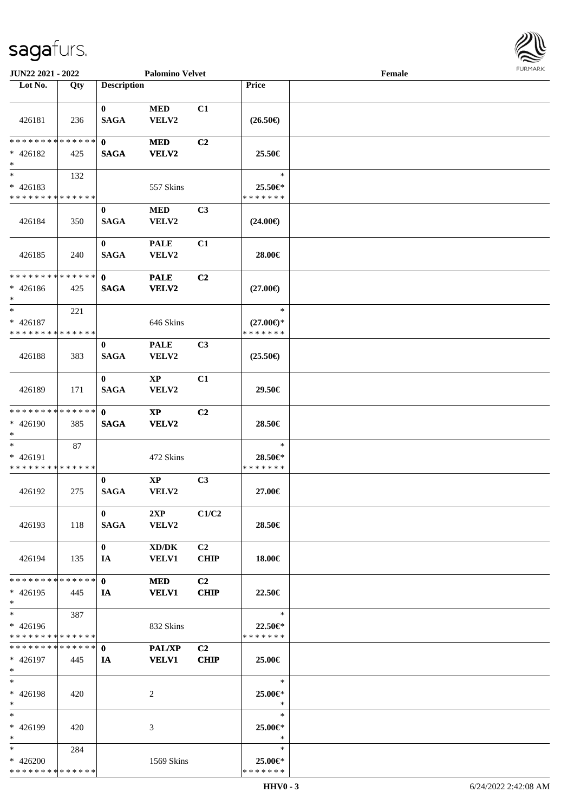

| Lot No.                                                             | Qty | <b>Description</b>          |                                 |                               | Price                                          |  |
|---------------------------------------------------------------------|-----|-----------------------------|---------------------------------|-------------------------------|------------------------------------------------|--|
|                                                                     |     |                             |                                 |                               |                                                |  |
|                                                                     |     | $\bf{0}$                    | $\bf MED$                       | C1                            |                                                |  |
| 426181                                                              | 236 | <b>SAGA</b>                 | VELV2                           |                               | $(26.50\epsilon)$                              |  |
| ******** <mark>******</mark><br>$* 426182$<br>$*$                   | 425 | $\mathbf{0}$<br><b>SAGA</b> | <b>MED</b><br><b>VELV2</b>      | C <sub>2</sub>                | 25.50€                                         |  |
| $*$<br>$* 426183$<br>* * * * * * * * * * * * * *                    | 132 |                             | 557 Skins                       |                               | $\ast$<br>25.50€*                              |  |
|                                                                     |     |                             |                                 |                               | * * * * * * *                                  |  |
| 426184                                                              | 350 | $\mathbf{0}$<br><b>SAGA</b> | <b>MED</b><br>VELV2             | C <sub>3</sub>                | $(24.00\epsilon)$                              |  |
| 426185                                                              | 240 | $\bf{0}$<br><b>SAGA</b>     | <b>PALE</b><br>VELV2            | C1                            | 28.00€                                         |  |
| * * * * * * * * * * * * * *                                         |     | $\mathbf{0}$                |                                 | C <sub>2</sub>                |                                                |  |
| $* 426186$<br>$\ast$                                                | 425 | <b>SAGA</b>                 | <b>PALE</b><br><b>VELV2</b>     |                               | $(27.00\epsilon)$                              |  |
| $\ast$<br>$* 426187$<br>* * * * * * * * * * * * * *                 | 221 |                             | 646 Skins                       |                               | $\ast$<br>$(27.00\epsilon)$ *<br>* * * * * * * |  |
|                                                                     |     | $\bf{0}$                    | <b>PALE</b>                     | C <sub>3</sub>                |                                                |  |
| 426188                                                              | 383 | <b>SAGA</b>                 | VELV2                           |                               | $(25.50\epsilon)$                              |  |
| 426189                                                              | 171 | $\bf{0}$<br><b>SAGA</b>     | XP<br>VELV2                     | C1                            | 29.50€                                         |  |
| * * * * * * * * * * * * * *<br>* 426190<br>$\ast$                   | 385 | $\mathbf{0}$<br><b>SAGA</b> | XP<br><b>VELV2</b>              | C <sub>2</sub>                | 28.50€                                         |  |
| $\overline{\phantom{0}}$<br>* 426191<br>* * * * * * * * * * * * * * | 87  |                             | 472 Skins                       |                               | $\ast$<br>28.50€*<br>* * * * * * *             |  |
| 426192                                                              | 275 | $\bf{0}$<br><b>SAGA</b>     | $\mathbf{X}\mathbf{P}$<br>VELV2 | C3                            | 27.00€                                         |  |
| 426193                                                              | 118 | $\mathbf{0}$<br><b>SAGA</b> | 2XP<br>VELV2                    | C1/C2                         | 28.50€                                         |  |
| 426194                                                              | 135 | $\mathbf{0}$<br>IA          | XD/DK<br><b>VELV1</b>           | C <sub>2</sub><br><b>CHIP</b> | 18.00€                                         |  |
| * * * * * * * * * * * * * * *<br>$* 426195$<br>$*$                  | 445 | $\mathbf{0}$<br><b>IA</b>   | <b>MED</b><br><b>VELV1</b>      | C <sub>2</sub><br><b>CHIP</b> | 22.50€                                         |  |
| $*$<br>$* 426196$<br>* * * * * * * * * * * * * *                    | 387 |                             | 832 Skins                       |                               | $\ast$<br>22.50€*<br>* * * * * * *             |  |
| * * * * * * * * * * * * * *<br>$* 426197$<br>$*$                    | 445 | $\mathbf{0}$<br>IA          | <b>PAL/XP</b><br><b>VELV1</b>   | C <sub>2</sub><br>CHIP        | 25.00€                                         |  |
| $*$<br>* 426198<br>$*$                                              | 420 |                             | 2                               |                               | $\ast$<br>25.00€*<br>$\ast$                    |  |
| $*$<br>* 426199<br>$*$                                              | 420 |                             | 3                               |                               | $\ast$<br>25.00€*<br>$\ast$                    |  |
| $*$<br>$* 426200$<br>* * * * * * * * * * * * * *                    | 284 |                             | 1569 Skins                      |                               | $\ast$<br>25.00€*<br>* * * * * * *             |  |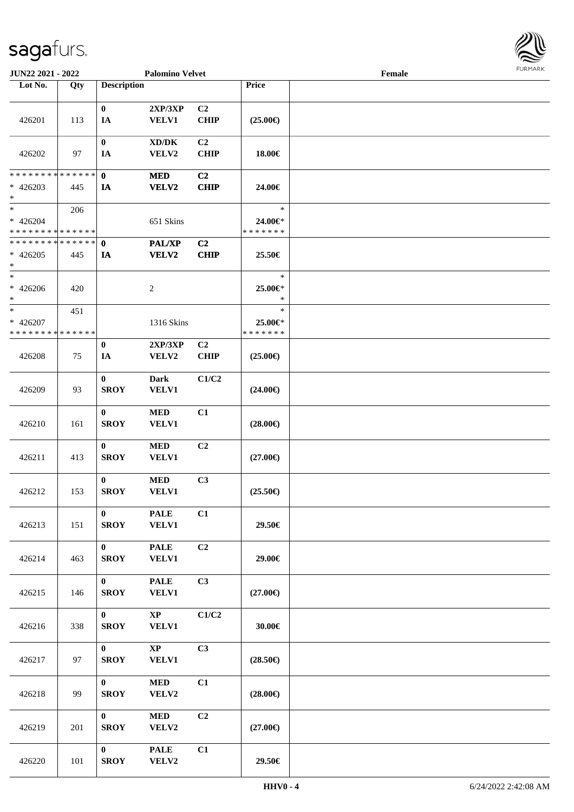

| JUN22 2021 - 2022                          |             |                         | <b>Palomino Velvet</b>              |                |                   | Female | 1.911171777 |
|--------------------------------------------|-------------|-------------------------|-------------------------------------|----------------|-------------------|--------|-------------|
| Lot No.                                    | Qty         | <b>Description</b>      |                                     |                | Price             |        |             |
|                                            |             |                         |                                     |                |                   |        |             |
|                                            |             | $\bf{0}$                | 2XP/3XP                             | C2             |                   |        |             |
| 426201                                     | 113         | IA                      | <b>VELV1</b>                        | <b>CHIP</b>    | $(25.00\epsilon)$ |        |             |
|                                            |             |                         |                                     |                |                   |        |             |
|                                            |             | $\bf{0}$                | $\bold{X}\bold{D}/\bold{D}\bold{K}$ | C2             |                   |        |             |
| 426202                                     | 97          | IA                      | VELV2                               | <b>CHIP</b>    | 18.00€            |        |             |
|                                            |             |                         |                                     |                |                   |        |             |
| * * * * * * * * <mark>* * * * * * *</mark> |             | $\mathbf{0}$            | <b>MED</b>                          | C2             |                   |        |             |
| $* 426203$<br>$\ast$                       | 445         | IA                      | VELV2                               | <b>CHIP</b>    | 24.00€            |        |             |
| $\ast$                                     | 206         |                         |                                     |                | $\ast$            |        |             |
| * 426204                                   |             |                         | 651 Skins                           |                | 24.00€*           |        |             |
| * * * * * * * * * * * * * *                |             |                         |                                     |                | * * * * * * *     |        |             |
| ******** <mark>******</mark>               |             | $\mathbf{0}$            | PAL/XP                              | C <sub>2</sub> |                   |        |             |
| $* 426205$                                 | 445         | IA                      | VELV2                               | <b>CHIP</b>    | 25.50€            |        |             |
| $*$                                        |             |                         |                                     |                |                   |        |             |
| $*$                                        |             |                         |                                     |                | $\ast$            |        |             |
| $* 426206$                                 | 420         |                         | $\overline{c}$                      |                | 25.00€*           |        |             |
| $\ast$                                     |             |                         |                                     |                | $\ast$            |        |             |
| $\ast$                                     | 451         |                         |                                     |                | $\ast$            |        |             |
| * 426207                                   |             |                         | 1316 Skins                          |                | 25.00€*           |        |             |
| * * * * * * * *                            | * * * * * * |                         |                                     |                | * * * * * * *     |        |             |
|                                            |             | $\bf{0}$                | 2XP/3XP                             | C2             |                   |        |             |
| 426208                                     | 75          | IA                      | VELV2                               | CHIP           | $(25.00\epsilon)$ |        |             |
|                                            |             |                         |                                     |                |                   |        |             |
|                                            |             | $\bf{0}$                | Dark                                | C1/C2          |                   |        |             |
| 426209                                     | 93          | <b>SROY</b>             | <b>VELV1</b>                        |                | $(24.00\epsilon)$ |        |             |
|                                            |             |                         |                                     |                |                   |        |             |
|                                            |             | $\bf{0}$<br><b>SROY</b> | <b>MED</b><br>VELV1                 | C1             |                   |        |             |
| 426210                                     | 161         |                         |                                     |                | $(28.00\epsilon)$ |        |             |
|                                            |             | $\bf{0}$                | $\bf MED$                           | C2             |                   |        |             |
| 426211                                     | 413         | <b>SROY</b>             | <b>VELV1</b>                        |                | $(27.00\epsilon)$ |        |             |
|                                            |             |                         |                                     |                |                   |        |             |
|                                            |             | $\bf{0}$                | $\bf MED$                           | C3             |                   |        |             |
| 426212                                     | 153         | <b>SROY</b>             | <b>VELV1</b>                        |                | $(25.50\epsilon)$ |        |             |
|                                            |             |                         |                                     |                |                   |        |             |
|                                            |             | $\bf{0}$                | <b>PALE</b>                         | C1             |                   |        |             |
| 426213                                     | 151         | <b>SROY</b>             | <b>VELV1</b>                        |                | 29.50€            |        |             |
|                                            |             |                         |                                     |                |                   |        |             |
|                                            |             | $\mathbf{0}$            | <b>PALE</b>                         | C2             |                   |        |             |
| 426214                                     | 463         | <b>SROY</b>             | <b>VELV1</b>                        |                | 29.00€            |        |             |
|                                            |             |                         |                                     |                |                   |        |             |
|                                            |             | $\mathbf{0}$            | <b>PALE</b>                         | C3             |                   |        |             |
| 426215                                     | 146         | <b>SROY</b>             | <b>VELV1</b>                        |                | $(27.00\epsilon)$ |        |             |
|                                            |             |                         |                                     |                |                   |        |             |
|                                            |             | $\mathbf{0}$            | $\mathbf{X}\mathbf{P}$              | C1/C2          |                   |        |             |
| 426216                                     | 338         | <b>SROY</b>             | <b>VELV1</b>                        |                | 30.00€            |        |             |
|                                            |             | $\mathbf{0}$            |                                     |                |                   |        |             |
| 426217                                     | 97          | <b>SROY</b>             | $\bold{XP}$<br><b>VELV1</b>         | C3             | $(28.50\epsilon)$ |        |             |
|                                            |             |                         |                                     |                |                   |        |             |
|                                            |             | $\mathbf{0}$            | $\bf MED$                           | C1             |                   |        |             |
| 426218                                     | 99          | <b>SROY</b>             | VELV2                               |                | $(28.00\epsilon)$ |        |             |
|                                            |             |                         |                                     |                |                   |        |             |
|                                            |             | $\mathbf{0}$            | $\bf MED$                           | C2             |                   |        |             |
| 426219                                     | 201         | <b>SROY</b>             | VELV2                               |                | $(27.00\epsilon)$ |        |             |
|                                            |             |                         |                                     |                |                   |        |             |
|                                            |             | $\mathbf{0}$            | <b>PALE</b>                         | C1             |                   |        |             |
| 426220                                     | 101         | <b>SROY</b>             | VELV2                               |                | 29.50€            |        |             |
|                                            |             |                         |                                     |                |                   |        |             |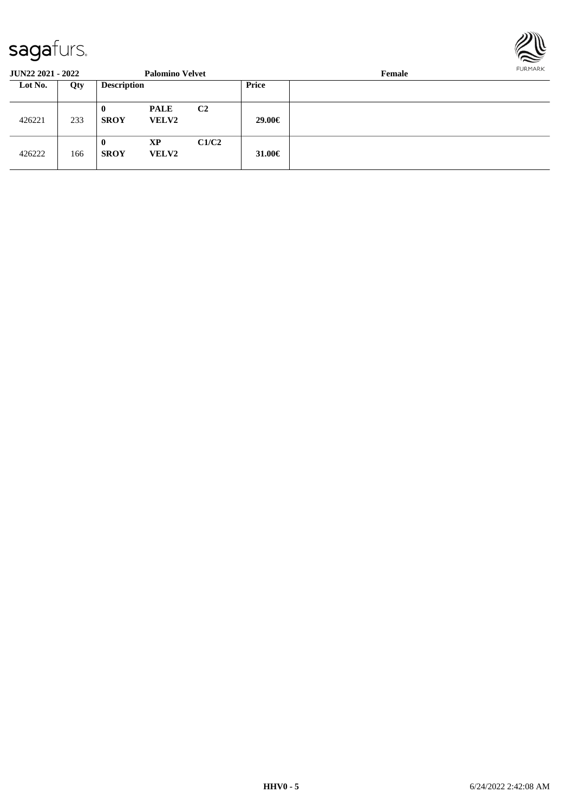

**JUN22 2021 - 2022 Palomino Velvet Female Lot No. Qty Description Price** 426221 233 **0 PALE C2 SROY VELV2 29.00€** 426222 166 **0 XP C1/C2 SROY VELV2 31.00€**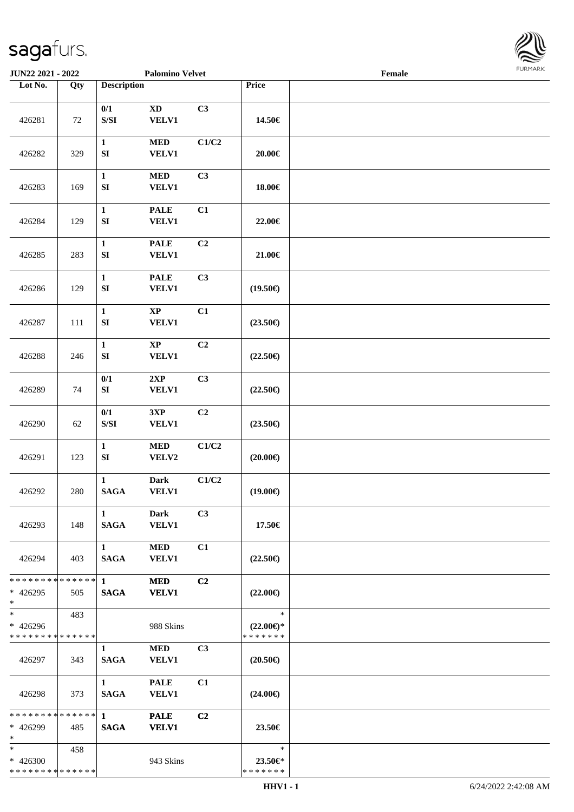

| JUN22 2021 - 2022                                        |     |                                                                                               | <b>Palomino Velvet</b>                 |                |                                                | $\ensuremath{\textnormal{\textbf{Female}}}$ | 1.911171777 |
|----------------------------------------------------------|-----|-----------------------------------------------------------------------------------------------|----------------------------------------|----------------|------------------------------------------------|---------------------------------------------|-------------|
| Lot No.                                                  | Qty | <b>Description</b>                                                                            |                                        |                | Price                                          |                                             |             |
| 426281                                                   | 72  | 0/1<br>$\ensuremath{\mathrm{S}}\xspace/\ensuremath{\mathrm{S}}\xspace\ensuremath{\mathrm{I}}$ | $\mathbf{X}\mathbf{D}$<br><b>VELV1</b> | C3             | 14.50€                                         |                                             |             |
| 426282                                                   | 329 | $\mathbf{1}$<br>${\bf S}{\bf I}$                                                              | <b>MED</b><br><b>VELV1</b>             | C1/C2          | $20.00 \in$                                    |                                             |             |
| 426283                                                   | 169 | $\mathbf 1$<br>SI                                                                             | $\bf MED$<br><b>VELV1</b>              | C3             | 18.00€                                         |                                             |             |
| 426284                                                   | 129 | $\mathbf{1}$<br>${\bf S}{\bf I}$                                                              | <b>PALE</b><br>VELV1                   | C1             | 22.00€                                         |                                             |             |
| 426285                                                   | 283 | $\mathbf 1$<br>SI                                                                             | <b>PALE</b><br>VELV1                   | C2             | 21.00€                                         |                                             |             |
| 426286                                                   | 129 | $\mathbf{1}$<br>SI                                                                            | <b>PALE</b><br>VELV1                   | C3             | $(19.50\epsilon)$                              |                                             |             |
| 426287                                                   | 111 | $\mathbf 1$<br>SI                                                                             | $\bold{XP}$<br><b>VELV1</b>            | C1             | $(23.50\epsilon)$                              |                                             |             |
| 426288                                                   | 246 | $\mathbf{1}$<br>${\bf S}{\bf I}$                                                              | $\bold{XP}$<br><b>VELV1</b>            | C2             | $(22.50\epsilon)$                              |                                             |             |
| 426289                                                   | 74  | 0/1<br>SI                                                                                     | 2XP<br><b>VELV1</b>                    | C3             | $(22.50\epsilon)$                              |                                             |             |
| 426290                                                   | 62  | 0/1<br>$\ensuremath{\mathrm{S}}\xspace/\ensuremath{\mathrm{S}}\xspace\ensuremath{\mathrm{I}}$ | 3XP<br>VELV1                           | C2             | $(23.50\epsilon)$                              |                                             |             |
| 426291                                                   | 123 | $\mathbf 1$<br>${\bf S}{\bf I}$                                                               | <b>MED</b><br>VELV2                    | C1/C2          | $(20.00\epsilon)$                              |                                             |             |
| 426292                                                   | 280 | $\mathbf 1$<br><b>SAGA</b>                                                                    | Dark<br><b>VELV1</b>                   | C1/C2          | $(19.00\epsilon)$                              |                                             |             |
| 426293                                                   | 148 | $\mathbf{1}$<br><b>SAGA</b>                                                                   | Dark<br><b>VELV1</b>                   | C <sub>3</sub> | 17.50€                                         |                                             |             |
| 426294                                                   | 403 | $1 \quad \blacksquare$<br><b>SAGA</b>                                                         | <b>MED</b><br><b>VELV1</b>             | C1             | $(22.50\epsilon)$                              |                                             |             |
| * * * * * * * * * * * * * * *<br>$* 426295$<br>$*$       | 505 | $\mathbf 1$<br><b>SAGA</b>                                                                    | <b>MED</b><br><b>VELV1</b>             | C2             | $(22.00\epsilon)$                              |                                             |             |
| $*$<br>* 426296<br>* * * * * * * * * * * * * * *         | 483 |                                                                                               | 988 Skins                              |                | $\ast$<br>$(22.00\epsilon)$ *<br>* * * * * * * |                                             |             |
| 426297                                                   | 343 | $\mathbf{1}$<br><b>SAGA</b>                                                                   | <b>MED</b><br><b>VELV1</b>             | C <sub>3</sub> | $(20.50\epsilon)$                              |                                             |             |
| 426298                                                   | 373 | 1<br><b>SAGA</b>                                                                              | <b>PALE</b><br><b>VELV1</b>            | C1             | $(24.00\epsilon)$                              |                                             |             |
| * 426299<br>$*$                                          | 485 | <b>SAGA</b>                                                                                   | <b>PALE</b><br><b>VELV1</b>            | C <sub>2</sub> | 23.50€                                         |                                             |             |
| $*$ and $*$<br>$* 426300$<br>* * * * * * * * * * * * * * | 458 |                                                                                               | 943 Skins                              |                | $\ast$<br>23.50€*<br>* * * * * * *             |                                             |             |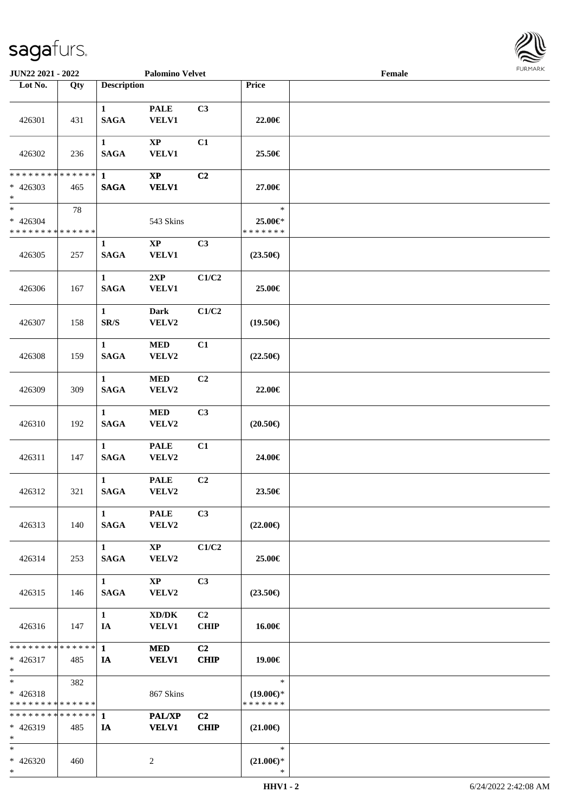

| JUN22 2021 - 2022                                  |     |                             | <b>Palomino Velvet</b>                 |                               |                                                | Female | <b>FURMARK</b> |
|----------------------------------------------------|-----|-----------------------------|----------------------------------------|-------------------------------|------------------------------------------------|--------|----------------|
| Lot No.                                            | Qty | <b>Description</b>          |                                        |                               | Price                                          |        |                |
| 426301                                             | 431 | $\mathbf{1}$<br><b>SAGA</b> | <b>PALE</b><br><b>VELV1</b>            | C3                            | 22.00€                                         |        |                |
| 426302                                             | 236 | $\mathbf{1}$<br><b>SAGA</b> | $\mathbf{X}\mathbf{P}$<br><b>VELV1</b> | C1                            | 25.50€                                         |        |                |
| ******** <mark>******</mark><br>$* 426303$<br>$*$  | 465 | $\mathbf{1}$<br><b>SAGA</b> | $\mathbf{X}\mathbf{P}$<br><b>VELV1</b> | C2                            | 27.00€                                         |        |                |
| $*$<br>$* 426304$<br>* * * * * * * * * * * * * *   | 78  |                             | 543 Skins                              |                               | $\ast$<br>25.00€*<br>* * * * * * *             |        |                |
| 426305                                             | 257 | $\mathbf{1}$<br><b>SAGA</b> | $\mathbf{X}\mathbf{P}$<br><b>VELV1</b> | C3                            | $(23.50\epsilon)$                              |        |                |
| 426306                                             | 167 | $\mathbf{1}$<br><b>SAGA</b> | 2XP<br><b>VELV1</b>                    | C1/C2                         | 25.00€                                         |        |                |
| 426307                                             | 158 | $\mathbf{1}$<br>SR/S        | <b>Dark</b><br>VELV2                   | C1/C2                         | $(19.50\epsilon)$                              |        |                |
| 426308                                             | 159 | $\mathbf{1}$<br><b>SAGA</b> | $\bf MED$<br>VELV2                     | C1                            | $(22.50\epsilon)$                              |        |                |
| 426309                                             | 309 | $\mathbf{1}$<br><b>SAGA</b> | $\bf MED$<br>VELV2                     | C2                            | 22.00€                                         |        |                |
| 426310                                             | 192 | $\mathbf{1}$<br><b>SAGA</b> | $\bf MED$<br>VELV2                     | C3                            | $(20.50\epsilon)$                              |        |                |
| 426311                                             | 147 | $\mathbf{1}$<br><b>SAGA</b> | <b>PALE</b><br>VELV2                   | C1                            | 24.00€                                         |        |                |
| 426312                                             | 321 | $\mathbf{1}$<br><b>SAGA</b> | <b>PALE</b><br>VELV2                   | C2                            | 23.50€                                         |        |                |
| 426313                                             | 140 | $\mathbf{1}$<br><b>SAGA</b> | <b>PALE</b><br>VELV2                   | C3                            | $(22.00\epsilon)$                              |        |                |
| 426314                                             | 253 | $\mathbf{1}$<br><b>SAGA</b> | $\mathbf{X}\mathbf{P}$<br>VELV2        | C1/C2                         | 25.00€                                         |        |                |
| 426315                                             | 146 | 1<br><b>SAGA</b>            | $\mathbf{X}\mathbf{P}$<br>VELV2        | C3                            | $(23.50\epsilon)$                              |        |                |
| 426316                                             | 147 | $\mathbf{1}$<br>IA          | XD/DK<br><b>VELV1</b>                  | C <sub>2</sub><br><b>CHIP</b> | 16.00€                                         |        |                |
| * * * * * * * * * * * * * * *<br>$* 426317$<br>$*$ | 485 | $\mathbf{1}$<br>IA          | <b>MED</b><br><b>VELV1</b>             | C2<br><b>CHIP</b>             | 19.00€                                         |        |                |
| $*$<br>$* 426318$<br>* * * * * * * * * * * * * *   | 382 |                             | 867 Skins                              |                               | $\ast$<br>$(19.00\epsilon)$ *<br>* * * * * * * |        |                |
| * * * * * * * * * * * * * *<br>$* 426319$<br>$*$   | 485 | $\mathbf 1$<br>IA           | PAL/XP<br><b>VELV1</b>                 | C2<br><b>CHIP</b>             | $(21.00\epsilon)$                              |        |                |
| $*$<br>$* 426320$<br>$*$                           | 460 |                             | $\overline{c}$                         |                               | $\ast$<br>$(21.00\mathbb{E})^*$<br>$\ast$      |        |                |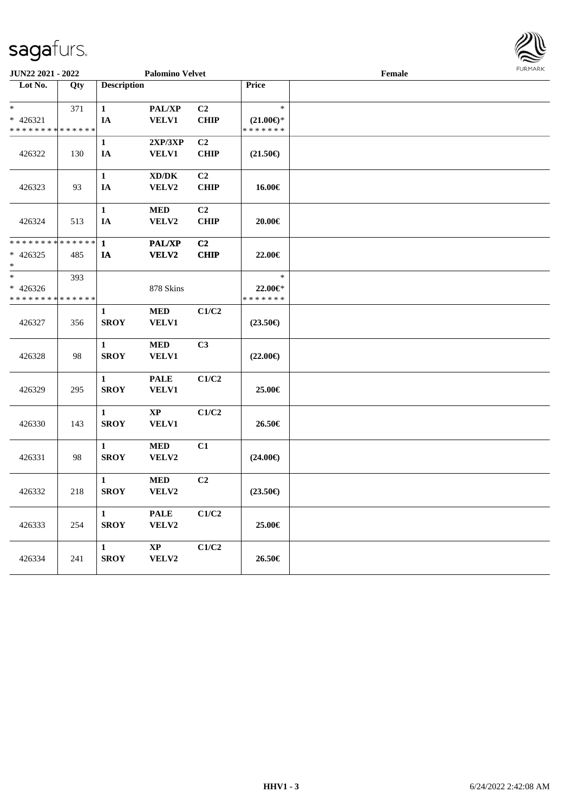|                                           | JUN22 2021 - 2022<br><b>Palomino Velvet</b> |                    |                                     |              |                                      | Female |  |
|-------------------------------------------|---------------------------------------------|--------------------|-------------------------------------|--------------|--------------------------------------|--------|--|
| Lot No.                                   | Qty                                         | <b>Description</b> |                                     |              | Price                                |        |  |
| $\ast$                                    | 371                                         | $\mathbf{1}$       | PAL/XP                              | C2           | $\ast$                               |        |  |
| $* 426321$<br>* * * * * * * * * * * * * * |                                             | IA                 | VELV1                               | CHIP         | $(21.00\epsilon)$ *<br>* * * * * * * |        |  |
|                                           |                                             | $\mathbf{1}$       | 2XP/3XP                             | C2           |                                      |        |  |
| 426322                                    | 130                                         | IA                 | <b>VELV1</b>                        | <b>CHIP</b>  | $(21.50\epsilon)$                    |        |  |
|                                           |                                             | $\mathbf 1$        | $\bold{X}\bold{D}/\bold{D}\bold{K}$ | C2           |                                      |        |  |
| 426323                                    | 93                                          | $I\!\!A$           | VELV2                               | ${\bf CHIP}$ | 16.00€                               |        |  |
|                                           |                                             | $\mathbf{1}$       | $\bf MED$                           | C2           |                                      |        |  |
| 426324                                    | 513                                         | $I\!\!A$           | VELV2                               | <b>CHIP</b>  | $20.00 \in$                          |        |  |
| ******** <mark>******</mark>              |                                             | $\mathbf{1}$       | <b>PAL/XP</b>                       | C2           |                                      |        |  |
| $* 426325$<br>$\ast$                      | 485                                         | IA                 | VELV2                               | CHIP         | 22.00€                               |        |  |
| $\ast$                                    | 393                                         |                    |                                     |              | $\ast$                               |        |  |
| $* 426326$<br>* * * * * * * * * * * * * * |                                             |                    | 878 Skins                           |              | $22.00 \in$ *<br>* * * * * * *       |        |  |
|                                           |                                             | $\mathbf{1}$       | <b>MED</b>                          | C1/C2        |                                      |        |  |
| 426327                                    | 356                                         | <b>SROY</b>        | VELV1                               |              | $(23.50\epsilon)$                    |        |  |
|                                           |                                             | $\mathbf{1}$       | <b>MED</b>                          | C3           |                                      |        |  |
| 426328                                    | 98                                          | <b>SROY</b>        | VELV1                               |              | $(22.00\epsilon)$                    |        |  |
|                                           |                                             | $\mathbf{1}$       | <b>PALE</b>                         | C1/C2        |                                      |        |  |
| 426329                                    | 295                                         | <b>SROY</b>        | <b>VELV1</b>                        |              | 25.00€                               |        |  |
|                                           |                                             | $\mathbf{1}$       | $\bold{XP}$                         | C1/C2        |                                      |        |  |
| 426330                                    | 143                                         | <b>SROY</b>        | <b>VELV1</b>                        |              | 26.50€                               |        |  |
|                                           |                                             | $\mathbf{1}$       | <b>MED</b>                          | C1           |                                      |        |  |
| 426331                                    | 98                                          | <b>SROY</b>        | VELV2                               |              | $(24.00\epsilon)$                    |        |  |
|                                           |                                             | $\mathbf{1}$       | $\bf MED$                           | C2           |                                      |        |  |
| 426332                                    | 218                                         | <b>SROY</b>        | VELV2                               |              | $(23.50\epsilon)$                    |        |  |
|                                           |                                             | $\mathbf{1}$       | <b>PALE</b>                         | C1/C2        |                                      |        |  |
| 426333                                    | 254                                         | <b>SROY</b>        | VELV2                               |              | 25.00€                               |        |  |
|                                           |                                             | $\mathbf{1}$       | $\bold{XP}$                         | C1/C2        |                                      |        |  |
| 426334                                    | 241                                         | <b>SROY</b>        | VELV2                               |              | 26.50€                               |        |  |

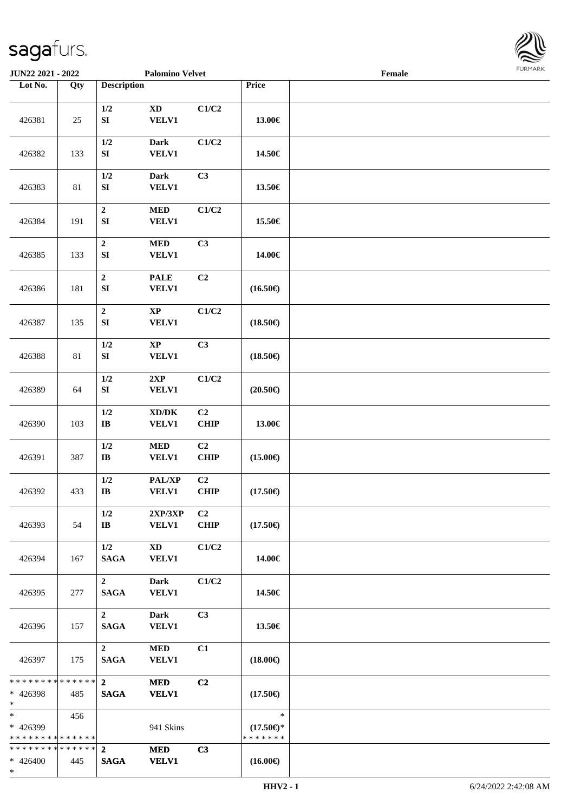

| JUN22 2021 - 2022                                  |        |                                      | <b>Palomino Velvet</b>                       |                               |                                                | $\ensuremath{\textnormal{\textbf{Female}}}$ | 1.911171717 |
|----------------------------------------------------|--------|--------------------------------------|----------------------------------------------|-------------------------------|------------------------------------------------|---------------------------------------------|-------------|
| Lot No.                                            | Qty    | <b>Description</b>                   |                                              |                               | Price                                          |                                             |             |
| 426381                                             | 25     | $1/2$<br>${\bf SI}$                  | $\mathbf{X}\mathbf{D}$<br><b>VELV1</b>       | C1/C2                         | 13.00€                                         |                                             |             |
| 426382                                             | 133    | $1/2$<br>${\bf S}{\bf I}$            | <b>Dark</b><br><b>VELV1</b>                  | C1/C2                         | 14.50€                                         |                                             |             |
| 426383                                             | $81\,$ | $1/2$<br>${\bf S}{\bf I}$            | <b>Dark</b><br><b>VELV1</b>                  | C3                            | 13.50€                                         |                                             |             |
| 426384                                             | 191    | $\mathbf 2$<br>${\bf S}{\bf I}$      | $\bf MED$<br>VELV1                           | C1/C2                         | 15.50€                                         |                                             |             |
| 426385                                             | 133    | $\boldsymbol{2}$<br>${\bf S}{\bf I}$ | $\bf MED$<br>VELV1                           | C3                            | 14.00€                                         |                                             |             |
| 426386                                             | 181    | $\boldsymbol{2}$<br>SI               | <b>PALE</b><br>VELV1                         | C2                            | $(16.50\epsilon)$                              |                                             |             |
| 426387                                             | 135    | $\mathbf 2$<br>${\bf S}{\bf I}$      | $\bold{XP}$<br>VELV1                         | C1/C2                         | $(18.50\epsilon)$                              |                                             |             |
| 426388                                             | $81\,$ | $1/2$<br>${\bf SI}$                  | $\bold{XP}$<br>VELV1                         | C3                            | $(18.50\epsilon)$                              |                                             |             |
| 426389                                             | 64     | $1/2$<br>${\bf SI}$                  | 2XP<br><b>VELV1</b>                          | C1/C2                         | $(20.50\epsilon)$                              |                                             |             |
| 426390                                             | 103    | $1/2$<br>$\bf{IB}$                   | $\bold{X}\bold{D}/\bold{D}\bold{K}$<br>VELV1 | C <sub>2</sub><br><b>CHIP</b> | 13.00€                                         |                                             |             |
| 426391                                             | 387    | $1/2$<br>$\bf{IB}$                   | $\bf MED$<br><b>VELV1</b>                    | C <sub>2</sub><br><b>CHIP</b> | $(15.00\epsilon)$                              |                                             |             |
| 426392                                             | 433    | 1/2<br>$\bf{IB}$                     | PAL/XP<br><b>VELV1</b>                       | C2<br>CHIP                    | $(17.50\epsilon)$                              |                                             |             |
| 426393                                             | 54     | 1/2<br>$\mathbf{I}\mathbf{B}$        | $2{\bf XP}/3{\bf XP}$<br><b>VELV1</b>        | C <sub>2</sub><br><b>CHIP</b> | $(17.50\epsilon)$                              |                                             |             |
| 426394                                             | 167    | 1/2<br><b>SAGA</b>                   | $\mathbf{X}\mathbf{D}$<br><b>VELV1</b>       | C1/C2                         | 14.00€                                         |                                             |             |
| 426395                                             | 277    | $\overline{2}$<br><b>SAGA</b>        | <b>Dark</b><br><b>VELV1</b>                  | C1/C2                         | 14.50€                                         |                                             |             |
| 426396                                             | 157    | $\overline{2}$<br><b>SAGA</b>        | Dark<br><b>VELV1</b>                         | C <sub>3</sub>                | 13.50€                                         |                                             |             |
| 426397                                             | 175    | $\overline{2}$<br><b>SAGA</b>        | $\bf MED$<br>VELV1                           | C1                            | $(18.00\epsilon)$                              |                                             |             |
| * * * * * * * * * * * * * * *<br>* 426398<br>$*$   | 485    | $2^{\circ}$<br><b>SAGA</b>           | <b>MED</b><br><b>VELV1</b>                   | C <sub>2</sub>                | $(17.50\epsilon)$                              |                                             |             |
| $*$ $-$<br>* 426399<br>* * * * * * * * * * * * * * | 456    |                                      | 941 Skins                                    |                               | $\ast$<br>$(17.50\epsilon)$ *<br>* * * * * * * |                                             |             |
| * * * * * * * * * * * * * * *<br>$* 426400$<br>$*$ | 445    | $\mathbf{2}$<br><b>SAGA</b>          | <b>MED</b><br><b>VELV1</b>                   | C3                            | $(16.00\epsilon)$                              |                                             |             |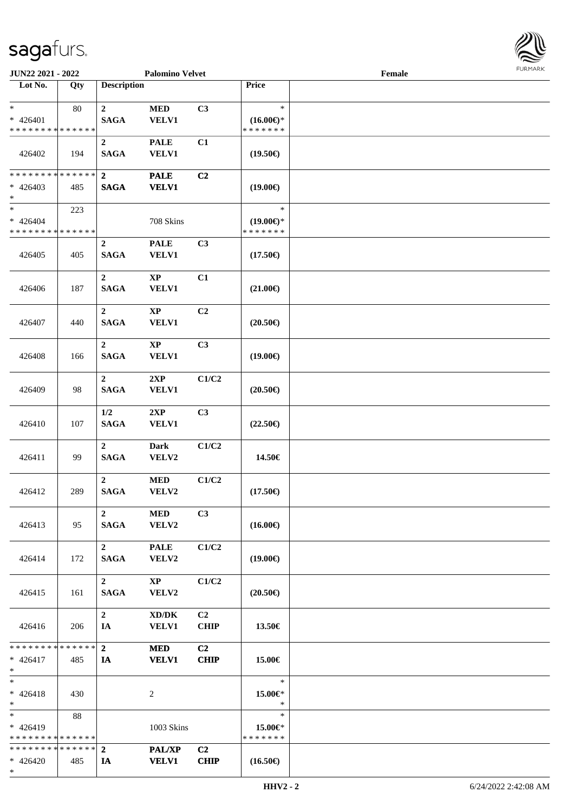

| JUN22 2021 - 2022                                                     |     |                                 | <b>Palomino Velvet</b>                              |                               |                                                | Female |  |
|-----------------------------------------------------------------------|-----|---------------------------------|-----------------------------------------------------|-------------------------------|------------------------------------------------|--------|--|
| Lot No.                                                               | Qty | <b>Description</b>              |                                                     |                               | Price                                          |        |  |
| $\ast$<br>$* 426401$<br>* * * * * * * * * * * * * *                   | 80  | $\overline{2}$<br><b>SAGA</b>   | $\bf MED$<br><b>VELV1</b>                           | C3                            | $\ast$<br>$(16.00\epsilon)$ *<br>* * * * * * * |        |  |
| 426402                                                                | 194 | $\boldsymbol{2}$<br><b>SAGA</b> | <b>PALE</b><br><b>VELV1</b>                         | C1                            | $(19.50\epsilon)$                              |        |  |
| * * * * * * * * * * * * * *<br>$* 426403$<br>$\ast$                   | 485 | $\overline{2}$<br><b>SAGA</b>   | <b>PALE</b><br><b>VELV1</b>                         | C <sub>2</sub>                | $(19.00\epsilon)$                              |        |  |
| $\overline{\phantom{1}}$<br>$* 426404$<br>* * * * * * * * * * * * * * | 223 |                                 | 708 Skins                                           |                               | $\ast$<br>$(19.00\epsilon)$ *<br>* * * * * * * |        |  |
| 426405                                                                | 405 | $\boldsymbol{2}$<br><b>SAGA</b> | <b>PALE</b><br><b>VELV1</b>                         | C3                            | $(17.50\epsilon)$                              |        |  |
| 426406                                                                | 187 | $\overline{2}$<br><b>SAGA</b>   | $\mathbf{XP}$<br><b>VELV1</b>                       | C1                            | $(21.00\epsilon)$                              |        |  |
| 426407                                                                | 440 | $\overline{2}$<br><b>SAGA</b>   | $\mathbf{XP}$<br><b>VELV1</b>                       | C2                            | $(20.50\epsilon)$                              |        |  |
| 426408                                                                | 166 | $\overline{2}$<br><b>SAGA</b>   | $\mathbf{X}\mathbf{P}$<br><b>VELV1</b>              | C3                            | $(19.00\epsilon)$                              |        |  |
| 426409                                                                | 98  | $\overline{2}$<br><b>SAGA</b>   | 2XP<br><b>VELV1</b>                                 | C1/C2                         | $(20.50\epsilon)$                              |        |  |
| 426410                                                                | 107 | $1/2$<br><b>SAGA</b>            | 2XP<br><b>VELV1</b>                                 | C3                            | $(22.50\epsilon)$                              |        |  |
| 426411                                                                | 99  | $\overline{2}$<br><b>SAGA</b>   | <b>Dark</b><br>VELV2                                | C1/C2                         | 14.50€                                         |        |  |
| 426412                                                                | 289 | $\overline{2}$<br><b>SAGA</b>   | <b>MED</b><br>VELV2                                 | C1/C2                         | $(17.50\epsilon)$                              |        |  |
| 426413                                                                | 95  | $\overline{2}$<br><b>SAGA</b>   | <b>MED</b><br>VELV2                                 | C <sub>3</sub>                | $(16.00\epsilon)$                              |        |  |
| 426414                                                                | 172 | $2^{\circ}$<br><b>SAGA</b>      | <b>PALE</b><br>${\bf VELV2}$                        | C1/C2                         | $(19.00\epsilon)$                              |        |  |
| 426415                                                                | 161 | $\overline{2}$<br><b>SAGA</b>   | $\mathbf{X}\mathbf{P}$<br>VELV2                     | C1/C2                         | $(20.50\epsilon)$                              |        |  |
| 426416                                                                | 206 | $\overline{2}$<br>IA            | $\bold{X}\bold{D}/\bold{D}\bold{K}$<br><b>VELV1</b> | C <sub>2</sub><br><b>CHIP</b> | 13.50€                                         |        |  |
| * * * * * * * * * * * * * * *<br>$* 426417$<br>$\ast$                 | 485 | $2^{\circ}$<br>IA               | <b>MED</b><br><b>VELV1</b>                          | C2<br><b>CHIP</b>             | 15.00€                                         |        |  |
| $\ast$<br>$* 426418$<br>$*$                                           | 430 |                                 | 2                                                   |                               | $\ast$<br>15.00€*<br>$\ast$                    |        |  |
| $\ast$<br>$* 426419$<br>* * * * * * * * * * * * * *                   | 88  |                                 | 1003 Skins                                          |                               | $\ast$<br>15.00€*<br>* * * * * * *             |        |  |
| * * * * * * * * * * * * * * *<br>$* 426420$<br>$*$                    | 485 | $\overline{2}$<br>IA            | PAL/XP<br><b>VELV1</b>                              | C <sub>2</sub><br><b>CHIP</b> | $(16.50\epsilon)$                              |        |  |